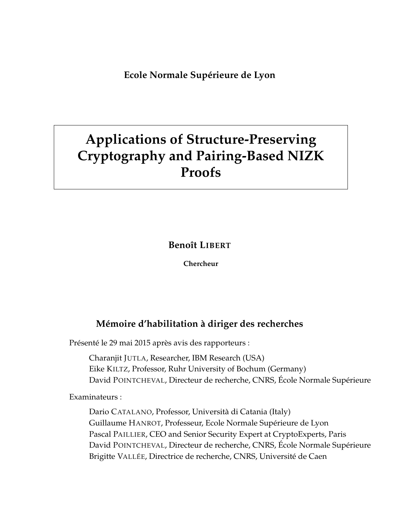**Ecole Normale Supérieure de Lyon**

# **Applications of Structure-Preserving Cryptography and Pairing-Based NIZK Proofs**

**Benoît LIBERT**

**Chercheur**

## **Mémoire d'habilitation à diriger des recherches**

Présenté le 29 mai 2015 après avis des rapporteurs :

Charanjit JUTLA, Researcher, IBM Research (USA) Eike KILTZ, Professor, Ruhr University of Bochum (Germany) David POINTCHEVAL, Directeur de recherche, CNRS, École Normale Supérieure

Examinateurs :

Dario CATALANO, Professor, Università di Catania (Italy) Guillaume HANROT, Professeur, Ecole Normale Supérieure de Lyon Pascal PAILLIER, CEO and Senior Security Expert at CryptoExperts, Paris David POINTCHEVAL, Directeur de recherche, CNRS, École Normale Supérieure Brigitte VALLÉE, Directrice de recherche, CNRS, Université de Caen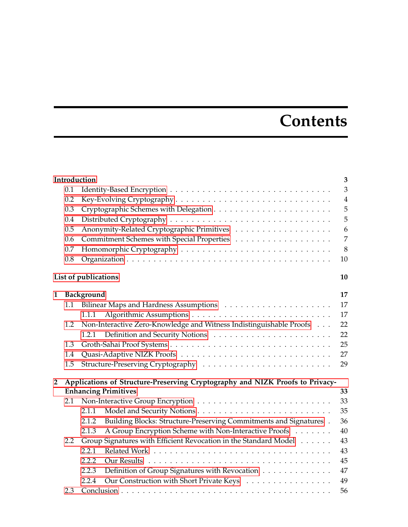# **Contents**

<span id="page-2-0"></span>

|                |                                                                               | Introduction                                                                | 3              |  |  |  |  |
|----------------|-------------------------------------------------------------------------------|-----------------------------------------------------------------------------|----------------|--|--|--|--|
|                | 0.1                                                                           |                                                                             | 3              |  |  |  |  |
|                | 0.2                                                                           |                                                                             | $\overline{4}$ |  |  |  |  |
|                | 0.3                                                                           |                                                                             | 5              |  |  |  |  |
|                | 0.4                                                                           |                                                                             | 5              |  |  |  |  |
|                | 0.5                                                                           |                                                                             | 6              |  |  |  |  |
|                | 0.6                                                                           |                                                                             | 7              |  |  |  |  |
|                | 0.7                                                                           |                                                                             | 8              |  |  |  |  |
|                | 0.8                                                                           |                                                                             | 10             |  |  |  |  |
|                |                                                                               | List of publications                                                        | 10             |  |  |  |  |
| $\mathbf{1}$   |                                                                               | <b>Background</b>                                                           |                |  |  |  |  |
|                | 1.1                                                                           |                                                                             | 17             |  |  |  |  |
|                |                                                                               | 1.1.1                                                                       | 17             |  |  |  |  |
|                | 1.2                                                                           | Non-Interactive Zero-Knowledge and Witness Indistinguishable Proofs         | 22             |  |  |  |  |
|                |                                                                               | 1.2.1                                                                       | 22             |  |  |  |  |
|                | 1.3                                                                           |                                                                             | 25             |  |  |  |  |
|                | 1.4                                                                           |                                                                             | 27             |  |  |  |  |
|                | 1.5                                                                           |                                                                             | 29             |  |  |  |  |
| $\overline{2}$ | Applications of Structure-Preserving Cryptography and NIZK Proofs to Privacy- |                                                                             |                |  |  |  |  |
|                |                                                                               | <b>Enhancing Primitives</b>                                                 | 33             |  |  |  |  |
|                | 2.1                                                                           |                                                                             | 33             |  |  |  |  |
|                |                                                                               | 2.1.1                                                                       | 35             |  |  |  |  |
|                |                                                                               | Building Blocks: Structure-Preserving Commitments and Signatures .<br>2.1.2 | 36             |  |  |  |  |
|                |                                                                               | A Group Encryption Scheme with Non-Interactive Proofs<br>2.1.3              | 40             |  |  |  |  |
|                | 2.2                                                                           | Group Signatures with Efficient Revocation in the Standard Model            | 43             |  |  |  |  |
|                |                                                                               | 2.2.1                                                                       | 43             |  |  |  |  |
|                |                                                                               | 2.2.2                                                                       | 45             |  |  |  |  |
|                |                                                                               | Definition of Group Signatures with Revocation<br>2.2.3                     | 47             |  |  |  |  |
|                |                                                                               | Our Construction with Short Private Keys<br>2.2.4                           | 49             |  |  |  |  |
|                | 2.3                                                                           |                                                                             | 56             |  |  |  |  |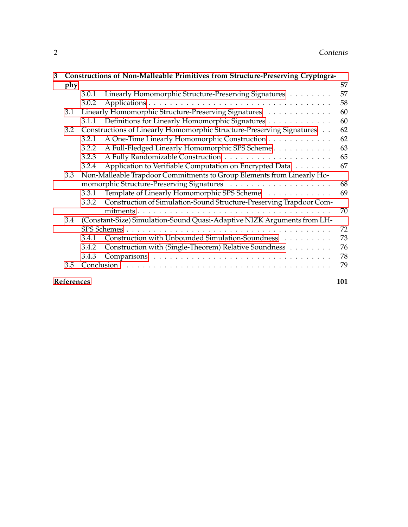| 3          | Constructions of Non-Malleable Primitives from Structure-Preserving Cryptogra- |       |                                                                         |    |  |  |  |
|------------|--------------------------------------------------------------------------------|-------|-------------------------------------------------------------------------|----|--|--|--|
|            | phy                                                                            |       |                                                                         | 57 |  |  |  |
|            |                                                                                | 3.0.1 | Linearly Homomorphic Structure-Preserving Signatures                    | 57 |  |  |  |
|            |                                                                                | 3.0.2 |                                                                         | 58 |  |  |  |
|            | 3.1                                                                            |       | Linearly Homomorphic Structure-Preserving Signatures                    | 60 |  |  |  |
|            |                                                                                | 3.1.1 | Definitions for Linearly Homomorphic Signatures                         | 60 |  |  |  |
|            | 3.2                                                                            |       | Constructions of Linearly Homomorphic Structure-Preserving Signatures   | 62 |  |  |  |
|            |                                                                                | 3.2.1 | A One-Time Linearly Homomorphic Construction                            | 62 |  |  |  |
|            |                                                                                | 3.2.2 | A Full-Fledged Linearly Homomorphic SPS Scheme                          | 63 |  |  |  |
|            |                                                                                | 3.2.3 |                                                                         | 65 |  |  |  |
|            |                                                                                | 3.2.4 | Application to Verifiable Computation on Encrypted Data                 | 67 |  |  |  |
|            | 3.3                                                                            |       | Non-Malleable Trapdoor Commitments to Group Elements from Linearly Ho-  |    |  |  |  |
|            |                                                                                |       |                                                                         | 68 |  |  |  |
|            |                                                                                | 3.3.1 | Template of Linearly Homomorphic SPS Scheme                             | 69 |  |  |  |
|            |                                                                                | 3.3.2 | Construction of Simulation-Sound Structure-Preserving Trapdoor Com-     |    |  |  |  |
|            |                                                                                |       |                                                                         | 70 |  |  |  |
|            | 3.4                                                                            |       | (Constant-Size) Simulation-Sound Quasi-Adaptive NIZK Arguments from LH- |    |  |  |  |
|            |                                                                                |       |                                                                         | 72 |  |  |  |
|            |                                                                                | 3.4.1 | Construction with Unbounded Simulation-Soundness                        | 73 |  |  |  |
|            |                                                                                | 3.4.2 | Construction with (Single-Theorem) Relative Soundness                   | 76 |  |  |  |
|            |                                                                                | 3.4.3 |                                                                         | 78 |  |  |  |
|            | 3.5                                                                            |       |                                                                         | 79 |  |  |  |
| References |                                                                                |       |                                                                         |    |  |  |  |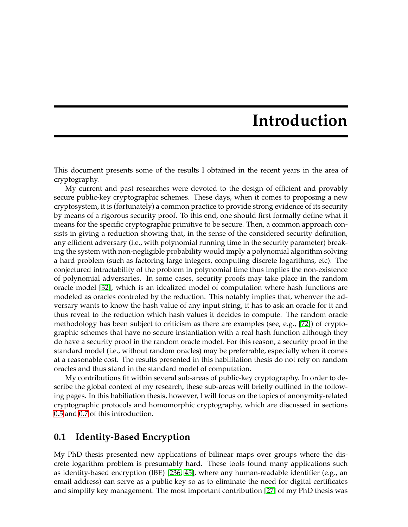# **Introduction**

This document presents some of the results I obtained in the recent years in the area of cryptography.

My current and past researches were devoted to the design of efficient and provably secure public-key cryptographic schemes. These days, when it comes to proposing a new cryptosystem, it is (fortunately) a common practice to provide strong evidence of its security by means of a rigorous security proof. To this end, one should first formally define what it means for the specific cryptographic primitive to be secure. Then, a common approach consists in giving a reduction showing that, in the sense of the considered security definition, any efficient adversary (i.e., with polynomial running time in the security parameter) breaking the system with non-negligible probability would imply a polynomial algorithm solving a hard problem (such as factoring large integers, computing discrete logarithms, etc). The conjectured intractability of the problem in polynomial time thus implies the non-existence of polynomial adversaries. In some cases, security proofs may take place in the random oracle model [\[32\]](#page-88-0), which is an idealized model of computation where hash functions are modeled as oracles controled by the reduction. This notably implies that, whenver the adversary wants to know the hash value of any input string, it has to ask an oracle for it and thus reveal to the reduction which hash values it decides to compute. The random oracle methodology has been subject to criticism as there are examples (see, e.g., [\[72\]](#page-90-0)) of cryptographic schemes that have no secure instantiation with a real hash function although they do have a security proof in the random oracle model. For this reason, a security proof in the standard model (i.e., without random oracles) may be preferrable, especially when it comes at a reasonable cost. The results presented in this habilitation thesis do not rely on random oracles and thus stand in the standard model of computation.

My contributions fit within several sub-areas of public-key cryptography. In order to describe the global context of my research, these sub-areas will briefly outlined in the following pages. In this habiliation thesis, however, I will focus on the topics of anonymity-related cryptographic protocols and homomorphic cryptography, which are discussed in sections [0.5](#page-7-0) and [0.7](#page-9-0) of this introduction.

## <span id="page-4-0"></span>**0.1 Identity-Based Encryption**

My PhD thesis presented new applications of bilinear maps over groups where the discrete logarithm problem is presumably hard. These tools found many applications such as identity-based encryption (IBE) [\[236,](#page-101-0) [45\]](#page-89-0), where any human-readable identifier (e.g., an email address) can serve as a public key so as to eliminate the need for digital certificates and simplify key management. The most important contribution [\[27\]](#page-87-0) of my PhD thesis was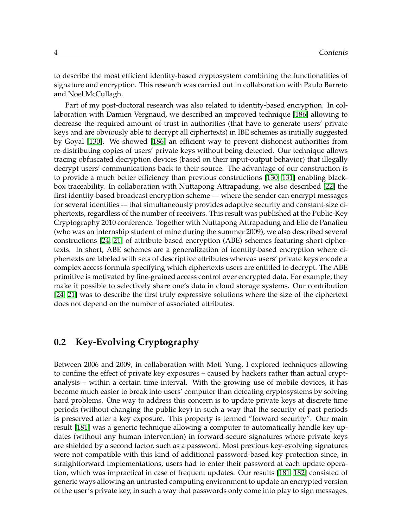to describe the most efficient identity-based cryptosystem combining the functionalities of signature and encryption. This research was carried out in collaboration with Paulo Barreto and Noel McCullagh.

Part of my post-doctoral research was also related to identity-based encryption. In collaboration with Damien Vergnaud, we described an improved technique [\[186\]](#page-98-0) allowing to decrease the required amount of trust in authorities (that have to generate users' private keys and are obviously able to decrypt all ciphertexts) in IBE schemes as initially suggested by Goyal [\[130\]](#page-94-0). We showed [\[186\]](#page-98-0) an efficient way to prevent dishonest authorities from re-distributing copies of users' private keys without being detected. Our technique allows tracing obfuscated decryption devices (based on their input-output behavior) that illegally decrypt users' communications back to their source. The advantage of our construction is to provide a much better efficiency than previous constructions [\[130,](#page-94-0) [131\]](#page-94-1) enabling blackbox traceability. In collaboration with Nuttapong Attrapadung, we also described [\[22\]](#page-87-1) the first identity-based broadcast encryption scheme — where the sender can encrypt messages for several identities -– that simultaneously provides adaptive security and constant-size ciphertexts, regardless of the number of receivers. This result was published at the Public-Key Cryptography 2010 conference. Together with Nuttapong Attrapadung and Elie de Panafieu (who was an internship student of mine during the summer 2009), we also described several constructions [\[24,](#page-87-2) [21\]](#page-87-3) of attribute-based encryption (ABE) schemes featuring short ciphertexts. In short, ABE schemes are a generalization of identity-based encryption where ciphertexts are labeled with sets of descriptive attributes whereas users' private keys encode a complex access formula specifying which ciphertexts users are entitled to decrypt. The ABE primitive is motivated by fine-grained access control over encrypted data. For example, they make it possible to selectively share one's data in cloud storage systems. Our contribution [\[24,](#page-87-2) [21\]](#page-87-3) was to describe the first truly expressive solutions where the size of the ciphertext does not depend on the number of associated attributes.

## <span id="page-5-0"></span>**0.2 Key-Evolving Cryptography**

Between 2006 and 2009, in collaboration with Moti Yung, I explored techniques allowing to confine the effect of private key exposures – caused by hackers rather than actual cryptanalysis – within a certain time interval. With the growing use of mobile devices, it has become much easier to break into users' computer than defeating cryptosystems by solving hard problems. One way to address this concern is to update private keys at discrete time periods (without changing the public key) in such a way that the security of past periods is preserved after a key exposure. This property is termed "forward security". Our main result [\[181\]](#page-98-1) was a generic technique allowing a computer to automatically handle key updates (without any human intervention) in forward-secure signatures where private keys are shielded by a second factor, such as a password. Most previous key-evolving signatures were not compatible with this kind of additional password-based key protection since, in straightforward implementations, users had to enter their password at each update operation, which was impractical in case of frequent updates. Our results [\[181,](#page-98-1) [182\]](#page-98-2) consisted of generic ways allowing an untrusted computing environment to update an encrypted version of the user's private key, in such a way that passwords only come into play to sign messages.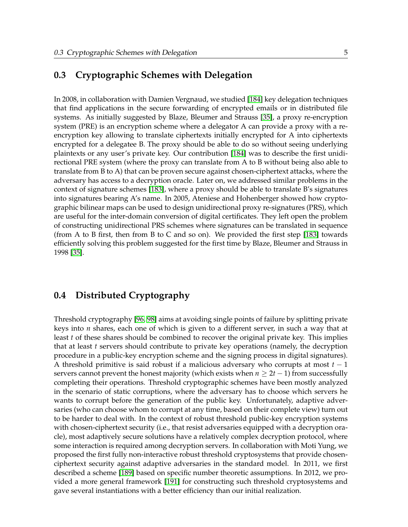### <span id="page-6-0"></span>**0.3 Cryptographic Schemes with Delegation**

In 2008, in collaboration with Damien Vergnaud, we studied [\[184\]](#page-98-3) key delegation techniques that find applications in the secure forwarding of encrypted emails or in distributed file systems. As initially suggested by Blaze, Bleumer and Strauss [\[35\]](#page-88-1), a proxy re-encryption system (PRE) is an encryption scheme where a delegator A can provide a proxy with a reencryption key allowing to translate ciphertexts initially encrypted for A into ciphertexts encrypted for a delegatee B. The proxy should be able to do so without seeing underlying plaintexts or any user's private key. Our contribution [\[184\]](#page-98-3) was to describe the first unidirectional PRE system (where the proxy can translate from A to B without being also able to translate from B to A) that can be proven secure against chosen-ciphertext attacks, where the adversary has access to a decryption oracle. Later on, we addressed similar problems in the context of signature schemes [\[183\]](#page-98-4), where a proxy should be able to translate B's signatures into signatures bearing A's name. In 2005, Ateniese and Hohenberger showed how cryptographic bilinear maps can be used to design unidirectional proxy re-signatures (PRS), which are useful for the inter-domain conversion of digital certificates. They left open the problem of constructing unidirectional PRS schemes where signatures can be translated in sequence (from A to B first, then from B to C and so on). We provided the first step [\[183\]](#page-98-4) towards efficiently solving this problem suggested for the first time by Blaze, Bleumer and Strauss in 1998 [\[35\]](#page-88-1).

#### <span id="page-6-1"></span>**0.4 Distributed Cryptography**

Threshold cryptography [\[96,](#page-92-0) [98\]](#page-92-1) aims at avoiding single points of failure by splitting private keys into *n* shares, each one of which is given to a different server, in such a way that at least *t* of these shares should be combined to recover the original private key. This implies that at least *t* servers should contribute to private key operations (namely, the decryption procedure in a public-key encryption scheme and the signing process in digital signatures). A threshold primitive is said robust if a malicious adversary who corrupts at most *t* − 1 servers cannot prevent the honest majority (which exists when  $n \geq 2t - 1$ ) from successfully completing their operations. Threshold cryptographic schemes have been mostly analyzed in the scenario of static corruptions, where the adversary has to choose which servers he wants to corrupt before the generation of the public key. Unfortunately, adaptive adversaries (who can choose whom to corrupt at any time, based on their complete view) turn out to be harder to deal with. In the context of robust threshold public-key encryption systems with chosen-ciphertext security (i.e., that resist adversaries equipped with a decryption oracle), most adaptively secure solutions have a relatively complex decryption protocol, where some interaction is required among decryption servers. In collaboration with Moti Yung, we proposed the first fully non-interactive robust threshold cryptosystems that provide chosenciphertext security against adaptive adversaries in the standard model. In 2011, we first described a scheme [\[189\]](#page-98-5) based on specific number theoretic assumptions. In 2012, we provided a more general framework [\[191\]](#page-98-6) for constructing such threshold cryptosystems and gave several instantiations with a better efficiency than our initial realization.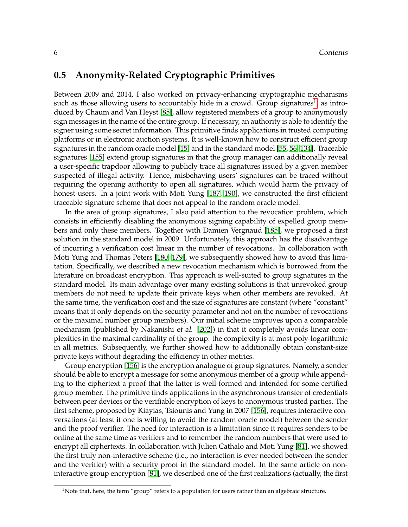#### <span id="page-7-0"></span>**0.5 Anonymity-Related Cryptographic Primitives**

Between 2009 and 2014, I also worked on privacy-enhancing cryptographic mechanisms such as those allowing users to accountably hide in a crowd. Group signatures<sup>[1](#page-7-1)</sup>, as introduced by Chaum and Van Heyst [\[85\]](#page-91-0), allow registered members of a group to anonymously sign messages in the name of the entire group. If necessary, an authority is able to identify the signer using some secret information. This primitive finds applications in trusted computing platforms or in electronic auction systems. It is well-known how to construct efficient group signatures in the random oracle model [\[15\]](#page-87-4) and in the standard model [\[55,](#page-89-1) [56,](#page-89-2) [134\]](#page-95-0). Traceable signatures [\[155\]](#page-96-0) extend group signatures in that the group manager can additionally reveal a user-specific trapdoor allowing to publicly trace all signatures issued by a given member suspected of illegal activity. Hence, misbehaving users' signatures can be traced without requiring the opening authority to open all signatures, which would harm the privacy of honest users. In a joint work with Moti Yung [\[187,](#page-98-7) [190\]](#page-98-8), we constructed the first efficient traceable signature scheme that does not appeal to the random oracle model.

In the area of group signatures, I also paid attention to the revocation problem, which consists in efficiently disabling the anonymous signing capability of expelled group members and only these members. Together with Damien Vergnaud [\[185\]](#page-98-9), we proposed a first solution in the standard model in 2009. Unfortunately, this approach has the disadvantage of incurring a verification cost linear in the number of revocations. In collaboration with Moti Yung and Thomas Peters [\[180,](#page-98-10) [179\]](#page-98-11), we subsequently showed how to avoid this limitation. Specifically, we described a new revocation mechanism which is borrowed from the literature on broadcast encryption. This approach is well-suited to group signatures in the standard model. Its main advantage over many existing solutions is that unrevoked group members do not need to update their private keys when other members are revoked. At the same time, the verification cost and the size of signatures are constant (where "constant" means that it only depends on the security parameter and not on the number of revocations or the maximal number group members). Our initial scheme improves upon a comparable mechanism (published by Nakanishi et al. [\[202\]](#page-99-0)) in that it completely avoids linear complexities in the maximal cardinality of the group: the complexity is at most poly-logarithmic in all metrics. Subsequently, we further showed how to additionally obtain constant-size private keys without degrading the efficiency in other metrics.

Group encryption [\[156\]](#page-96-1) is the encryption analogue of group signatures. Namely, a sender should be able to encrypt a message for some anonymous member of a group while appending to the ciphertext a proof that the latter is well-formed and intended for some certified group member. The primitive finds applications in the asynchronous transfer of credentials between peer devices or the verifiable encryption of keys to anonymous trusted parties. The first scheme, proposed by Kiayias, Tsiounis and Yung in 2007 [\[156\]](#page-96-1), requires interactive conversations (at least if one is willing to avoid the random oracle model) between the sender and the proof verifier. The need for interaction is a limitation since it requires senders to be online at the same time as verifiers and to remember the random numbers that were used to encrypt all ciphertexts. In collaboration with Julien Cathalo and Moti Yung [\[81\]](#page-91-1), we showed the first truly non-interactive scheme (i.e., no interaction is ever needed between the sender and the verifier) with a security proof in the standard model. In the same article on noninteractive group encryption [\[81\]](#page-91-1), we described one of the first realizations (actually, the first

<span id="page-7-1"></span><sup>&</sup>lt;sup>1</sup> Note that, here, the term "group" refers to a population for users rather than an algebraic structure.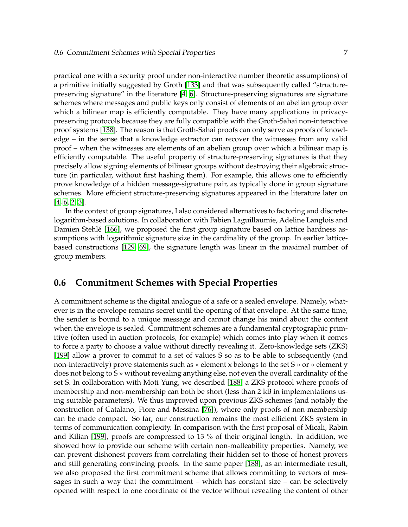practical one with a security proof under non-interactive number theoretic assumptions) of a primitive initially suggested by Groth [\[133\]](#page-94-2) and that was subsequently called "structurepreserving signature" in the literature [\[4,](#page-86-1) [6\]](#page-86-2). Structure-preserving signatures are signature schemes where messages and public keys only consist of elements of an abelian group over which a bilinear map is efficiently computable. They have many applications in privacypreserving protocols because they are fully compatible with the Groth-Sahai non-interactive proof systems [\[138\]](#page-95-1). The reason is that Groth-Sahai proofs can only serve as proofs of knowledge – in the sense that a knowledge extractor can recover the witnesses from any valid proof – when the witnesses are elements of an abelian group over which a bilinear map is efficiently computable. The useful property of structure-preserving signatures is that they precisely allow signing elements of bilinear groups without destroying their algebraic structure (in particular, without first hashing them). For example, this allows one to efficiently prove knowledge of a hidden message-signature pair, as typically done in group signature schemes. More efficient structure-preserving signatures appeared in the literature later on [\[4,](#page-86-1) [6,](#page-86-2) [2,](#page-86-3) [3\]](#page-86-4).

In the context of group signatures, I also considered alternatives to factoring and discretelogarithm-based solutions. In collaboration with Fabien Laguillaumie, Adeline Langlois and Damien Stehlé [\[166\]](#page-97-0), we proposed the first group signature based on lattice hardness assumptions with logarithmic signature size in the cardinality of the group. In earlier latticebased constructions [\[129,](#page-94-3) [69\]](#page-90-1), the signature length was linear in the maximal number of group members.

#### <span id="page-8-0"></span>**0.6 Commitment Schemes with Special Properties**

A commitment scheme is the digital analogue of a safe or a sealed envelope. Namely, whatever is in the envelope remains secret until the opening of that envelope. At the same time, the sender is bound to a unique message and cannot change his mind about the content when the envelope is sealed. Commitment schemes are a fundamental cryptographic primitive (often used in auction protocols, for example) which comes into play when it comes to force a party to choose a value without directly revealing it. Zero-knowledge sets (ZKS) [\[199\]](#page-99-1) allow a prover to commit to a set of values S so as to be able to subsequently (and non-interactively) prove statements such as « element x belongs to the set S » or « element y does not belong to S » without revealing anything else, not even the overall cardinality of the set S. In collaboration with Moti Yung, we described [\[188\]](#page-98-12) a ZKS protocol where proofs of membership and non-membership can both be short (less than 2 kB in implementations using suitable parameters). We thus improved upon previous ZKS schemes (and notably the construction of Catalano, Fiore and Messina [\[76\]](#page-91-2)), where only proofs of non-membership can be made compact. So far, our construction remains the most efficient ZKS system in terms of communication complexity. In comparison with the first proposal of Micali, Rabin and Kilian [\[199\]](#page-99-1), proofs are compressed to 13 % of their original length. In addition, we showed how to provide our scheme with certain non-malleability properties. Namely, we can prevent dishonest provers from correlating their hidden set to those of honest provers and still generating convincing proofs. In the same paper [\[188\]](#page-98-12), as an intermediate result, we also proposed the first commitment scheme that allows committing to vectors of messages in such a way that the commitment  $-$  which has constant size  $-$  can be selectively opened with respect to one coordinate of the vector without revealing the content of other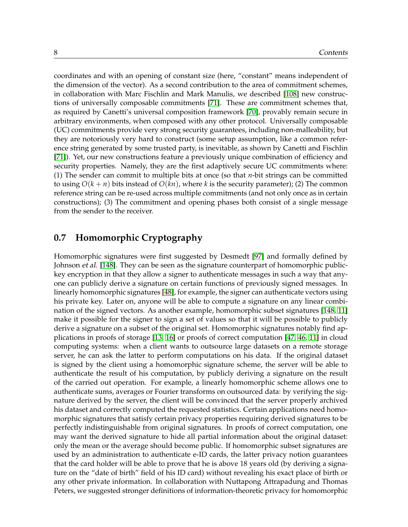coordinates and with an opening of constant size (here, "constant" means independent of the dimension of the vector). As a second contribution to the area of commitment schemes, in collaboration with Marc Fischlin and Mark Manulis, we described [\[108\]](#page-93-0) new constructions of universally composable commitments [\[71\]](#page-90-2). These are commitment schemes that, as required by Canetti's universal composition framework [\[70\]](#page-90-3), provably remain secure in arbitrary environments, when composed with any other protocol. Universally composable (UC) commitments provide very strong security guarantees, including non-malleability, but they are notoriously very hard to construct (some setup assumption, like a common reference string generated by some trusted party, is inevitable, as shown by Canetti and Fischlin [\[71\]](#page-90-2)). Yet, our new constructions feature a previously unique combination of efficiency and security properties. Namely, they are the first adaptively secure UC commitments where: (1) The sender can commit to multiple bits at once (so that *n*-bit strings can be committed to using  $O(k + n)$  bits instead of  $O(kn)$ , where k is the security parameter); (2) The common reference string can be re-used across multiple commitments (and not only once as in certain constructions); (3) The commitment and opening phases both consist of a single message from the sender to the receiver.

#### <span id="page-9-0"></span>**0.7 Homomorphic Cryptography**

Homomorphic signatures were first suggested by Desmedt [\[97\]](#page-92-2) and formally defined by Johnson et al. [\[148\]](#page-95-2). They can be seen as the signature counterpart of homomorphic publickey encryption in that they allow a signer to authenticate messages in such a way that anyone can publicly derive a signature on certain functions of previously signed messages. In linearly homomorphic signatures [\[48\]](#page-89-3), for example, the signer can authenticate vectors using his private key. Later on, anyone will be able to compute a signature on any linear combination of the signed vectors. As another example, homomorphic subset signatures [\[148,](#page-95-2) [11\]](#page-86-5) make it possible for the signer to sign a set of values so that it will be possible to publicly derive a signature on a subset of the original set. Homomorphic signatures notably find applications in proofs of storage [\[13,](#page-87-5) [16\]](#page-87-6) or proofs of correct computation [\[47,](#page-89-4) [46,](#page-89-5) [11\]](#page-86-5) in cloud computing systems: when a client wants to outsource large datasets on a remote storage server, he can ask the latter to perform computations on his data. If the original dataset is signed by the client using a homomorphic signature scheme, the server will be able to authenticate the result of his computation, by publicly deriving a signature on the result of the carried out operation. For example, a linearly homomorphic scheme allows one to authenticate sums, averages or Fourier transforms on outsourced data: by verifying the signature derived by the server, the client will be convinced that the server properly archived his dataset and correctly computed the requested statistics. Certain applications need homomorphic signatures that satisfy certain privacy properties requiring derived signatures to be perfectly indistinguishable from original signatures. In proofs of correct computation, one may want the derived signature to hide all partial information about the original dataset: only the mean or the average should become public. If homomorphic subset signatures are used by an administration to authenticate e-ID cards, the latter privacy notion guarantees that the card holder will be able to prove that he is above 18 years old (by deriving a signature on the "date of birth" field of his ID card) without revealing his exact place of birth or any other private information. In collaboration with Nuttapong Attrapadung and Thomas Peters, we suggested stronger definitions of information-theoretic privacy for homomorphic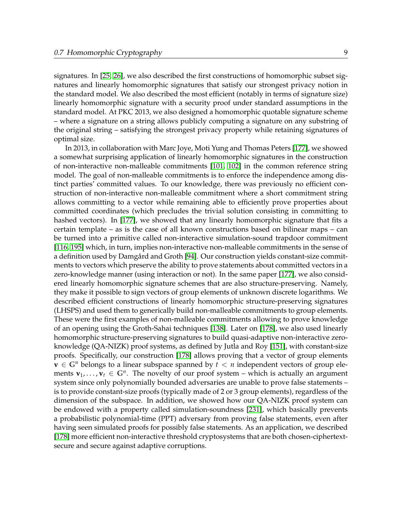signatures. In [\[25,](#page-87-7) [26\]](#page-87-8), we also described the first constructions of homomorphic subset signatures and linearly homomorphic signatures that satisfy our strongest privacy notion in the standard model. We also described the most efficient (notably in terms of signature size) linearly homomorphic signature with a security proof under standard assumptions in the standard model. At PKC 2013, we also designed a homomorphic quotable signature scheme – where a signature on a string allows publicly computing a signature on any substring of the original string – satisfying the strongest privacy property while retaining signatures of optimal size.

In 2013, in collaboration with Marc Joye, Moti Yung and Thomas Peters [\[177\]](#page-97-1), we showed a somewhat surprising application of linearly homomorphic signatures in the construction of non-interactive non-malleable commitments [\[101,](#page-92-3) [102\]](#page-92-4) in the common reference string model. The goal of non-malleable commitments is to enforce the independence among distinct parties' committed values. To our knowledge, there was previously no efficient construction of non-interactive non-malleable commitment where a short commitment string allows committing to a vector while remaining able to efficiently prove properties about committed coordinates (which precludes the trivial solution consisting in committing to hashed vectors). In [\[177\]](#page-97-1), we showed that any linearly homomorphic signature that fits a certain template – as is the case of all known constructions based on bilinear maps – can be turned into a primitive called non-interactive simulation-sound trapdoor commitment [\[116,](#page-93-1) [195\]](#page-98-13) which, in turn, implies non-interactive non-malleable commitments in the sense of a definition used by Damgård and Groth [\[94\]](#page-92-5). Our construction yields constant-size commitments to vectors which preserve the ability to prove statements about committed vectors in a zero-knowledge manner (using interaction or not). In the same paper [\[177\]](#page-97-1), we also considered linearly homomorphic signature schemes that are also structure-preserving. Namely, they make it possible to sign vectors of group elements of unknown discrete logarithms. We described efficient constructions of linearly homomorphic structure-preserving signatures (LHSPS) and used them to generically build non-malleable commitments to group elements. These were the first examples of non-malleable commitments allowing to prove knowledge of an opening using the Groth-Sahai techniques [\[138\]](#page-95-1). Later on [\[178\]](#page-97-2), we also used linearly homomorphic structure-preserving signatures to build quasi-adaptive non-interactive zeroknowledge (QA-NIZK) proof systems, as defined by Jutla and Roy [\[151\]](#page-96-2), with constant-size proofs. Specifically, our construction [\[178\]](#page-97-2) allows proving that a vector of group elements  $\mathbf{v} \in \mathbb{G}^n$  belongs to a linear subspace spanned by  $t < n$  independent vectors of group elements  $\mathbf{v}_1, \ldots, \mathbf{v}_t \in \mathbb{G}^n$ . The novelty of our proof system – which is actually an argument system since only polynomially bounded adversaries are unable to prove false statements – is to provide constant-size proofs (typically made of 2 or 3 group elements), regardless of the dimension of the subspace. In addition, we showed how our QA-NIZK proof system can be endowed with a property called simulation-soundness [\[231\]](#page-101-1), which basically prevents a probabilistic polynomial-time (PPT) adversary from proving false statements, even after having seen simulated proofs for possibly false statements. As an application, we described [\[178\]](#page-97-2) more efficient non-interactive threshold cryptosystems that are both chosen-ciphertextsecure and secure against adaptive corruptions.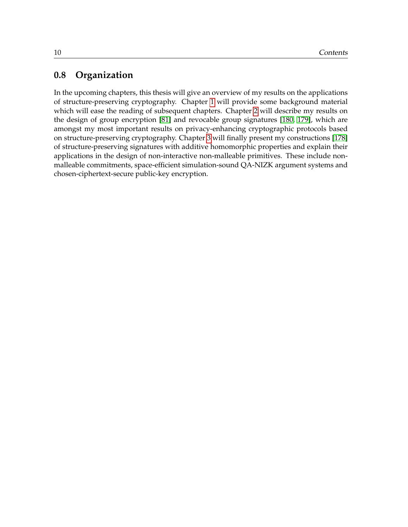### <span id="page-11-0"></span>**0.8 Organization**

In the upcoming chapters, this thesis will give an overview of my results on the applications of structure-preserving cryptography. Chapter [1](#page-18-0) will provide some background material which will ease the reading of subsequent chapters. Chapter [2](#page-34-0) will describe my results on the design of group encryption [\[81\]](#page-91-1) and revocable group signatures [\[180,](#page-98-10) [179\]](#page-98-11), which are amongst my most important results on privacy-enhancing cryptographic protocols based on structure-preserving cryptography. Chapter [3](#page-58-0) will finally present my constructions [\[178\]](#page-97-2) of structure-preserving signatures with additive homomorphic properties and explain their applications in the design of non-interactive non-malleable primitives. These include nonmalleable commitments, space-efficient simulation-sound QA-NIZK argument systems and chosen-ciphertext-secure public-key encryption.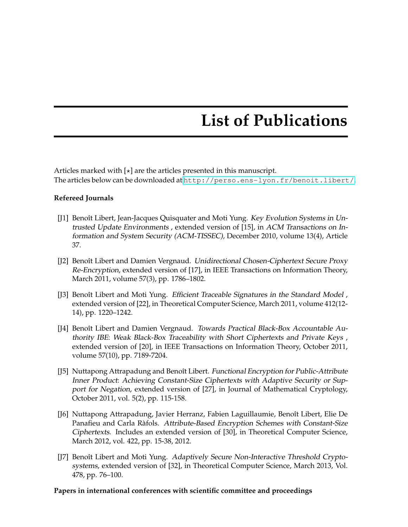# **List of Publications**

Articles marked with  $[\star]$  are the articles presented in this manuscript. The articles below can be downloaded at <http://perso.ens-lyon.fr/benoit.libert/>.

#### **Refereed Journals**

- [J1] Benoît Libert, Jean-Jacques Quisquater and Moti Yung. Key Evolution Systems in Untrusted Update Environments , extended version of [15], in ACM Transactions on Information and System Security (ACM-TISSEC), December 2010, volume 13(4), Article 37.
- [J2] Benoît Libert and Damien Vergnaud. Unidirectional Chosen-Ciphertext Secure Proxy Re-Encryption, extended version of [17], in IEEE Transactions on Information Theory, March 2011, volume 57(3), pp. 1786–1802.
- [J3] Benoît Libert and Moti Yung. Efficient Traceable Signatures in the Standard Model , extended version of [22], in Theoretical Computer Science, March 2011, volume 412(12- 14), pp. 1220–1242.
- [J4] Benoît Libert and Damien Vergnaud. Towards Practical Black-Box Accountable Authority IBE: Weak Black-Box Traceability with Short Ciphertexts and Private Keys , extended version of [20], in IEEE Transactions on Information Theory, October 2011, volume 57(10), pp. 7189-7204.
- [J5] Nuttapong Attrapadung and Benoît Libert. Functional Encryption for Public-Attribute Inner Product: Achieving Constant-Size Ciphertexts with Adaptive Security or Support for Negation, extended version of [27], in Journal of Mathematical Cryptology, October 2011, vol. 5(2), pp. 115-158.
- [J6] Nuttapong Attrapadung, Javier Herranz, Fabien Laguillaumie, Benoît Libert, Elie De Panafieu and Carla Ràfols. Attribute-Based Encryption Schemes with Constant-Size Ciphertexts. Includes an extended version of [30], in Theoretical Computer Science, March 2012, vol. 422, pp. 15-38, 2012.
- [J7] Benoît Libert and Moti Yung. Adaptively Secure Non-Interactive Threshold Cryptosystems, extended version of [32], in Theoretical Computer Science, March 2013, Vol. 478, pp. 76–100.

#### **Papers in international conferences with scientific committee and proceedings**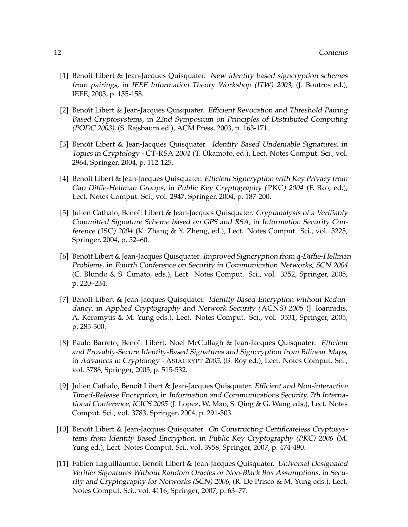- [1] Benoît Libert & Jean-Jacques Quisquater. New identity based signcryption schemes from pairings, in IEEE Information Theory Workshop (ITW) 2003, (J. Boutros ed.), IEEE, 2003, p. 155-158.
- [2] Benoît Libert & Jean-Jacques Quisquater. Efficient Revocation and Threshold Pairing Based Cryptosystems, in 22nd Symposium on Principles of Distributed Computing (PODC 2003), (S. Rajsbaum ed.), ACM Press, 2003, p. 163-171.
- [3] Benoît Libert & Jean-Jacques Quisquater. Identity Based Undeniable Signatures, in Topics in Cryptology - CT-RSA 2004 (T. Okamoto, ed.), Lect. Notes Comput. Sci., vol. 2964, Springer, 2004, p. 112-125.
- [4] Benoît Libert & Jean-Jacques Quisquater. Efficient Signcryption with Key Privacy from Gap Diffie-Hellman Groups, in Public Key Cryptography (PKC) 2004 (F. Bao, ed.), Lect. Notes Comput. Sci., vol. 2947, Springer, 2004, p. 187-200.
- [5] Julien Cathalo, Benoît Libert & Jean-Jacques Quisquater. Cryptanalysis of a Verifiably Committed Signature Scheme based on GPS and RSA, in Information Security Conference (ISC) 2004 (K. Zhang & Y. Zheng, ed.), Lect. Notes Comput. Sci., vol. 3225, Springer, 2004, p. 52–60.
- [6] Benoît Libert & Jean-Jacques Quisquater. Improved Signcryption from q-Diffie-Hellman Problems, in Fourth Conference on Security in Communication Networks, SCN 2004 (C. Blundo & S. Cimato, eds.), Lect. Notes Comput. Sci., vol. 3352, Springer, 2005, p. 220–234.
- [7] Benoît Libert & Jean-Jacques Quisquater. Identity Based Encryption without Redundancy, in Applied Cryptography and Network Security (ACNS) 2005 (J. Ioannidis, A. Keromytis & M. Yung eds.), Lect. Notes Comput. Sci., vol. 3531, Springer, 2005, p. 285-300.
- [8] Paulo Barreto, Benoît Libert, Noel McCullagh & Jean-Jacques Quisquater. Efficient and Provably-Secure Identity-Based Signatures and Signcryption from Bilinear Maps, in Advances in Cryptology - ASIACRYPT 2005, (B. Roy ed.), Lect. Notes Comput. Sci., vol. 3788, Springer, 2005, p. 515-532.
- [9] Julien Cathalo, Benoît Libert & Jean-Jacques Quisquater. Efficient and Non-interactive Timed-Release Encryption, in Information and Communications Security, 7th International Conference, ICICS 2005 (J. Lopez, W. Mao, S. Qing & G. Wang eds.), Lect. Notes Comput. Sci., vol. 3783, Springer, 2004, p. 291-303.
- [10] Benoît Libert & Jean-Jacques Quisquater. On Constructing Certificateless Cryptosystems from Identity Based Encryption, in Public Key Cryptography (PKC) 2006 (M. Yung ed.), Lect. Notes Comput. Sci., vol. 3958, Springer, 2007, p. 474-490.
- [11] Fabien Laguillaumie, Benoît Libert & Jean-Jacques Quisquater. Universal Designated Verifier Signatures Without Random Oracles or Non-Black Box Assumptions, in Security and Cryptography for Networks (SCN) 2006, (R. De Prisco & M. Yung eds.), Lect. Notes Comput. Sci., vol. 4116, Springer, 2007, p. 63–77.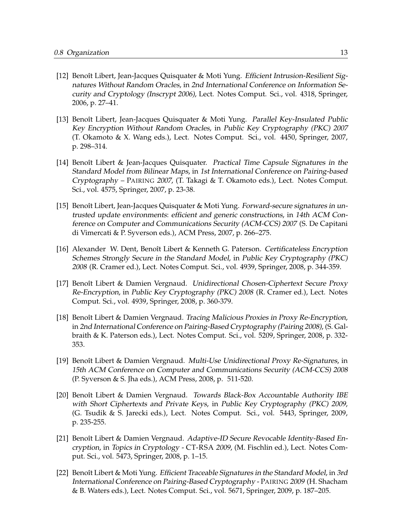- [12] Benoît Libert, Jean-Jacques Quisquater & Moti Yung. Efficient Intrusion-Resilient Signatures Without Random Oracles, in 2nd International Conference on Information Security and Cryptology (Inscrypt 2006), Lect. Notes Comput. Sci., vol. 4318, Springer, 2006, p. 27–41.
- [13] Benoît Libert, Jean-Jacques Quisquater & Moti Yung. Parallel Key-Insulated Public Key Encryption Without Random Oracles, in Public Key Cryptography (PKC) 2007 (T. Okamoto & X. Wang eds.), Lect. Notes Comput. Sci., vol. 4450, Springer, 2007, p. 298–314.
- [14] Benoît Libert & Jean-Jacques Quisquater. Practical Time Capsule Signatures in the Standard Model from Bilinear Maps, in 1st International Conference on Pairing-based Cryptography – PAIRING 2007, (T. Takagi & T. Okamoto eds.), Lect. Notes Comput. Sci., vol. 4575, Springer, 2007, p. 23-38.
- [15] Benoît Libert, Jean-Jacques Quisquater & Moti Yung. Forward-secure signatures in untrusted update environments: efficient and generic constructions, in 14th ACM Conference on Computer and Communications Security (ACM-CCS) 2007 (S. De Capitani di Vimercati & P. Syverson eds.), ACM Press, 2007, p. 266–275.
- [16] Alexander W. Dent, Benoît Libert & Kenneth G. Paterson. Certificateless Encryption Schemes Strongly Secure in the Standard Model, in Public Key Cryptography (PKC) 2008 (R. Cramer ed.), Lect. Notes Comput. Sci., vol. 4939, Springer, 2008, p. 344-359.
- [17] Benoît Libert & Damien Vergnaud. Unidirectional Chosen-Ciphertext Secure Proxy Re-Encryption, in Public Key Cryptography (PKC) 2008 (R. Cramer ed.), Lect. Notes Comput. Sci., vol. 4939, Springer, 2008, p. 360-379.
- [18] Benoît Libert & Damien Vergnaud. Tracing Malicious Proxies in Proxy Re-Encryption, in 2nd International Conference on Pairing-Based Cryptography (Pairing 2008), (S. Galbraith & K. Paterson eds.), Lect. Notes Comput. Sci., vol. 5209, Springer, 2008, p. 332- 353.
- [19] Benoît Libert & Damien Vergnaud. Multi-Use Unidirectional Proxy Re-Signatures, in 15th ACM Conference on Computer and Communications Security (ACM-CCS) 2008 (P. Syverson & S. Jha eds.), ACM Press, 2008, p. 511-520.
- [20] Benoît Libert & Damien Vergnaud. Towards Black-Box Accountable Authority IBE with Short Ciphertexts and Private Keys, in Public Key Cryptography (PKC) 2009, (G. Tsudik & S. Jarecki eds.), Lect. Notes Comput. Sci., vol. 5443, Springer, 2009, p. 235-255.
- [21] Benoît Libert & Damien Vergnaud. Adaptive-ID Secure Revocable Identity-Based Encryption, in Topics in Cryptology - CT-RSA 2009, (M. Fischlin ed.), Lect. Notes Comput. Sci., vol. 5473, Springer, 2008, p. 1–15.
- [22] Benoît Libert & Moti Yung. Efficient Traceable Signatures in the Standard Model, in 3rd International Conference on Pairing-Based Cryptography - PAIRING 2009 (H. Shacham & B. Waters eds.), Lect. Notes Comput. Sci., vol. 5671, Springer, 2009, p. 187–205.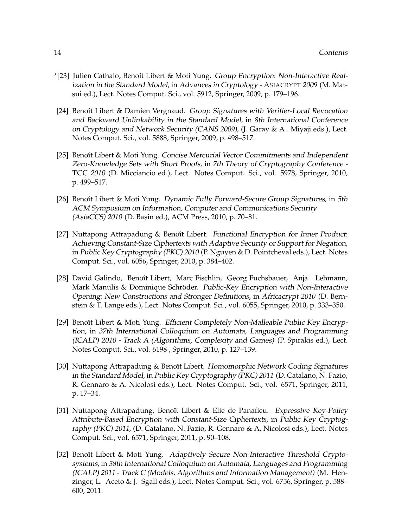- \*[23] Julien Cathalo, Benoît Libert & Moti Yung. Group Encryption: Non-Interactive Realization in the Standard Model, in Advances in Cryptology - ASIACRYPT 2009 (M. Matsui ed.), Lect. Notes Comput. Sci., vol. 5912, Springer, 2009, p. 179–196.
- [24] Benoît Libert & Damien Vergnaud. Group Signatures with Verifier-Local Revocation and Backward Unlinkability in the Standard Model, in 8th International Conference on Cryptology and Network Security (CANS 2009), (J. Garay & A . Miyaji eds.), Lect. Notes Comput. Sci., vol. 5888, Springer, 2009, p. 498–517.
- [25] Benoît Libert & Moti Yung. Concise Mercurial Vector Commitments and Independent Zero-Knowledge Sets with Short Proofs, in 7th Theory of Cryptography Conference - TCC 2010 (D. Micciancio ed.), Lect. Notes Comput. Sci., vol. 5978, Springer, 2010, p. 499–517.
- [26] Benoît Libert & Moti Yung. Dynamic Fully Forward-Secure Group Signatures, in 5th ACM Symposium on Information, Computer and Communications Security (AsiaCCS) 2010 (D. Basin ed.), ACM Press, 2010, p. 70–81.
- [27] Nuttapong Attrapadung & Benoît Libert. Functional Encryption for Inner Product: Achieving Constant-Size Ciphertexts with Adaptive Security or Support for Negation, in Public Key Cryptography (PKC) 2010 (P. Nguyen & D. Pointcheval eds.), Lect. Notes Comput. Sci., vol. 6056, Springer, 2010, p. 384–402.
- [28] David Galindo, Benoît Libert, Marc Fischlin, Georg Fuchsbauer, Anja Lehmann, Mark Manulis & Dominique Schröder. Public-Key Encryption with Non-Interactive Opening: New Constructions and Stronger Definitions, in Africacrypt 2010 (D. Bernstein & T. Lange eds.), Lect. Notes Comput. Sci., vol. 6055, Springer, 2010, p. 333–350.
- [29] Benoît Libert & Moti Yung. Efficient Completely Non-Malleable Public Key Encryption, in 37th International Colloquium on Automata, Languages and Programming (ICALP) 2010 - Track A (Algorithms, Complexity and Games) (P. Spirakis ed.), Lect. Notes Comput. Sci., vol. 6198 , Springer, 2010, p. 127–139.
- [30] Nuttapong Attrapadung & Benoît Libert. Homomorphic Network Coding Signatures in the Standard Model, in Public Key Cryptography (PKC) 2011 (D. Catalano, N. Fazio, R. Gennaro & A. Nicolosi eds.), Lect. Notes Comput. Sci., vol. 6571, Springer, 2011, p. 17–34.
- [31] Nuttapong Attrapadung, Benoît Libert & Elie de Panafieu. Expressive Key-Policy Attribute-Based Encryption with Constant-Size Ciphertexts, in Public Key Cryptography (PKC) 2011, (D. Catalano, N. Fazio, R. Gennaro & A. Nicolosi eds.), Lect. Notes Comput. Sci., vol. 6571, Springer, 2011, p. 90–108.
- [32] Benoît Libert & Moti Yung. Adaptively Secure Non-Interactive Threshold Cryptosystems, in 38th International Colloquium on Automata, Languages and Programming (ICALP) 2011 - Track C (Models, Algorithms and Information Management) (M. Henzinger, L. Aceto & J. Sgall eds.), Lect. Notes Comput. Sci., vol. 6756, Springer, p. 588– 600, 2011.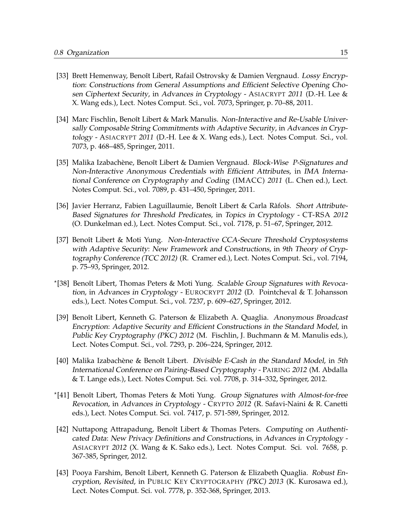- [33] Brett Hemenway, Benoît Libert, Rafail Ostrovsky & Damien Vergnaud. Lossy Encryption: Constructions from General Assumptions and Efficient Selective Opening Chosen Ciphertext Security, in Advances in Cryptology - ASIACRYPT 2011 (D.-H. Lee & X. Wang eds.), Lect. Notes Comput. Sci., vol. 7073, Springer, p. 70–88, 2011.
- [34] Marc Fischlin, Benoît Libert & Mark Manulis. Non-Interactive and Re-Usable Universally Composable String Commitments with Adaptive Security, in Advances in Cryptology - ASIACRYPT 2011 (D.-H. Lee & X. Wang eds.), Lect. Notes Comput. Sci., vol. 7073, p. 468–485, Springer, 2011.
- [35] Malika Izabachène, Benoît Libert & Damien Vergnaud. Block-Wise P-Signatures and Non-Interactive Anonymous Credentials with Efficient Attributes, in IMA International Conference on Cryptography and Coding (IMACC) 2011 (L. Chen ed.), Lect. Notes Comput. Sci., vol. 7089, p. 431–450, Springer, 2011.
- [36] Javier Herranz, Fabien Laguillaumie, Benoît Libert & Carla Ràfols. Short Attribute-Based Signatures for Threshold Predicates, in Topics in Cryptology - CT-RSA 2012 (O. Dunkelman ed.), Lect. Notes Comput. Sci., vol. 7178, p. 51–67, Springer, 2012.
- [37] Benoît Libert & Moti Yung. Non-Interactive CCA-Secure Threshold Cryptosystems with Adaptive Security: New Framework and Constructions, in 9th Theory of Cryptography Conference (TCC 2012) (R. Cramer ed.), Lect. Notes Comput. Sci., vol. 7194, p. 75–93, Springer, 2012.
- \*[38] Benoît Libert, Thomas Peters & Moti Yung. Scalable Group Signatures with Revocation, in Advances in Cryptology - EUROCRYPT 2012 (D. Pointcheval & T. Johansson eds.), Lect. Notes Comput. Sci., vol. 7237, p. 609–627, Springer, 2012.
- [39] Benoît Libert, Kenneth G. Paterson & Elizabeth A. Quaglia. Anonymous Broadcast Encryption: Adaptive Security and Efficient Constructions in the Standard Model, in Public Key Cryptography (PKC) 2012 (M. Fischlin, J. Buchmann & M. Manulis eds.), Lect. Notes Comput. Sci., vol. 7293, p. 206–224, Springer, 2012.
- [40] Malika Izabachène & Benoît Libert. Divisible E-Cash in the Standard Model, in 5th International Conference on Pairing-Based Cryptography - PAIRING 2012 (M. Abdalla & T. Lange eds.), Lect. Notes Comput. Sci. vol. 7708, p. 314–332, Springer, 2012.
- \*[41] Benoît Libert, Thomas Peters & Moti Yung. Group Signatures with Almost-for-free Revocation, in Advances in Cryptology - CRYPTO 2012 (R. Safavi-Naini & R. Canetti eds.), Lect. Notes Comput. Sci. vol. 7417, p. 571-589, Springer, 2012.
- [42] Nuttapong Attrapadung, Benoît Libert & Thomas Peters. Computing on Authenticated Data: New Privacy Definitions and Constructions, in Advances in Cryptology - ASIACRYPT 2012 (X. Wang & K. Sako eds.), Lect. Notes Comput. Sci. vol. 7658, p. 367-385, Springer, 2012.
- [43] Pooya Farshim, Benoît Libert, Kenneth G. Paterson & Elizabeth Quaglia. Robust Encryption, Revisited, in PUBLIC KEY CRYPTOGRAPHY (PKC) 2013 (K. Kurosawa ed.), Lect. Notes Comput. Sci. vol. 7778, p. 352-368, Springer, 2013.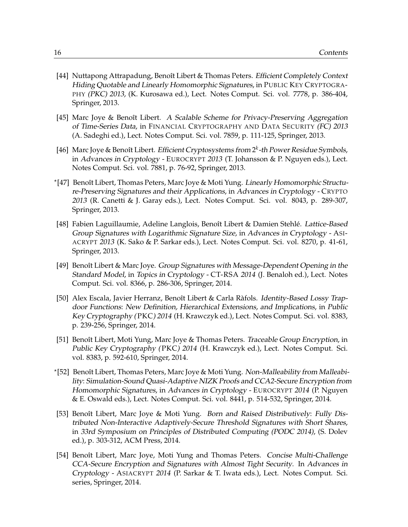- [44] Nuttapong Attrapadung, Benoît Libert & Thomas Peters. Efficient Completely Context Hiding Quotable and Linearly Homomorphic Signatures, in PUBLIC KEY CRYPTOGRA-PHY (PKC) 2013, (K. Kurosawa ed.), Lect. Notes Comput. Sci. vol. 7778, p. 386-404, Springer, 2013.
- [45] Marc Joye & Benoît Libert. A Scalable Scheme for Privacy-Preserving Aggregation of Time-Series Data, in FINANCIAL CRYPTOGRAPHY AND DATA SECURITY (FC) 2013 (A. Sadeghi ed.), Lect. Notes Comput. Sci. vol. 7859, p. 111-125, Springer, 2013.
- [46] Marc Joye & Benoît Libert. Efficient Cryptosystems from 2<sup>k</sup>-th Power Residue Symbols, in Advances in Cryptology - EUROCRYPT 2013 (T. Johansson & P. Nguyen eds.), Lect. Notes Comput. Sci. vol. 7881, p. 76-92, Springer, 2013.
- \*[47] Benoît Libert, Thomas Peters, Marc Joye & Moti Yung. Linearly Homomorphic Structure-Preserving Signatures and their Applications, in Advances in Cryptology - CRYPTO 2013 (R. Canetti & J. Garay eds.), Lect. Notes Comput. Sci. vol. 8043, p. 289-307, Springer, 2013.
- [48] Fabien Laguillaumie, Adeline Langlois, Benoît Libert & Damien Stehlé. Lattice-Based Group Signatures with Logarithmic Signature Size, in Advances in Cryptology - ASI-ACRYPT 2013 (K. Sako & P. Sarkar eds.), Lect. Notes Comput. Sci. vol. 8270, p. 41-61, Springer, 2013.
- [49] Benoît Libert & Marc Joye. Group Signatures with Message-Dependent Opening in the Standard Model, in Topics in Cryptology - CT-RSA 2014 (J. Benaloh ed.), Lect. Notes Comput. Sci. vol. 8366, p. 286-306, Springer, 2014.
- [50] Alex Escala, Javier Herranz, Benoît Libert & Carla Ràfols. Identity-Based Lossy Trapdoor Functions: New Definition, Hierarchical Extensions, and Implications, in Public Key Cryptography (PKC) 2014 (H. Krawczyk ed.), Lect. Notes Comput. Sci. vol. 8383, p. 239-256, Springer, 2014.
- [51] Benoît Libert, Moti Yung, Marc Joye & Thomas Peters. Traceable Group Encryption, in Public Key Cryptography (PKC) 2014 (H. Krawczyk ed.), Lect. Notes Comput. Sci. vol. 8383, p. 592-610, Springer, 2014.
- \*[52] Benoît Libert, Thomas Peters, Marc Joye & Moti Yung. Non-Malleability from Malleability: Simulation-Sound Quasi-Adaptive NIZK Proofs and CCA2-Secure Encryption from Homomorphic Signatures, in Advances in Cryptology - EUROCRYPT 2014 (P. Nguyen & E. Oswald eds.), Lect. Notes Comput. Sci. vol. 8441, p. 514-532, Springer, 2014.
- [53] Benoît Libert, Marc Joye & Moti Yung. Born and Raised Distributively: Fully Distributed Non-Interactive Adaptively-Secure Threshold Signatures with Short Shares, in 33rd Symposium on Principles of Distributed Computing (PODC 2014), (S. Dolev ed.), p. 303-312, ACM Press, 2014.
- [54] Benoît Libert, Marc Joye, Moti Yung and Thomas Peters. Concise Multi-Challenge CCA-Secure Encryption and Signatures with Almost Tight Security. In Advances in Cryptology - ASIACRYPT 2014 (P. Sarkar & T. Iwata eds.), Lect. Notes Comput. Sci. series, Springer, 2014.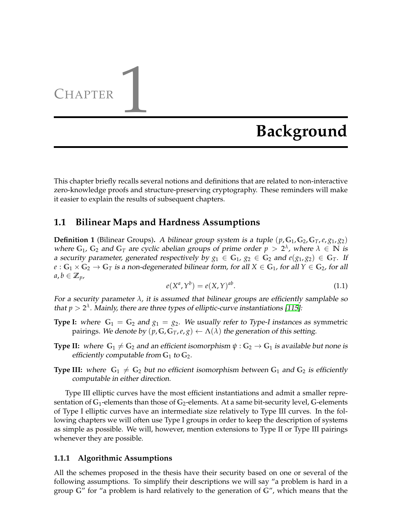<span id="page-18-0"></span>**CHAPTER** 

# **Background**

This chapter briefly recalls several notions and definitions that are related to non-interactive zero-knowledge proofs and structure-preserving cryptography. These reminders will make it easier to explain the results of subsequent chapters.

## <span id="page-18-1"></span>**1.1 Bilinear Maps and Hardness Assumptions**

**Definition 1** (Bilinear Groups). A bilinear group system is a tuple  $(p, G_1, G_2, G_T, e, g_1, g_2)$ where  $G_1$ ,  $G_2$  and  $G_T$  are cyclic abelian groups of prime order  $p > 2^{\lambda}$ , where  $\lambda \in \mathbb{N}$  is a security parameter, generated respectively by  $g_1 \in G_1$ ,  $g_2 \in G_2$  and  $e(g_1, g_2) \in G_T$ . If  $e: G_1 \times G_2 \to G_T$  is a non-degenerated bilinear form, for all  $X \in G_1$ , for all  $Y \in G_2$ , for all  $a, b \in \mathbb{Z}_p$ ,

$$
e(X^a, Y^b) = e(X, Y)^{ab}.
$$
\n
$$
(1.1)
$$

For a security parameter *λ*, it is assumed that bilinear groups are efficiently samplable so that  $p > 2^{\lambda}$ . Mainly, there are three types of elliptic-curve instantiations [\[115\]](#page-93-2):

- **Type I:** where  $G_1 = G_2$  and  $g_1 = g_2$ . We usually refer to Type-I instances as symmetric pairings. We denote by  $(p, G, G_T, e, g) \leftarrow \Lambda(\lambda)$  the generation of this setting.
- **Type II:** where  $G_1 \neq G_2$  and an efficient isomorphism  $\psi : G_2 \to G_1$  is available but none is efficiently computable from  $G_1$  to  $G_2$ .
- **Type III:** where  $G_1 \neq G_2$  but no efficient isomorphism between  $G_1$  and  $G_2$  is efficiently computable in either direction.

Type III elliptic curves have the most efficient instantiations and admit a smaller representation of **G**1-elements than those of **G**2-elements. At a same bit-security level, **G**-elements of Type I elliptic curves have an intermediate size relatively to Type III curves. In the following chapters we will often use Type I groups in order to keep the description of systems as simple as possible. We will, however, mention extensions to Type II or Type III pairings whenever they are possible.

#### <span id="page-18-2"></span>**1.1.1 Algorithmic Assumptions**

All the schemes proposed in the thesis have their security based on one or several of the following assumptions. To simplify their descriptions we will say "a problem is hard in a group **G**" for "a problem is hard relatively to the generation of **G**", which means that the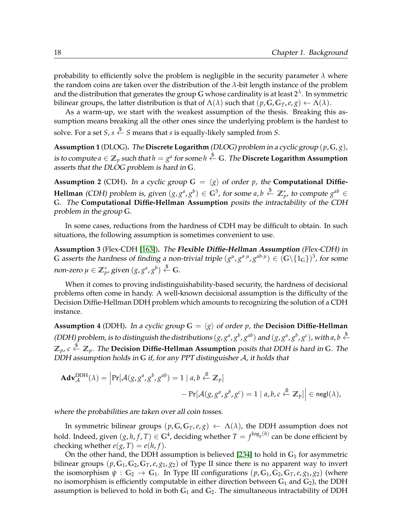probability to efficiently solve the problem is negligible in the security parameter  $\lambda$  where the random coins are taken over the distribution of the  $\lambda$ -bit length instance of the problem and the distribution that generates the group **G** whose cardinality is at least 2*<sup>λ</sup>* . In symmetric bilinear groups, the latter distribution is that of  $\Lambda(\lambda)$  such that  $(p, \mathbb{G}, \mathbb{G}_T, e, g) \leftarrow \Lambda(\lambda)$ .

As a warm-up, we start with the weakest assumption of the thesis. Breaking this assumption means breaking all the other ones since the underlying problem is the hardest to solve. For a set *S*, *s*  $\xleftarrow{\$}$  *S* means that *s* is equally-likely sampled from *S*.

**Assumption 1** (DLOG)**.** The **Discrete Logarithm** (DLOG) problem in a cyclic group (*p*, **G**, *g*), is to compute  $a \in \mathbb{Z}_p$  such that  $h = g^a$  for some  $h \stackrel{\$}{\leftarrow} \mathbb{G}$ . The **Discrete Logarithm Assumption** asserts that the DLOG problem is hard in **G**.

**Assumption 2** (CDH). In a cyclic group  $G = \langle g \rangle$  of order *p*, the **Computational Diffie-** $H$ ellman *(CDH)* problem is, given  $(g, g^a, g^b) \in \mathbb{G}^3$ , for some  $a, b \stackrel{\$}{\leftarrow} \mathbb{Z}_{p'}^*$  to compute  $g^{ab} \in \mathbb{Z}_{p'}^*$ **G**. The **Computational Diffie-Hellman Assumption** posits the intractability of the CDH problem in the group **G**.

In some cases, reductions from the hardness of CDH may be difficult to obtain. In such situations, the following assumption is sometimes convenient to use.

**Assumption 3** (Flex-CDH [\[163\]](#page-96-3))**.** The **Flexible Diffie-Hellman Assumption** (Flex-CDH) in G asserts the hardness of finding a non-trivial triple  $(g^\mu, g^{a\cdot\mu}, g^{ab\cdot\mu})\in\bar(G\backslash\{1_G\})^3$ , for some  $p$  non-zero  $\mu \in \mathbb{Z}_p^*$ , given  $(g, g^a, g^b) \stackrel{\$}{\leftarrow} \mathbb{G}.$ 

When it comes to proving indistinguishability-based security, the hardness of decisional problems often come in handy. A well-known decisional assumption is the difficulty of the Decision Diffie-Hellman DDH problem which amounts to recognizing the solution of a CDH instance.

**Assumption 4** (DDH). In a cyclic group  $G = \langle g \rangle$  of order *p*, the **Decision Diffie-Hellman** (DDH) problem, is to distinguish the distributions  $(g, g^a, g^b, g^{ab})$  and  $(g, g^a, g^b, g^c)$ , with a, b  $\stackrel{\$}{\leftarrow}$ **Z***p*, *c* \$← **<sup>Z</sup>***p*. The **Decision Diffie-Hellman Assumption** posits that DDH is hard in **<sup>G</sup>**. The DDH assumption holds in **G** if, for any PPT distinguisher A, it holds that

$$
\mathbf{Adv}_{\mathcal{A}}^{\mathrm{DDH}}(\lambda) = \left| \Pr[\mathcal{A}(g, g^a, g^b, g^{ab}) = 1 \mid a, b \stackrel{R}{\leftarrow} \mathbb{Z}_p] - \Pr[\mathcal{A}(g, g^a, g^b, g^c) = 1 \mid a, b, c \stackrel{R}{\leftarrow} \mathbb{Z}_p] \right| \in \mathrm{negl}(\lambda),
$$

where the probabilities are taken over all coin tosses.

In symmetric bilinear groups  $(p, G, G_T, e, g) \leftarrow \Lambda(\lambda)$ , the DDH assumption does not hold. Indeed, given  $(g,h,f,T)\in \mathbb{G}^4$ , deciding whether  $T=f^{\log_g(h)}$  can be done efficient by checking whether  $e(g, T) = e(h, f)$ .

On the other hand, the DDH assumption is believed  $[234]$  to hold in  $G_1$  for asymmetric bilinear groups  $(p, G_1, G_2, G_T, e, g_1, g_2)$  of Type II since there is no apparent way to invert the isomorphism  $\psi$  :  $G_2 \rightarrow G_1$ . In Type III configurations  $(p, G_1, G_2, G_T, e, g_1, g_2)$  (where no isomorphism is efficiently computable in either direction between **G**<sup>1</sup> and **G**2), the DDH assumption is believed to hold in both **G**<sup>1</sup> and **G**2. The simultaneous intractability of DDH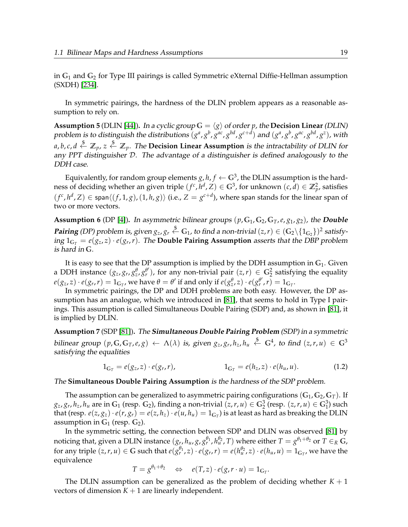in **G**<sup>1</sup> and **G**<sup>2</sup> for Type III pairings is called Symmetric eXternal Diffie-Hellman assumption (SXDH) [\[234\]](#page-101-2).

In symmetric pairings, the hardness of the DLIN problem appears as a reasonable assumption to rely on.

**Assumption 5** (DLIN [\[44\]](#page-89-6)). In a cyclic group  $G = \langle g \rangle$  of order *p*, the **Decision Linear** (DLIN) problem is to distinguish the distributions  $(g^a, g^b, g^{ac}, g^{bd}, g^{c+d})$  and  $(g^a, g^b, g^{ac}, g^{bd}, g^z)$ , with *a, b, c, d*  $\overset{\$}{\leftarrow}\mathbb{Z}_p$ ,  $z\overset{\$}{\leftarrow}\mathbb{Z}_p$ . The **Decision Linear Assumption** *is the intractability of DLIN for* any PPT distinguisher D. The advantage of a distinguisher is defined analogously to the DDH case.

Equivalently, for random group elements  $g$ ,  $h$ ,  $f \leftarrow G^3$ , the DLIN assumption is the hardness of deciding whether an given triple  $(f^c, h^d, Z) \in \mathbb{G}^3$ , for unknown  $(c, d) \in \mathbb{Z}_{p'}^2$  satisfies  $(f^c, h^d, Z) \in \text{span}\langle (f, 1, g), (1, h, g) \rangle$  (i.e.,  $Z = g^{c+d}$ ), where span stands for the linear span of two or more vectors.

**Assumption 6** (DP [\[4\]](#page-86-1))**.** In asymmetric bilinear groups (*p*, **G**1, **G**2, **G***T*,*e*, *g*1, *g*2), the **Double**  $\bm{Pairing}$  (DP) problem is, given  $g_z$ ,  $g_r \stackrel{\$}{\leftarrow} \mathbb{G}_1$ , to find a non-trivial  $(z,r) \in (\mathbb{G}_2\backslash\{1_{\mathbb{G}_2}\})^2$  satisfying  $1_{\mathbb{G}_T} = e(g_z, z) \cdot e(g_r, r)$ . The **Double Pairing Assumption** asserts that the DBP problem is hard in **G**.

It is easy to see that the DP assumption is implied by the DDH assumption in **G**1. Given a DDH instance  $(g_z, g_r, g_z^{\theta}, g_r^{\theta'})$  $f(r)$ , for any non-trivial pair  $(z, r) \in \mathbb{G}_2^2$  satisfying the equality  $e(g_z, z) \cdot e(g_r, r) = 1_{G_T}$ , we have  $\theta = \theta'$  if and only if  $e(g_z^{\theta}, z) \cdot e(g_r^{\theta'})$  $f''_r$ ,  $r) = 1_{\mathbb{G}_T}$ .

In symmetric pairings, the DP and DDH problems are both easy. However, the DP assumption has an analogue, which we introduced in [\[81\]](#page-91-1), that seems to hold in Type I pairings. This assumption is called Simultaneous Double Pairing (SDP) and, as shown in [\[81\]](#page-91-1), it is implied by DLIN.

**Assumption 7** (SDP [\[81\]](#page-91-1))**.** The **Simultaneous Double Pairing Problem** (SDP) in a symmetric bilinear group  $(p,G,G_T,e,g) \leftarrow \Lambda(\lambda)$  is, given  $g_z,g_r,h_z,h_u \stackrel{\$}{\leftarrow} \mathbb{G}^4$ , to find  $(z,r,u) \in \mathbb{G}^3$ satisfying the equalities

$$
1_{G_T} = e(g_z, z) \cdot e(g_r, r), \qquad 1_{G_T} = e(h_z, z) \cdot e(h_u, u). \qquad (1.2)
$$

The **Simultaneous Double Pairing Assumption** is the hardness of the SDP problem.

The assumption can be generalized to asymmetric pairing configurations  $(G_1, G_2, G_T)$ . If  $g_z, g_r, h_z, h_u$  are in  $G_1$  (resp.  $G_2$ ), finding a non-trivial  $(z, r, u) \in G_2^3$  (resp.  $(z, r, u) \in G_1^3$ ) such that (resp.  $e(z, g_z) \cdot e(r, g_r) = e(z, h_z) \cdot e(u, h_u) = 1_{\mathbb{G}_T}$ ) is at least as hard as breaking the DLIN assumption in  $G_1$  (resp.  $G_2$ ).

In the symmetric setting, the connection between SDP and DLIN was observed [\[81\]](#page-91-1) by noticing that, given a DLIN instance  $(g_r,h_u,g,g_r^{\theta_1},h_u^{\theta_2},T)$  where either  $T=g^{\theta_1+\theta_2}$  or  $T\in_R \mathbb G$ , for any triple  $(z,r,u)\in G$  such that  $e(g_r^{\theta_1},z)\cdot e(g_r,r)=e(h_u^{\theta_2},z)\cdot e(h_u,u)=1_{G_T}$ , we have the equivalence

$$
T = g^{\theta_1 + \theta_2} \quad \Leftrightarrow \quad e(T, z) \cdot e(g, r \cdot u) = 1_{G_T}.
$$

The DLIN assumption can be generalized as the problem of deciding whether  $K + 1$ vectors of dimension  $K + 1$  are linearly independent.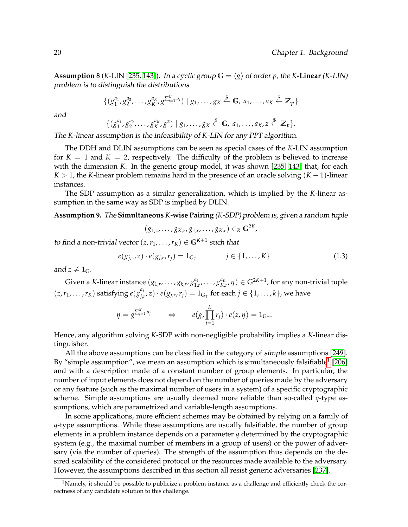**Assumption 8** (*K*-LIN [\[235,](#page-101-3) [143\]](#page-95-3)). In a cyclic group  $G = \langle g \rangle$  of order *p*, the *K***-Linear** (*K*-LIN) problem is to distinguish the distributions

$$
\{(g_1^{a_1},g_2^{a_2},\ldots,g_K^{a_K},g_{\xi}^{\sum_{i=1}^K a_i})\mid g_1,\ldots,g_K\stackrel{\$}{\leftarrow}\mathbb{G}, a_1,\ldots,a_K\stackrel{\$}{\leftarrow}\mathbb{Z}_p\}
$$

and

$$
\{(g_1^{a_1}, g_2^{a_2}, \ldots, g_K^{a_K}, g^2) \mid g_1, \ldots, g_K \stackrel{\$}{\leftarrow} G, a_1, \ldots, a_K, z \stackrel{\$}{\leftarrow} \mathbb{Z}_p\}.
$$

The *K*-linear assumption is the infeasibility of *K*-LIN for any PPT algorithm.

The DDH and DLIN assumptions can be seen as special cases of the *K*-LIN assumption for  $K = 1$  and  $K = 2$ , respectively. The difficulty of the problem is believed to increase with the dimension *K*. In the generic group model, it was shown [\[235,](#page-101-3) [143\]](#page-95-3) that, for each *K* > 1, the *K*-linear problem remains hard in the presence of an oracle solving (*K* − 1)-linear instances.

The SDP assumption as a similar generalization, which is implied by the *K*-linear assumption in the same way as SDP is implied by DLIN.

**Assumption 9.** The **Simultaneous** *K***-wise Pairing** (*K*-SDP) problem is, given a random tuple

$$
(g_{1,z},\ldots,g_{K,z},g_{1,r},\ldots,g_{K,r})\in_R\mathbb{G}^{2K},
$$

to find a non-trivial vector  $(z, r_1, \ldots, r_K) \in \mathbb{G}^{K+1}$  such that

$$
e(g_{j,z}, z) \cdot e(g_{j,r}, r_j) = 1_{\mathbb{G}_T} \qquad j \in \{1, ..., K\}
$$
 (1.3)

and  $z \neq 1_{\mathbb{G}}$ .

Given a *K*-linear instance  $(g_{1,r},\ldots,g_{k,r},g_{1,r}^{a_1},\ldots,g_{K,r}^{a_K},\eta) \in \mathbb{G}^{2K+1}$ , for any non-trivial tuple  $(z, r_1, \ldots, r_K)$  satisfying  $e(g_{j,i}^{a_j})$  $j_{j,r'}z)\cdot e(g_{j,r},r_j)=1_{\mathbb{G}_T}$  for each  $j\in\{1,\ldots,k\}$ , we have

$$
\eta = g^{\sum_{j=1}^K a_j} \qquad \Leftrightarrow \qquad e(g, \prod_{j=1}^K r_j) \cdot e(z, \eta) = 1_{G_T}.
$$

Hence, any algorithm solving *K*-SDP with non-negligible probability implies a *K*-linear distinguisher.

All the above assumptions can be classified in the category of simple assumptions [\[249\]](#page-102-0). By "simple assumption", we mean an assumption which is simultaneously falsifiable $^1$  $^1$  [\[206\]](#page-99-2) and with a description made of a constant number of group elements. In particular, the number of input elements does not depend on the number of queries made by the adversary or any feature (such as the maximal number of users in a system) of a specific cryptographic scheme. Simple assumptions are usually deemed more reliable than so-called *q*-type assumptions, which are parametrized and variable-length assumptions.

In some applications, more efficient schemes may be obtained by relying on a family of *q*-type assumptions. While these assumptions are usually falsifiable, the number of group elements in a problem instance depends on a parameter *q* determined by the cryptographic system (e.g., the maximal number of members in a group of users) or the power of adversary (via the number of queries). The strength of the assumption thus depends on the desired scalability of the considered protocol or the resources made available to the adversary. However, the assumptions described in this section all resist generic adversaries [\[237\]](#page-101-4).

<span id="page-21-0"></span> $1$ Namely, it should be possible to publicize a problem instance as a challenge and efficiently check the correctness of any candidate solution to this challenge.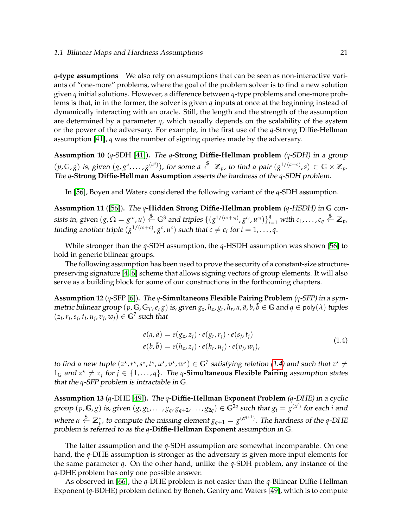*q***-type assumptions** We also rely on assumptions that can be seen as non-interactive variants of "one-more" problems, where the goal of the problem solver is to find a new solution given *q* initial solutions. However, a difference between *q*-type problems and one-more problems is that, in in the former, the solver is given *q* inputs at once at the beginning instead of dynamically interacting with an oracle. Still, the length and the strength of the assumption are determined by a parameter *q*, which usually depends on the scalability of the system or the power of the adversary. For example, in the first use of the *q*-Strong Diffie-Hellman assumption [\[41\]](#page-88-2), *q* was the number of signing queries made by the adversary.

**Assumption 10** (*q*-SDH [\[41\]](#page-88-2))**.** The *q***-Strong Diffie-Hellman problem** (*q*-SDH) in a group  $(p,\mathbb{G},g)$  is, given  $(g,g^a,\ldots,g^{(a^q)})$ , for some  $a \stackrel{\$}{\leftarrow} \mathbb{Z}_p$ , to find a pair  $(g^{1/(a+s)},s) \in \mathbb{G} \times \mathbb{Z}_p$ . The *q***-Strong Diffie-Hellman Assumption** asserts the hardness of the *q*-SDH problem.

In [\[56\]](#page-89-2), Boyen and Waters considered the following variant of the *q*-SDH assumption.

**Assumption 11** ([\[56\]](#page-89-2))**.** The *q***-Hidden Strong Diffie-Hellman problem** (*q*-HSDH) in **G** consists in, given  $(g, \Omega = g^{\omega}, u) \stackrel{\$}{\leftarrow} G^3$  and triples  $\{(g^{1/(\omega+s_i)}, g^{c_i}, u^{c_i})\}_{i=1}^q$  with  $c_1, \ldots, c_q \stackrel{\$}{\leftarrow} \mathbb{Z}_p$ , finding another triple  $(g^{1/(\omega+c)}, g^c, u^c)$  such that  $c \neq c_i$  for  $i = 1, \ldots, q$ .

While stronger than the *q*-SDH assumption, the *q*-HSDH assumption was shown [\[56\]](#page-89-2) to hold in generic bilinear groups.

The following assumption has been used to prove the security of a constant-size structurepreserving signature [\[4,](#page-86-1) [6\]](#page-86-2) scheme that allows signing vectors of group elements. It will also serve as a building block for some of our constructions in the forthcoming chapters.

**Assumption 12** (*q*-SFP [\[6\]](#page-86-2))**.** The *q***-Simultaneous Flexible Pairing Problem** (*q*-SFP) in a symmetric bilinear group  $(p,G,G_T,e,g)$  is, given  $g_z,h_z,g_r,h_r,a$  ,  $\tilde{a}$  ,  $b$  ,  $\tilde{b}\in G$  and  $q\in \mathsf{poly}(\lambda)$  tuples  $(z_j, r_j, s_j, t_j, u_j, v_j, w_j) \in \mathbb{G}^7$  such that

<span id="page-22-0"></span>
$$
e(a,\tilde{a}) = e(g_z, z_j) \cdot e(g_r, r_j) \cdot e(s_j, t_j)
$$
  
\n
$$
e(b,\tilde{b}) = e(h_z, z_j) \cdot e(h_r, u_j) \cdot e(v_j, w_j),
$$
\n(1.4)

to find a new tuple  $(z^*, r^*, s^*, t^*, u^*, v^*, w^*) \in \mathbb{G}^7$  satisfying relation [\(1.4\)](#page-22-0) and such that  $z^* \neq$  $1_G$  and  $z^* \neq z_j$  for  $j \in \{1, \ldots, q\}$ . The *q***-Simultaneous Flexible Pairing** assumption states that the *q*-SFP problem is intractable in **G**.

<span id="page-22-1"></span>**Assumption 13** (*q*-DHE [\[49\]](#page-89-7))**.** The *q***-Diffie-Hellman Exponent Problem** (*q*-DHE) in a cyclic group  $(p,\mathsf{G},g)$  is, given  $(g,g_1,\ldots,g_q,g_{q+2},\ldots,g_{2q})\in\mathsf{G}^{2q}$  such that  $g_i=g^{(\alpha^i)}$  for each  $i$  and where  $\alpha \stackrel{\$}{\leftarrow} \mathbb{Z}_p^*$ , to compute the missing element  $g_{q+1} = g^{(\alpha^{q+1})}$ . The hardness of the *q*-DHE problem is referred to as the *q***-Diffie-Hellman Exponent** assumption in **G**.

The latter assumption and the *q*-SDH assumption are somewhat incomparable. On one hand, the *q*-DHE assumption is stronger as the adversary is given more input elements for the same parameter *q*. On the other hand, unlike the *q*-SDH problem, any instance of the *q*-DHE problem has only one possible answer.

As observed in [\[66\]](#page-90-4), the *q*-DHE problem is not easier than the *q*-Bilinear Diffie-Hellman Exponent (*q*-BDHE) problem defined by Boneh, Gentry and Waters [\[49\]](#page-89-7), which is to compute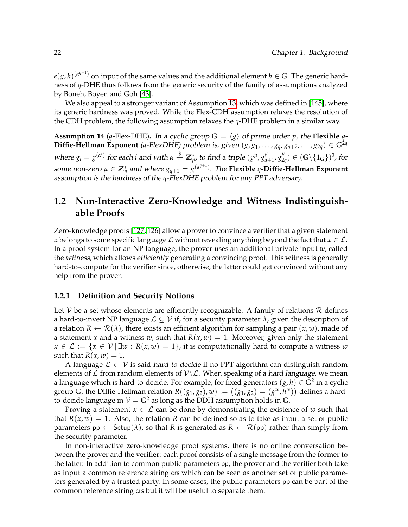$e(g,h)^{(\alpha^{q+1})}$  on input of the same values and the additional element  $h\in \mathbb{G}.$  The generic hardness of *q*-DHE thus follows from the generic security of the family of assumptions analyzed by Boneh, Boyen and Goh [\[43\]](#page-88-3).

We also appeal to a stronger variant of Assumption [13,](#page-22-1) which was defined in [\[145\]](#page-95-4), where its generic hardness was proved. While the Flex-CDH assumption relaxes the resolution of the CDH problem, the following assumption relaxes the *q*-DHE problem in a similar way.

**Assumption 14** (*q*-Flex-DHE). In a cyclic group  $G = \langle g \rangle$  of prime order *p*, the **Flexible** *q*-**Diffie-Hellman Exponent** (*q*-FlexDHE) problem is, given  $(g, g_1, \ldots, g_q, g_{q+2}, \ldots, g_{2q}) \in \mathbb{G}^{2q}$ where  $g_i = g^{(\alpha^i)}$  for each *i* and with  $\alpha \stackrel{\$}{\leftarrow} \mathbb{Z}_p^*$ , to find a triple  $(g^{\mu}, g^{\mu}_q)$  $_{q+1}^{\mu}$ ,  $g_{2}^{\mu}$  $\binom{\mu}{2q} \in (\mathbb{G}\backslash \{1_\mathbb{G}\})^3$ , for some non-zero  $\mu \in \mathbb{Z}_p^*$  and where  $g_{q+1} = g^{(\alpha^{q+1})}$ . The **Flexible** q**-Diffie-Hellman Exponent** assumption is the hardness of the *q*-FlexDHE problem for any PPT adversary.

## <span id="page-23-0"></span>**1.2 Non-Interactive Zero-Knowledge and Witness Indistinguishable Proofs**

Zero-knowledge proofs [\[127,](#page-94-4) [126\]](#page-94-5) allow a prover to convince a verifier that a given statement *x* belongs to some specific language  $\mathcal L$  without revealing anything beyond the fact that  $x \in \mathcal L$ . In a proof system for an NP language, the prover uses an additional private input *w*, called the witness, which allows efficiently generating a convincing proof. This witness is generally hard-to-compute for the verifier since, otherwise, the latter could get convinced without any help from the prover.

#### <span id="page-23-1"></span>**1.2.1 Definition and Security Notions**

Let V be a set whose elements are efficiently recognizable. A family of relations  $R$  defines a hard-to-invert NP language  $\mathcal{L} \subsetneq \mathcal{V}$  if, for a security parameter  $\lambda$ , given the description of a relation  $R \leftarrow \mathcal{R}(\lambda)$ , there exists an efficient algorithm for sampling a pair  $(x, w)$ , made of a statement *x* and a witness *w*, such that  $R(x, w) = 1$ . Moreover, given only the statement *x* ∈  $\mathcal{L}$  := {*x* ∈  $\mathcal{V}$  | ∃*w* : *R*(*x*, *w*) = 1}, it is computationally hard to compute a witness *w* such that  $R(x, w) = 1$ .

A language  $\mathcal{L} \subset \mathcal{V}$  is said hard-to-decide if no PPT algorithm can distinguish random elements of L from random elements of  $\mathcal{V}\backslash\mathcal{L}$ . When speaking of a hard language, we mean a language which is hard-to-decide. For example, for fixed generators  $(g,h) \in \mathbb{G}^2$  in a cyclic group G, the Diffie-Hellman relation  $R((g_1, g_2), w) := ((g_1, g_2) = (g^w, h^w))$  defines a hardto-decide language in  $V = G^2$  as long as the DDH assumption holds in G.

Proving a statement  $x \in \mathcal{L}$  can be done by demonstrating the existence of *w* such that that  $R(x, w) = 1$ . Also, the relation R can be defined so as to take as input a set of public parameters  $pp \leftarrow$  Setup( $\lambda$ ), so that R is generated as  $R \leftarrow \mathcal{R}(pp)$  rather than simply from the security parameter.

In non-interactive zero-knowledge proof systems, there is no online conversation between the prover and the verifier: each proof consists of a single message from the former to the latter. In addition to common public parameters pp, the prover and the verifier both take as input a common reference string crs which can be seen as another set of public parameters generated by a trusted party. In some cases, the public parameters pp can be part of the common reference string crs but it will be useful to separate them.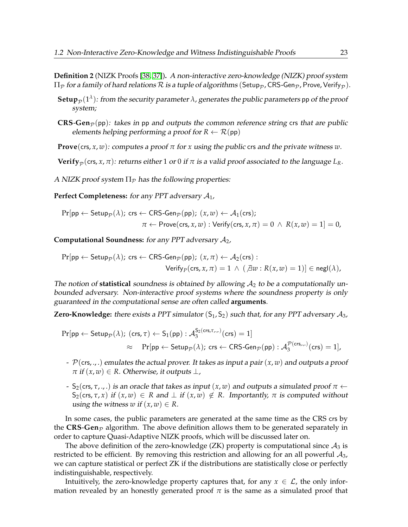**Definition 2** (NIZK Proofs [\[38,](#page-88-4) [37\]](#page-88-5))**.** A non-interactive zero-knowledge (NIZK) proof system  $\Pi_{\mathcal{P}}$  for a family of hard relations  $\mathcal R$  is a tuple of algorithms (Setup<sub>p</sub>, CRS-Gen<sub>P</sub>, Prove, Verify<sub>p</sub>).

- $\mathbf{Setup}_{\mathcal{P}}(1^{\lambda})$ : from the security parameter  $\lambda$ , generates the public parameters  ${\sf pp}$  of the proof system;
- **CRS-Gen** $p$ (pp): takes in pp and outputs the common reference string crs that are public elements helping performing a proof for  $R \leftarrow \mathcal{R}(\mathsf{pp})$

**Prove**(crs, *x*, *w*): computes a proof  $\pi$  for *x* using the public crs and the private witness *w*.

 ${\bf Verify}_{\cal P}({\sf crs}, x, \pi)$ : returns either  $1$  or  $0$  if  $\pi$  is a valid proof associated to the language  $L_R.$ 

A NIZK proof system  $\Pi_{\mathcal{P}}$  has the following properties:

**Perfect Completeness:** for any PPT adversary  $A_1$ ,

$$
\Pr[\mathsf{pp} \leftarrow \mathsf{Setup}_{\mathcal{P}}(\lambda); \ \mathsf{crs} \leftarrow \mathsf{CRS\text{-}Gen}_{\mathcal{P}}(\mathsf{pp}); \ (x,w) \leftarrow \mathcal{A}_1(\mathsf{crs}); \\ \pi \leftarrow \mathsf{Prove}(\mathsf{crs}, x, w): \mathsf{Verify}(\mathsf{crs}, x, \pi) = 0 \ \land \ R(x,w) = 1] = 0,
$$

**Computational Soundness:** for any PPT adversary  $A_2$ ,

$$
Pr[pp \leftarrow Setup_{\mathcal{P}}(\lambda); \text{crs} \leftarrow CRS\text{-Gen}_{\mathcal{P}}(pp); (x, \pi) \leftarrow \mathcal{A}_2(\text{crs)}:
$$
  

$$
Verify_{P}(\text{crs}, x, \pi) = 1 \land (\exists w : R(x, w) = 1)] \in negl(\lambda),
$$

The notion of **statistical** soundness is obtained by allowing  $A_2$  to be a computationally unbounded adversary. Non-interactive proof systems where the soundness property is only guaranteed in the computational sense are often called **arguments**.

**Zero-Knowledge:** there exists a PPT simulator  $(S_1, S_2)$  such that, for any PPT adversary  $A_3$ ,

$$
Pr[pp \leftarrow Setup_{\mathcal{P}}(\lambda); (crs, \tau) \leftarrow S_1(pp) : \mathcal{A}_3^{S_2(crs, \tau, \ldots)}(crs) = 1]
$$
  

$$
\approx Pr[pp \leftarrow Setup_{\mathcal{P}}(\lambda); crs \leftarrow CRS\text{-Gen}_{\mathcal{P}}(pp) : \mathcal{A}_3^{\mathcal{P}(crs, \ldots)}(crs) = 1],
$$

- $\mathcal{P}(crs, \ldots)$  emulates the actual prover. It takes as input a pair  $(x, w)$  and outputs a proof  $\pi$  if  $(x, w) \in R$ . Otherwise, it outputs  $\perp$ ,
- $-$  S<sub>2</sub>(crs,  $\tau$ , ., .) is an oracle that takes as input  $(x, w)$  and outputs a simulated proof  $\pi \leftarrow$  $S_2(crs, \tau, x)$  if  $(x, w) \in R$  and  $\bot$  if  $(x, w) \notin R$ . Importantly,  $\pi$  is computed without using the witness  $w$  if  $(x, w) \in R$ .

In some cases, the public parameters are generated at the same time as the CRS crs by the  $CRS-Gen_{\mathcal{P}}$  algorithm. The above definition allows them to be generated separately in order to capture Quasi-Adaptive NIZK proofs, which will be discussed later on.

The above definition of the zero-knowledge (ZK) property is computational since  $A_3$  is restricted to be efficient. By removing this restriction and allowing for an all powerful  $A_3$ , we can capture statistical or perfect ZK if the distributions are statistically close or perfectly indistinguishable, respectively.

Intuitively, the zero-knowledge property captures that, for any  $x \in \mathcal{L}$ , the only information revealed by an honestly generated proof  $\pi$  is the same as a simulated proof that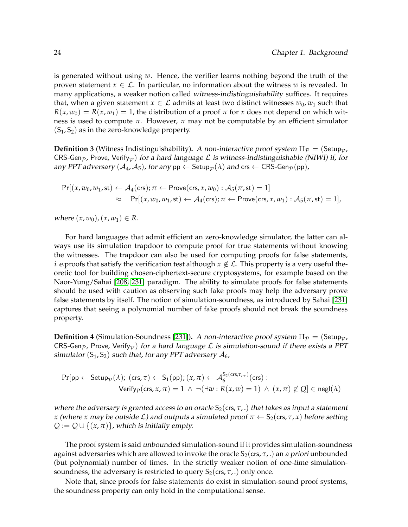is generated without using *w*. Hence, the verifier learns nothing beyond the truth of the proven statement  $x \in \mathcal{L}$ . In particular, no information about the witness *w* is revealed. In many applications, a weaker notion called witness-indistinguishability suffices. It requires that, when a given statement  $x \in \mathcal{L}$  admits at least two distinct witnesses  $w_0, w_1$  such that  $R(x, w_0) = R(x, w_1) = 1$ , the distribution of a proof  $\pi$  for x does not depend on which witness is used to compute  $\pi$ . However,  $\pi$  may not be computable by an efficient simulator  $(S_1, S_2)$  as in the zero-knowledge property.

**Definition 3** (Witness Indistinguishability). A non-interactive proof system  $\Pi_{\mathcal{P}} = (\text{Setup}_{\mathcal{P}})$ , CRS-Gen<sub>P</sub>, Prove, Verify<sub>P</sub>) for a hard language L is witness-indistinguishable (NIWI) if, for any PPT adversary  $(A_4, A_5)$ , for any  $pp \leftarrow$  Setup $_p(A)$  and crs  $\leftarrow$  CRS-Gen $_p(pp)$ ,

$$
Pr[(x, w_0, w_1, st) \leftarrow A_4(\text{crs}); \pi \leftarrow \text{Prove}(\text{crs}, x, w_0) : A_5(\pi, st) = 1] \\
\approx Pr[(x, w_0, w_1, st) \leftarrow A_4(\text{crs}); \pi \leftarrow \text{Prove}(\text{crs}, x, w_1) : A_5(\pi, st) = 1],
$$

*where*  $(x, w_0)$ ,  $(x, w_1) \in R$ .

For hard languages that admit efficient an zero-knowledge simulator, the latter can always use its simulation trapdoor to compute proof for true statements without knowing the witnesses. The trapdoor can also be used for computing proofs for false statements, *i.* e.proofs that satisfy the verification test although  $x \notin \mathcal{L}$ . This property is a very useful theoretic tool for building chosen-ciphertext-secure cryptosystems, for example based on the Naor-Yung/Sahai [\[208,](#page-99-3) [231\]](#page-101-1) paradigm. The ability to simulate proofs for false statements should be used with caution as observing such fake proofs may help the adversary prove false statements by itself. The notion of simulation-soundness, as introduced by Sahai [\[231\]](#page-101-1) captures that seeing a polynomial number of fake proofs should not break the soundness property.

**Definition 4** (Simulation-Soundness [\[231\]](#page-101-1)). A non-interactive proof system  $\Pi_{\mathcal{P}} = (\text{Setup}_{\mathcal{P}})$ , <code>CRS-Gen $_{\mathcal{P}}$ , Prove, Verify $_{\mathcal{P}})$  for a hard language L is simulation-sound if there exists a PPT</code> simulator  $(S_1, S_2)$  such that, for any PPT adversary  $\mathcal{A}_6$ ,

$$
\Pr[\mathsf{pp} \leftarrow \mathsf{Setup}_{\mathcal{P}}(\lambda); \ (\mathsf{crs}, \tau) \leftarrow S_1(\mathsf{pp}); (x, \pi) \leftarrow \mathcal{A}_6^{\mathsf{S}_2(\mathsf{crs}, \tau, \ldots)}(\mathsf{crs}) : \\ \mathsf{Verify}_P(\mathsf{crs}, x, \pi) = 1 \ \land \ \neg(\exists w : R(x, w) = 1) \ \land \ (x, \pi) \notin Q] \in \mathsf{negl}(\lambda)
$$

where the adversary is granted access to an oracle  $S_2(crs, \tau)$  that takes as input a statement *x* (where *x* may be outside  $\mathcal{L}$ ) and outputs a simulated proof  $\pi \leftarrow S_2(\text{crs}, \tau, x)$  before setting  $Q := Q \cup \{(x, \pi)\}\$ , which is initially empty.

The proof system is said unbounded simulation-sound if it provides simulation-soundness against adversaries which are allowed to invoke the oracle  $S_2(crs, \tau)$ , an a priori unbounded (but polynomial) number of times. In the strictly weaker notion of one-time simulationsoundness, the adversary is restricted to query  $S_2(crs, \tau)$  only once.

Note that, since proofs for false statements do exist in simulation-sound proof systems, the soundness property can only hold in the computational sense.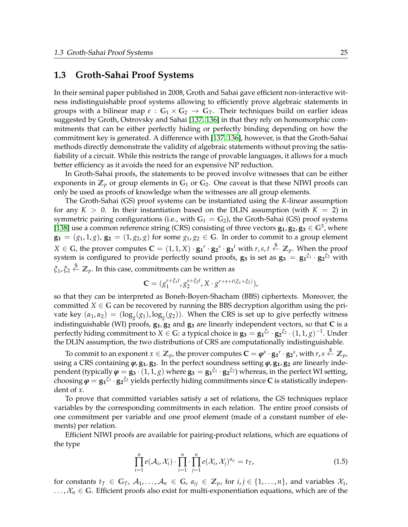#### <span id="page-26-0"></span>**1.3 Groth-Sahai Proof Systems**

In their seminal paper published in 2008, Groth and Sahai gave efficient non-interactive witness indistinguishable proof systems allowing to efficiently prove algebraic statements in groups with a bilinear map  $e : G_1 \times G_2 \rightarrow G_T$ . Their techniques build on earlier ideas suggested by Groth, Ostrovsky and Sahai [\[137,](#page-95-5) [136\]](#page-95-6) in that they rely on homomorphic commitments that can be either perfectly hiding or perfectly binding depending on how the commitment key is generated. A difference with [\[137,](#page-95-5) [136\]](#page-95-6), however, is that the Groth-Sahai methods directly demonstrate the validity of algebraic statements without proving the satisfiability of a circuit. While this restricts the range of provable languages, it allows for a much better efficiency as it avoids the need for an expensive NP reduction.

In Groth-Sahai proofs, the statements to be proved involve witnesses that can be either exponents in  $\mathbb{Z}_p$  or group elements in  $\mathbb{G}_1$  or  $\mathbb{G}_2$ . One caveat is that these NIWI proofs can only be used as proofs of knowledge when the witnesses are all group elements.

The Groth-Sahai (GS) proof systems can be instantiated using the *K*-linear assumption for any  $K > 0$ . In their instantiation based on the DLIN assumption (with  $K = 2$ ) in symmetric pairing configurations (i.e., with  $G_1 = G_2$ ), the Groth-Sahai (GS) proof systems [\[138\]](#page-95-1) use a common reference string (CRS) consisting of three vectors  $\mathbf{g}_1, \mathbf{g}_2, \mathbf{g}_3 \in \mathbb{G}^3$ , where  $\mathbf{g}_1 = (g_1, 1, g), \mathbf{g}_2 = (1, g_2, g)$  for some  $g_1, g_2 \in \mathbb{G}$ . In order to commit to a group element  $X \in \mathbb{G}$ , the prover computes  $\mathbf{C} = (1, 1, X) \cdot \mathbf{g_1}^r \cdot \mathbf{g_2}^s \cdot \mathbf{g_3}^t$  with  $r, s, t \stackrel{\$}{\leftarrow} \mathbb{Z}_p$ . When the proof system is configured to provide perfectly sound proofs,  $g_3$  is set as  $g_3 = g_1^{\zeta_1} \cdot g_2^{\zeta_2}$  with *ξ*1, *ξ*<sup>2</sup> \$← **<sup>Z</sup>***p*. In this case, commitments can be written as

$$
\mathbf{C} = (g_1^{r+\xi_1 t}, g_2^{s+\xi_2 t}, X \cdot g^{r+s+t(\xi_1+\xi_2)}),
$$

so that they can be interpreted as Boneh-Boyen-Shacham (BBS) ciphertexts. Moreover, the committed  $X \in \mathbb{G}$  can be recovered by running the BBS decryption algorithm using the private key  $(\alpha_1, \alpha_2) = (\log_g(g_1), \log_g(g_2))$ . When the CRS is set up to give perfectly witness indistinguishable (WI) proofs, **g1**, **g<sup>2</sup>** and **g<sup>3</sup>** are linearly independent vectors, so that **C** is a perfectly hiding commitment to  $X \in \mathbb{G}$ : a typical choice is  $\mathbf{g_3} = \mathbf{g_1}^{\zeta_1} \cdot \mathbf{g_2}^{\zeta_2} \cdot (1,1,g)^{-1}$ . Under the DLIN assumption, the two distributions of CRS are computationally indistinguishable.

To commit to an exponent  $x\in\mathbb{Z}_p$ , the prover computes  $\mathbf{C}=\bm{\phi}^x\cdot\mathbf{g_1}^r\cdot\mathbf{g_2}^s$ , with  $r,s\stackrel{\$}{\leftarrow}\mathbb{Z}_p$ , using a CRS containing  $\varphi$ ,  $g_1$ ,  $g_2$ . In the perfect soundness setting  $\varphi$ ,  $g_1$ ,  $g_2$  are linearly independent (typically  $\varphi = g_3 \cdot (1, 1, g)$  where  $g_3 = g_1^{\zeta_1} \cdot g_2^{\zeta_2}$ ) whereas, in the perfect WI setting, choosing  $\varphi = g_1^{\xi_1} \cdot g_2^{\xi_2}$  yields perfectly hiding commitments since  $C$  is statistically independent of *x*.

To prove that committed variables satisfy a set of relations, the GS techniques replace variables by the corresponding commitments in each relation. The entire proof consists of one commitment per variable and one proof element (made of a constant number of elements) per relation.

Efficient NIWI proofs are available for pairing-product relations, which are equations of the type

<span id="page-26-1"></span>
$$
\prod_{i=1}^n e(\mathcal{A}_i, \mathcal{X}_i) \cdot \prod_{i=1}^n \cdot \prod_{j=1}^n e(\mathcal{X}_i, \mathcal{X}_j)^{a_{ij}} = t_T,
$$
\n(1.5)

for constants  $t_T \in G_T$ ,  $A_1, \ldots, A_n \in G$ ,  $a_{ij} \in \mathbb{Z}_p$ , for  $i, j \in \{1, \ldots, n\}$ , and variables  $\mathcal{X}_1$ ,  $\ldots$ ,  $X_n \in \mathbb{G}$ . Efficient proofs also exist for multi-exponentiation equations, which are of the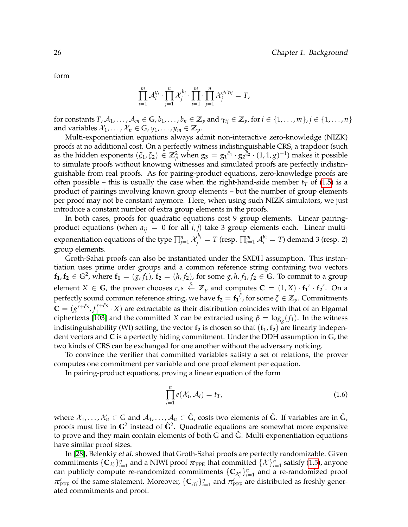form

$$
\prod_{i=1}^m \mathcal{A}_i^{y_i} \cdot \prod_{j=1}^n \mathcal{X}_j^{b_j} \cdot \prod_{i=1}^m \cdot \prod_{j=1}^n \mathcal{X}_j^{y_i \gamma_{ij}} = T,
$$

for constants *T*,  $A_1, \ldots, A_m \in \mathbb{G}$ ,  $b_1, \ldots, b_n \in \mathbb{Z}_p$  and  $\gamma_{ij} \in \mathbb{Z}_p$ , for  $i \in \{1, \ldots, m\}$ ,  $j \in \{1, \ldots, n\}$ and variables  $\mathcal{X}_1, \ldots, \mathcal{X}_n \in \mathbb{G}$ ,  $y_1, \ldots, y_m \in \mathbb{Z}_p$ .

Multi-exponentiation equations always admit non-interactive zero-knowledge (NIZK) proofs at no additional cost. On a perfectly witness indistinguishable CRS, a trapdoor (such as the hidden exponents  $(\xi_1, \xi_2) \in \mathbb{Z}_p^2$  when  $\mathbf{g_3} = \mathbf{g_1}^{\xi_1} \cdot \mathbf{g_2}^{\xi_2} \cdot (1,1,g)^{-1}$ ) makes it possible to simulate proofs without knowing witnesses and simulated proofs are perfectly indistinguishable from real proofs. As for pairing-product equations, zero-knowledge proofs are often possible – this is usually the case when the right-hand-side member  $t<sub>T</sub>$  of [\(1.5\)](#page-26-1) is a product of pairings involving known group elements – but the number of group elements per proof may not be constant anymore. Here, when using such NIZK simulators, we just introduce a constant number of extra group elements in the proofs.

In both cases, proofs for quadratic equations cost 9 group elements. Linear pairingproduct equations (when  $a_{ij} = 0$  for all  $i, j$ ) take 3 group elements each. Linear multiexponentiation equations of the type  $\prod_{j=1}^n\mathcal X_j^{b_j}=T$  (resp.  $\prod_{i=1}^m\mathcal A_i^{y_i}=T$ ) demand 3 (resp. 2) group elements.

Groth-Sahai proofs can also be instantiated under the SXDH assumption. This instantiation uses prime order groups and a common reference string containing two vectors  $f_1, f_2 \in \mathbb{G}^2$ , where  $f_1 = (g, f_1)$ ,  $f_2 = (h, f_2)$ , for some  $g, h, f_1, f_2 \in \mathbb{G}$ . To commit to a group element  $X \in \mathbb{G}$ , the prover chooses  $r, s \stackrel{\$}{\leftarrow} \mathbb{Z}_p$  and computes  $\mathbf{C} = (1, X) \cdot \mathbf{f_1}^r \cdot \mathbf{f_2}^s$ . On a perfectly sound common reference string, we have  $f_2 = {f_1}^\zeta$ , for some  $\zeta \in \mathbb{Z}_p$ . Commitments  $C = (g^{r+\xi s}, f_1^{r+\xi s})$  $I_1^{r+gs}$   $\cdot$  *X*) are extractable as their distribution coincides with that of an Elgamal ciphertexts [\[103\]](#page-92-6) and the committed *X* can be extracted using *β* = log*<sup>g</sup>* (*f*1). In the witness indistinguishability (WI) setting, the vector **f<sup>2</sup>** is chosen so that (**f1**,**f2**) are linearly independent vectors and **C** is a perfectly hiding commitment. Under the DDH assumption in **G**, the two kinds of CRS can be exchanged for one another without the adversary noticing.

To convince the verifier that committed variables satisfy a set of relations, the prover computes one commitment per variable and one proof element per equation.

In pairing-product equations, proving a linear equation of the form

$$
\prod_{i=1}^{n} e(\mathcal{X}_i, \mathcal{A}_i) = t_T,
$$
\n(1.6)

where  $X_1, \ldots, X_n \in \mathbb{G}$  and  $A_1, \ldots, A_n \in \hat{\mathbb{G}}$ , costs two elements of  $\hat{\mathbb{G}}$ . If variables are in  $\hat{\mathbb{G}}$ , proofs must live in  $\mathbb{G}^2$  instead of  $\hat{\mathbb{G}}^2$ . Quadratic equations are somewhat more expensive to prove and they main contain elements of both **G** and **G**ˆ . Multi-exponentiation equations have similar proof sizes.

In [\[28\]](#page-88-6), Belenkiy et al. showed that Groth-Sahai proofs are perfectly randomizable. Given commitments  $\{ \mathsf{C}_{\mathcal{X}_i} \}_{i=1}^n$  and a NIWI proof  $\pi_{\text{PPE}}$  that committed  $\{ \mathcal{X} \}_{i=1}^n$  satisfy [\(1.5\)](#page-26-1), anyone can publicly compute re-randomized commitments  $\{C_{\mathcal{X}'_i}\}_{i=1}^n$  and a re-randomized proof  $\pi'_{\text{PPE}}$  of the same statement. Moreover,  $\{C_{\mathcal{X}'_i}\}_{i=1}^n$  and  $\pi'_{\text{PPE}}$  are distributed as freshly generated commitments and proof.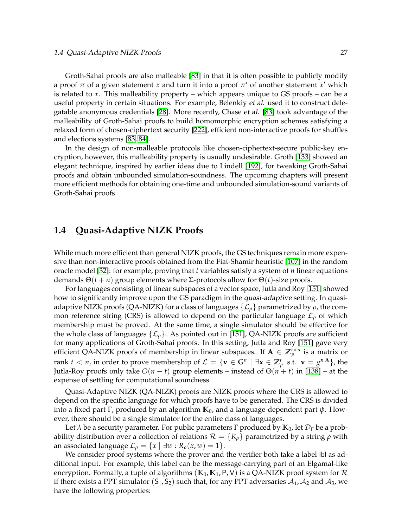Groth-Sahai proofs are also malleable [\[83\]](#page-91-3) in that it is often possible to publicly modify a proof  $\pi$  of a given statement  $x$  and turn it into a proof  $\pi'$  of another statement  $x'$  which is related to *x*. This malleability property – which appears unique to GS proofs – can be a useful property in certain situations. For example, Belenkiy et al. used it to construct delegatable anonymous credentials [\[28\]](#page-88-6). More recently, Chase et al. [\[83\]](#page-91-3) took advantage of the malleability of Groth-Sahai proofs to build homomorphic encryption schemes satisfying a relaxed form of chosen-ciphertext security [\[222\]](#page-100-0), efficient non-interactive proofs for shuffles and elections systems [\[83,](#page-91-3) [84\]](#page-91-4).

In the design of non-malleable protocols like chosen-ciphertext-secure public-key encryption, however, this malleability property is usually undesirable. Groth [\[133\]](#page-94-2) showed an elegant technique, inspired by earlier ideas due to Lindell [\[192\]](#page-98-14), for tweaking Groth-Sahai proofs and obtain unbounded simulation-soundness. The upcoming chapters will present more efficient methods for obtaining one-time and unbounded simulation-sound variants of Groth-Sahai proofs.

### <span id="page-28-0"></span>**1.4 Quasi-Adaptive NIZK Proofs**

While much more efficient than general NIZK proofs, the GS techniques remain more expensive than non-interactive proofs obtained from the Fiat-Shamir heuristic [\[107\]](#page-93-3) in the random oracle model [\[32\]](#page-88-0): for example, proving that *t* variables satisfy a system of *n* linear equations demands Θ(*t* + *n*) group elements where Σ-protocols allow for Θ(*t*)-size proofs.

For languages consisting of linear subspaces of a vector space, Jutla and Roy [\[151\]](#page-96-2) showed how to significantly improve upon the GS paradigm in the *quasi-adaptive setting*. In quasiadaptive NIZK proofs (QA-NIZK) for a class of languages {L*ρ*} parametrized by *ρ*, the common reference string (CRS) is allowed to depend on the particular language L*<sup>ρ</sup>* of which membership must be proved. At the same time, a single simulator should be effective for the whole class of languages {L*ρ*}. As pointed out in [\[151\]](#page-96-2), QA-NIZK proofs are sufficient for many applications of Groth-Sahai proofs. In this setting, Jutla and Roy [\[151\]](#page-96-2) gave very efficient QA-NIZK proofs of membership in linear subspaces. If  $A \in \mathbb{Z}_p^{i \times n}$  is a matrix or rank  $t < n$ , in order to prove membership of  $\mathcal{L} = \{ \mathbf{v} \in \mathbb{G}^n \mid \exists \mathbf{x} \in \mathbb{Z}_p^t \text{ s.t. } \mathbf{v} = g^{\mathbf{x} \cdot \mathbf{A}} \}$ , the Jutla-Roy proofs only take  $O(n - t)$  group elements – instead of  $\Theta(n + t)$  in [\[138\]](#page-95-1) – at the expense of settling for computational soundness.

Quasi-Adaptive NIZK (QA-NIZK) proofs are NIZK proofs where the CRS is allowed to depend on the specific language for which proofs have to be generated. The CRS is divided into a fixed part Γ, produced by an algorithm **K**0, and a language-dependent part *ψ*. However, there should be a single simulator for the entire class of languages.

Let  $\lambda$  be a security parameter. For public parameters  $\Gamma$  produced by  $\mathbb{K}_0$ , let  $\mathcal{D}_{\Gamma}$  be a probability distribution over a collection of relations  $\mathcal{R} = \{R_\rho\}$  parametrized by a string  $\rho$  with an associated language  $\mathcal{L}_{\rho} = \{x \mid \exists w : R_{\rho}(x, w) = 1\}.$ 

We consider proof systems where the prover and the verifier both take a label lbl as additional input. For example, this label can be the message-carrying part of an Elgamal-like encryption. Formally, a tuple of algorithms  $(K_0, K_1, P, V)$  is a QA-NIZK proof system for  $R$ if there exists a PPT simulator  $(S_1, S_2)$  such that, for any PPT adversaries  $A_1$ ,  $A_2$  and  $A_3$ , we have the following properties: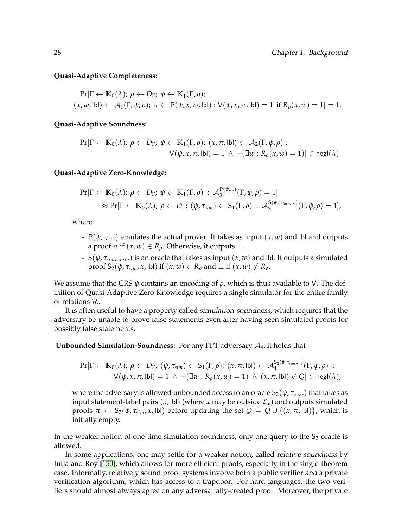#### **Quasi-Adaptive Completeness:**

$$
Pr[\Gamma \leftarrow \mathbb{K}_0(\lambda); \rho \leftarrow D_\Gamma; \psi \leftarrow \mathbb{K}_1(\Gamma, \rho);
$$
  

$$
(x, w, \text{lb}) \leftarrow \mathcal{A}_1(\Gamma, \psi, \rho); \pi \leftarrow P(\psi, x, w, \text{lb}) : V(\psi, x, \pi, \text{lb}) = 1 \text{ if } R_\rho(x, w) = 1] = 1.
$$

#### **Quasi-Adaptive Soundness:**

$$
Pr[\Gamma \leftarrow \mathbb{K}_0(\lambda); \rho \leftarrow D_\Gamma; \psi \leftarrow \mathbb{K}_1(\Gamma, \rho); (x, \pi, \text{lb}) \leftarrow A_2(\Gamma, \psi, \rho):
$$
  

$$
V(\psi, x, \pi, \text{lb}) = 1 \land \neg(\exists w : R_\rho(x, w) = 1)] \in negl(\lambda).
$$

#### **Quasi-Adaptive Zero-Knowledge:**

$$
Pr[\Gamma \leftarrow \mathbb{K}_0(\lambda); \rho \leftarrow D_\Gamma; \psi \leftarrow \mathbb{K}_1(\Gamma, \rho) : \mathcal{A}_3^{P(\psi, \ldots)}(\Gamma, \psi, \rho) = 1] \approx Pr[\Gamma \leftarrow \mathbb{K}_0(\lambda); \rho \leftarrow D_\Gamma; (\psi, \tau_{sim}) \leftarrow S_1(\Gamma, \rho) : \mathcal{A}_3^{S(\psi, \tau_{sim}, \ldots)}(\Gamma, \psi, \rho) = 1],
$$

where

- $P(\psi, \ldots)$  emulates the actual prover. It takes as input  $(x, w)$  and lbl and outputs a proof  $\pi$  if  $(x, w) \in R_\rho$ . Otherwise, it outputs  $\perp$ .
- S(*ψ*, *τsim*, ., ., .) is an oracle that takes as input (*x*, *w*) and lbl. It outputs a simulated proof  $S_2(\psi, \tau_{sim}, x, \text{lb})$  if  $(x, w) \in R_\rho$  and  $\bot$  if  $(x, w) \notin R_\rho$ .

We assume that the CRS *ψ* contains an encoding of *ρ*, which is thus available to V. The definition of Quasi-Adaptive Zero-Knowledge requires a single simulator for the entire family of relations R.

It is often useful to have a property called simulation-soundness, which requires that the adversary be unable to prove false statements even after having seen simulated proofs for possibly false statements.

**Unbounded Simulation-Soundness:** For any PPT adversary A4, it holds that

$$
\Pr[\Gamma \leftarrow \mathbb{K}_0(\lambda); \, \rho \leftarrow D_\Gamma; \, (\psi, \tau_{sim}) \leftarrow S_1(\Gamma, \rho); \, (x, \pi, \text{lb}) \leftarrow \mathcal{A}_4^{S_2(\psi, \tau_{sim}, \cdot)}(\Gamma, \psi, \rho) : \\ \mathsf{V}(\psi, x, \pi, \text{lb}) = 1 \ \land \ \neg(\exists w : R_\rho(x, w) = 1) \ \land \ (x, \pi, \text{lb}) \notin \mathcal{Q} \in \mathsf{negl}(\lambda),
$$

where the adversary is allowed unbounded access to an oracle  $S_2(\psi, \tau, \ldots)$  that takes as input statement-label pairs  $(x, \text{lb})$  (where  $x$  may be outside  $\mathcal{L}_{\rho}$ ) and outputs simulated proofs  $\pi \leftarrow S_2(\psi, \tau_{sim}, x, \text{lb})$  before updating the set  $Q = Q \cup \{(x, \pi, \text{lb})\}$ , which is initially empty.

In the weaker notion of one-time simulation-soundness, only one query to the  $S_2$  oracle is allowed.

In some applications, one may settle for a weaker notion, called relative soundness by Jutla and Roy [\[150\]](#page-96-4), which allows for more efficient proofs, especially in the single-theorem case. Informally, relatively sound proof systems involve both a public verifier and a private verification algorithm, which has access to a trapdoor. For hard languages, the two verifiers should almost always agree on any adversarially-created proof. Moreover, the private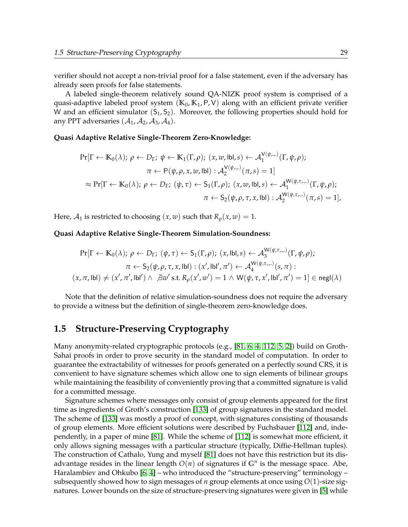verifier should not accept a non-trivial proof for a false statement, even if the adversary has already seen proofs for false statements.

A labeled single-theorem relatively sound QA-NIZK proof system is comprised of a quasi-adaptive labeled proof system (**K**0, **K**1, P, V) along with an efficient private verifier W and an efficient simulator  $(S_1, S_2)$ . Moreover, the following properties should hold for any PPT adversaries  $(A_1, A_2, A_3, A_4)$ .

#### **Quasi Adaptive Relative Single-Theorem Zero-Knowledge:**

$$
\Pr[\Gamma \leftarrow \mathbb{K}_0(\lambda); \rho \leftarrow D_\Gamma; \psi \leftarrow \mathbb{K}_1(\Gamma, \rho); (x, w, \text{lb}, s) \leftarrow \mathcal{A}_1^{\mathsf{V}(\psi, \ldots)}(\Gamma, \psi, \rho);
$$

$$
\pi \leftarrow \mathsf{P}(\psi, \rho, x, w, \text{lb}): \mathcal{A}_2^{\mathsf{V}(\psi, \ldots)}(\pi, s) = 1]
$$

$$
\approx \Pr[\Gamma \leftarrow \mathbb{K}_0(\lambda); \rho \leftarrow D_\Gamma; (\psi, \tau) \leftarrow S_1(\Gamma, \rho); (x, w, \text{lb}, s) \leftarrow \mathcal{A}_1^{\mathsf{W}(\psi, \tau, \ldots)}(\Gamma, \psi, \rho);
$$

$$
\pi \leftarrow S_2(\psi, \rho, \tau, x, \text{lb}): \mathcal{A}_2^{\mathsf{W}(\psi, \tau, \ldots)}(\pi, s) = 1],
$$

Here,  $A_1$  is restricted to choosing  $(x, w)$  such that  $R_\rho(x, w) = 1$ .

#### **Quasi Adaptive Relative Single-Theorem Simulation-Soundness:**

$$
\Pr[\Gamma \leftarrow \mathbb{K}_0(\lambda); \rho \leftarrow D_\Gamma; (\psi, \tau) \leftarrow S_1(\Gamma, \rho); (x, \text{lb}, s) \leftarrow \mathcal{A}_3^{\mathbb{W}(\psi, \tau, \ldots)}(\Gamma, \psi, \rho);
$$

$$
\pi \leftarrow S_2(\psi, \rho, \tau, x, \text{lb}): (x', \text{lb}', \pi') \leftarrow \mathcal{A}_4^{\mathbb{W}(\psi, \tau, \ldots)}(s, \pi):
$$

$$
(x, \pi, \text{lb}) \neq (x', \pi', \text{lb}') \land \exists w' \text{ s.t. } R_\rho(x', w') = 1 \land \mathbb{W}(\psi, \tau, x', \text{lb}', \pi') = 1] \in \text{negl}(\lambda)
$$

Note that the definition of relative simulation-soundness does not require the adversary to provide a witness but the definition of single-theorem zero-knowledge does.

#### <span id="page-30-0"></span>**1.5 Structure-Preserving Cryptography**

Many anonymity-related cryptographic protocols (e.g., [\[81,](#page-91-1) [6,](#page-86-2) [4,](#page-86-1) [112,](#page-93-4) [5,](#page-86-6) [2\]](#page-86-3)) build on Groth-Sahai proofs in order to prove security in the standard model of computation. In order to guarantee the extractability of witnesses for proofs generated on a perfectly sound CRS, it is convenient to have signature schemes which allow one to sign elements of bilinear groups while maintaining the feasibility of conveniently proving that a committed signature is valid for a committed message.

Signature schemes where messages only consist of group elements appeared for the first time as ingredients of Groth's construction [\[133\]](#page-94-2) of group signatures in the standard model. The scheme of [\[133\]](#page-94-2) was mostly a proof of concept, with signatures consisting of thousands of group elements. More efficient solutions were described by Fuchsbauer [\[112\]](#page-93-4) and, independently, in a paper of mine [\[81\]](#page-91-1). While the scheme of [\[112\]](#page-93-4) is somewhat more efficient, it only allows signing messages with a particular structure (typically, Diffie-Hellman tuples). The construction of Cathalo, Yung and myself [\[81\]](#page-91-1) does not have this restriction but its disadvantage resides in the linear length *O*(*n*) of signatures if **G***<sup>n</sup>* is the message space. Abe, Haralambiev and Ohkubo  $[6, 4]$  $[6, 4]$  – who introduced the "structure-preserving" terminology – subsequently showed how to sign messages of *n* group elements at once using *O*(1)-size signatures. Lower bounds on the size of structure-preserving signatures were given in [\[5\]](#page-86-6) while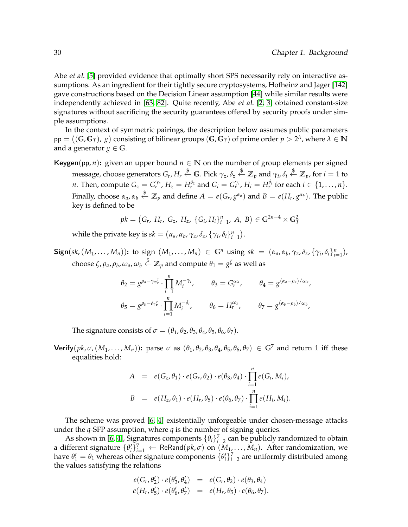Abe et al. [\[5\]](#page-86-6) provided evidence that optimally short SPS necessarily rely on interactive assumptions. As an ingredient for their tightly secure cryptosystems, Hofheinz and Jager [\[142\]](#page-95-7) gave constructions based on the Decision Linear assumption [\[44\]](#page-89-6) while similar results were independently achieved in [\[63,](#page-90-5) [82\]](#page-91-5). Quite recently, Abe et al. [\[2,](#page-86-3) [3\]](#page-86-4) obtained constant-size signatures without sacrificing the security guarantees offered by security proofs under simple assumptions.

In the context of symmetric pairings, the description below assumes public parameters  ${\sf pp} = \big(({\sf G},{\sf G}_{\sf T}),\,g\big)$  consisting of bilinear groups  $({\sf G},{\sf G}_{\sf T})$  of prime order  $p>2^\lambda$ , where  $\lambda\in\mathbb{N}$ and a generator  $g \in \mathbb{G}$ .

**Keygen**(pp, *n*): given an upper bound  $n \in \mathbb{N}$  on the number of group elements per signed  $\max_{i}$  message, choose generators  $G_r$ ,  $H_r \stackrel{\$}{\leftarrow} \mathbb{G}$ . Pick  $\gamma_z$ ,  $\delta_z \stackrel{\$}{\leftarrow} \mathbb{Z}_p$  and  $\gamma_i$ ,  $\delta_i \stackrel{\$}{\leftarrow} \mathbb{Z}_p$ , for  $i=1$  to *n*. Then, compute  $G_z = G_r^{\gamma_z}$ ,  $H_z = H_r^{\delta_z}$  and  $G_i = G_r^{\gamma_i}$ ,  $H_i = H_r^{\delta_i}$  for each  $i \in \{1, ..., n\}$ . Finally, choose  $\alpha_a$ ,  $\alpha_b \stackrel{\$}{\leftarrow} \mathbb{Z}_p$  and define  $A = e(G_r, g^{\alpha_a})$  and  $B = e(H_r, g^{\alpha_b})$ . The public key is defined to be

$$
pk = (G_r, H_r, G_z, H_z, \{G_i, H_i\}_{i=1}^n, A, B) \in \mathbb{G}^{2n+4} \times \mathbb{G}_T^2
$$

while the private key is  $sk = (\alpha_a, \alpha_b, \gamma_z, \delta_z, {\gamma_i, \delta_i}_{i=1}^n)$ .

 $Sign(sk, (M_1, ..., M_n))$ : to sign  $(M_1, ..., M_n) \in \mathbb{G}^n$  using  $sk = (\alpha_a, \alpha_b, \gamma_z, \delta_z, {\gamma_i, \delta_i}_{i=1}^n)$ , choose *ζ, ρ<sub>a</sub>, ρ<sub>b</sub>, ω<sub>a</sub>, ω<sub>b</sub>*  $\overset{\$}{\leftarrow} \mathbb{Z}_p$  and compute  $\theta_1 = g^\zeta$  as well as

$$
\theta_2 = g^{\rho_a - \gamma_z \zeta} \cdot \prod_{i=1}^n M_i^{-\gamma_i}, \qquad \theta_3 = G_r^{\omega_a}, \qquad \theta_4 = g^{(\alpha_a - \rho_a)/\omega_a},
$$
  

$$
\theta_5 = g^{\rho_b - \delta_z \zeta} \cdot \prod_{i=1}^n M_i^{-\delta_i}, \qquad \theta_6 = H_r^{\omega_b}, \qquad \theta_7 = g^{(\alpha_b - \rho_b)/\omega_b},
$$

The signature consists of  $\sigma = (\theta_1, \theta_2, \theta_3, \theta_4, \theta_5, \theta_6, \theta_7)$ .

Verify( $pk, \sigma$ ,  $(M_1, ..., M_n)$ ): parse  $\sigma$  as  $(\theta_1, \theta_2, \theta_3, \theta_4, \theta_5, \theta_6, \theta_7) \in \mathbb{G}^7$  and return 1 iff these equalities hold:

$$
A = e(G_z, \theta_1) \cdot e(G_r, \theta_2) \cdot e(\theta_3, \theta_4) \cdot \prod_{i=1}^n e(G_i, M_i),
$$
  
\n
$$
B = e(H_z, \theta_1) \cdot e(H_r, \theta_5) \cdot e(\theta_6, \theta_7) \cdot \prod_{i=1}^n e(H_i, M_i).
$$

The scheme was proved [\[6,](#page-86-2) [4\]](#page-86-1) existentially unforgeable under chosen-message attacks under the *q*-SFP assumption, where *q* is the number of signing queries.

As shown in [\[6,](#page-86-2) [4\]](#page-86-1), Signatures components  $\{\theta_i\}_{i=2}^7$  can be publicly randomized to obtain a different signature  $\{\theta_i^j\}_{i=1}^7$   $\leftarrow$  ReRand $(\mathit{pk}, \sigma)$  on  $(\overline{M}_1, \ldots, \overline{M}_n)$ . After randomization, we have  $\theta'_1 = \theta_1$  whereas other signature components  $\{\theta'_i\}_{i=2}^7$  are uniformly distributed among the values satisfying the relations

$$
\begin{array}{rcl}\ne(G_r, \theta'_2) \cdot e(\theta'_3, \theta'_4) & = & e(G_r, \theta_2) \cdot e(\theta_3, \theta_4) \\
e(H_r, \theta'_5) \cdot e(\theta'_6, \theta'_7) & = & e(H_r, \theta_5) \cdot e(\theta_6, \theta_7).\n\end{array}
$$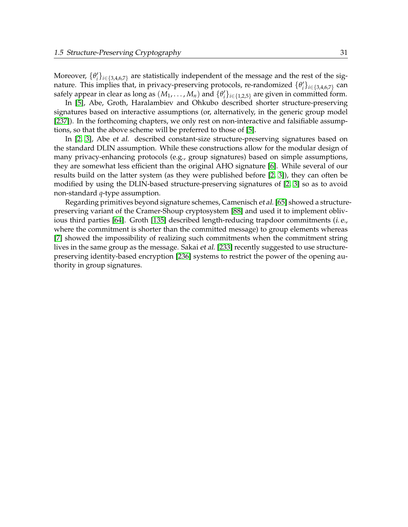Moreover,  $\{\theta'_i\}_{i\in\{3,4,6,7\}}$  are statistically independent of the message and the rest of the signature. This implies that, in privacy-preserving protocols, re-randomized  $\{\theta'_{i}\}_{i\in\{3,4,6,7\}}$  can safely appear in clear as long as  $(M_1, \ldots, M_n)$  and  $\{\theta_i'\}_{i \in \{1,2,5\}}$  are given in committed form.

In [\[5\]](#page-86-6), Abe, Groth, Haralambiev and Ohkubo described shorter structure-preserving signatures based on interactive assumptions (or, alternatively, in the generic group model [\[237\]](#page-101-4)). In the forthcoming chapters, we only rest on non-interactive and falsifiable assumptions, so that the above scheme will be preferred to those of [\[5\]](#page-86-6).

In [\[2,](#page-86-3) [3\]](#page-86-4), Abe et al. described constant-size structure-preserving signatures based on the standard DLIN assumption. While these constructions allow for the modular design of many privacy-enhancing protocols (e.g., group signatures) based on simple assumptions, they are somewhat less efficient than the original AHO signature [\[6\]](#page-86-2). While several of our results build on the latter system (as they were published before [\[2,](#page-86-3) [3\]](#page-86-4)), they can often be modified by using the DLIN-based structure-preserving signatures of [\[2,](#page-86-3) [3\]](#page-86-4) so as to avoid non-standard *q*-type assumption.

Regarding primitives beyond signature schemes, Camenisch et al. [\[65\]](#page-90-6) showed a structurepreserving variant of the Cramer-Shoup cryptosystem [\[88\]](#page-91-6) and used it to implement oblivious third parties [\[64\]](#page-90-7). Groth [\[135\]](#page-95-8) described length-reducing trapdoor commitments (i. e., where the commitment is shorter than the committed message) to group elements whereas [\[7\]](#page-86-7) showed the impossibility of realizing such commitments when the commitment string lives in the same group as the message. Sakai *et al.* [\[233\]](#page-101-5) recently suggested to use structurepreserving identity-based encryption [\[236\]](#page-101-0) systems to restrict the power of the opening authority in group signatures.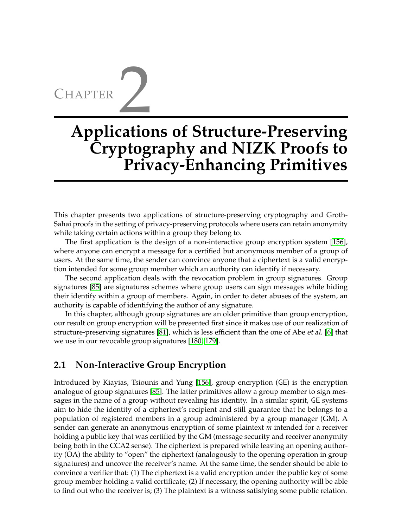# <span id="page-34-0"></span>**CHAPTER**

# **Applications of Structure-Preserving Cryptography and NIZK Proofs to Privacy-Enhancing Primitives**

This chapter presents two applications of structure-preserving cryptography and Groth-Sahai proofs in the setting of privacy-preserving protocols where users can retain anonymity while taking certain actions within a group they belong to.

The first application is the design of a non-interactive group encryption system [\[156\]](#page-96-1), where anyone can encrypt a message for a certified but anonymous member of a group of users. At the same time, the sender can convince anyone that a ciphertext is a valid encryption intended for some group member which an authority can identify if necessary.

The second application deals with the revocation problem in group signatures. Group signatures [\[85\]](#page-91-0) are signatures schemes where group users can sign messages while hiding their identify within a group of members. Again, in order to deter abuses of the system, an authority is capable of identifying the author of any signature.

In this chapter, although group signatures are an older primitive than group encryption, our result on group encryption will be presented first since it makes use of our realization of structure-preserving signatures [\[81\]](#page-91-1), which is less efficient than the one of Abe et al. [\[6\]](#page-86-2) that we use in our revocable group signatures [\[180,](#page-98-10) [179\]](#page-98-11).

## <span id="page-34-1"></span>**2.1 Non-Interactive Group Encryption**

Introduced by Kiayias, Tsiounis and Yung [\[156\]](#page-96-1), group encryption (GE) is the encryption analogue of group signatures [\[85\]](#page-91-0). The latter primitives allow a group member to sign messages in the name of a group without revealing his identity. In a similar spirit, GE systems aim to hide the identity of a ciphertext's recipient and still guarantee that he belongs to a population of registered members in a group administered by a group manager (GM). A sender can generate an anonymous encryption of some plaintext *m* intended for a receiver holding a public key that was certified by the GM (message security and receiver anonymity being both in the CCA2 sense). The ciphertext is prepared while leaving an opening authority (OA) the ability to "open" the ciphertext (analogously to the opening operation in group signatures) and uncover the receiver's name. At the same time, the sender should be able to convince a verifier that: (1) The ciphertext is a valid encryption under the public key of some group member holding a valid certificate; (2) If necessary, the opening authority will be able to find out who the receiver is; (3) The plaintext is a witness satisfying some public relation.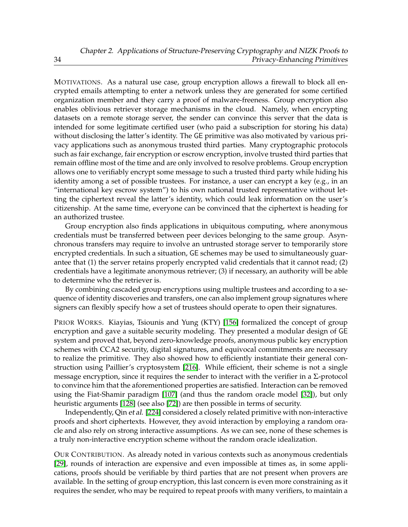MOTIVATIONS. As a natural use case, group encryption allows a firewall to block all encrypted emails attempting to enter a network unless they are generated for some certified organization member and they carry a proof of malware-freeness. Group encryption also enables oblivious retriever storage mechanisms in the cloud. Namely, when encrypting datasets on a remote storage server, the sender can convince this server that the data is intended for some legitimate certified user (who paid a subscription for storing his data) without disclosing the latter's identity. The GE primitive was also motivated by various privacy applications such as anonymous trusted third parties. Many cryptographic protocols such as fair exchange, fair encryption or escrow encryption, involve trusted third parties that remain offline most of the time and are only involved to resolve problems. Group encryption allows one to verifiably encrypt some message to such a trusted third party while hiding his identity among a set of possible trustees. For instance, a user can encrypt a key (e.g., in an "international key escrow system") to his own national trusted representative without letting the ciphertext reveal the latter's identity, which could leak information on the user's citizenship. At the same time, everyone can be convinced that the ciphertext is heading for an authorized trustee.

Group encryption also finds applications in ubiquitous computing, where anonymous credentials must be transferred between peer devices belonging to the same group. Asynchronous transfers may require to involve an untrusted storage server to temporarily store encrypted credentials. In such a situation, GE schemes may be used to simultaneously guarantee that (1) the server retains properly encrypted valid credentials that it cannot read; (2) credentials have a legitimate anonymous retriever; (3) if necessary, an authority will be able to determine who the retriever is.

By combining cascaded group encryptions using multiple trustees and according to a sequence of identity discoveries and transfers, one can also implement group signatures where signers can flexibly specify how a set of trustees should operate to open their signatures.

PRIOR WORKS. Kiayias, Tsiounis and Yung (KTY) [\[156\]](#page-96-1) formalized the concept of group encryption and gave a suitable security modeling. They presented a modular design of GE system and proved that, beyond zero-knowledge proofs, anonymous public key encryption schemes with CCA2 security, digital signatures, and equivocal commitments are necessary to realize the primitive. They also showed how to efficiently instantiate their general construction using Paillier's cryptosystem [\[216\]](#page-100-1). While efficient, their scheme is not a single message encryption, since it requires the sender to interact with the verifier in a  $Σ$ -protocol to convince him that the aforementioned properties are satisfied. Interaction can be removed using the Fiat-Shamir paradigm [\[107\]](#page-93-3) (and thus the random oracle model [\[32\]](#page-88-0)), but only heuristic arguments [\[128\]](#page-94-6) (see also [\[72\]](#page-90-0)) are then possible in terms of security.

Independently, Qin et al. [\[224\]](#page-101-6) considered a closely related primitive with non-interactive proofs and short ciphertexts. However, they avoid interaction by employing a random oracle and also rely on strong interactive assumptions. As we can see, none of these schemes is a truly non-interactive encryption scheme without the random oracle idealization.

OUR CONTRIBUTION. As already noted in various contexts such as anonymous credentials [\[29\]](#page-88-7), rounds of interaction are expensive and even impossible at times as, in some applications, proofs should be verifiable by third parties that are not present when provers are available. In the setting of group encryption, this last concern is even more constraining as it requires the sender, who may be required to repeat proofs with many verifiers, to maintain a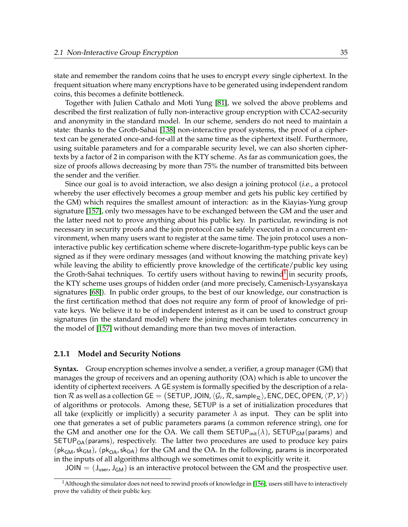state and remember the random coins that he uses to encrypt every single ciphertext. In the frequent situation where many encryptions have to be generated using independent random coins, this becomes a definite bottleneck.

Together with Julien Cathalo and Moti Yung [\[81\]](#page-91-0), we solved the above problems and described the first realization of fully non-interactive group encryption with CCA2-security and anonymity in the standard model. In our scheme, senders do not need to maintain a state: thanks to the Groth-Sahai [\[138\]](#page-95-0) non-interactive proof systems, the proof of a ciphertext can be generated once-and-for-all at the same time as the ciphertext itself. Furthermore, using suitable parameters and for a comparable security level, we can also shorten ciphertexts by a factor of 2 in comparison with the KTY scheme. As far as communication goes, the size of proofs allows decreasing by more than 75% the number of transmitted bits between the sender and the verifier.

Since our goal is to avoid interaction, we also design a joining protocol (i.e., a protocol whereby the user effectively becomes a group member and gets his public key certified by the GM) which requires the smallest amount of interaction: as in the Kiayias-Yung group signature [\[157\]](#page-96-0), only two messages have to be exchanged between the GM and the user and the latter need not to prove anything about his public key. In particular, rewinding is not necessary in security proofs and the join protocol can be safely executed in a concurrent environment, when many users want to register at the same time. The join protocol uses a noninteractive public key certification scheme where discrete-logarithm-type public keys can be signed as if they were ordinary messages (and without knowing the matching private key) while leaving the ability to efficiently prove knowledge of the certificate/public key using the Groth-Sahai techniques. To certify users without having to rewind<sup>[1](#page-36-0)</sup> in security proofs, the KTY scheme uses groups of hidden order (and more precisely, Camenisch-Lysyanskaya signatures [\[68\]](#page-90-0)). In public order groups, to the best of our knowledge, our construction is the first certification method that does not require any form of proof of knowledge of private keys. We believe it to be of independent interest as it can be used to construct group signatures (in the standard model) where the joining mechanism tolerates concurrency in the model of [\[157\]](#page-96-0) without demanding more than two moves of interaction.

### **2.1.1 Model and Security Notions**

**Syntax.** Group encryption schemes involve a sender, a verifier, a group manager (GM) that manages the group of receivers and an opening authority (OA) which is able to uncover the identity of ciphertext receivers. A GE system is formally specified by the description of a relation  ${\cal R}$  as well as a collection GE  $=$   $(\sf{SETUP},$  JOIN,  $\langle\mathcal{G}_r,\mathcal{R}$ , sample $_{\cal R}\rangle$ , ENC, DEC, OPEN,  $\langle{\cal P},{\cal V}\rangle)$ of algorithms or protocols. Among these, SETUP is a set of initialization procedures that all take (explicitly or implicitly) a security parameter  $\lambda$  as input. They can be split into one that generates a set of public parameters params (a common reference string), one for the GM and another one for the OA. We call them  $SETUP<sub>init</sub>(\lambda)$ ,  $SETUP<sub>GM</sub>(params)$  and SETUP<sub>OA</sub>(params), respectively. The latter two procedures are used to produce key pairs  $(pk_{GM},sk_{GM})$ ,  $(pk_{OA},sk_{OA})$  for the GM and the OA. In the following, params is incorporated in the inputs of all algorithms although we sometimes omit to explicitly write it.

JOIN  $=$  (J<sub>user</sub>, J<sub>GM</sub>) is an interactive protocol between the GM and the prospective user.

<span id="page-36-0"></span> $1$ Although the simulator does not need to rewind proofs of knowledge in [\[156\]](#page-96-1), users still have to interactively prove the validity of their public key.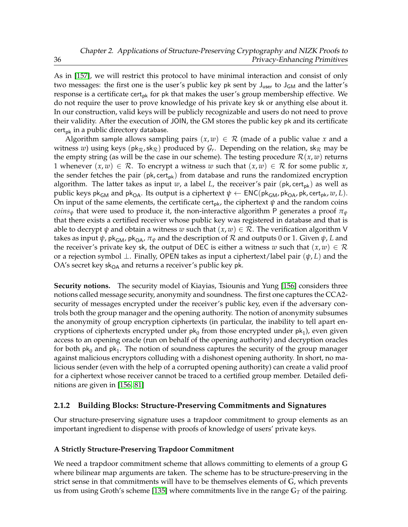As in [\[157\]](#page-96-0), we will restrict this protocol to have minimal interaction and consist of only two messages: the first one is the user's public key pk sent by  $J_{user}$  to  $J_{GM}$  and the latter's response is a certificate cert<sub>pk</sub> for pk that makes the user's group membership effective. We do not require the user to prove knowledge of his private key sk or anything else about it. In our construction, valid keys will be publicly recognizable and users do not need to prove their validity. After the execution of JOIN, the GM stores the public key pk and its certificate  $cert_{pk}$  in a public directory database.

Algorithm sample allows sampling pairs  $(x, w) \in \mathcal{R}$  (made of a public value x and a witness  $w$ ) using keys (pk $_{\mathcal{R}}$ , sk $_{\mathcal{R}}$ ) produced by  $\mathcal{G}_r$ . Depending on the relation, sk $_{\mathcal{R}}$  may be the empty string (as will be the case in our scheme). The testing procedure  $\mathcal{R}(x, w)$  returns 1 whenever  $(x, w) \in \mathcal{R}$ . To encrypt a witness *w* such that  $(x, w) \in \mathcal{R}$  for some public *x*, the sender fetches the pair ( $pk, cert_{pk}$ ) from database and runs the randomized encryption algorithm. The latter takes as input *w*, a label *L*, the receiver's pair (pk, cert<sub>pk</sub>) as well as public keys pk<sub>GM</sub> and pk<sub>OA</sub>. Its output is a ciphertext  $\psi \leftarrow \text{ENC}(\text{pk}_{GM}, \text{pk}_{OA}, \text{pk}, \text{cert}_{pk}, w, L)$ . On input of the same elements, the certificate cert<sub>pk</sub>, the ciphertext  $\psi$  and the random coins *coins*<sup> $psi$ </sup> that were used to produce it, the non-interactive algorithm P generates a proof  $\pi_{\psi}$ that there exists a certified receiver whose public key was registered in database and that is able to decrypt  $\psi$  and obtain a witness w such that  $(x, w) \in \mathcal{R}$ . The verification algorithm V takes as input  $\psi$ , pk<sub>GM</sub>, pk<sub>OA</sub>,  $\pi_{\psi}$  and the description of  $\mathcal R$  and outputs 0 or 1. Given  $\psi$ , *L* and the receiver's private key sk, the output of DEC is either a witness *w* such that  $(x, w) \in \mathcal{R}$ or a rejection symbol ⊥. Finally, OPEN takes as input a ciphertext/label pair (*ψ*, *L*) and the  $OA's$  secret key sk<sub>OA</sub> and returns a receiver's public key pk.

**Security notions.** The security model of Kiayias, Tsiounis and Yung [\[156\]](#page-96-1) considers three notions called message security, anonymity and soundness. The first one captures the CCA2 security of messages encrypted under the receiver's public key, even if the adversary controls both the group manager and the opening authority. The notion of anonymity subsumes the anonymity of group encryption ciphertexts (in particular, the inability to tell apart encryptions of ciphertexts encrypted under  $\mathsf{pk}_0$  from those encrypted under  $\mathsf{pk}_1$ ), even given access to an opening oracle (run on behalf of the opening authority) and decryption oracles for both  $pk_0$  and  $pk_1$ . The notion of soundness captures the security of the group manager against malicious encryptors colluding with a dishonest opening authority. In short, no malicious sender (even with the help of a corrupted opening authority) can create a valid proof for a ciphertext whose receiver cannot be traced to a certified group member. Detailed definitions are given in [\[156,](#page-96-1) [81\]](#page-91-0)

# <span id="page-37-0"></span>**2.1.2 Building Blocks: Structure-Preserving Commitments and Signatures**

Our structure-preserving signature uses a trapdoor commitment to group elements as an important ingredient to dispense with proofs of knowledge of users' private keys.

# **A Strictly Structure-Preserving Trapdoor Commitment**

We need a trapdoor commitment scheme that allows committing to elements of a group **G** where bilinear map arguments are taken. The scheme has to be structure-preserving in the strict sense in that commitments will have to be themselves elements of **G**, which prevents us from using Groth's scheme [\[135\]](#page-95-1) where commitments live in the range  $G_T$  of the pairing.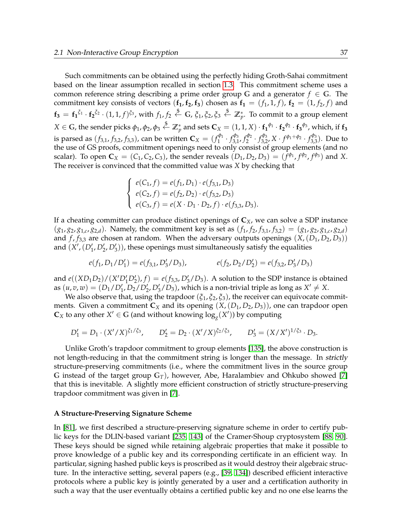Such commitments can be obtained using the perfectly hiding Groth-Sahai commitment based on the linear assumption recalled in section [1.3.](#page-26-0) This commitment scheme uses a common reference string describing a prime order group G and a generator  $f \in \mathbb{G}$ . The commitment key consists of vectors  $(f_1, f_2, f_3)$  chosen as  $f_1 = (f_1, 1, f)$ ,  $f_2 = (1, f_2, f)$  and  $\mathbf{f_3} = \mathbf{f_1}^{\tilde{\zeta}_1} \cdot \mathbf{f_2}^{\tilde{\zeta}_2} \cdot (1,1,f)^{\tilde{\zeta}_3},$  with  $f_1, f_2 \stackrel{\$}{\leftarrow} \mathbb{G}$ ,  $\tilde{\zeta}_1, \tilde{\zeta}_2, \tilde{\zeta}_3 \stackrel{\$}{\leftarrow} \mathbb{Z}_p^*.$  To commit to a group element  $X\in\mathbb{G}$ , the sender picks  $\phi_1$ ,  $\phi_2$ ,  $\phi_3\overset{\$}{\leftarrow}\mathbb{Z}_p^*$  and sets  $\mathbf{C}_X=(1,1,X)\cdot\mathbf{f_1}^{\phi_1}\cdot\mathbf{f_2}^{\phi_2}\cdot\mathbf{f_3}^{\phi_3}$ , which, if  $\mathbf{f_3}$ is parsed as  $(f_{3,1}, f_{3,2}, f_{3,3})$ , can be written  $\mathbf{C}_X = (f_1^{\phi_1})$  $f_{3,1}^{\phi_3}$ ,  $f_{2}^{\phi_2}$ 2 · *f φ*3 3,2, *X* · *f φ*1+*φ*<sup>2</sup> · *f φ*3 3,3). Due to the use of GS proofs, commitment openings need to only consist of group elements (and no scalar). To open  $C_X = (C_1, C_2, C_3)$ , the sender reveals  $(D_1, D_2, D_3) = (f^{\phi_1}, f^{\phi_2}, f^{\phi_3})$  and X. The receiver is convinced that the committed value was *X* by checking that

$$
\begin{cases}\ne(C_1, f) = e(f_1, D_1) \cdot e(f_{3,1}, D_3) \\
e(C_2, f) = e(f_2, D_2) \cdot e(f_{3,2}, D_3) \\
e(C_3, f) = e(X \cdot D_1 \cdot D_2, f) \cdot e(f_{3,3}, D_3).\n\end{cases}
$$

If a cheating committer can produce distinct openings of **C***X*, we can solve a SDP instance  $(g_1, g_2, g_1, g_2, g_2, d)$ . Namely, the commitment key is set as  $(f_1, f_2, f_3, f_4, g_5) = (g_1, g_2, g_1, g_2, g_2, d)$ and  $f$ ,  $f_{3,3}$  are chosen at random. When the adversary outputs openings  $(X,(D_1,D_2,D_3))$ and  $(X', (D'_1, D'_2, D'_3))$ , these openings must simultaneously satisfy the equalities

$$
e(f_1, D_1/D'_1) = e(f_{3,1}, D'_3/D_3), \qquad e(f_2, D_2/D'_2) = e(f_{3,2}, D'_3/D_3)
$$

and  $e((XD_1D_2)/(X'D'_1D'_2), f) = e(f_{3,3}, D'_3/D_3)$ . A solution to the SDP instance is obtained as  $(u, v, w) = (D_1/D_1', D_2/D_2', D_3', D_3)$ , which is a non-trivial triple as long as  $X' \neq X$ .

We also observe that, using the trapdoor (*ξ*1, *ξ*2, *ξ*3), the receiver can equivocate commitments. Given a commitment  $C_X$  and its opening  $(X, (D_1, D_2, D_3))$ , one can trapdoor open  $\mathbb{C}_X$  to any other  $X' \in \mathbb{G}$  (and without knowing  $\log_g(X')$ ) by computing

$$
D'_1 = D_1 \cdot (X'/X)^{\xi_1/\xi_3}, \qquad D'_2 = D_2 \cdot (X'/X)^{\xi_2/\xi_3}, \qquad D'_3 = (X/X')^{1/\xi_3} \cdot D_3.
$$

Unlike Groth's trapdoor commitment to group elements [\[135\]](#page-95-1), the above construction is not length-reducing in that the commitment string is longer than the message. In *strictly* structure-preserving commitments (i.e., where the commitment lives in the source group **G** instead of the target group **G***T*), however, Abe, Haralambiev and Ohkubo showed [\[7\]](#page-86-0) that this is inevitable. A slightly more efficient construction of strictly structure-preserving trapdoor commitment was given in [\[7\]](#page-86-0).

### **A Structure-Preserving Signature Scheme**

In [\[81\]](#page-91-0), we first described a structure-preserving signature scheme in order to certify public keys for the DLIN-based variant [\[235,](#page-101-0) [143\]](#page-95-2) of the Cramer-Shoup cryptosystem [\[88,](#page-91-1) [90\]](#page-91-2). These keys should be signed while retaining algebraic properties that make it possible to prove knowledge of a public key and its corresponding certificate in an efficient way. In particular, signing hashed public keys is proscribed as it would destroy their algebraic structure. In the interactive setting, several papers (e.g., [\[39,](#page-88-0) [134\]](#page-95-3)) described efficient interactive protocols where a public key is jointly generated by a user and a certification authority in such a way that the user eventually obtains a certified public key and no one else learns the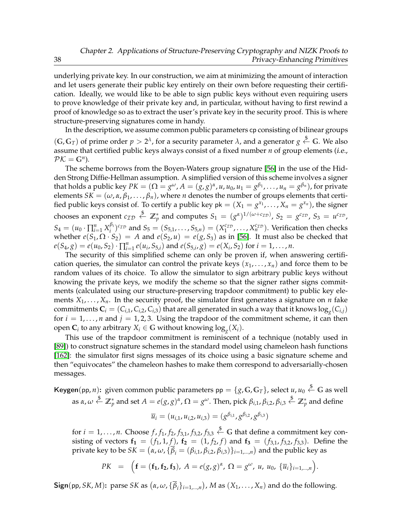underlying private key. In our construction, we aim at minimizing the amount of interaction and let users generate their public key entirely on their own before requesting their certification. Ideally, we would like to be able to sign public keys without even requiring users to prove knowledge of their private key and, in particular, without having to first rewind a proof of knowledge so as to extract the user's private key in the security proof. This is where structure-preserving signatures come in handy.

In the description, we assume common public parameters cp consisting of bilinear groups  $(G, G_T)$  of prime order  $p > 2^{\lambda}$ , for a security parameter  $\lambda$ , and a generator  $g \stackrel{\$}{\leftarrow} G$ . We also assume that certified public keys always consist of a fixed number *n* of group elements (i.e.,  $\mathcal{P}\mathcal{K}=\mathbb{G}^n$ ).

The scheme borrows from the Boyen-Waters group signature [\[56\]](#page-89-0) in the use of the Hidden Strong Diffie-Hellman assumption. A simplified version of this scheme involves a signer that holds a public key  $PK = (\Omega = g^{\omega}, A = (g, g)^{\alpha}, u, u_0, u_1 = g^{\beta_1}, \ldots, u_n = g^{\beta_n})$ , for private elements  $SK = (\omega, \alpha, \beta_1, \dots, \beta_n)$ , where *n* denotes the number of groups elements that certified public keys consist of. To certify a public key  $pk = (X_1 = g^{x_1}, \ldots, X_n = g^{x_n})$ , the signer chooses an exponent  $c_{\mathcal{ID}} \stackrel{\$}{\leftarrow} \mathbb{Z}_p^*$  and computes  $S_1 = (g^{\alpha})^{1/(\omega + c_{\mathcal{ID}})}$ ,  $S_2 = g^{c_{\mathcal{ID}}}$ ,  $S_3 = u^{c_{\mathcal{ID}}}$ ,  $S_4 = (u_0 \cdot \prod_{i=1}^n X_i^{\beta_i})$  $S_i^{\beta_i}$ )<sup>*c*</sup><sub>*c*D</sub> and *S*<sub>5</sub> = (*S*<sub>5,1</sub>, . . . , *S*<sub>5,*n*</sub>) = (*X*<sup>*c*</sup><sub>*c*D</sub>)<sup>*c*</sup>  $X_1^{c_{\mathcal{ID}}}$ , ...,  $X_n^{c_{\mathcal{ID}}}$ ). Verification then checks whether  $e(S_1, \Omega \cdot S_2) = A$  and  $e(S_2, u) = e(g, S_3)$  as in [\[56\]](#page-89-0). It must also be checked that  $e(S_4, g) = e(u_0, S_2) \cdot \prod_{i=1}^n e(u_i, S_{5,i})$  and  $e(S_{5,i}, g) = e(X_i, S_2)$  for  $i = 1, ..., n$ .

The security of this simplified scheme can only be proven if, when answering certification queries, the simulator can control the private keys  $(x_1, \ldots, x_n)$  and force them to be random values of its choice. To allow the simulator to sign arbitrary public keys without knowing the private keys, we modify the scheme so that the signer rather signs commitments (calculated using our structure-preserving trapdoor commitment) to public key elements  $X_1, \ldots, X_n$ . In the security proof, the simulator first generates a signature on *n* fake commitments  $C_i = (C_{i,1}, C_{i,2}, C_{i,3})$  that are all generated in such a way that it knows  $\log_g(C_{i,j})$ for  $i = 1, \ldots, n$  and  $j = 1, 2, 3$ . Using the trapdoor of the commitment scheme, it can then open  $C_i$  to any arbitrary  $X_i \in \mathbb{G}$  without knowing  $\log_g(X_i)$ .

This use of the trapdoor commitment is reminiscent of a technique (notably used in [\[89\]](#page-91-3)) to construct signature schemes in the standard model using chameleon hash functions [\[162\]](#page-96-2): the simulator first signs messages of its choice using a basic signature scheme and then "equivocates" the chameleon hashes to make them correspond to adversarially-chosen messages.

Keygen(pp, *n*): given common public parameters pp = { $g$ , G, G<sub>T</sub>}, select  $u$ ,  $u_0 \stackrel{\$}{\leftarrow} G$  as well as  $\alpha,\omega\stackrel{\$}{\leftarrow}\mathbb{Z}_p^*$  and set  $A=e(g,g)^\alpha$ ,  $\Omega=g^\omega.$  Then, pick  $\beta_{i,1}$ ,  $\beta_{i,2}$ ,  $\beta_{i,3}\stackrel{\$}{\leftarrow}\mathbb{Z}_p^*$  and define

$$
\overline{u}_i = (u_{i,1}, u_{i,2}, u_{i,3}) = (g^{\beta_{i,1}}, g^{\beta_{i,2}}, g^{\beta_{i,3}})
$$

for  $i = 1, \ldots, n$ . Choose  $f$ ,  $f_1$ ,  $f_2$ ,  $f_{3,1}$ ,  $f_{3,2}$ ,  $f_{3,3} \stackrel{\$}{\leftarrow} \mathbb{G}$  that define a commitment key consisting of vectors  $f_1 = (f_1, 1, f)$ ,  $f_2 = (1, f_2, f)$  and  $f_3 = (f_{3,1}, f_{3,2}, f_{3,3})$ . Define the private key to be  $SK = (\alpha, \omega, \{\overline{\beta}_i = (\beta_{i,1}, \beta_{i,2}, \beta_{i,3})\}_{i=1,\dots,n})$  and the public key as

$$
PK = (\mathbf{f} = (\mathbf{f_1}, \mathbf{f_2}, \mathbf{f_3}), A = e(g, g)^{\alpha}, \Omega = g^{\omega}, u, u_0, {\overline{u_i}}_{i=1,\dots,n}).
$$

Sign(pp, *SK*, *M*): parse *SK* as  $(\alpha, \omega, {\overline{\beta}_i}_{i=1,\dots,n})$ , *M* as  $(X_1, \dots, X_n)$  and do the following.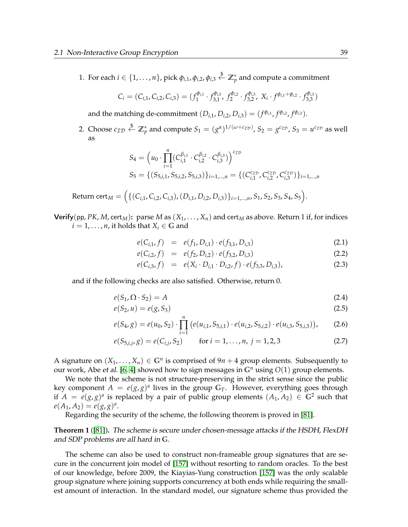1. For each  $i \in \{1,\ldots,n\}$ , pick  $\phi_{i,1}$ ,  $\phi_{i,2}$ ,  $\phi_{i,3} \stackrel{\$}{\leftarrow} \mathbb{Z}_p^*$  and compute a commitment

$$
C_i = (C_{i,1}, C_{i,2}, C_{i,3}) = (f_1^{\phi_{i,1}} \cdot f_{3,1}^{\phi_{i,3}}, f_2^{\phi_{i,2}} \cdot f_{3,2}^{\phi_{i,3}}, X_i \cdot f^{\phi_{i,1} + \phi_{i,2}} \cdot f_{3,3}^{\phi_{i,3}})
$$

and the matching de-commitment  $(D_{i,1}, D_{i,2}, D_{i,3}) = (f^{\phi_{i,1}}, f^{\phi_{i,2}}, f^{\phi_{i,3}})$ .

2. Choose  $c_{\mathcal{ID}} \stackrel{\$}{\leftarrow} \mathbb{Z}_p^*$  and compute  $S_1 = (g^{\alpha})^{1/(\omega + c_{\mathcal{ID}})}, S_2 = g^{c_{\mathcal{ID}}}$ ,  $S_3 = u^{c_{\mathcal{ID}}}$  as well as

$$
S_4 = \left(u_0 \cdot \prod_{i=1}^n (C_{i,1}^{\beta_{i,1}} \cdot C_{i,2}^{\beta_{i,2}} \cdot C_{i,3}^{\beta_{i,3}})\right)^{c_{\mathcal{ID}}} S_5 = \left\{ (S_{5,i,1}, S_{5,i,2}, S_{5,i,3}) \right\}_{i=1,\dots,n} = \left\{ (C_{i,1}^{c_{\mathcal{ID}}}, C_{i,2}^{c_{\mathcal{ID}}}, C_{i,3}^{c_{\mathcal{ID}}}) \right\}_{i=1,\dots,n}
$$

 $\text{Return cert}_M = \Big(\{(C_{i,1}, C_{i,2}, C_{i,3}), (D_{i,1}, D_{i,2}, D_{i,3})\}_{i=1,...,n}, S_1, S_2, S_3, S_4, S_5\Big).$ 

**Verify**(pp, *PK*, *M*, cert<sub>*M*</sub>): parse *M* as  $(X_1, \ldots, X_n)$  and cert<sub>*M*</sub> as above. Return 1 if, for indices  $i = 1, \ldots, n$ , it holds that  $X_i \in \mathbb{G}$  and

<span id="page-40-0"></span>
$$
e(C_{i,1}, f) = e(f_1, D_{i,1}) \cdot e(f_{3,1}, D_{i,3}) \tag{2.1}
$$

$$
e(C_{i,2}, f) = e(f_2, D_{i,2}) \cdot e(f_{3,2}, D_{i,3}) \tag{2.2}
$$

$$
e(C_{i,3}, f) = e(X_i \cdot D_{i,1} \cdot D_{i,2}, f) \cdot e(f_{3,3}, D_{i,3}), \qquad (2.3)
$$

and if the following checks are also satisfied. Otherwise, return 0.

<span id="page-40-1"></span>
$$
e(S_1, \Omega \cdot S_2) = A \tag{2.4}
$$

$$
e(S_2, u) = e(g, S_3)
$$
 (2.5)

$$
e(S_4, g) = e(u_0, S_2) \cdot \prod_{i=1}^n (e(u_{i,1}, S_{5,i,1}) \cdot e(u_{i,2}, S_{5,i,2}) \cdot e(u_{i,3}, S_{5,i,3})),
$$
 (2.6)

$$
e(S_{5,i,j}, g) = e(C_{i,j}, S_2) \qquad \text{for } i = 1, ..., n, j = 1, 2, 3
$$
 (2.7)

A signature on  $(X_1, \ldots, X_n) \in \mathbb{G}^n$  is comprised of  $9n + 4$  group elements. Subsequently to our work, Abe et al. [\[6,](#page-86-1) [4\]](#page-86-2) showed how to sign messages in **G***<sup>n</sup>* using *O*(1) group elements.

We note that the scheme is not structure-preserving in the strict sense since the public key component  $A = e(g, g)^a$  lives in the group  $G_T$ . However, everything goes through if  $A = e(g,g)^a$  is replaced by a pair of public group elements  $(A_1, A_2) \in \mathbb{G}^2$  such that  $e(A_1, A_2) = e(g, g)^a$ .

Regarding the security of the scheme, the following theorem is proved in [\[81\]](#page-91-0).

# **Theorem 1** ([\[81\]](#page-91-0))**.** The scheme is secure under chosen-message attacks if the HSDH, FlexDH and SDP problems are all hard in **G**.

The scheme can also be used to construct non-frameable group signatures that are secure in the concurrent join model of [\[157\]](#page-96-0) without resorting to random oracles. To the best of our knowledge, before 2009, the Kiayias-Yung construction [\[157\]](#page-96-0) was the only scalable group signature where joining supports concurrency at both ends while requiring the smallest amount of interaction. In the standard model, our signature scheme thus provided the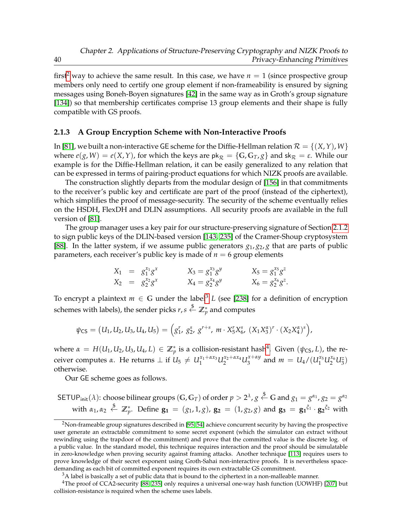first<sup>[2](#page-41-0)</sup> way to achieve the same result. In this case, we have  $n = 1$  (since prospective group members only need to certify one group element if non-frameability is ensured by signing messages using Boneh-Boyen signatures [\[42\]](#page-88-1) in the same way as in Groth's group signature [\[134\]](#page-95-3)) so that membership certificates comprise 13 group elements and their shape is fully compatible with GS proofs.

# **2.1.3 A Group Encryption Scheme with Non-Interactive Proofs**

In [\[81\]](#page-91-0), we built a non-interactive GE scheme for the Diffie-Hellman relation  $\mathcal{R} = \{(X, Y), W\}$ where  $e(g, W) = e(X, Y)$ , for which the keys are  $pk_R = \{G, G_T, g\}$  and  $sk_R = \varepsilon$ . While our example is for the Diffie-Hellman relation, it can be easily generalized to any relation that can be expressed in terms of pairing-product equations for which NIZK proofs are available.

The construction slightly departs from the modular design of [\[156\]](#page-96-1) in that commitments to the receiver's public key and certificate are part of the proof (instead of the ciphertext), which simplifies the proof of message-security. The security of the scheme eventually relies on the HSDH, FlexDH and DLIN assumptions. All security proofs are available in the full version of [\[81\]](#page-91-0).

The group manager uses a key pair for our structure-preserving signature of Section [2.1.2](#page-37-0) to sign public keys of the DLIN-based version [\[143,](#page-95-2) [235\]](#page-101-0) of the Cramer-Shoup cryptosystem [\[88\]](#page-91-1). In the latter system, if we assume public generators  $g_1, g_2, g$  that are parts of public parameters, each receiver's public key is made of  $n = 6$  group elements

$$
X_1 = g_1^{x_1} g^x
$$
  
\n
$$
X_2 = g_2^{x_2} g^x
$$
  
\n
$$
X_3 = g_1^{x_3} g^y
$$
  
\n
$$
X_4 = g_2^{x_4} g^y
$$
  
\n
$$
X_5 = g_1^{x_5} g^z
$$
  
\n
$$
X_6 = g_2^{x_6} g^z
$$

To encrypt a plaintext  $m \in \mathbb{G}$  under the label<sup>[3](#page-41-1)</sup> *L* (see [\[238\]](#page-101-1) for a definition of encryption schemes with labels), the sender picks  $r$ ,  $s \overset{\$}{\leftarrow} \mathbb{Z}_p^*$  and computes

$$
\psi_{\text{CS}} = (U_1, U_2, U_3, U_4, U_5) = (g_1^r, g_2^s, g^{r+s}, m \cdot X_5^r X_6^s, (X_1 X_3^{\alpha})^r \cdot (X_2 X_4^{\alpha})^s),
$$

where  $\alpha = H(U_1, U_2, U_3, U_4, L) \in \mathbb{Z}_p^*$  $\alpha = H(U_1, U_2, U_3, U_4, L) \in \mathbb{Z}_p^*$  $\alpha = H(U_1, U_2, U_3, U_4, L) \in \mathbb{Z}_p^*$  is a collision-resistant hash<sup>4</sup>. Given  $(\psi_{\mathsf{CS}}, L)$ , the receiver computes *α*. He returns  $\perp$  if  $U_5 \neq U_1^{x_1 + \alpha x_3} U_2^{x_2 + \alpha x_4} U_3^{x + \alpha y}$  $U_3^{x+\alpha y}$  and  $m = U_4/(U_1^{x_5}U_2^{x_6}U_3^{z})$ otherwise.

Our GE scheme goes as follows.

 $\mathsf{SETUP}_{\mathsf{init}}(\lambda)$ : choose bilinear groups  $(\mathbb{G},\mathbb{G}_T)$  of order  $p>2^\lambda$ ,  $g\overset{\$}{\leftarrow}\mathbb{G}$  and  $g_1=g^{\alpha_1}$ ,  $g_2=g^{\alpha_2}$ with  $\alpha_1, \alpha_2 \stackrel{\$}{\leftarrow} \mathbb{Z}_p^*$ . Define  $\mathbf{g_1} = (g_1, 1, g)$ ,  $\mathbf{g_2} = (1, g_2, g)$  and  $\mathbf{g_3} = \mathbf{g_1}^{\xi_1} \cdot \mathbf{g_2}^{\xi_2}$  with

<span id="page-41-0"></span><sup>&</sup>lt;sup>2</sup>Non-frameable group signatures described in [\[95,](#page-92-0) [54\]](#page-89-1) achieve concurrent security by having the prospective user generate an extractable commitment to some secret exponent (which the simulator can extract without rewinding using the trapdoor of the commitment) and prove that the committed value is the discrete log. of a public value. In the standard model, this technique requires interaction and the proof should be simulatable in zero-knowledge when proving security against framing attacks. Another technique [\[113\]](#page-93-0) requires users to prove knowledge of their secret exponent using Groth-Sahai non-interactive proofs. It is nevertheless spacedemanding as each bit of committed exponent requires its own extractable GS commitment.

<span id="page-41-2"></span><span id="page-41-1"></span> $3A$  label is basically a set of public data that is bound to the ciphertext in a non-malleable manner.

<sup>4</sup>The proof of CCA2-security [\[88,](#page-91-1) [235\]](#page-101-0) only requires a universal one-way hash function (UOWHF) [\[207\]](#page-99-0) but collision-resistance is required when the scheme uses labels.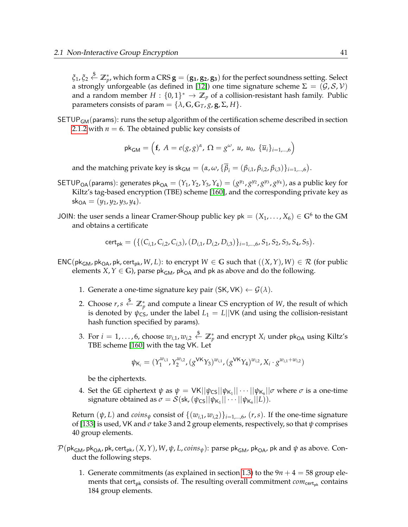*ξ*1, *ξ*<sup>2</sup> \$← **Z**<sup>∗</sup> *p* , which form a CRS **g** = (**g1**, **g2**, **g3**) for the perfect soundness setting. Select a strongly unforgeable (as defined in [\[12\]](#page-86-3)) one time signature scheme  $\Sigma = (\mathcal{G}, \mathcal{S}, \mathcal{V})$ and a random member  $H: \{0,1\}^* \to \mathbb{Z}_p$  of a collision-resistant hash family. Public parameters consists of param = { $λ$ , **G**, **G**<sub>*T*</sub>, *g*, **g**,  $Σ$ , *H*}.

SETUP<sub>GM</sub>(params): runs the setup algorithm of the certification scheme described in section [2.1.2](#page-37-0) with  $n = 6$ . The obtained public key consists of

$$
pk_{GM} = (f, A = e(g,g)^{\alpha}, \Omega = g^{\omega}, u, u_0, {\overline{u}}_i\}_{i=1,...,6})
$$

and the matching private key is sk<sub>GM</sub> =  $(\alpha, \omega, {\overline{\beta_i}} = (\beta_{i,1}, \beta_{i,2}, \beta_{i,3})\}_{i=1,\dots,6})$ .

- SETUP<sub>OA</sub>(params): generates  $pk_{OA} = (Y_1, Y_2, Y_3, Y_4) = (g^{y_1}, g^{y_2}, g^{y_3}, g^{y_4})$ , as a public key for Kiltz's tag-based encryption (TBE) scheme [\[160\]](#page-96-3), and the corresponding private key as  $sk_{OA} = (y_1, y_2, y_3, y_4).$
- JOIN: the user sends a linear Cramer-Shoup public key pk  $=(X_1,\ldots,X_6)\in\mathbb{G}^6$  to the GM and obtains a certificate

$$
\mathsf{cert}_{\mathsf{pk}} = \big(\{(C_{i,1}, C_{i,2}, C_{i,3}), (D_{i,1}, D_{i,2}, D_{i,3})\}_{i=1,\dots,6}, S_1, S_2, S_3, S_4, S_5\big).
$$

- $ENC(\mathsf{pk}_{GM}, \mathsf{pk}_{OA}, \mathsf{pk}, \mathsf{cert}_{\mathsf{pk}}, W, L)$ : to encrypt  $W \in G$  such that  $((X, Y), W) \in \mathcal{R}$  (for public elements *X*, *Y*  $\in$  **G**), parse pk<sub>GM</sub>, pk<sub>OA</sub> and pk as above and do the following.
	- 1. Generate a one-time signature key pair  $(SK, VK) \leftarrow \mathcal{G}(\lambda)$ .
	- 2. Choose  $r, s \stackrel{\$}{\leftarrow} \mathbb{Z}_p^*$  and compute a linear CS encryption of *W*, the result of which is denoted by  $\psi_{\text{CS}}$ , under the label  $L_1 = L||\nabla K$  (and using the collision-resistant hash function specified by params).
	- 3. For  $i = 1, \ldots, 6$ , choose  $w_{i,1}$ ,  $w_{i,2} \stackrel{\$}{\leftarrow} \mathbb{Z}_p^*$  and encrypt  $X_i$  under pk<sub>OA</sub> using Kiltz's TBE scheme [\[160\]](#page-96-3) with the tag VK. Let

$$
\psi_{\mathsf{K}_i} = (Y_1^{w_{i,1}}, Y_2^{w_{i,2}}, (g^{\mathsf{VK}} Y_3)^{w_{i,1}}, (g^{\mathsf{VK}} Y_4)^{w_{i,2}}, X_i \cdot g^{w_{i,1} + w_{i,2}})
$$

be the ciphertexts.

4. Set the GE ciphertext  $\psi$  as  $\psi = VK||\psi_{CS}||\psi_{K_1}||\cdots||\psi_{K_6}||\sigma$  where  $\sigma$  is a one-time  $\text{signature obtained as } \sigma = \mathcal{S}(\mathsf{sk}, (\psi_{\mathsf{CS}} || \psi_{\mathsf{K}_1} || \cdots || \psi_{\mathsf{K}_6} || L)).$ 

Return  $(\psi, L)$  and  $\text{coins}_{\psi}$  consist of  $\{(w_{i,1}, w_{i,2})\}_{i=1,\dots,6}$ ,  $(r, s)$ . If the one-time signature of [\[133\]](#page-94-0) is used, VK and *σ* take 3 and 2 group elements, respectively, so that *ψ* comprises 40 group elements.

- $P(\mathsf{pk}_{GM}, \mathsf{pk}_{OA}, \mathsf{pk}, \mathsf{cert}_{\mathsf{pk}}, (X, Y), W, \psi, L, coin s_{\psi})$ : parse  $\mathsf{pk}_{GM}$ ,  $\mathsf{pk}_{OA}$ ,  $\mathsf{pk}$  and  $\psi$  as above. Conduct the following steps.
	- 1. Generate commitments (as explained in section [1.3\)](#page-26-0) to the  $9n + 4 = 58$  group elements that cert<sub>pk</sub> consists of. The resulting overall commitment *com*<sub>cert<sub>pk</sub> contains</sub> 184 group elements.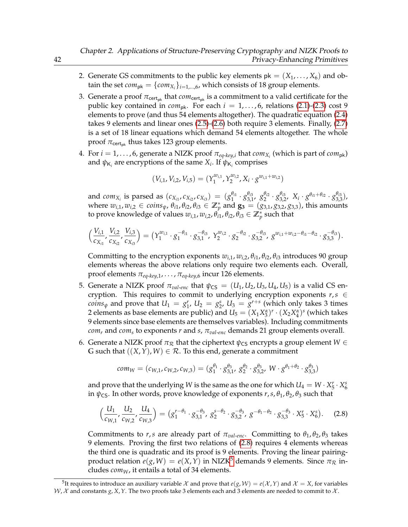- 2. Generate GS commitments to the public key elements  $pk = (X_1, \ldots, X_6)$  and obtain the set  $com_{\mathsf{pk}} = \{com_{X_i}\}_{i=1,\dots,6}$ , which consists of 18 group elements.
- 3. Generate a proof  $\pi_{\text{cert}_{nk}}$  that  $com_{\text{cert}_{nk}}$  is a commitment to a valid certificate for the public key contained in  $com_{pk}$ . For each  $i = 1, ..., 6$ , relations [\(2.1\)](#page-40-0)-[\(2.3\)](#page-40-0) cost 9 elements to prove (and thus 54 elements altogether). The quadratic equation [\(2.4\)](#page-40-1) takes 9 elements and linear ones [\(2.5\)](#page-40-1)-[\(2.6\)](#page-40-1) both require 3 elements. Finally, [\(2.7\)](#page-40-1) is a set of 18 linear equations which demand 54 elements altogether. The whole proof  $\pi_{\text{cert}_{\text{ok}}}$  thus takes 123 group elements.
- 4. For  $i = 1, \ldots, 6$ , generate a NIZK proof  $\pi_{eq\text{-}key}, i$  that  $com_{X_i}$  (which is part of  $com_{\text{pk}}$ ) and  $\psi_{\mathsf{K}_i}$  are encryptions of the same  $X_i$ . If  $\psi_{\mathsf{K}_i}$  comprises

$$
(V_{i,1}, V_{i,2}, V_{i,5}) = (Y_1^{w_{i,1}}, Y_2^{w_{i,2}}, X_i \cdot g^{w_{i,1} + w_{i,2}})
$$

and  $com_{X_i}$  is parsed as  $(c_{X_{i1}}, c_{X_{i2}}, c_{X_{i3}}) = (g_1^{\theta_{i1}} \cdot g_{3,1}^{\theta_{i3}}, g_2^{\theta_{i2}} \cdot g_{3,2}^{\theta_{i3}}, X_i \cdot g_{1}^{\theta_{i1} + \theta_{i2}} \cdot g_{3,3}^{\theta_{i3}})$ where  $w_{i,1}, w_{i,2} \in \text{coins}_{\psi}, \theta_{i1}, \theta_{i2}, \theta_{i3} \in \mathbb{Z}_p^*$  and  $\mathbf{g}_3 = (g_{3,1}, g_{3,2}, g_{3,3})$ , this amounts to prove knowledge of values  $w_{i,1}$ ,  $w_{i,2}$ ,  $\theta'_{i1}$ ,  $\theta_{i2}$ ,  $\theta_{i3} \in \mathbb{Z}_p^*$  such that

$$
\left(\frac{V_{i,1}}{c_{X_{i1}}}, \frac{V_{i,2}}{c_{X_{i2}}}, \frac{V_{i,3}}{c_{X_{i3}}}\right) = \left(\Upsilon_1^{w_{i,1}} \cdot g_1^{-\theta_{i1}} \cdot g_{3,1}^{-\theta_{i3}}, \ \Upsilon_2^{w_{i,2}} \cdot g_2^{-\theta_{i2}} \cdot g_{3,2}^{-\theta_{i3}}, \ g^{w_{i,1}+w_{i,2}-\theta_{i1}-\theta_{i2}} \cdot g_{3,3}^{-\theta_{i3}}\right).
$$

Committing to the encryption exponents  $w_{i,1}$ ,  $w_{i,2}$ ,  $\theta_{i1}$ ,  $\theta_{i2}$ ,  $\theta_{i3}$  introduces 90 group elements whereas the above relations only require two elements each. Overall, proof elements *πeq*-*key*,1, . . . , *πeq*-*key*,6 incur 126 elements.

- 5. Generate a NIZK proof  $\pi_{val\text{-}enc}$  that  $\psi_{\text{CS}} = (U_1, U_2, U_3, U_4, U_5)$  is a valid CS encryption. This requires to commit to underlying encryption exponents  $r, s \in$ *coins*<sub> $\psi$ </sub> and prove that  $U_1 = g_1^r$ ,  $U_2 = g_2^s$ ,  $U_3 = g^{r+s}$  (which only takes 3 times 2 elements as base elements are public) and  $U_5 = (X_1 X_3^{\alpha})^r \cdot (X_2 X_4^{\alpha})^s$  (which takes 9 elements since base elements are themselves variables). Including commitments *com<sub>r</sub>* and *com<sub>s</sub>* to exponents *r* and *s*,  $\pi_{val\text{-}enc}$  demands 21 group elements overall.
- 6. Generate a NIZK proof  $\pi_R$  that the ciphertext  $\psi_{\text{CS}}$  encrypts a group element  $W \in$ G such that  $((X, Y), W) \in \mathcal{R}$ . To this end, generate a commitment

$$
com_W = (c_{W,1}, c_{W,2}, c_{W,3}) = (g_1^{\theta_1} \cdot g_{3,1}^{\theta_3}, g_2^{\theta_2} \cdot g_{3,2}^{\theta_3}, W \cdot g_{1}^{\theta_1 + \theta_2} \cdot g_{3,3}^{\theta_3})
$$

and prove that the underlying *W* is the same as the one for which  $U_4 = W \cdot X_5^r \cdot X_6^s$ in  $\psi_{\text{CS}}$ . In other words, prove knowledge of exponents  $r, s, \theta_1, \theta_2, \theta_3$  such that

<span id="page-43-0"></span>
$$
\left(\frac{U_1}{c_{W,1}}, \frac{U_2}{c_{W,2}}, \frac{U_4}{c_{W,3}}\right) = \left(g_1^{r-\theta_1} \cdot g_{3,1}^{-\theta_3}, g_2^{s-\theta_2} \cdot g_{3,2}^{-\theta_3}, g^{-\theta_1-\theta_2} \cdot g_{3,3}^{-\theta_3} \cdot X_5^r \cdot X_6^s\right). \tag{2.8}
$$

Commitments to *r*,*s* are already part of  $\pi_{val\text{-}enc}$ . Committing to  $\theta_1$ ,  $\theta_2$ ,  $\theta_3$  takes 9 elements. Proving the first two relations of [\(2.8\)](#page-43-0) requires 4 elements whereas the third one is quadratic and its proof is 9 elements. Proving the linear pairingproduct relation  $e(g, W) = e(X, Y)$  in NIZK<sup>[5](#page-43-1)</sup> demands 9 elements. Since  $\pi_{\mathcal{R}}$  includes *comW*, it entails a total of 34 elements.

<span id="page-43-1"></span><sup>&</sup>lt;sup>5</sup>It requires to introduce an auxiliary variable X and prove that  $e(g, W) = e(X, Y)$  and  $X = X$ , for variables  $W, X$  and constants  $g, X, Y$ . The two proofs take 3 elements each and 3 elements are needed to commit to X.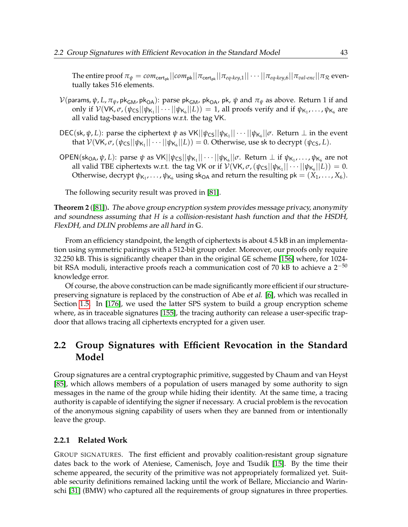The entire proof  $\pi_{\psi} = com_{\text{cert}_{\text{pk}}} ||com_{\text{pk}} || \pi_{\text{cert}_{\text{pk}}} || \pi_{eq\text{-}key,1} || \cdots || \pi_{eq\text{-}key,6} || \pi_{val\text{-}enc} || \pi_{\mathcal{R}}$  eventually takes 516 elements.

- $V$ (params, *ψ*, *L*,  $\pi_{\psi}$ , pk<sub>GM</sub>, pk<sub>OA</sub>): parse pk<sub>GM</sub>, pk<sub>OA</sub>, pk, *ψ* and  $\pi_{\psi}$  as above. Return 1 if and only if  $\mathcal{V}(\mathsf{VK},\sigma,(\psi_{\mathsf{CS}}||\psi_{\mathsf{K}_1}||\cdots||\psi_{\mathsf{K}_6}||L)) = 1$ , all proofs verify and if  $\psi_{\mathsf{K}_1},\ldots,\psi_{\mathsf{K}_6}$  are all valid tag-based encryptions w.r.t. the tag VK.
- DEC(sk,  $\psi$ , *L*): parse the ciphertext  $\psi$  as  $VK||\psi_{CS}||\psi_{K_1}||\cdots||\psi_{K_6}||\sigma$ . Return  $\perp$  in the event that  $\mathcal{V}(\mathsf{VK}, \sigma, (\psi_{\mathsf{CS}}||\psi_{\mathsf{K}_1}|| \cdots ||\psi_{\mathsf{K}_6}||L)) = 0$ . Otherwise, use sk to decrypt  $(\psi_{\mathsf{CS}}, L)$ .
- $\mathsf{OPEN}(\mathsf{sk}_{\mathsf{OA}}, \psi, L)$ : parse  $\psi$  as  $\mathsf{VK}||\psi_{\mathsf{CS}}||\psi_{\mathsf{K}_1}||\cdots||\psi_{\mathsf{K}_6}||\sigma$ . Return  $\bot$  if  $\psi_{\mathsf{K}_1},\ldots,\psi_{\mathsf{K}_6}$  are not all valid TBE ciphertexts w.r.t. the tag VK or if  $\mathcal{V}(\mathsf{VK}, \sigma,(\psi_{\mathsf{CS}}||\psi_{\mathsf{K}_1}||\cdots||\psi_{\mathsf{K}_6}||L)) = 0.$ Otherwise, decrypt  $\psi_{K_1}, \dots, \psi_{K_6}$  using sk<sub>OA</sub> and return the resulting pk =  $(X_1, \dots, X_6)$ .

The following security result was proved in [\[81\]](#page-91-0).

**Theorem 2** ([\[81\]](#page-91-0))**.** The above group encryption system provides message privacy, anonymity and soundness assuming that *H* is a collision-resistant hash function and that the HSDH, FlexDH, and DLIN problems are all hard in **G**.

From an efficiency standpoint, the length of ciphertexts is about 4.5 kB in an implementation using symmetric pairings with a 512-bit group order. Moreover, our proofs only require 32.250 kB. This is significantly cheaper than in the original GE scheme [\[156\]](#page-96-1) where, for 1024 bit RSA moduli, interactive proofs reach a communication cost of 70 kB to achieve a  $2^{-50}$ knowledge error.

Of course, the above construction can be made significantly more efficient if our structurepreserving signature is replaced by the construction of Abe et al. [\[6\]](#page-86-1), which was recalled in Section [1.5.](#page-30-0) In [\[176\]](#page-97-0), we used the latter SPS system to build a group encryption scheme where, as in traceable signatures [\[155\]](#page-96-4), the tracing authority can release a user-specific trapdoor that allows tracing all ciphertexts encrypted for a given user.

# **2.2 Group Signatures with Efficient Revocation in the Standard Model**

Group signatures are a central cryptographic primitive, suggested by Chaum and van Heyst [\[85\]](#page-91-4), which allows members of a population of users managed by some authority to sign messages in the name of the group while hiding their identity. At the same time, a tracing authority is capable of identifying the signer if necessary. A crucial problem is the revocation of the anonymous signing capability of users when they are banned from or intentionally leave the group.

# **2.2.1 Related Work**

GROUP SIGNATURES. The first efficient and provably coalition-resistant group signature dates back to the work of Ateniese, Camenisch, Joye and Tsudik [\[15\]](#page-87-0). By the time their scheme appeared, the security of the primitive was not appropriately formalized yet. Suitable security definitions remained lacking until the work of Bellare, Micciancio and Warinschi [\[31\]](#page-88-2) (BMW) who captured all the requirements of group signatures in three properties.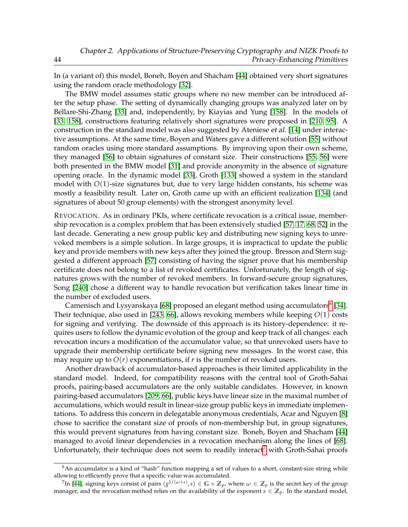In (a variant of) this model, Boneh, Boyen and Shacham [\[44\]](#page-89-2) obtained very short signatures using the random oracle methodology [\[32\]](#page-88-3).

The BMW model assumes static groups where no new member can be introduced after the setup phase. The setting of dynamically changing groups was analyzed later on by Bellare-Shi-Zhang [\[33\]](#page-88-4) and, independently, by Kiayias and Yung [\[158\]](#page-96-5). In the models of [\[33,](#page-88-4) [158\]](#page-96-5), constructions featuring relatively short signatures were proposed in [\[210,](#page-99-1) [95\]](#page-92-0). A construction in the standard model was also suggested by Ateniese et al. [\[14\]](#page-87-1) under interactive assumptions. At the same time, Boyen and Waters gave a different solution [\[55\]](#page-89-3) without random oracles using more standard assumptions. By improving upon their own scheme, they managed [\[56\]](#page-89-0) to obtain signatures of constant size. Their constructions [\[55,](#page-89-3) [56\]](#page-89-0) were both presented in the BMW model [\[31\]](#page-88-2) and provide anonymity in the absence of signature opening oracle. In the dynamic model [\[33\]](#page-88-4), Groth [\[133\]](#page-94-0) showed a system in the standard model with *O*(1)-size signatures but, due to very large hidden constants, his scheme was mostly a feasibility result. Later on, Groth came up with an efficient realization [\[134\]](#page-95-3) (and signatures of about 50 group elements) with the strongest anonymity level.

REVOCATION. As in ordinary PKIs, where certificate revocation is a critical issue, membership revocation is a complex problem that has been extensively studied [\[57,](#page-89-4) [17,](#page-87-2) [68,](#page-90-0) [52\]](#page-89-5) in the last decade. Generating a new group public key and distributing new signing keys to unrevoked members is a simple solution. In large groups, it is impractical to update the public key and provide members with new keys after they joined the group. Bresson and Stern suggested a different approach [\[57\]](#page-89-4) consisting of having the signer prove that his membership certificate does not belong to a list of revoked certificates. Unfortunately, the length of signatures grows with the number of revoked members. In forward-secure group signatures, Song [\[240\]](#page-102-0) chose a different way to handle revocation but verification takes linear time in the number of excluded users.

Camenisch and Lysyanskaya [\[68\]](#page-90-0) proposed an elegant method using accumulators $^6$  $^6$  [\[34\]](#page-88-5). Their technique, also used in [\[243,](#page-102-1) [66\]](#page-90-1), allows revoking members while keeping *O*(1) costs for signing and verifying. The downside of this approach is its history-dependence: it requires users to follow the dynamic evolution of the group and keep track of all changes: each revocation incurs a modification of the accumulator value, so that unrevoked users have to upgrade their membership certificate before signing new messages. In the worst case, this may require up to  $O(r)$  exponentiations, if r is the number of revoked users.

Another drawback of accumulator-based approaches is their limited applicability in the standard model. Indeed, for compatibility reasons with the central tool of Groth-Sahai proofs, pairing-based accumulators are the only suitable candidates. However, in known pairing-based accumulators [\[209,](#page-99-2) [66\]](#page-90-1), public keys have linear size in the maximal number of accumulations, which would result in linear-size group public keys in immediate implementations. To address this concern in delegatable anonymous credentials, Acar and Nguyen [\[8\]](#page-86-4) chose to sacrifice the constant size of proofs of non-membership but, in group signatures, this would prevent signatures from having constant size. Boneh, Boyen and Shacham [\[44\]](#page-89-2) managed to avoid linear dependencies in a revocation mechanism along the lines of [\[68\]](#page-90-0). Unfortunately, their technique does not seem to readily interact<sup>[7](#page-45-1)</sup> with Groth-Sahai proofs

<span id="page-45-0"></span> $6$ An accumulator is a kind of "hash" function mapping a set of values to a short, constant-size string while allowing to efficiently prove that a specific value was accumulated.

<span id="page-45-1"></span> $^7$ In [\[44\]](#page-89-2), signing keys consist of pairs  $(g^{1/(\omega+s)}, s) \in \mathbb{G} \times \mathbb{Z}_p$ , where  $\omega \in \mathbb{Z}_p$  is the secret key of the group manager, and the revocation method relies on the availability of the exponent  $s \in \mathbb{Z}_p$ . In the standard model,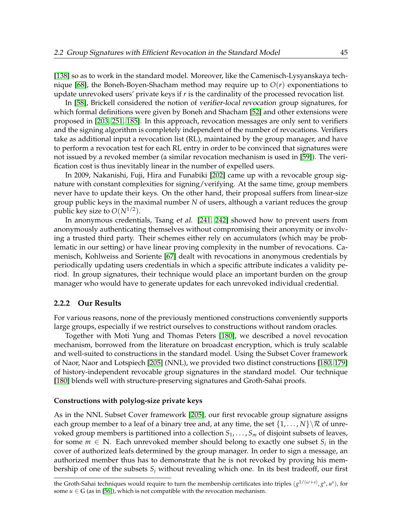[\[138\]](#page-95-0) so as to work in the standard model. Moreover, like the Camenisch-Lysyanskaya tech-nique [\[68\]](#page-90-0), the Boneh-Boyen-Shacham method may require up to  $O(r)$  exponentiations to update unrevoked users' private keys if *r* is the cardinality of the processed revocation list.

In [\[58\]](#page-89-6), Brickell considered the notion of verifier-local revocation group signatures, for which formal definitions were given by Boneh and Shacham [\[52\]](#page-89-5) and other extensions were proposed in [\[203,](#page-99-3) [251,](#page-102-2) [185\]](#page-98-0). In this approach, revocation messages are only sent to verifiers and the signing algorithm is completely independent of the number of revocations. Verifiers take as additional input a revocation list (RL), maintained by the group manager, and have to perform a revocation test for each RL entry in order to be convinced that signatures were not issued by a revoked member (a similar revocation mechanism is used in [\[59\]](#page-89-7)). The verification cost is thus inevitably linear in the number of expelled users.

In 2009, Nakanishi, Fuji, Hira and Funabiki [\[202\]](#page-99-4) came up with a revocable group signature with constant complexities for signing/verifying. At the same time, group members never have to update their keys. On the other hand, their proposal suffers from linear-size group public keys in the maximal number *N* of users, although a variant reduces the group public key size to  $O(N^{1/2})$ .

In anonymous credentials, Tsang et al. [\[241,](#page-102-3) [242\]](#page-102-4) showed how to prevent users from anonymously authenticating themselves without compromising their anonymity or involving a trusted third party. Their schemes either rely on accumulators (which may be problematic in our setting) or have linear proving complexity in the number of revocations. Camenisch, Kohlweiss and Soriente [\[67\]](#page-90-2) dealt with revocations in anonymous credentials by periodically updating users credentials in which a specific attribute indicates a validity period. In group signatures, their technique would place an important burden on the group manager who would have to generate updates for each unrevoked individual credential.

### **2.2.2 Our Results**

For various reasons, none of the previously mentioned constructions conveniently supports large groups, especially if we restrict ourselves to constructions without random oracles.

Together with Moti Yung and Thomas Peters [\[180\]](#page-98-1), we described a novel revocation mechanism, borrowed from the literature on broadcast encryption, which is truly scalable and well-suited to constructions in the standard model. Using the Subset Cover framework of Naor, Naor and Lotspiech [\[205\]](#page-99-5) (NNL), we provided two distinct constructions [\[180,](#page-98-1) [179\]](#page-98-2) of history-independent revocable group signatures in the standard model. Our technique [\[180\]](#page-98-1) blends well with structure-preserving signatures and Groth-Sahai proofs.

### **Constructions with polylog-size private keys**

As in the NNL Subset Cover framework [\[205\]](#page-99-5), our first revocable group signature assigns each group member to a leaf of a binary tree and, at any time, the set  $\{1, \ldots, N\} \setminus \mathcal{R}$  of unrevoked group members is partitioned into a collection  $S_1, \ldots, S_m$  of disjoint subsets of leaves, for some  $m \in \mathbb{N}$ . Each unrevoked member should belong to exactly one subset  $S_i$  in the cover of authorized leafs determined by the group manager. In order to sign a message, an authorized member thus has to demonstrate that he is not revoked by proving his membership of one of the subsets  $S_i$  without revealing which one. In its best tradeoff, our first

the Groth-Sahai techniques would require to turn the membership certificates into triples  $(g^{1/(\omega+s)}, g^s, u^s)$ , for some  $u \in \mathbb{G}$  (as in [\[56\]](#page-89-0)), which is not compatible with the revocation mechanism.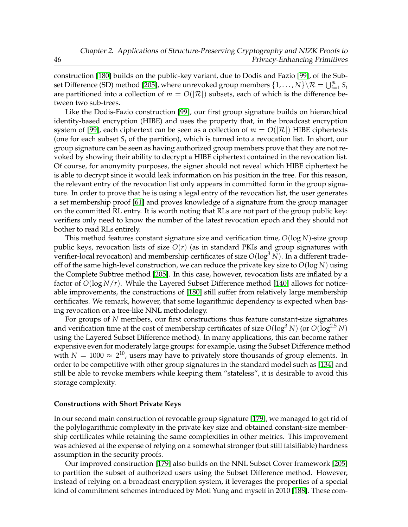construction [\[180\]](#page-98-1) builds on the public-key variant, due to Dodis and Fazio [\[99\]](#page-92-1), of the Sub-set Difference (SD) method [\[205\]](#page-99-5), where unrevoked group members  $\{1,\ldots,N\}\backslash \mathcal{R}=\bigcup_{i=1}^m S_i$ are partitioned into a collection of  $m = O(|\mathcal{R}|)$  subsets, each of which is the difference between two sub-trees.

Like the Dodis-Fazio construction [\[99\]](#page-92-1), our first group signature builds on hierarchical identity-based encryption (HIBE) and uses the property that, in the broadcast encryption system of [\[99\]](#page-92-1), each ciphertext can be seen as a collection of  $m = O(|\mathcal{R}|)$  HIBE ciphertexts (one for each subset *S<sup>i</sup>* of the partition), which is turned into a revocation list. In short, our group signature can be seen as having authorized group members prove that they are not revoked by showing their ability to decrypt a HIBE ciphertext contained in the revocation list. Of course, for anonymity purposes, the signer should not reveal which HIBE ciphertext he is able to decrypt since it would leak information on his position in the tree. For this reason, the relevant entry of the revocation list only appears in committed form in the group signature. In order to prove that he is using a legal entry of the revocation list, the user generates a set membership proof [\[61\]](#page-90-3) and proves knowledge of a signature from the group manager on the committed RL entry. It is worth noting that RLs are not part of the group public key: verifiers only need to know the number of the latest revocation epoch and they should not bother to read RLs entirely.

This method features constant signature size and verification time, *O*(log *N*)-size group public keys, revocation lists of size  $O(r)$  (as in standard PKIs and group signatures with verifier-local revocation) and membership certificates of size  $O(log^3 N)$ . In a different tradeoff of the same high-level construction, we can reduce the private key size to *O*(log *N*) using the Complete Subtree method [\[205\]](#page-99-5). In this case, however, revocation lists are inflated by a factor of *O*(log *N*/*r*). While the Layered Subset Difference method [\[140\]](#page-95-4) allows for noticeable improvements, the constructions of [\[180\]](#page-98-1) still suffer from relatively large membership certificates. We remark, however, that some logarithmic dependency is expected when basing revocation on a tree-like NNL methodology.

For groups of *N* members, our first constructions thus feature constant-size signatures and verification time at the cost of membership certificates of size  $O(log^3 N)$  (or  $O(log^{2.5} N)$ ) using the Layered Subset Difference method). In many applications, this can become rather expensive even for moderately large groups: for example, using the Subset Difference method with  $N=1000\approx 2^{10}$ , users may have to privately store thousands of group elements. In order to be competitive with other group signatures in the standard model such as [\[134\]](#page-95-3) and still be able to revoke members while keeping them "stateless", it is desirable to avoid this storage complexity.

### **Constructions with Short Private Keys**

In our second main construction of revocable group signature [\[179\]](#page-98-2), we managed to get rid of the polylogarithmic complexity in the private key size and obtained constant-size membership certificates while retaining the same complexities in other metrics. This improvement was achieved at the expense of relying on a somewhat stronger (but still falsifiable) hardness assumption in the security proofs.

Our improved construction [\[179\]](#page-98-2) also builds on the NNL Subset Cover framework [\[205\]](#page-99-5) to partition the subset of authorized users using the Subset Difference method. However, instead of relying on a broadcast encryption system, it leverages the properties of a special kind of commitment schemes introduced by Moti Yung and myself in 2010 [\[188\]](#page-98-3). These com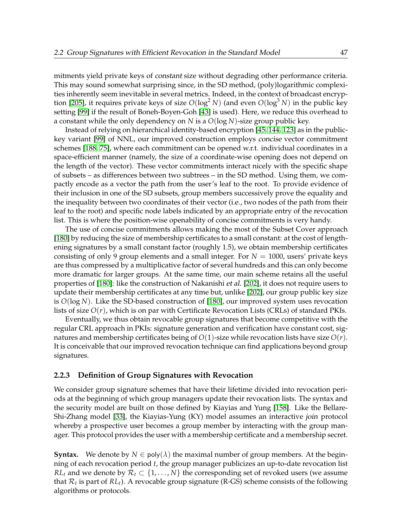mitments yield private keys of constant size without degrading other performance criteria. This may sound somewhat surprising since, in the SD method, (poly)logarithmic complexities inherently seem inevitable in several metrics. Indeed, in the context of broadcast encryp-tion [\[205\]](#page-99-5), it requires private keys of size  $O(log^2 N)$  (and even  $O(log^3 N)$  in the public key setting [\[99\]](#page-92-1) if the result of Boneh-Boyen-Goh [\[43\]](#page-88-6) is used). Here, we reduce this overhead to a constant while the only dependency on *N* is a *O*(log *N*)-size group public key.

Instead of relying on hierarchical identity-based encryption [\[45,](#page-89-8) [144,](#page-95-5) [123\]](#page-94-1) as in the publickey variant [\[99\]](#page-92-1) of NNL, our improved construction employs concise vector commitment schemes [\[188,](#page-98-3) [75\]](#page-91-5), where each commitment can be opened w.r.t. individual coordinates in a space-efficient manner (namely, the size of a coordinate-wise opening does not depend on the length of the vector). These vector commitments interact nicely with the specific shape of subsets – as differences between two subtrees – in the SD method. Using them, we compactly encode as a vector the path from the user's leaf to the root. To provide evidence of their inclusion in one of the SD subsets, group members successively prove the equality and the inequality between two coordinates of their vector (i.e., two nodes of the path from their leaf to the root) and specific node labels indicated by an appropriate entry of the revocation list. This is where the position-wise openability of concise commitments is very handy.

The use of concise commitments allows making the most of the Subset Cover approach [\[180\]](#page-98-1) by reducing the size of membership certificates to a small constant: at the cost of lengthening signatures by a small constant factor (roughly 1.5), we obtain membership certificates consisting of only 9 group elements and a small integer. For  $N = 1000$ , users' private keys are thus compressed by a multiplicative factor of several hundreds and this can only become more dramatic for larger groups. At the same time, our main scheme retains all the useful properties of [\[180\]](#page-98-1): like the construction of Nakanishi et al. [\[202\]](#page-99-4), it does not require users to update their membership certificates at any time but, unlike [\[202\]](#page-99-4), our group public key size is *O*(log *N*). Like the SD-based construction of [\[180\]](#page-98-1), our improved system uses revocation lists of size  $O(r)$ , which is on par with Certificate Revocation Lists (CRLs) of standard PKIs.

Eventually, we thus obtain revocable group signatures that become competitive with the regular CRL approach in PKIs: signature generation and verification have constant cost, signatures and membership certificates being of  $O(1)$ -size while revocation lists have size  $O(r)$ . It is conceivable that our improved revocation technique can find applications beyond group signatures.

# **2.2.3 Definition of Group Signatures with Revocation**

We consider group signature schemes that have their lifetime divided into revocation periods at the beginning of which group managers update their revocation lists. The syntax and the security model are built on those defined by Kiayias and Yung [\[158\]](#page-96-5). Like the Bellare-Shi-Zhang model [\[33\]](#page-88-4), the Kiayias-Yung (KY) model assumes an interactive join protocol whereby a prospective user becomes a group member by interacting with the group manager. This protocol provides the user with a membership certificate and a membership secret.

**Syntax.** We denote by  $N \in \text{poly}(\lambda)$  the maximal number of group members. At the beginning of each revocation period *t*, the group manager publicizes an up-to-date revocation list  $RL<sub>t</sub>$  and we denote by  $\mathcal{R}<sub>t</sub> \subset \{1,\ldots,N\}$  the corresponding set of revoked users (we assume that R*<sup>t</sup>* is part of *RLt*). A revocable group signature (R-GS) scheme consists of the following algorithms or protocols.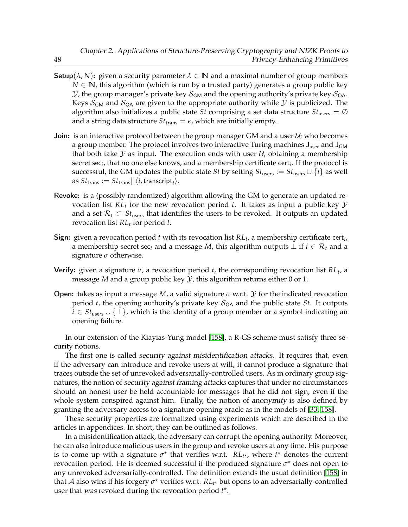- **Setup**( $\lambda$ ,  $N$ ): given a security parameter  $\lambda \in \mathbb{N}$  and a maximal number of group members  $N \in \mathbb{N}$ , this algorithm (which is run by a trusted party) generates a group public key  $\mathcal{Y}$ , the group manager's private key  $\mathcal{S}_{GM}$  and the opening authority's private key  $\mathcal{S}_{OA}$ . Keys  $S_{GM}$  and  $S_{OA}$  are given to the appropriate authority while  $Y$  is publicized. The algorithm also initializes a public state *St* comprising a set data structure  $St_{users} = \emptyset$ and a string data structure  $St_{trans} = \epsilon$ , which are initially empty.
- **Join:** is an interactive protocol between the group manager GM and a user  $\mathcal{U}_i$  who becomes a group member. The protocol involves two interactive Turing machines  $J_{user}$  and  $J_{GM}$ that both take  $\mathcal Y$  as input. The execution ends with user  $\mathcal U_i$  obtaining a membership secret sec*<sup>i</sup>* , that no one else knows, and a membership certificate cert*<sup>i</sup>* . If the protocol is successful, the GM updates the public state *St* by setting  $St_{\text{users}} := St_{\text{users}} \cup \{i\}$  as well as  $St_{\mathsf{trans}} := St_{\mathsf{trans}} || \langle i, \mathsf{transcript}_i \rangle.$
- Revoke**:** is a (possibly randomized) algorithm allowing the GM to generate an updated revocation list  $RL<sub>t</sub>$  for the new revocation period *t*. It takes as input a public key  $Y$ and a set  $\mathcal{R}_t \subset St_{users}$  that identifies the users to be revoked. It outputs an updated revocation list *RL<sup>t</sup>* for period *t*.
- Sign**:** given a revocation period *t* with its revocation list *RL<sup>t</sup>* , a membership certificate cert*<sup>i</sup>* , a membership secret sec<sub>*i*</sub> and a message M, this algorithm outputs  $\perp$  if  $i \in \mathcal{R}_t$  and a signature *σ* otherwise.
- Verify**:** given a signature *σ*, a revocation period *t*, the corresponding revocation list *RL<sup>t</sup>* , a message *M* and a group public key Y, this algorithm returns either 0 or 1.
- **Open:** takes as input a message M, a valid signature  $\sigma$  w.r.t.  $\mathcal Y$  for the indicated revocation period *t*, the opening authority's private key  $S_{OA}$  and the public state *St*. It outputs *i* ∈ *St*users ∪ {⊥}, which is the identity of a group member or a symbol indicating an opening failure.

In our extension of the Kiayias-Yung model [\[158\]](#page-96-5), a R-GS scheme must satisfy three security notions.

The first one is called security against misidentification attacks. It requires that, even if the adversary can introduce and revoke users at will, it cannot produce a signature that traces outside the set of unrevoked adversarially-controlled users. As in ordinary group signatures, the notion of security against framing attacks captures that under no circumstances should an honest user be held accountable for messages that he did not sign, even if the whole system conspired against him. Finally, the notion of anonymity is also defined by granting the adversary access to a signature opening oracle as in the models of [\[33,](#page-88-4) [158\]](#page-96-5).

These security properties are formalized using experiments which are described in the articles in appendices. In short, they can be outlined as follows.

In a misidentification attack, the adversary can corrupt the opening authority. Moreover, he can also introduce malicious users in the group and revoke users at any time. His purpose is to come up with a signature  $\sigma^*$  that verifies w.r.t.  $RL_{t^*}$ , where  $t^*$  denotes the current revocation period. He is deemed successful if the produced signature *σ* ? does not open to any unrevoked adversarially-controlled. The definition extends the usual definition [\[158\]](#page-96-5) in that *A* also wins if his forgery *σ*<sup>\*</sup> verifies w.r.t. *RL*<sub>*t*<sup>\*</sup></sub> but opens to an adversarially-controlled user that was revoked during the revocation period  $t^*$ .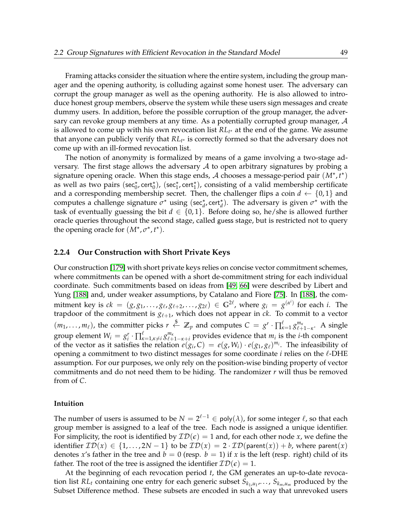Framing attacks consider the situation where the entire system, including the group manager and the opening authority, is colluding against some honest user. The adversary can corrupt the group manager as well as the opening authority. He is also allowed to introduce honest group members, observe the system while these users sign messages and create dummy users. In addition, before the possible corruption of the group manager, the adversary can revoke group members at any time. As a potentially corrupted group manager,  $\mathcal A$ is allowed to come up with his own revocation list *RL<sup>t</sup>* ? at the end of the game. We assume that anyone can publicly verify that *RL<sup>t</sup>* ? is correctly formed so that the adversary does not come up with an ill-formed revocation list.

The notion of anonymity is formalized by means of a game involving a two-stage adversary. The first stage allows the adversary  $A$  to open arbitrary signatures by probing a signature opening oracle. When this stage ends,  $\mathcal A$  chooses a message-period pair  $(M^{\star}, t^{\star})$ as well as two pairs (sec<sub>0</sub><sup>\*</sup>, cert<sub>0</sub><sup>\*</sup>), (sec<sub>1</sub><sup>\*</sup>, cert<sub>1</sub><sup>\*</sup>), consisting of a valid membership certificate and a corresponding membership secret. Then, the challenger flips a coin  $d \leftarrow \{0, 1\}$  and computes a challenge signature  $\sigma^*$  using (sec<sub>d</sub><sup>*i*</sup>, cert<sub>d</sub><sup>*i*</sup>). The adversary is given  $\sigma^*$  with the task of eventually guessing the bit  $d \in \{0,1\}$ . Before doing so, he/she is allowed further oracle queries throughout the second stage, called guess stage, but is restricted not to query the opening oracle for  $(M^{\star}, \sigma^{\star}, t^{\star})$ .

### **2.2.4 Our Construction with Short Private Keys**

Our construction [\[179\]](#page-98-2) with short private keys relies on concise vector commitment schemes, where commitments can be opened with a short de-commitment string for each individual coordinate. Such commitments based on ideas from [\[49,](#page-89-9) [66\]](#page-90-1) were described by Libert and Yung [\[188\]](#page-98-3) and, under weaker assumptions, by Catalano and Fiore [\[75\]](#page-91-5). In [\[188\]](#page-98-3), the commitment key is  $ck = (g, g_1, \ldots, g_\ell, g_{\ell+2}, \ldots, g_{2\ell}) \in \mathbb{G}^{2\ell}$ , where  $g_i = g^{(\alpha^i)}$  for each *i*. The trapdoor of the commitment is  $g_{\ell+1}$ , which does not appear in  $ck$ . To commit to a vector  $(m_1, \ldots, m_\ell)$ , the committer picks  $r \stackrel{\$}{\leftarrow} \mathbb{Z}_p$  and computes  $C = g^r \cdot \prod_{\kappa=1}^\ell g_{\ell+1}^{m_\kappa}$  $\frac{m<sub>κ</sub>}{\ell+1-\kappa}$ . A single  $\text{group element } W_i = g_i^r \cdot \prod_{k=1, k\neq i}^{\ell} g_{\ell+k}^{m_k}$  $\frac{m_k}{\ell+1-\kappa+i}$  provides evidence that  $m_i$  is the *i*-th component of the vector as it satisfies the relation  $e(g_i, C) = e(g, W_i) \cdot e(g_1, g_\ell)^{m_i}$ . The infeasibility of opening a commitment to two distinct messages for some coordinate *i* relies on the  $\ell$ -DHE assumption. For our purposes, we only rely on the position-wise binding property of vector commitments and do not need them to be hiding. The randomizer *r* will thus be removed from of *C*.

#### **Intuition**

The number of users is assumed to be  $N = 2^{\ell - 1} \in \mathsf{poly}(\lambda)$ , for some integer  $\ell$ , so that each group member is assigned to a leaf of the tree. Each node is assigned a unique identifier. For simplicity, the root is identified by  $\mathcal{ID}(\epsilon) = 1$  and, for each other node *x*, we define the identifier  $ID(x)$  ∈ {1,..., 2*N* − 1} to be  $ID(x) = 2 \cdot ID(parent(x)) + b$ , where parent(*x*) denotes x's father in the tree and  $b = 0$  (resp.  $b = 1$ ) if x is the left (resp. right) child of its father. The root of the tree is assigned the identifier  $\mathcal{ID}(\epsilon) = 1$ .

At the beginning of each revocation period *t*, the GM generates an up-to-date revocation list  $RL_t$  containing one entry for each generic subset  $S_{k_1, u_1}, \ldots, S_{k_m, u_m}$  produced by the Subset Difference method. These subsets are encoded in such a way that unrevoked users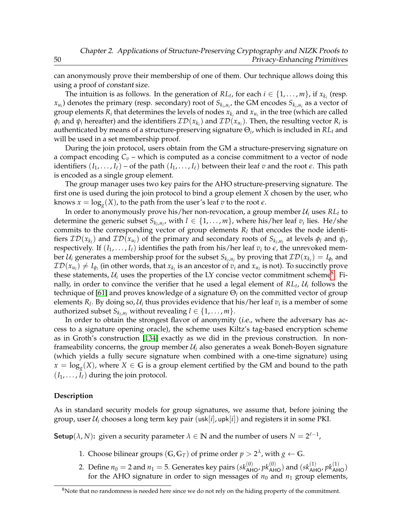can anonymously prove their membership of one of them. Our technique allows doing this using a proof of constant size.

The intuition is as follows. In the generation of  $RL_t$ , for each  $i \in \{1, \ldots, m\}$ , if  $x_{k_i}$  (resp.  $x_{u_i}$ ) denotes the primary (resp. secondary) root of  $S_{k_i,u_i}$ , the GM encodes  $S_{k_i,u_i}$  as a vector of group elements  $R_i$  that determines the levels of nodes  $x_{k_i}$  and  $x_{u_i}$  in the tree (which are called  $\phi_i$  and  $\psi_i$  hereafter) and the identifiers  $\mathcal{ID}(x_{k_i})$  and  $\mathcal{ID}(x_{u_i})$ . Then, the resulting vector  $R_i$  is authenticated by means of a structure-preserving signature Θ*<sup>i</sup>* , which is included in *RL<sup>t</sup>* and will be used in a set membership proof.

During the join protocol, users obtain from the GM a structure-preserving signature on a compact encoding  $C_v$  – which is computed as a concise commitment to a vector of node identifiers  $(I_1, \ldots, I_\ell)$  – of the path  $(I_1, \ldots, I_\ell)$  between their leaf *v* and the root  $\epsilon$ . This path is encoded as a single group element.

The group manager uses two key pairs for the AHO structure-preserving signature. The first one is used during the join protocol to bind a group element *X* chosen by the user, who knows  $x = \log_g(X)$ , to the path from the user's leaf  $v$  to the root  $\epsilon$ .

In order to anonymously prove his/her non-revocation, a group member  $U_i$  uses  $RL_t$  to determine the generic subset  $S_{k_l, u_l}$ , with  $l \in \{1, \ldots, m\}$ , where his/her leaf  $v_i$  lies. He/she commits to the corresponding vector of group elements  $R_l$  that encodes the node identifiers  $\mathcal{ID}(x_{k_l})$  and  $\mathcal{ID}(x_{u_l})$  of the primary and secondary roots of  $S_{k_l,u_l}$  at levels  $\phi_l$  and  $\psi_l$ , respectively. If  $(I_1, \ldots, I_\ell)$  identifies the path from his/her leaf  $v_i$  to  $\epsilon$ , the unrevoked member  $\mathcal{U}_i$  generates a membership proof for the subset  $S_{k_l, u_l}$  by proving that  $\mathcal{ID}(x_{k_l}) = I_{\phi_l}$  and  $\mathcal{ID}(x_{u_l}) \neq I_{\psi_l}$  (in other words, that  $x_{k_l}$  is an ancestor of  $v_i$  and  $x_{u_l}$  is not). To succinctly prove these statements,  $\mathcal{U}_i$  uses the properties of the LY concise vector commitment scheme<sup>[8](#page-51-0)</sup>. Finally, in order to convince the verifier that he used a legal element of  $RL_t$ ,  $U_i$  follows the technique of [\[61\]](#page-90-3) and proves knowledge of a signature Θ*<sup>l</sup>* on the committed vector of group elements  $R_l$ . By doing so,  $\mathcal{U}_i$  thus provides evidence that his/her leaf  $v_i$  is a member of some authorized subset  $S_{k_l, u_l}$  without revealing  $l \in \{1, \ldots, m\}$ .

In order to obtain the strongest flavor of anonymity (i.e., where the adversary has access to a signature opening oracle), the scheme uses Kiltz's tag-based encryption scheme as in Groth's construction [\[134\]](#page-95-3) exactly as we did in the previous construction. In nonframeability concerns, the group member  $\mathcal{U}_i$  also generates a weak Boneh-Boyen signature (which yields a fully secure signature when combined with a one-time signature) using  $x = \log_{g}(X)$ , where  $X \in \mathbb{G}$  is a group element certified by the GM and bound to the path  $(I_1, \ldots, I_\ell)$  during the join protocol.

### **Description**

As in standard security models for group signatures, we assume that, before joining the group, user  $U_i$  chooses a long term key pair (usk[*i*], upk[*i*]) and registers it in some PKI.

**Setup**( $\lambda$ ,  $N$ ): given a security parameter  $\lambda \in \mathbb{N}$  and the number of users  $N = 2^{\ell-1}$ ,

- 1. Choose bilinear groups  $(G, G_T)$  of prime order  $p > 2^{\lambda}$ , with  $g \leftarrow G$ .
- 2. Define  $n_0 = 2$  and  $n_1 = 5$ . Generates key pairs  $(s k_{\text{AHO}}^{(0)}, p k_{\text{AHO}}^{(0)})$  and  $(s k_{\text{AHO}}^{(1)}, p k_{\text{AHO}}^{(1)})$ for the AHO signature in order to sign messages of  $n_0$  and  $n_1$  group elements,

<span id="page-51-0"></span><sup>&</sup>lt;sup>8</sup>Note that no randomness is needed here since we do not rely on the hiding property of the commitment.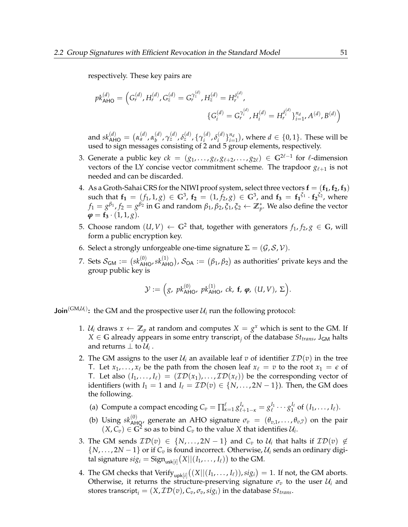respectively. These key pairs are

$$
pk_{\mathsf{AHO}}^{(d)} = \left(G_r^{(d)}, H_r^{(d)}, G_z^{(d)} = G_r^{\gamma_z^{(d)}}, H_z^{(d)} = H_r^{\delta_z^{(d)}},
$$

$$
\{G_i^{(d)} = G_r^{\gamma_i^{(d)}}, H_i^{(d)} = H_r^{\delta_i^{(d)}}\}_{i=1}^{n_d}, A^{(d)}, B^{(d)}\right)
$$

and  $sk_{\text{AHO}}^{(d)} = (\alpha_a^{(d)}, \alpha_b^{(d)})$ *b* , *γ* (*d*) *z* , *δ* (*d*) *z* , {*γ* (*d*)  $\delta_i^{(d)}$ ,  $\delta_i^{(d)}$  $\binom{d}{i}$   $\sum_{i=1}^{n_d}$  $\binom{n_d}{i=1}$ , where  $d \in \{0,1\}$ . These will be used to sign messages consisting of 2 and 5 group elements, respectively.

- 3. Generate a public key  $ck = (g_1, \ldots, g_\ell, g_{\ell+2}, \ldots, g_{2\ell}) \in \mathbb{G}^{2\ell-1}$  for  $\ell$ -dimension vectors of the LY concise vector commitment scheme. The trapdoor  $g_{\ell+1}$  is not needed and can be discarded.
- 4. As a Groth-Sahai CRS for the NIWI proof system, select three vectors  $f = (f_1, f_2, f_3)$ such that  $f_1 = (f_1, 1, g) \in \mathbb{G}^3$ ,  $f_2 = (1, f_2, g) \in \mathbb{G}^3$ , and  $f_3 = f_1^{\xi_1} \cdot f_2^{\xi_2}$ , where  $f_1 = g^{\beta_1}$ ,  $f_2 = g^{\beta_2}$  in G and random  $\beta_1$ ,  $\beta_2$ ,  $\zeta_1$ ,  $\zeta_2 \leftarrow \mathbb{Z}_p^*$ . We also define the vector  $\varphi = f_3 \cdot (1, 1, g).$
- 5. Choose random  $(U, V) \leftarrow G^2$  that, together with generators  $f_1, f_2, g \in G$ , will form a public encryption key.
- 6. Select a strongly unforgeable one-time signature  $\Sigma = (G, S, V)$ .
- 7. Sets  $\mathcal{S}_{GM} := (sk_{\text{AHO}}^{(0)}, sk_{\text{AHO}}^{(1)}), \mathcal{S}_{\text{OA}} := (\beta_1, \beta_2)$  as authorities' private keys and the group public key is

$$
\mathcal{Y} := \left(g, \; pk_{\text{AHO}}^{(0)}, \; pk_{\text{AHO}}^{(1)}, \; ck, \; f, \; \varphi, \; (U, V), \; \Sigma\right).
$$

 $\mathsf{Join}^{(\mathrm{GM},\mathcal{U}_i)}$ : the GM and the prospective user  $\mathcal{U}_i$  run the following protocol:

- 1.  $U_i$  draws  $x \leftarrow \mathbb{Z}_p$  at random and computes  $X = g^x$  which is sent to the GM. If  $X \in \mathbb{G}$  already appears in some entry transcript<sub>i</sub> of the database  $St_{trans}$ , J<sub>GM</sub> halts and returns  $\perp$  to  $\mathcal{U}_i$  .
- 2. The GM assigns to the user  $U_i$  an available leaf *v* of identifier  $\mathcal{ID}(v)$  in the tree T. Let  $x_1, \ldots, x_\ell$  be the path from the chosen leaf  $x_\ell = v$  to the root  $x_1 = \epsilon$  of T. Let also  $(I_1, \ldots, I_\ell) = (\mathcal{ID}(x_1), \ldots, \mathcal{ID}(x_\ell))$  be the corresponding vector of identifiers (with  $I_1 = 1$  and  $I_\ell = \mathcal{ID}(v) \in \{N, \ldots, 2N - 1\}$ ). Then, the GM does the following.
	- (a) Compute a compact encoding  $C_v = \prod_{k=1}^{\ell} g_{\ell+1-k}^{I_k} = g_{\ell}^{I_1} \cdots g_1^{I_{\ell}}$  $I_{1}^{I_{\ell}}$  of  $(I_{1},...,I_{\ell}).$
	- (b) Using  $sk_{AHQ}^{(0)}$ , generate an AHO signature  $\sigma_v = (\theta_{v,1}, \ldots, \theta_{v,7})$  on the pair  $(X, C_v) \in \mathbb{G}^2$  so as to bind  $C_v$  to the value *X* that identifies  $\mathcal{U}_i$ .
- 3. The GM sends  $\mathcal{ID}(v) \in \{N, \ldots, 2N-1\}$  and  $C_v$  to  $\mathcal{U}_i$  that halts if  $\mathcal{ID}(v) \notin$ {*N*, . . . , 2*N* − 1} or if *C<sup>v</sup>* is found incorrect. Otherwise, U*<sup>i</sup>* sends an ordinary digital signature  $sig_i = \text{Sign}_{\text{usk}[i]}(X || (I_1, \ldots, I_\ell))$  to the GM.
- 4. The GM checks that  $Verify_{upk[i]}((X||(I_1, \ldots, I_\ell)), sig_i) = 1$ . If not, the GM aborts. Otherwise, it returns the structure-preserving signature  $\sigma_v$  to the user  $\mathcal{U}_i$  and stores transcript<sub>*i*</sub> =  $(X, \mathcal{ID}(v), C_v, \sigma_v, sig_i)$  in the database  $St_{trans}$ .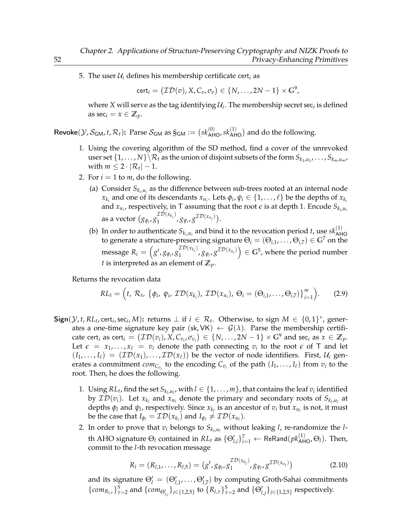5. The user  $U_i$  defines his membership certificate cert<sub>*i*</sub> as

$$
\operatorname{\sf cert}_i=\bigl(\mathcal{ID}(v),X,\mathcal{C}_v,\sigma_v\bigr)\in\{N,\dots,2N-1\}\times\mathbb{G}^9,
$$

where  $X$  will serve as the tag identifying  $\mathcal{U}_i$ . The membership secret sec<sub>i</sub> is defined as  $\sec_i = x \in \mathbb{Z}_p$ .

 $\mathsf{Revolke}(\mathcal{Y},\mathcal{S}_{\mathsf{GM}},t,\mathcal{R}_t)$ : Parse  $\mathcal{S}_{\mathsf{GM}}$  as  $\S_{\mathsf{GM}}:=(sk_{\mathsf{AHO}}^{(0)},sk_{\mathsf{AHO}}^{(1)})$  and do the following.

- 1. Using the covering algorithm of the SD method, find a cover of the unrevoked user set  $\{1,\ldots,N\}\setminus\mathcal{R}_t$  as the union of disjoint subsets of the form  $S_{k_1, u_1},\ldots, S_{k_m, u_m}$ , with  $m \leq 2 \cdot |\mathcal{R}_t| - 1$ .
- 2. For  $i = 1$  to  $m$ , do the following.
	- (a) Consider  $S_{k_i, u_i}$  as the difference between sub-trees rooted at an internal node  $x_{k_i}$  and one of its descendants  $x_{u_i}$ . Lets  $\phi_i$ ,  $\psi_i \in \{1, \ldots, \ell\}$  be the depths of  $x_{k_i}$ and  $x_{u_i}$ , respectively, in T assuming that the root  $\epsilon$  is at depth 1. Encode  $S_{k_i,u_i}$ as a vector  $(g_{\phi_i}, g_1^{\mathcal{ID}(x_{k_i})})$  $\frac{1}{1}D(x_{k_i})$ ,  $g_{\psi_i}, g^{\mathcal{ID}(x_{u_i})}$ .
	- (b) In order to authenticate  $S_{k_i, u_i}$  and bind it to the revocation period *t*, use  $sk_{\text{AHO}}^{(1)}$  to generate a structure-preserving signature  $\Theta_i = (\Theta_{i,1}, \dots, \Theta_{i,7}) \in \mathbb{G}^7$  on the message  $R_i = \left(g^t, g_{\phi_i}, g_1^{\mathcal{ID}(x_{k_i})}\right)$  $\left(\frac{\mathcal{ID}(x_{k_i})}{1}, g_{\psi_i}, g^{\mathcal{ID}(x_{u_i})}\right) \in \mathbb{G}^5$ , where the period number *t* is interpreted as an element of  $\mathbb{Z}_p$ .

Returns the revocation data

$$
RL_t = \left(t, \mathcal{R}_t, \{\phi_i, \psi_i, \mathcal{ID}(x_{k_i}), \mathcal{ID}(x_{u_i}), \Theta_i = (\Theta_{i,1}, \ldots, \Theta_{i,7})\}_{i=1}^m\right).
$$
 (2.9)

- Sign( $\mathcal{Y}, t, RL_t$ , cert<sub>i</sub>, sec<sub>i</sub>, M): returns  $\perp$  if  $i \in \mathcal{R}_t$ . Otherwise, to sign  $M \in \{0,1\}^*$ , generates a one-time signature key pair (sk, VK)  $\leftarrow \mathcal{G}(\lambda)$ . Parse the membership certifi- $\text{cate cert}_i \text{ as } \text{cert}_i = \bigl( \mathcal{ID}(v_i), X, C_{v_i}, \sigma_{v_i} \bigr) \in \{N, \dots, 2N-1\} \times \mathbb{G}^9 \text{ and } \text{sec}_i \text{ as } x \in \mathbb{Z}_p.$ Let  $\epsilon = x_1, \ldots, x_\ell = v_i$  denote the path connecting  $v_i$  to the root  $\epsilon$  of T and let  $(I_1, \ldots, I_\ell) = (\mathcal{ID}(x_1), \ldots, \mathcal{ID}(x_\ell))$  be the vector of node identifiers. First,  $\mathcal{U}_i$  generates a commitment *com*<sub>*C*<sup>*v<sub>i</sub>*</sub> to the encoding *C*<sub>*v<sub>i</sub>*</sub> of the path  $(I_1, \ldots, I_\ell)$  from *v<sub>i</sub>* to the</sub></sup> root. Then, he does the following.
	- 1. Using  $RL_t$ , find the set  $S_{k_l, u_l}$ , with  $l \in \{1, \ldots, m\}$ , that contains the leaf  $v_i$  identified by  $\mathcal{ID}(v_i)$ . Let  $x_{k_l}$  and  $x_{u_l}$  denote the primary and secondary roots of  $S_{k_l, u_l}$  at depths  $\phi_l$  and  $\psi_l$ , respectively. Since  $x_{k_l}$  is an ancestor of  $v_i$  but  $x_{u_l}$  is not, it must be the case that  $I_{\phi_l} = \mathcal{ID}(x_{k_l})$  and  $I_{\psi_l} \neq \mathcal{ID}(x_{u_l}).$
	- 2. In order to prove that  $v_i$  belongs to  $S_{k_l, u_l}$  without leaking *l*, re-randomize the *l*th AHO signature  $\Theta_l$  contained in  $RL_t$  as  $\{\Theta_{l,i}'\}_{i=1}^7 \leftarrow \mathsf{ReRand}(pk_{\mathsf{AHO}}^{(1)},\Theta_l).$  Then, commit to the *l*-th revocation message

<span id="page-53-0"></span>
$$
R_l = (R_{l,1},\ldots,R_{l,5}) = (g^t, g_{\phi_l}, g_1^{\mathcal{ID}(x_{k_l})}, g_{\psi_l}, g^{\mathcal{ID}(x_{u_l})})
$$
(2.10)

and its signature  $\Theta'_{l} = (\Theta'_{l,1}, \ldots, \Theta'_{l,7})$  by computing Groth-Sahai commitments  $\{com_{R_{l,\tau}}\}_{\tau=2}^5$  and  $\{com_{\Theta'_{l,j}}\}_{j\in\{1,2,5\}}$  to  $\{R_{l,\tau}\}_{\tau=2}^5$  and  $\{\Theta'_{l,j}\}_{j\in\{1,2,5\}}$  respectively.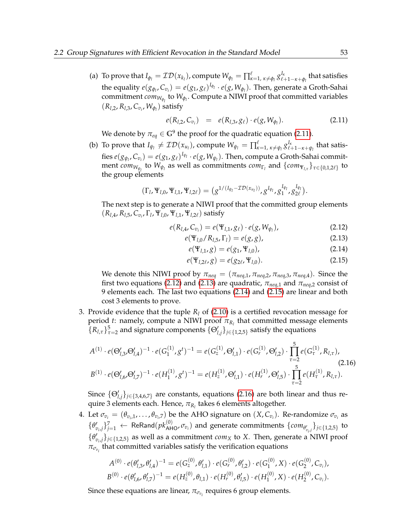(a) To prove that  $I_{\phi_l} = \mathcal{ID}(x_{k_l})$ , compute  $W_{\phi_l} = \prod_{\kappa=1, \; \kappa \neq \phi_l}^{\ell} g_{\ell}^{I_{\kappa}}$ `+1−*κ*+*φ<sup>l</sup>* that satisfies the equality  $e(g_{\phi_l},C_{v_i})=e(g_1,g_{\ell})^{I_{\phi_l}}\cdot e(g,W_{\phi_l}).$  Then, generate a Groth-Sahai  $\epsilon$  commitment  $\mathit{com}_{W_{\phi_l}}$  to  $W_{\phi_l}.$  Compute a NIWI proof that committed variables  $(R_{l,2}, R_{l,3}, C_{v_i}, W_{\phi_l})$  satisfy

<span id="page-54-0"></span>
$$
e(R_{l,2}, C_{v_i}) = e(R_{l,3}, g_{\ell}) \cdot e(g, W_{\phi_l}). \qquad (2.11)
$$

We denote by  $\pi_{eq} \in \mathbb{G}^9$  the proof for the quadratic equation [\(2.11\)](#page-54-0).

(b) To prove that  $I_{\psi_l} \neq \mathcal{ID}(x_{u_l})$ , compute  $W_{\psi_l} = \prod_{\kappa=1, \; \kappa \neq \psi_l}^{\ell} g_{\ell}^{I_{\kappa}}$ `+1−*κ*+*ψ<sup>l</sup>* that satis $f$ ies  $e(g_{\psi_l},C_{v_i})=e(g_1,g_\ell)^{I_{\psi_l}}\cdot e(g,W_{\psi_l}).$  Then, compute a Groth-Sahai commitment  $com_{W_{\psi_l}}$  to  $W_{\psi_l}$  as well as commitments  $com_{\Gamma_l}$  and  $\{com_{\Psi_{l,\tau}}\}_{\tau \in \{0,1,2\ell\}}$  to the group elements

$$
(\Gamma_l, \Psi_{l,0}, \Psi_{l,1}, \Psi_{l,2\ell}) = (g^{1/(I_{\psi_l} - \mathcal{ID}(x_{u_l}))}, g^{I_{\psi_l}}, g_1^{I_{\psi_l}}, g_2^{I_{\psi_l}}).
$$

The next step is to generate a NIWI proof that the committed group elements (*Rl*,4, *Rl*,5, *Cv<sup>i</sup>* , Γ*<sup>l</sup>* , Ψ*l*,0, Ψ*l*,1, Ψ*l*,2`) satisfy

<span id="page-54-1"></span>
$$
e(R_{l,4}, C_{v_i}) = e(\Psi_{l,1}, g_{\ell}) \cdot e(g, W_{\psi_l}), \qquad (2.12)
$$

$$
e(\Psi_{l,0}/R_{l,5},\Gamma_l)=e(g,g), \qquad (2.13)
$$

$$
e(\Psi_{l,1}, g) = e(g_1, \Psi_{l,0}), \tag{2.14}
$$

$$
e(\Psi_{l,2\ell},g) = e(g_{2\ell}, \Psi_{l,0}).
$$
\n(2.15)

We denote this NIWI proof by  $\pi_{neq} = (\pi_{neq,1}, \pi_{neq,2}, \pi_{neq,3}, \pi_{neq,4})$ . Since the first two equations [\(2.12\)](#page-54-1) and [\(2.13\)](#page-54-1) are quadratic,  $\pi_{neq,1}$  and  $\pi_{neq,2}$  consist of 9 elements each. The last two equations [\(2.14\)](#page-54-1) and [\(2.15\)](#page-54-1) are linear and both cost 3 elements to prove.

3. Provide evidence that the tuple  $R_l$  of [\(2.10\)](#page-53-0) is a certified revocation message for period *t*: namely, compute a NIWI proof  $\pi_{R_l}$  that committed message elements  ${R_{l,\tau}}_{\tau=2}^5$  and signature components  ${\{\Theta'_{l,j}\}_{j\in\{1,2,5\}}}$  satisfy the equations

<span id="page-54-2"></span>
$$
A^{(1)} \cdot e(\Theta'_{l,3}, \Theta'_{l,4})^{-1} \cdot e(G_1^{(1)}, g^t)^{-1} = e(G_z^{(1)}, \Theta'_{l,1}) \cdot e(G_r^{(1)}, \Theta'_{l,2}) \cdot \prod_{\tau=2}^5 e(G_\tau^{(1)}, R_{l,\tau}),
$$
\n
$$
B^{(1)} \cdot e(\Theta'_{l,6}, \Theta'_{l,7})^{-1} \cdot e(H_1^{(1)}, g^t)^{-1} = e(H_z^{(1)}, \Theta'_{l,1}) \cdot e(H_r^{(1)}, \Theta'_{l,5}) \cdot \prod_{\tau=2}^5 e(H_\tau^{(1)}, R_{l,\tau}).
$$
\n(2.16)

Since  $\{\Theta'_{l,j}\}_{j\in\{3,4,6,7\}}$  are constants, equations [\(2.16\)](#page-54-2) are both linear and thus require 3 elements each. Hence, *πR<sup>l</sup>* takes 6 elements altogether.

4. Let  $\sigma_{v_i} = (\theta_{v_i,1}, \ldots, \theta_{v_i,7})$  be the AHO signature on  $(X, C_{v_i})$ . Re-randomize  $\sigma_{v_i}$  as  $\{\theta'_{\iota}$  $\{f_{v_i,j}\}_{j=1}^7$  ← ReRand $(\mathit{pk}_{\mathsf{AHO}}^{(0)}, \sigma_{v_i})$  and generate commitments  $\{\mathit{com}_{\theta'_{v_i,j}}\}_{j\in\{1,2,5\}}$  to  $\{\theta'_{\tilde{i}}$ *vi* ,*j* }*j*∈{1,2,5} as well as a commitment *com<sup>X</sup>* to *X*. Then, generate a NIWI proof  $\pi_{\sigma_{v_i}}$  that committed variables satisfy the verification equations

$$
A^{(0)} \cdot e(\theta'_{l,3}, \theta'_{l,4})^{-1} = e(G_z^{(0)}, \theta'_{l,1}) \cdot e(G_r^{(0)}, \theta'_{l,2}) \cdot e(G_1^{(0)}, X) \cdot e(G_2^{(0)}, C_{v_i}),
$$
  

$$
B^{(0)} \cdot e(\theta'_{l,6}, \theta'_{l,7})^{-1} = e(H_z^{(0)}, \theta_{l,1}) \cdot e(H_r^{(0)}, \theta'_{l,5}) \cdot e(H_1^{(0)}, X) \cdot e(H_2^{(0)}, C_{v_i}).
$$

Since these equations are linear,  $\pi_{\sigma_{v_i}}$  requires 6 group elements.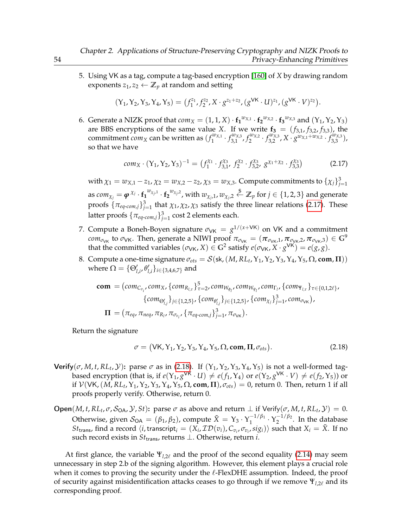5. Using VK as a tag, compute a tag-based encryption [\[160\]](#page-96-3) of *X* by drawing random exponents  $z_1, z_2 \leftarrow \mathbb{Z}_p$  at random and setting

$$
(Y_1, Y_2, Y_3, Y_4, Y_5) = (f_1^{z_1}, f_2^{z_2}, X \cdot g^{z_1+z_2}, (g^{VK} \cdot U)^{z_1}, (g^{VK} \cdot V)^{z_2}).
$$

6. Generate a NIZK proof that  $com_X = (1, 1, X) \cdot f_1^{w_{X,1}} \cdot f_2^{w_{X,2}} \cdot f_3^{w_{X,3}}$  and  $(Y_1, Y_2, Y_3)$ are BBS encryptions of the same value *X*. If we write  $f_3 = (f_{3,1}, f_{3,2}, f_{3,3})$ , the commitment *com*<sub>*X*</sub> can be written as  $(f_1^{w_{X,1}})$  $\int_{1}^{w_{X,1}} \cdot f_{3,1}^{w_{X,3}}$ ,  $f_{2}^{w_{X,2}}$  $f_{3,2}^{w_{X,3}} \cdot f_{3,2}^{w_{X,3}}$ ,  $X \cdot g_{w_{X,1} + w_{X,2}} \cdot f_{3,3}^{w_{X,3}}$ ), so that we have

<span id="page-55-0"></span>
$$
com_X \cdot (\Upsilon_1, \Upsilon_2, \Upsilon_3)^{-1} = (f_1^{\chi_1} \cdot f_{3,1}^{\chi_3}, f_2^{\chi_2} \cdot f_{3,2}^{\chi_3}, g^{\chi_1 + \chi_2} \cdot f_{3,3}^{\chi_3})
$$
(2.17)

with  $\chi_1 = w_{X,1} - z_1$ ,  $\chi_2 = w_{X,2} - z_2$ ,  $\chi_3 = w_{X,3}$ . Compute commitments to  $\{\chi_j\}_{j=1}^3$ as  $\mathit{com}_{\chi_j} = \pmb{\varphi}^{\chi_j} \cdot {\mathbf{f_1}}^{w_{\chi_j,1}} \cdot {\mathbf{f_2}}^{w_{\chi_j,2}},$  with  $w_{\chi_j,1}, w_{\chi_j,2} \overset{\hspace{0.1em}\mathsf{\scriptscriptstyle\$}}{\leftarrow} \mathbb{Z}_p$  for  $j \in \{1,2,3\}$  and generate proofs  $\{\pi_{eq\text{-}com,j}\}_{j=1}^3$  that  $\chi_1$ ,  $\chi_2$ ,  $\chi_3$  satisfy the three linear relations [\(2.17\)](#page-55-0). These latter proofs  $\{\pi_{eq\text{-}com,j}\}_{j=1}^3$  cost 2 elements each.

- 7. Compute a Boneh-Boyen signature  $\sigma_{\mathsf{VK}} = g^{1/(x+\mathsf{VK})}$  on VK and a commitment  $com_{\sigma_{\sf VK}}$  to  $\sigma_{\sf VK}$ . Then, generate a NIWI proof  $\pi_{\sigma_{\sf VK}}=(\pi_{\sigma_{\sf VK},1},\pi_{\sigma_{\sf VK},2},\pi_{\sigma_{\sf VK},3})\in\mathbb{G}^9$ that the committed variables  $(\sigma_{\mathsf{VK}}, X) \in \mathbb{G}^2$  satisfy  $e(\sigma_{\mathsf{VK}}, X \cdot g^{\mathsf{VK}}) = e(g, g)$ .
- 8. Compute a one-time signature  $\sigma_{obs} = S$ (sk, (*M*, *RL*<sub>*t*</sub>, Y<sub>1</sub>, Y<sub>2</sub>, Y<sub>3</sub>, Y<sub>4</sub>, Y<sub>5</sub>, Q, com, **Π**)) where  $\Omega = \{\Theta'_{l,i}, \theta'_{l}\}$ *l*,*i* }*i*∈{3,4,6,7} and

$$
\mathbf{com} = (com_{C_{v_i}}, com_X, \{com_{R_{l,\tau}}\}_{\tau=2}^5, com_{W_{\phi_l}}, com_{W_{\psi_l}}, com_{\Gamma_{l}}, \{com_{\Psi_{l,\tau}}\}_{\tau \in \{0,1,2\ell\}},\
$$

$$
\{com_{\Theta'_{l,j}}\}_{j\in \{1,2,5\}}, \{com_{\theta'_{l,j}}\}_{j\in \{1,2,5\}}, \{com_{\chi_j}\}_{j=1}^3, com_{\sigma_{\mathsf{VK}}}),
$$

$$
\Pi = (\pi_{eq}, \pi_{neq}, \pi_{R_l}, \pi_{\sigma_{v_i}}, \{\pi_{eq\text{-}com,j}\}_{j=1}^3, \pi_{\sigma_{\mathsf{VK}}}).
$$

Return the signature

<span id="page-55-1"></span>
$$
\sigma = (VK, Y_1, Y_2, Y_3, Y_4, Y_5, \Omega, \text{com}, \Pi, \sigma_{\text{obs}}).
$$
\n(2.18)

- Verify( $\sigma$ , *M*, *t*, *RL*<sub>*t*</sub>,  $\mathcal{Y}$ ): parse  $\sigma$  as in [\(2.18\)](#page-55-1). If (Y<sub>1</sub>, Y<sub>2</sub>, Y<sub>3</sub>, Y<sub>4</sub>, Y<sub>5</sub>) is not a well-formed tagbased encryption (that is, if  $e(Y_1, g^{VK} \cdot U) \neq e(f_1, Y_4)$  or  $e(Y_2, g^{VK} \cdot V) \neq e(f_2, Y_5)$ ) or if  $\mathcal{V}(\mathsf{VK},(M,RL_t,Y_1,Y_2,Y_3,Y_4,Y_5,\Omega,\mathbf{com},\Pi),\sigma_{obs})=0$ , return 0. Then, return 1 if all proofs properly verify. Otherwise, return 0.
- $\mathsf{Open}(M, t, RL_t, \sigma, \mathcal{S}_{OA}, \mathcal{Y}, St)$ : parse  $\sigma$  as above and return  $\perp$  if  $\mathsf{Verify}(\sigma, M, t, RL_t, \mathcal{Y}) = 0$ . Otherwise, given  $\mathcal{S}_{OA} = (\beta_1, \beta_2)$ , compute  $\tilde{X} = Y_3 \cdot Y_1^{-1/\beta_1}$  $\frac{-1/\beta_1}{1} \cdot \Upsilon_2^{-1/\beta_2}$  $2^{1/P_2}$ . In the database  $St_{\text{trans}}$ , find a record  $\langle i, \text{transcript}_i = (X_i, \mathcal{ID}(v_i), C_{v_i}, \sigma_{v_i}, sig_i) \rangle$  such that  $X_i = \tilde{X}$ . If no such record exists in *St*trans, returns ⊥. Otherwise, return *i*.

At first glance, the variable  $\Psi_{l,2\ell}$  and the proof of the second equality [\(2.14\)](#page-54-1) may seem unnecessary in step 2.b of the signing algorithm. However, this element plays a crucial role when it comes to proving the security under the  $\ell$ -FlexDHE assumption. Indeed, the proof of security against misidentification attacks ceases to go through if we remove Ψ*l*,2` and its corresponding proof.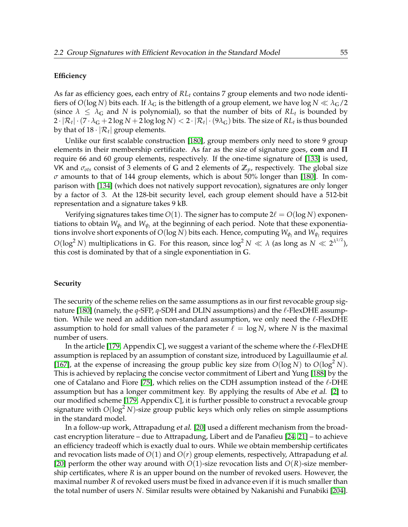### **Efficiency**

As far as efficiency goes, each entry of *RL<sup>t</sup>* contains 7 group elements and two node identifiers of  $O(\log N)$  bits each. If  $\lambda_G$  is the bitlength of a group element, we have  $\log N \ll \lambda_G/2$ (since  $\lambda \leq \lambda_G$  and N is polynomial), so that the number of bits of  $RL_t$  is bounded by  $2\cdot |\mathcal{R}_t|\cdot(7\cdot\lambda_\mathrm{G}+2\log N+2\log\log N)< 2\cdot |\mathcal{R}_t|\cdot(9\lambda_\mathrm{G})$  bits. The size of  $RL_t$  is thus bounded by that of  $18 \cdot |{\cal R}_t|$  group elements.

Unlike our first scalable construction [\[180\]](#page-98-1), group members only need to store 9 group elements in their membership certificate. As far as the size of signature goes, **com** and **Π** require 66 and 60 group elements, respectively. If the one-time signature of [\[133\]](#page-94-0) is used, VK and *σots* consist of 3 elements of **G** and 2 elements of **Z***p*, respectively. The global size  $\sigma$  amounts to that of 144 group elements, which is about 50% longer than [\[180\]](#page-98-1). In comparison with [\[134\]](#page-95-3) (which does not natively support revocation), signatures are only longer by a factor of 3. At the 128-bit security level, each group element should have a 512-bit representation and a signature takes 9 kB.

Verifying signatures takes time  $O(1)$ . The signer has to compute  $2\ell = O(\log N)$  exponentiations to obtain  $W_{\phi_l}$  and  $W_{\psi_l}$  at the beginning of each period. Note that these exponentiations involve short exponents of  $O(\log N)$  bits each. Hence, computing  $W_{\phi_l}$  and  $W_{\psi_l}$  requires  $O(\log^2 N)$  multiplications in G. For this reason, since  $\log^2 N \ll \lambda$  (as long as  $N \ll 2^{\lambda^{1/2}}$ ), this cost is dominated by that of a single exponentiation in **G**.

### **Security**

The security of the scheme relies on the same assumptions as in our first revocable group sig-nature [\[180\]](#page-98-1) (namely, the  $q$ -SFP,  $q$ -SDH and DLIN assumptions) and the  $\ell$ -FlexDHE assumption. While we need an addition non-standard assumption, we only need the  $\ell$ -FlexDHE assumption to hold for small values of the parameter  $\ell = \log N$ , where *N* is the maximal number of users.

In the article [\[179,](#page-98-2) Appendix C], we suggest a variant of the scheme where the  $\ell$ -FlexDHE assumption is replaced by an assumption of constant size, introduced by Laguillaumie et al. [\[167\]](#page-97-1), at the expense of increasing the group public key size from  $O(log N)$  to  $O(log^2 N)$ . This is achieved by replacing the concise vector commitment of Libert and Yung [\[188\]](#page-98-3) by the one of Catalano and Fiore [\[75\]](#page-91-5), which relies on the CDH assumption instead of the  $\ell$ -DHE assumption but has a longer commitment key. By applying the results of Abe et al. [\[2\]](#page-86-5) to our modified scheme [\[179,](#page-98-2) Appendix C], it is further possible to construct a revocable group signature with  $O(log^2 N)$ -size group public keys which only relies on simple assumptions in the standard model.

In a follow-up work, Attrapadung et al. [\[20\]](#page-87-3) used a different mechanism from the broadcast encryption literature – due to Attrapadung, Libert and de Panafieu [\[24,](#page-87-4) [21\]](#page-87-5) – to achieve an efficiency tradeoff which is exactly dual to ours. While we obtain membership certificates and revocation lists made of  $O(1)$  and  $O(r)$  group elements, respectively, Attrapadung *et al.* [\[20\]](#page-87-3) perform the other way around with  $O(1)$ -size revocation lists and  $O(R)$ -size membership certificates, where *R* is an upper bound on the number of revoked users. However, the maximal number *R* of revoked users must be fixed in advance even if it is much smaller than the total number of users *N*. Similar results were obtained by Nakanishi and Funabiki [\[204\]](#page-99-6).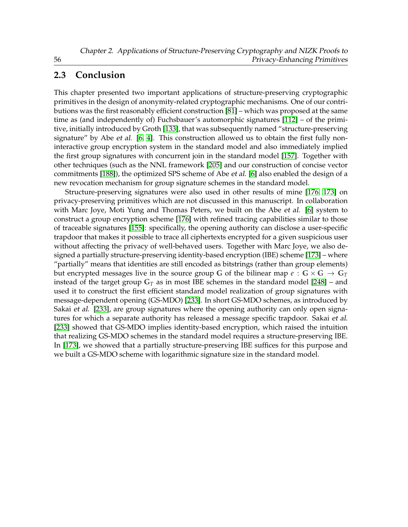# **2.3 Conclusion**

This chapter presented two important applications of structure-preserving cryptographic primitives in the design of anonymity-related cryptographic mechanisms. One of our contributions was the first reasonably efficient construction [\[81\]](#page-91-0) – which was proposed at the same time as (and independently of) Fuchsbauer's automorphic signatures [\[112\]](#page-93-1) – of the primitive, initially introduced by Groth [\[133\]](#page-94-0), that was subsequently named "structure-preserving signature" by Abe et al. [\[6,](#page-86-1) [4\]](#page-86-2). This construction allowed us to obtain the first fully noninteractive group encryption system in the standard model and also immediately implied the first group signatures with concurrent join in the standard model [\[157\]](#page-96-0). Together with other techniques (such as the NNL framework [\[205\]](#page-99-5) and our construction of concise vector commitments [\[188\]](#page-98-3)), the optimized SPS scheme of Abe et al. [\[6\]](#page-86-1) also enabled the design of a new revocation mechanism for group signature schemes in the standard model.

Structure-preserving signatures were also used in other results of mine [\[176,](#page-97-0) [173\]](#page-97-2) on privacy-preserving primitives which are not discussed in this manuscript. In collaboration with Marc Joye, Moti Yung and Thomas Peters, we built on the Abe et al. [\[6\]](#page-86-1) system to construct a group encryption scheme [\[176\]](#page-97-0) with refined tracing capabilities similar to those of traceable signatures [\[155\]](#page-96-4): specifically, the opening authority can disclose a user-specific trapdoor that makes it possible to trace all ciphertexts encrypted for a given suspicious user without affecting the privacy of well-behaved users. Together with Marc Joye, we also designed a partially structure-preserving identity-based encryption (IBE) scheme [\[173\]](#page-97-2) – where "partially" means that identities are still encoded as bitstrings (rather than group elements) but encrypted messages live in the source group G of the bilinear map  $e : G \times G \to G_T$ instead of the target group  $G_T$  as in most IBE schemes in the standard model [\[248\]](#page-102-5) – and used it to construct the first efficient standard model realization of group signatures with message-dependent opening (GS-MDO) [\[233\]](#page-101-2). In short GS-MDO schemes, as introduced by Sakai et al. [\[233\]](#page-101-2), are group signatures where the opening authority can only open signatures for which a separate authority has released a message specific trapdoor. Sakai et al. [\[233\]](#page-101-2) showed that GS-MDO implies identity-based encryption, which raised the intuition that realizing GS-MDO schemes in the standard model requires a structure-preserving IBE. In [\[173\]](#page-97-2), we showed that a partially structure-preserving IBE suffices for this purpose and we built a GS-MDO scheme with logarithmic signature size in the standard model.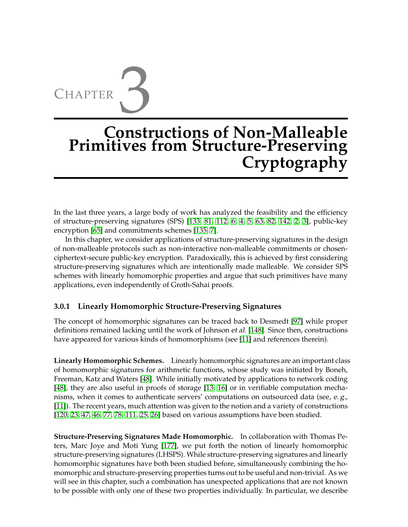# **CHAPTER**

# **Constructions of Non-Malleable Primitives from Structure-Preserving Cryptography**

In the last three years, a large body of work has analyzed the feasibility and the efficiency of structure-preserving signatures (SPS) [\[133,](#page-94-0) [81,](#page-91-0) [112,](#page-93-1) [6,](#page-86-1) [4,](#page-86-2) [5,](#page-86-6) [63,](#page-90-4) [82,](#page-91-6) [142,](#page-95-6) [2,](#page-86-5) [3\]](#page-86-7), public-key encryption [\[65\]](#page-90-5) and commitments schemes [\[135,](#page-95-1) [7\]](#page-86-0).

In this chapter, we consider applications of structure-preserving signatures in the design of non-malleable protocols such as non-interactive non-malleable commitments or chosenciphertext-secure public-key encryption. Paradoxically, this is achieved by first considering structure-preserving signatures which are intentionally made malleable. We consider SPS schemes with linearly homomorphic properties and argue that such primitives have many applications, even independently of Groth-Sahai proofs.

# **3.0.1 Linearly Homomorphic Structure-Preserving Signatures**

The concept of homomorphic signatures can be traced back to Desmedt [\[97\]](#page-92-2) while proper definitions remained lacking until the work of Johnson et al. [\[148\]](#page-95-7). Since then, constructions have appeared for various kinds of homomorphisms (see [\[11\]](#page-86-8) and references therein).

**Linearly Homomorphic Schemes.** Linearly homomorphic signatures are an important class of homomorphic signatures for arithmetic functions, whose study was initiated by Boneh, Freeman, Katz and Waters [\[48\]](#page-89-10). While initially motivated by applications to network coding [\[48\]](#page-89-10), they are also useful in proofs of storage [\[13,](#page-87-6) [16\]](#page-87-7) or in verifiable computation mechanisms, when it comes to authenticate servers' computations on outsourced data (see, e. g., [\[11\]](#page-86-8)). The recent years, much attention was given to the notion and a variety of constructions [\[120,](#page-94-2) [23,](#page-87-8) [47,](#page-89-11) [46,](#page-89-12) [77,](#page-91-7) [78,](#page-91-8) [111,](#page-93-2) [25,](#page-87-9) [26\]](#page-87-10) based on various assumptions have been studied.

**Structure-Preserving Signatures Made Homomorphic.** In collaboration with Thomas Peters, Marc Joye and Moti Yung [\[177\]](#page-97-3), we put forth the notion of linearly homomorphic structure-preserving signatures (LHSPS). While structure-preserving signatures and linearly homomorphic signatures have both been studied before, simultaneously combining the homomorphic and structure-preserving properties turns out to be useful and non-trivial. As we will see in this chapter, such a combination has unexpected applications that are not known to be possible with only one of these two properties individually. In particular, we describe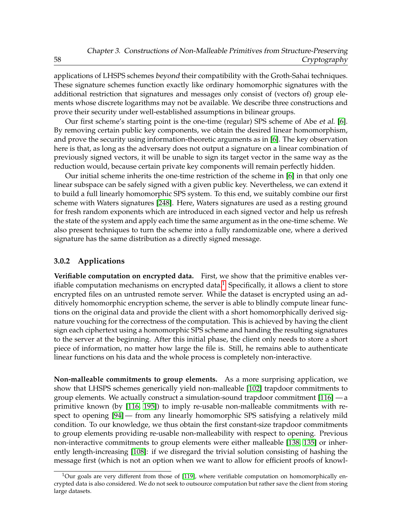applications of LHSPS schemes beyond their compatibility with the Groth-Sahai techniques. These signature schemes function exactly like ordinary homomorphic signatures with the additional restriction that signatures and messages only consist of (vectors of) group elements whose discrete logarithms may not be available. We describe three constructions and prove their security under well-established assumptions in bilinear groups.

Our first scheme's starting point is the one-time (regular) SPS scheme of Abe et al. [\[6\]](#page-86-1). By removing certain public key components, we obtain the desired linear homomorphism, and prove the security using information-theoretic arguments as in [\[6\]](#page-86-1). The key observation here is that, as long as the adversary does not output a signature on a linear combination of previously signed vectors, it will be unable to sign its target vector in the same way as the reduction would, because certain private key components will remain perfectly hidden.

Our initial scheme inherits the one-time restriction of the scheme in [\[6\]](#page-86-1) in that only one linear subspace can be safely signed with a given public key. Nevertheless, we can extend it to build a full linearly homomorphic SPS system. To this end, we suitably combine our first scheme with Waters signatures [\[248\]](#page-102-5). Here, Waters signatures are used as a resting ground for fresh random exponents which are introduced in each signed vector and help us refresh the state of the system and apply each time the same argument as in the one-time scheme. We also present techniques to turn the scheme into a fully randomizable one, where a derived signature has the same distribution as a directly signed message.

# **3.0.2 Applications**

**Verifiable computation on encrypted data.** First, we show that the primitive enables ver-ifiable computation mechanisms on encrypted data.<sup>[1](#page-59-0)</sup> Specifically, it allows a client to store encrypted files on an untrusted remote server. While the dataset is encrypted using an additively homomorphic encryption scheme, the server is able to blindly compute linear functions on the original data and provide the client with a short homomorphically derived signature vouching for the correctness of the computation. This is achieved by having the client sign each ciphertext using a homomorphic SPS scheme and handing the resulting signatures to the server at the beginning. After this initial phase, the client only needs to store a short piece of information, no matter how large the file is. Still, he remains able to authenticate linear functions on his data and the whole process is completely non-interactive.

**Non-malleable commitments to group elements.** As a more surprising application, we show that LHSPS schemes generically yield non-malleable [\[102\]](#page-92-3) trapdoor commitments to group elements. We actually construct a simulation-sound trapdoor commitment  $[116]$  — a primitive known (by [\[116,](#page-93-3) [195\]](#page-98-4)) to imply re-usable non-malleable commitments with respect to opening [\[94\]](#page-92-4) — from any linearly homomorphic SPS satisfying a relatively mild condition. To our knowledge, we thus obtain the first constant-size trapdoor commitments to group elements providing re-usable non-malleability with respect to opening. Previous non-interactive commitments to group elements were either malleable [\[138,](#page-95-0) [135\]](#page-95-1) or inherently length-increasing [\[108\]](#page-93-4): if we disregard the trivial solution consisting of hashing the message first (which is not an option when we want to allow for efficient proofs of knowl-

<span id="page-59-0"></span> $1$ Our goals are very different from those of [\[119\]](#page-93-5), where verifiable computation on homomorphically encrypted data is also considered. We do not seek to outsource computation but rather save the client from storing large datasets.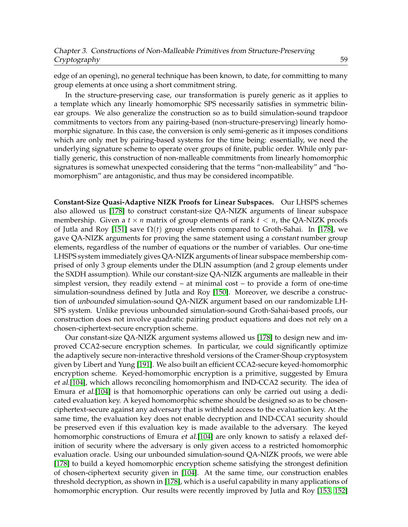edge of an opening), no general technique has been known, to date, for committing to many group elements at once using a short commitment string.

In the structure-preserving case, our transformation is purely generic as it applies to a template which any linearly homomorphic SPS necessarily satisfies in symmetric bilinear groups. We also generalize the construction so as to build simulation-sound trapdoor commitments to vectors from any pairing-based (non-structure-preserving) linearly homomorphic signature. In this case, the conversion is only semi-generic as it imposes conditions which are only met by pairing-based systems for the time being: essentially, we need the underlying signature scheme to operate over groups of finite, public order. While only partially generic, this construction of non-malleable commitments from linearly homomorphic signatures is somewhat unexpected considering that the terms "non-malleability" and "homomorphism" are antagonistic, and thus may be considered incompatible.

**Constant-Size Quasi-Adaptive NIZK Proofs for Linear Subspaces.** Our LHSPS schemes also allowed us [\[178\]](#page-97-4) to construct constant-size QA-NIZK arguments of linear subspace membership. Given a  $t \times n$  matrix of group elements of rank  $t < n$ , the QA-NIZK proofs of Jutla and Roy [\[151\]](#page-96-6) save Ω(*t*) group elements compared to Groth-Sahai. In [\[178\]](#page-97-4), we gave QA-NIZK arguments for proving the same statement using a constant number group elements, regardless of the number of equations or the number of variables. Our one-time LHSPS system immediately gives QA-NIZK arguments of linear subspace membership comprised of only 3 group elements under the DLIN assumption (and 2 group elements under the SXDH assumption). While our constant-size QA-NIZK arguments are malleable in their simplest version, they readily extend – at minimal cost – to provide a form of one-time simulation-soundness defined by Jutla and Roy [\[150\]](#page-96-7). Moreover, we describe a construction of unbounded simulation-sound QA-NIZK argument based on our randomizable LH-SPS system. Unlike previous unbounded simulation-sound Groth-Sahai-based proofs, our construction does not involve quadratic pairing product equations and does not rely on a chosen-ciphertext-secure encryption scheme.

Our constant-size QA-NIZK argument systems allowed us [\[178\]](#page-97-4) to design new and improved CCA2-secure encryption schemes. In particular, we could significantly optimize the adaptively secure non-interactive threshold versions of the Cramer-Shoup cryptosystem given by Libert and Yung [\[191\]](#page-98-5). We also built an efficient CCA2-secure keyed-homomorphic encryption scheme. Keyed-homomorphic encryption is a primitive, suggested by Emura et al.[\[104\]](#page-92-5), which allows reconciling homomorphism and IND-CCA2 security. The idea of Emura et al.[\[104\]](#page-92-5) is that homomorphic operations can only be carried out using a dedicated evaluation key. A keyed homomorphic scheme should be designed so as to be chosenciphertext-secure against any adversary that is withheld access to the evaluation key. At the same time, the evaluation key does not enable decryption and IND-CCA1 security should be preserved even if this evaluation key is made available to the adversary. The keyed homomorphic constructions of Emura *et al.*[\[104\]](#page-92-5) are only known to satisfy a relaxed definition of security where the adversary is only given access to a restricted homomorphic evaluation oracle. Using our unbounded simulation-sound QA-NIZK proofs, we were able [\[178\]](#page-97-4) to build a keyed homomorphic encryption scheme satisfying the strongest definition of chosen-ciphertext security given in [\[104\]](#page-92-5). At the same time, our construction enables threshold decryption, as shown in [\[178\]](#page-97-4), which is a useful capability in many applications of homomorphic encryption. Our results were recently improved by Jutla and Roy [\[153,](#page-96-8) [152\]](#page-96-9)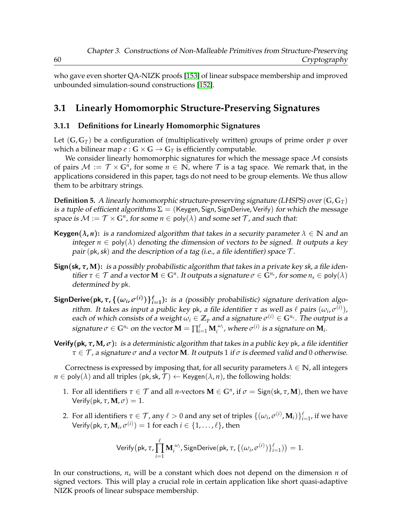who gave even shorter QA-NIZK proofs [\[153\]](#page-96-8) of linear subspace membership and improved unbounded simulation-sound constructions [\[152\]](#page-96-9).

# **3.1 Linearly Homomorphic Structure-Preserving Signatures**

# **3.1.1 Definitions for Linearly Homomorphic Signatures**

Let  $(G, G_T)$  be a configuration of (multiplicatively written) groups of prime order *p* over which a bilinear map  $e : G \times G \rightarrow G_T$  is efficiently computable.

We consider linearly homomorphic signatures for which the message space  $\mathcal M$  consists of pairs  $M := \mathcal{T} \times \mathbb{G}^n$ , for some  $n \in \mathbb{N}$ , where  $\mathcal{T}$  is a tag space. We remark that, in the applications considered in this paper, tags do not need to be group elements. We thus allow them to be arbitrary strings.

**Definition 5.** A linearly homomorphic structure-preserving signature (LHSPS) over (**G**, **G***T*) is a tuple of efficient algorithms  $\Sigma = (Keygen, Sign, Sign$  Derive, Verify) for which the message space is  $\mathcal{M}:=\mathcal{T}\times\mathbb{G}^n$ , for some  $n\in\mathsf{poly}(\lambda)$  and some set  $\mathcal{T}$ , and such that:

- **Keygen**( $\lambda$ ,  $n$ ): is a randomized algorithm that takes in a security parameter  $\lambda \in \mathbb{N}$  and an integer  $n \in \text{poly}(\lambda)$  denoting the dimension of vectors to be signed. It outputs a key pair (pk, sk) and the description of a tag (i.e., a file identifier) space  $\mathcal{T}$ .
- Sign(sk**,** *τ***, M**)**:** is a possibly probabilistic algorithm that takes in a private key sk, a file iden- $\text{tifier } \tau \in \mathcal{T} \text{ and a vector } \mathbf{M} \in \mathbb{G}^n.$  It outputs a signature  $\sigma \in \mathbb{G}^{n_s}$ , for some  $n_s \in \text{poly}(\lambda)$ determined by pk.
- **SignDerive(pk,**  $\tau$ **,**  $\{(\omega_i, \sigma^{(i)})\}_{i=1}^{\ell}$ **):** is a (possibly probabilistic) signature derivation algorithm. It takes as input a public key pk, a file identifier τ as well as  $\ell$  pairs  $(\omega_i, \sigma^{(i)}),$ each of which consists of a weight  $\omega_i \in \mathbb{Z}_p$  and a signature  $\sigma^{(i)} \in \mathbb{G}^{n_s}$ . The output is a  $\sigma$  signature  $\sigma \in \mathbb{G}^{n_s}$  on the vector  $\mathbf{M} = \prod_{i=1}^{\ell} \mathbf{M}_i^{\omega_i}$ , where  $\sigma^{(i)}$  is a signature on  $\mathbf{M}_i$ .
- **Verify(pk,**  $\tau$ **, M,**  $\sigma$ **):** is a deterministic algorithm that takes in a public key pk, a file identifier  $\tau \in \mathcal{T}$ , a signature  $\sigma$  and a vector **M**. It outputs 1 if  $\sigma$  is deemed valid and 0 otherwise.

Correctness is expressed by imposing that, for all security parameters  $\lambda \in \mathbb{N}$ , all integers  $n \in \text{poly}(\lambda)$  and all triples (pk, sk,  $\mathcal{T}) \leftarrow \text{Keygen}(\lambda, n)$ , the following holds:

- 1. For all identifiers  $\tau \in \mathcal{T}$  and all *n*-vectors  $M \in \mathbb{G}^n$ , if  $\sigma = \text{Sign}(\textsf{sk}, \tau, \mathbf{M})$ , then we have Verify(pk,  $\tau$ , **M**,  $\sigma$ ) = 1.
- 2. For all identifiers  $\tau \in \mathcal{T}$ , any  $\ell > 0$  and any set of triples  $\{(\omega_i, \sigma^{(i)}, \mathbf{M}_i)\}_{i=1}^{\ell}$ , if we have  $\mathsf{Verify}(\mathsf{pk}, \tau, \mathbf{M}_i, \sigma^{(i)}) = 1 \text{ for each } i \in \{1, \dots, \ell\}, \text{ then}$

Verify 
$$
(\text{pk}, \tau, \prod_{i=1}^{\ell} \mathbf{M}_i^{\omega_i}, \text{SignDerive}(\text{pk}, \tau, \{(\omega_i, \sigma^{(i)})\}_{i=1}^{\ell}) ) = 1.
$$

In our constructions, *n<sup>s</sup>* will be a constant which does not depend on the dimension *n* of signed vectors. This will play a crucial role in certain application like short quasi-adaptive NIZK proofs of linear subspace membership.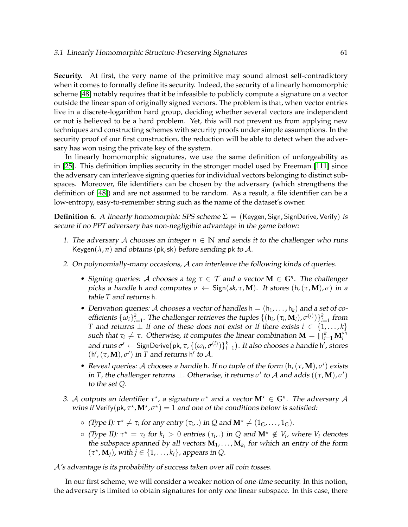**Security.** At first, the very name of the primitive may sound almost self-contradictory when it comes to formally define its security. Indeed, the security of a linearly homomorphic scheme [\[48\]](#page-89-10) notably requires that it be infeasible to publicly compute a signature on a vector outside the linear span of originally signed vectors. The problem is that, when vector entries live in a discrete-logarithm hard group, deciding whether several vectors are independent or not is believed to be a hard problem. Yet, this will not prevent us from applying new techniques and constructing schemes with security proofs under simple assumptions. In the security proof of our first construction, the reduction will be able to detect when the adversary has won using the private key of the system.

In linearly homomorphic signatures, we use the same definition of unforgeability as in [\[25\]](#page-87-9). This definition implies security in the stronger model used by Freeman [\[111\]](#page-93-2) since the adversary can interleave signing queries for individual vectors belonging to distinct subspaces. Moreover, file identifiers can be chosen by the adversary (which strengthens the definition of [\[48\]](#page-89-10)) and are not assumed to be random. As a result, a file identifier can be a low-entropy, easy-to-remember string such as the name of the dataset's owner.

<span id="page-62-0"></span>**Definition 6.** A linearly homomorphic SPS scheme  $\Sigma = (Keygen, Sign, SignDerive, Verify)$  is secure if no PPT adversary has non-negligible advantage in the game below:

- 1. The adversary A chooses an integer  $n \in \mathbb{N}$  and sends it to the challenger who runs Keygen( $\lambda$ , *n*) and obtains (pk, sk) before sending pk to  $\mathcal{A}$ .
- 2. On polynomially-many occasions, A can interleave the following kinds of queries.
	- Signing queries: A chooses a tag  $\tau \in \mathcal{T}$  and a vector  $M \in \mathbb{G}^n$ . The challenger picks a handle h and computes  $\sigma \leftarrow$  Sign(sk,  $\tau$ , **M**). It stores (h,  $(\tau, M)$ ,  $\sigma$ ) in a table *T* and returns h.
	- Derivation queries: A chooses a vector of handles  $h = (h_1, \ldots, h_k)$  and a set of coefficients  $\{\omega_i\}_{i=1}^k$ . The challenger retrieves the tuples  $\{(\mathsf{h}_i,(\tau_i,\mathbf{M}_i),\sigma^{(i)})\}_{i=1}^k$  from *T* and returns ⊥ if one of these does not exist or if there exists  $i \in \{1, \ldots, k\}$ such that  $\tau_i \neq \tau$ . Otherwise, it computes the linear combination  $\mathbf{M} = \prod_{i=1}^k \mathbf{M}_i^{\omega_i}$ and  $\text{runs } \sigma' \leftarrow \text{SignDerive}(\text{pk}, \tau, \{(\omega_i, \sigma^{(i)})\}_{i=1}^k)$ . It also chooses a handle h', stores  $(h', (\tau, M), \sigma')$  in *T* and returns h' to A.
	- Reveal queries: *A* chooses a handle h. If no tuple of the form  $(h, (\tau, M), \sigma')$  exists in *T*, the challenger returns  $\bot$ . Otherwise, it returns  $\sigma'$  to A and adds  $((\tau, M), \sigma')$ to the set *Q*.
- 3. A outputs an identifier  $\tau^*$ , a signature  $\sigma^*$  and a vector  $M^* \in \mathbb{G}^n$ . The adversary A wins if Verify(pk,  $\tau^*$ ,  $\mathbf{M}^*$ ,  $\sigma^*$ ) = 1 and one of the conditions below is satisfied:
	- $\circ$  (Type I):  $\tau^* \neq \tau_i$  for any entry  $(\tau_i)$  in Q and  $M^* \neq (1_G, \ldots, 1_G)$ .
	- $\circ$  (Type II):  $\tau^* = \tau_i$  for  $k_i > 0$  entries  $(\tau_i)$  in Q and  $\mathbf{M}^* \notin V_i$ , where  $V_i$  denotes the subspace spanned by all vectors  $M_1, \ldots, M_{k_i}$  for which an entry of the form  $(\tau^*, \mathbf{M}_j)$ , with  $j \in \{1, \ldots, k_i\}$ , appears in Q.

A's advantage is its probability of success taken over all coin tosses.

In our first scheme, we will consider a weaker notion of one-time security. In this notion, the adversary is limited to obtain signatures for only one linear subspace. In this case, there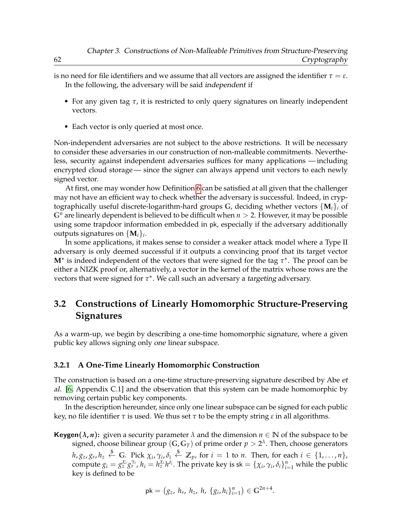- is no need for file identifiers and we assume that all vectors are assigned the identifier  $\tau = \varepsilon$ . In the following, the adversary will be said independent if
	- For any given tag *τ*, it is restricted to only query signatures on linearly independent vectors.
	- Each vector is only queried at most once.

Non-independent adversaries are not subject to the above restrictions. It will be necessary to consider these adversaries in our construction of non-malleable commitments. Nevertheless, security against independent adversaries suffices for many applications — including encrypted cloud storage— since the signer can always append unit vectors to each newly signed vector.

At first, one may wonder how Definition [6](#page-62-0) can be satisfied at all given that the challenger may not have an efficient way to check whether the adversary is successful. Indeed, in cryptographically useful discrete-logarithm-hard groups G, deciding whether vectors  $\{M_i\}_i$  of  $G<sup>n</sup>$  are linearly dependent is believed to be difficult when  $n > 2$ . However, it may be possible using some trapdoor information embedded in pk, especially if the adversary additionally outputs signatures on {**M***i*}*<sup>i</sup>* .

In some applications, it makes sense to consider a weaker attack model where a Type II adversary is only deemed successful if it outputs a convincing proof that its target vector **M**<sup>\*</sup> is indeed independent of the vectors that were signed for the tag *τ*<sup>\*</sup>. The proof can be either a NIZK proof or, alternatively, a vector in the kernel of the matrix whose rows are the vectors that were signed for τ<sup>\*</sup>. We call such an adversary a *targeting* adversary.

# **3.2 Constructions of Linearly Homomorphic Structure-Preserving Signatures**

As a warm-up, we begin by describing a one-time homomorphic signature, where a given public key allows signing only one linear subspace.

# <span id="page-63-0"></span>**3.2.1 A One-Time Linearly Homomorphic Construction**

The construction is based on a one-time structure-preserving signature described by Abe et al. [\[6,](#page-86-1) Appendix C.1] and the observation that this system can be made homomorphic by removing certain public key components.

In the description hereunder, since only one linear subspace can be signed for each public key, no file identifier *τ* is used. We thus set *τ* to be the empty string *ε* in all algorithms.

**Keygen**( $\lambda$ ,  $n$ ): given a security parameter  $\lambda$  and the dimension  $n \in \mathbb{N}$  of the subspace to be signed, choose bilinear group  $(\mathbb{G},\mathbb{G}_T)$  of prime order  $p>2^\lambda.$  Then, choose generators

 $h,g_z,g_r,h_z \stackrel{\$}{\leftarrow} \mathbb{G}$ . Pick  $\chi_i,\gamma_i,\delta_i \stackrel{\$}{\leftarrow} \mathbb{Z}_p$ , for  $i=1$  to n. Then, for each  $i\in\{1,\ldots,n\},$ compute  $g_i = g_i^{\chi_i} g_i^{\gamma_i}$ ,  $h_i = h_i^{\chi_i} h^{\delta_i}$ . The private key is sk =  $\{\chi_i, \gamma_i, \delta_i\}_{i=1}^n$  while the public key is defined to be

$$
\mathsf{pk} = (g_z, h_r, h_z, h, \{g_i, h_i\}_{i=1}^n) \in \mathbb{G}^{2n+4}.
$$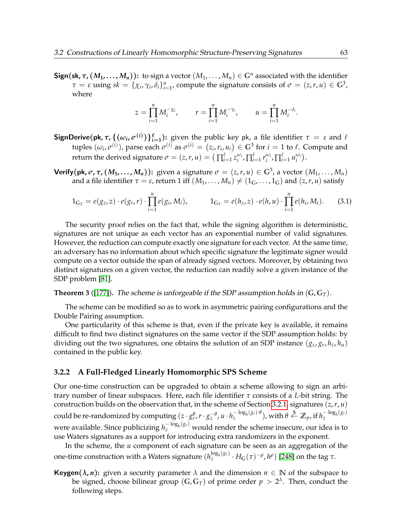$Sign(\mathsf{sk}, \tau, (M_1, \ldots, M_n))$ : to sign a vector  $(M_1, \ldots, M_n) \in \mathbb{G}^n$  associated with the identifier *τ* = *ε* using *sk* = { $\chi_i$ ,  $\gamma_i$ ,  $\delta_i$ } $_{i=1}^n$ , compute the signature consists of  $\sigma = (z, r, u) \in \mathbb{G}^3$ , where

$$
z = \prod_{i=1}^{n} M_i^{-\chi_i}, \qquad r = \prod_{i=1}^{n} M_i^{-\gamma_i}, \qquad u = \prod_{i=1}^{n} M_i^{-\delta_i}.
$$

- SignDerive(pk,  $\tau$ ,  $\{(\omega_i, \sigma^{(i)})\}_{i=1}^{\ell}$ ): given the public key pk, a file identifier  $\tau = \varepsilon$  and  $\ell$  ${\rm truples}~(\omega_i,\sigma^{(i)}),$  parse each  $\sigma^{(i)}$  as  $\sigma^{(i)} = (z_i,r_i,u_i) \in \mathbb{G}^3$  for  $i=1$  to  $\ell.$  Compute and return the derived signature  $\sigma = (z, r, u) = \left( \prod_{i=1}^{\ell} z_i^{\omega_i} \right)$  $\prod_{i=1}^{\omega_i} r_i^{\omega_i}$  $\sum_{i}^{\omega_i}$ ,  $\prod_{i=1}^{\ell} u_i^{\omega_i}$  $\binom{\omega_i}{i}$ .
- **Verify** (pk,  $\sigma$ ,  $\tau$ ,  $(M_1, ..., M_n)$ ): given a signature  $\sigma = (z, r, u) \in \mathbb{G}^3$ , a vector  $(M_1, ..., M_n)$ and a file identifier  $\tau = \varepsilon$ , return 1 iff  $(M_1, \ldots, M_n) \neq (1_G, \ldots, 1_G)$  and  $(z, r, u)$  satisfy

$$
1_{G_T} = e(g_z, z) \cdot e(g_r, r) \cdot \prod_{i=1}^n e(g_i, M_i), \qquad 1_{G_T} = e(h_z, z) \cdot e(h, u) \cdot \prod_{i=1}^n e(h_i, M_i). \qquad (3.1)
$$

The security proof relies on the fact that, while the signing algorithm is deterministic, signatures are not unique as each vector has an exponential number of valid signatures. However, the reduction can compute exactly one signature for each vector. At the same time, an adversary has no information about which specific signature the legitimate signer would compute on a vector outside the span of already signed vectors. Moreover, by obtaining two distinct signatures on a given vector, the reduction can readily solve a given instance of the SDP problem [\[81\]](#page-91-0).

**Theorem 3** ([\[177\]](#page-97-3)). The scheme is unforgeable if the SDP assumption holds in  $(G, G_T)$ .

The scheme can be modified so as to work in asymmetric pairing configurations and the Double Pairing assumption.

One particularity of this scheme is that, even if the private key is available, it remains difficult to find two distinct signatures on the same vector if the SDP assumption holds: by dividing out the two signatures, one obtains the solution of an SDP instance (*gz*, *g<sup>r</sup>* , *hz*, *hu*) contained in the public key.

### <span id="page-64-0"></span>**3.2.2 A Full-Fledged Linearly Homomorphic SPS Scheme**

Our one-time construction can be upgraded to obtain a scheme allowing to sign an arbitrary number of linear subspaces. Here, each file identifier *τ* consists of a *L*-bit string. The construction builds on the observation that, in the scheme of Section [3.2.1,](#page-63-0) signatures (*z*,*r*, *u*) could be re-randomized by computing  $(z\cdot g^\theta_{r},r\cdot g^{-\theta}_{z},u\cdot h^{-\log_h(g_r)\cdot\theta}_{z}),$  with  $\theta\overset{\$}{\leftarrow}\mathbb{Z}_p$ , if  $h^{-\log_h(g_r)}$ were available. Since publicizing  $h_z^{-\log_h(g_r)}$  would render the scheme insecure, our idea is to use Waters signatures as a support for introducing extra randomizers in the exponent.

In the scheme, the *u* component of each signature can be seen as an aggregation of the one-time construction with a Waters signature  $(h_z^{\log_h (g_r)} \cdot H_G(\tau)^{-\rho}, h^\rho)$  [\[248\]](#page-102-5) on the tag *τ*.

**Keygen**( $\lambda$ , *n*): given a security parameter  $\lambda$  and the dimension  $n \in \mathbb{N}$  of the subspace to be signed, choose bilinear group  $(G,G_T)$  of prime order  $p > 2^{\lambda}$ . Then, conduct the following steps.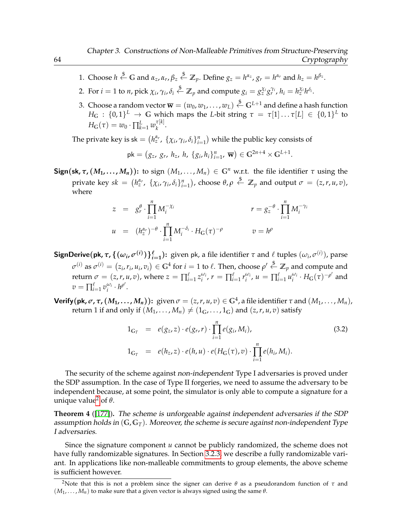- 1. Choose  $h \stackrel{\$}{\leftarrow} G$  and  $\alpha_z$ ,  $\alpha_r$ ,  $\beta_z \stackrel{\$}{\leftarrow} \mathbb{Z}_p$ . Define  $g_z = h^{\alpha_z}$ ,  $g_r = h^{\alpha_r}$  and  $h_z = h^{\beta_z}$ .
- 2. For  $i = 1$  to *n*, pick  $\chi_i$ ,  $\gamma_i$ ,  $\delta_i \stackrel{\$}{\leftarrow} \mathbb{Z}_p$  and compute  $g_i = g_z^{\chi_i} g_r^{\gamma_i}$ ,  $h_i = h_z^{\chi_i} h^{\delta_i}$ .
- 3. Choose a random vector  $\overline{\mathbf{w}}=(w_0,w_1,\ldots,w_L)\overset{\$}{\leftarrow} \mathbb{G}^{L+1}$  and define a hash function  $H_{\mathbb{G}}$  :  $\{0,1\}^{L} \rightarrow \mathbb{G}$  which maps the *L*-bit string  $\tau\,=\,\tau[1] \ldots \tau[L] \,\in\, \{0,1\}^{L}$  to  $H_{\mathbb{G}}(\tau) = w_0 \cdot \prod_{k=1}^L w_k^{\tau[k]}$  $\frac{\mu}{k}$ .

The private key is sk =  $(h_z^{a_r}, \{ \chi_i, \gamma_i, \delta_i \}_{i=1}^n)$  while the public key consists of

$$
\mathsf{pk} = (g_z, g_r, h_z, h, \{g_i, h_i\}_{i=1}^n, \overline{\mathbf{w}}) \in \mathbb{G}^{2n+4} \times \mathbb{G}^{L+1}.
$$

 $Sign(\mathsf{sk}, \tau, (M_1, \ldots, M_n))$ : to sign  $(M_1, \ldots, M_n) \in \mathbb{G}^n$  w.r.t. the file identifier  $\tau$  using the private key  $sk = (h_z^{\alpha_r}, \{\chi_i, \gamma_i, \delta_i\}_{i=1}^n)$ , choose  $\theta, \rho \overset{\$}{\leftarrow} \mathbb{Z}_p$  and output  $\sigma = (z, r, u, v)$ , where

$$
z = g_r^{\theta} \cdot \prod_{i=1}^n M_i^{-\chi_i}
$$
  
\n
$$
r = g_z^{-\theta} \cdot \prod_{i=1}^n M_i^{-\gamma_i}
$$
  
\n
$$
u = (h_z^{\alpha_r})^{-\theta} \cdot \prod_{i=1}^n M_i^{-\delta_i} \cdot H_G(\tau)^{-\rho}
$$
  
\n
$$
v = h^{\rho}
$$

 ${\sf SignDerive}({\sf pk},\tau,\{(\omega_i,\sigma^{(i)})\}_{i=1}^{\ell})$ : given pk, a file identifier  $\tau$  and  $\ell$  tuples  $(\omega_i,\sigma^{(i)})$ , parse  $\sigma^{(i)}$  as  $\sigma^{(i)} = (z_i, r_i, u_i, v_i) \in \mathbb{G}^4$  for  $i=1$  to  $\ell$ . Then, choose  $\rho' \overset{\$}{\leftarrow} \mathbb{Z}_p$  and compute and return  $\sigma = (z, r, u, v)$ , where  $z = \prod_{i=1}^{\ell} z_i^{\omega_i}$  $\sum_{i}^{\omega_i}$ ,  $r = \prod_{i=1}^{\ell} r_i^{\omega_i}$  $\sum_{i}^{\omega_i}$ ,  $u = \prod_{i=1}^{\ell} u_i^{\omega_i}$  $\frac{\omega_i}{i} \cdot H_G(\tau)^{-\rho'}$  and  $v = \prod_{i=1}^{\ell} v_i^{\omega_i}$  $\frac{\omega_i}{i} \cdot h^{\rho'}$ .

**Verify (pk,**  $\sigma$ **,**  $\tau$ **,**  $(M_1,\ldots,M_n)$ **):** given  $\sigma=(z,r,u,v)\in\mathbb{G}^4$ , a file identifier  $\tau$  and  $(M_1,\ldots,M_n)$ , return 1 if and only if  $(M_1, \ldots, M_n) \neq (1_G, \ldots, 1_G)$  and  $(z, r, u, v)$  satisfy

<span id="page-65-1"></span>
$$
1_{G_T} = e(g_z, z) \cdot e(g_r, r) \cdot \prod_{i=1}^n e(g_i, M_i),
$$
  
\n
$$
1_{G_T} = e(h_z, z) \cdot e(h, u) \cdot e(H_G(\tau), v) \cdot \prod_{i=1}^n e(h_i, M_i).
$$
\n(3.2)

The security of the scheme against non-independent Type I adversaries is proved under the SDP assumption. In the case of Type II forgeries, we need to assume the adversary to be independent because, at some point, the simulator is only able to compute a signature for a unique value<sup>[2](#page-65-0)</sup> of  $\theta$ .

**Theorem 4** ([\[177\]](#page-97-3))**.** The scheme is unforgeable against independent adversaries if the SDP assumption holds in (**G**, **G***T*). Moreover, the scheme is secure against non-independent Type I adversaries.

Since the signature component *u* cannot be publicly randomized, the scheme does not have fully randomizable signatures. In Section [3.2.3,](#page-66-0) we describe a fully randomizable variant. In applications like non-malleable commitments to group elements, the above scheme is sufficient however.

<span id="page-65-0"></span><sup>&</sup>lt;sup>2</sup>Note that this is not a problem since the signer can derive  $\theta$  as a pseudorandom function of  $\tau$  and  $(M_1, \ldots, M_n)$  to make sure that a given vector is always signed using the same  $\theta$ .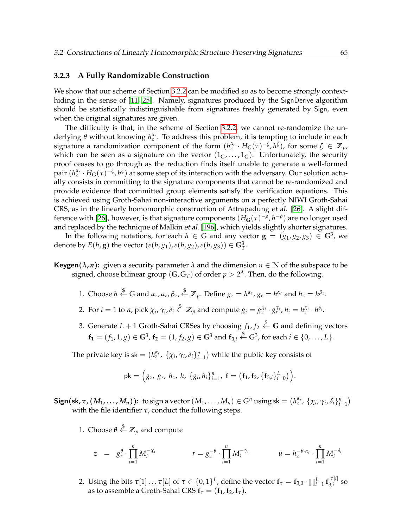### <span id="page-66-0"></span>**3.2.3 A Fully Randomizable Construction**

We show that our scheme of Section [3.2.2](#page-64-0) can be modified so as to become *strongly* contexthiding in the sense of [\[11,](#page-86-8) [25\]](#page-87-9). Namely, signatures produced by the SignDerive algorithm should be statistically indistinguishable from signatures freshly generated by Sign, even when the original signatures are given.

The difficulty is that, in the scheme of Section [3.2.2,](#page-64-0) we cannot re-randomize the underlying θ without knowing  $h_z^{\alpha_r}$ . To address this problem, it is tempting to include in each signature a randomization component of the form  $(h_z^{\alpha_r} \cdot H_G(\tau)^{-\zeta}, h_{\zeta}^{\zeta}),$  for some  $\zeta \in \mathbb{Z}_p$ , which can be seen as a signature on the vector  $(1_G, \ldots, 1_G)$ . Unfortunately, the security proof ceases to go through as the reduction finds itself unable to generate a well-formed  $\bar{p}$ air  $(h_z^{\alpha_r}\cdot H_G(\tau)^{-\zeta}, h^\zeta)$  at some step of its interaction with the adversary. Our solution actually consists in committing to the signature components that cannot be re-randomized and provide evidence that committed group elements satisfy the verification equations. This is achieved using Groth-Sahai non-interactive arguments on a perfectly NIWI Groth-Sahai CRS, as in the linearly homomorphic construction of Attrapadung et al. [\[26\]](#page-87-10). A slight dif-ference with [\[26\]](#page-87-10), however, is that signature components  $(H_G(\tau)^{-\rho},h^{-\rho})$  are no longer used and replaced by the technique of Malkin et al. [\[196\]](#page-99-7), which yields slightly shorter signatures.

In the following notations, for each  $h \in \mathbb{G}$  and any vector  $\mathbf{g} = (g_1, g_2, g_3) \in \mathbb{G}^3$ , we denote by  $E(h, \mathbf{g})$  the vector  $(e(h, g_1), e(h, g_2), e(h, g_3)) \in \mathbb{G}_T^3$ .

- **Keygen(** $\lambda$ **,** *n***)**: given a security parameter  $\lambda$  and the dimension  $n \in \mathbb{N}$  of the subspace to be signed, choose bilinear group  $(G, G_T)$  of order  $p > 2^{\lambda}$ . Then, do the following.
	- 1. Choose  $h \stackrel{\$}{\leftarrow} G$  and  $\alpha_z$ ,  $\alpha_r$ ,  $\beta_z$ ,  $\stackrel{\$}{\leftarrow} \mathbb{Z}_p$ . Define  $g_z = h^{\alpha_z}$ ,  $g_r = h^{\alpha_r}$  and  $h_z = h^{\beta_z}$ .
	- 2. For  $i = 1$  to *n*, pick  $\chi_i$ ,  $\gamma_i$ ,  $\delta_i \stackrel{\$}{\leftarrow} \mathbb{Z}_p$  and compute  $g_i = g_i^{\chi_i} \cdot g_i^{\gamma_i}$ ,  $h_i = h_i^{\chi_i} \cdot h_i^{\delta_i}$ .
	- 3. Generate  $L + 1$  Groth-Sahai CRSes by choosing  $f_1, f_2 \stackrel{\$}{\leftarrow}$  G and defining vectors  $f_1 = (f_1, 1, g) \in \mathbb{G}^3$ ,  $f_2 = (1, f_2, g) \in \mathbb{G}^3$  and  $f_{3,i} \stackrel{\$}{\leftarrow} \mathbb{G}^3$ , for each  $i \in \{0, ..., L\}.$

The private key is sk =  $(h_z^{a_r}, \{ \chi_i, \gamma_i, \delta_i \}_{i=1}^n)$  while the public key consists of

$$
\mathsf{pk} = \left(g_{z},\, g_{r},\, h_{z},\, h,\, \{g_i, h_i\}_{i=1}^n,\, \mathbf{f} = \left(\mathbf{f}_1, \mathbf{f}_2, \{\mathbf{f}_{3,i}\}_{i=0}^L\right)\right).
$$

**Sign(sk,**  $\tau$ **,**  $(M_1,\ldots,M_n)$ **):** to sign a vector  $(M_1,\ldots,M_n)\in\mathbb{G}^n$  using sk  $=\left(h_z^{\alpha_r},\ \{\chi_i,\gamma_i,\delta_i\}_{i=1}^n\right)$ with the file identifier  $\tau$ , conduct the following steps.

1. Choose  $\theta \stackrel{\$}{\leftarrow} \mathbb{Z}_p$  and compute

$$
z = g_r^{\theta} \cdot \prod_{i=1}^n M_i^{-\chi_i} \qquad \qquad r = g_z^{-\theta} \cdot \prod_{i=1}^n M_i^{-\gamma_i} \qquad \qquad u = h_z^{-\theta \cdot \alpha_r} \cdot \prod_{i=1}^n M_i^{-\delta_i}
$$

2. Using the bits  $\tau[1] \ldots \tau[L]$  of  $\tau \in \{0,1\}^L$ , define the vector  $\mathbf{f}_{\tau} = \mathbf{f}_{3,0} \cdot \prod_{i=1}^L \mathbf{f}_{3,i}^{\tau[i]}$  $3i^{[i]}$  SO as to assemble a Groth-Sahai CRS  $f_\tau = (f_1, f_2, f_\tau)$ .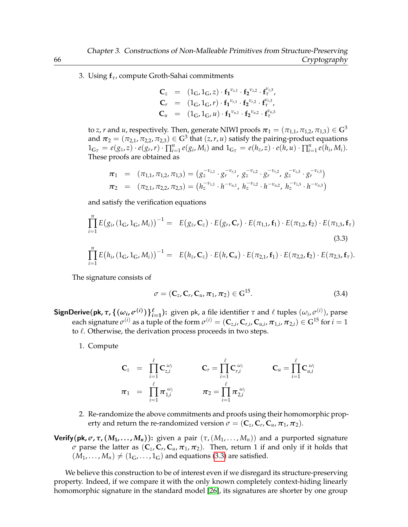3. Using **f***τ*, compute Groth-Sahai commitments

$$
\begin{array}{rcl}\n\mathbf{C}_{z} & = & (1_{G}, 1_{G}, z) \cdot \mathbf{f}_{1}^{V_{z,1}} \cdot \mathbf{f}_{2}^{V_{z,2}} \cdot \mathbf{f}_{7}^{V_{z,3}}, \\
\mathbf{C}_{r} & = & (1_{G}, 1_{G}, r) \cdot \mathbf{f}_{1}^{V_{r,1}} \cdot \mathbf{f}_{2}^{V_{r,2}} \cdot \mathbf{f}_{7}^{V_{r,3}}, \\
\mathbf{C}_{u} & = & (1_{G}, 1_{G}, u) \cdot \mathbf{f}_{1}^{V_{u,1}} \cdot \mathbf{f}_{2}^{V_{u,2}} \cdot \mathbf{f}_{7}^{V_{u,3}}.\n\end{array}
$$

to *z*, *r* and *u*, respectively. Then, generate NIWI proofs  $\pi_1 = (\pi_{1,1}, \pi_{1,2}, \pi_{1,3}) \in \mathbb{G}^3$ and  $\pi_2 = (\pi_{2,1}, \pi_{2,2}, \pi_{2,3}) \in \mathbb{G}^3$  that  $(z,r,u)$  satisfy the pairing-product equations  $1_{\mathbb{G}_T} = e(g_z, z) \cdot e(g_r, r) \cdot \prod_{i=1}^n e(g_i, M_i)$  and  $1_{\mathbb{G}_T} = e(h_z, z) \cdot e(h, u) \cdot \prod_{i=1}^n e(h_i, M_i)$ . These proofs are obtained as

$$
\pi_1 = (\pi_{1,1}, \pi_{1,2}, \pi_{1,3}) = (g_z^{-\nu_{z,1}} \cdot g_r^{-\nu_{r,1}}, g_z^{-\nu_{z,2}} \cdot g_r^{-\nu_{r,2}}, g_z^{-\nu_{z,3}} \cdot g_r^{-\nu_{r,3}})
$$
  
\n
$$
\pi_2 = (\pi_{2,1}, \pi_{2,2}, \pi_{2,3}) = (h_z^{-\nu_{z,1}} \cdot h^{-\nu_{u,1}}, h_z^{-\nu_{z,2}} \cdot h^{-\nu_{u,2}}, h_z^{-\nu_{z,3}} \cdot h^{-\nu_{u,3}})
$$

and satisfy the verification equations

$$
\prod_{i=1}^{n} E(g_i, (1_G, 1_G, M_i))^{-1} = E(g_z, \mathbf{C}_z) \cdot E(g_r, \mathbf{C}_r) \cdot E(\pi_{1,1}, \mathbf{f}_1) \cdot E(\pi_{1,2}, \mathbf{f}_2) \cdot E(\pi_{1,3}, \mathbf{f}_\tau)
$$
\n(3.3)\n
$$
\prod_{i=1}^{n} E(h_i, (1_G, 1_G, M_i))^{-1} = E(h_z, \mathbf{C}_z) \cdot E(h, \mathbf{C}_u) \cdot E(\pi_{2,1}, \mathbf{f}_1) \cdot E(\pi_{2,2}, \mathbf{f}_2) \cdot E(\pi_{2,3}, \mathbf{f}_\tau).
$$

The signature consists of

<span id="page-67-0"></span>
$$
\sigma = (\mathbf{C}_z, \mathbf{C}_r, \mathbf{C}_u, \boldsymbol{\pi}_1, \boldsymbol{\pi}_2) \in \mathbb{G}^{15}.
$$

SignDerive(pk,  $\tau$ ,  $\{(\omega_i, \sigma^{(i)})\}_{i=1}^{\ell}$ ): given pk, a file identifier  $\tau$  and  $\ell$  tuples  $(\omega_i, \sigma^{(i)})$ , parse each signature  $\sigma^{(i)}$  as a tuple of the form  $\sigma^{(i)}=(\mathbf{C}_{z,i},\mathbf{C}_{r,i},\mathbf{C}_{u,i},\pi_{1,i},\pi_{2,i})\in\mathbb{G}^{15}$  for  $i=1$ to  $\ell$ . Otherwise, the derivation process proceeds in two steps.

1. Compute

$$
\begin{array}{rcl}\n\mathbf{C}_z & = & \displaystyle\prod_{i=1}^\ell \mathbf{C}_{z,i}^{\omega_i} & \mathbf{C}_r = \displaystyle\prod_{i=1}^\ell \mathbf{C}_{r,i}^{\omega_i} & \mathbf{C}_u = \displaystyle\prod_{i=1}^\ell \mathbf{C}_{u,i}^{\omega_i} \\
\pi_1 & = & \displaystyle\prod_{i=1}^\ell \pi_{1,i}^{\omega_i} & \pi_2 = \displaystyle\prod_{i=1}^\ell \pi_{2,i}^{\omega_i}\n\end{array}
$$

- 2. Re-randomize the above commitments and proofs using their homomorphic property and return the re-randomized version  $\sigma = (\mathbf{C}_z, \mathbf{C}_r, \mathbf{C}_u, \pi_1, \pi_2)$ .
- **Verify(pk,**  $\sigma$ **,**  $\tau$ **, (** $M_1$ **,...,**  $M_n$ **)):** given a pair ( $\tau$ , ( $M_1$ ,...,  $M_n$ )) and a purported signature *σ* parse the latter as (**C***z*, **C***<sup>r</sup>* , **C***u*, *π*1, *π*2). Then, return 1 if and only if it holds that  $(M_1, \ldots, M_n) \neq (1_G, \ldots, 1_G)$  and equations [\(3.3\)](#page-67-0) are satisfied.

We believe this construction to be of interest even if we disregard its structure-preserving property. Indeed, if we compare it with the only known completely context-hiding linearly homomorphic signature in the standard model [\[26\]](#page-87-10), its signatures are shorter by one group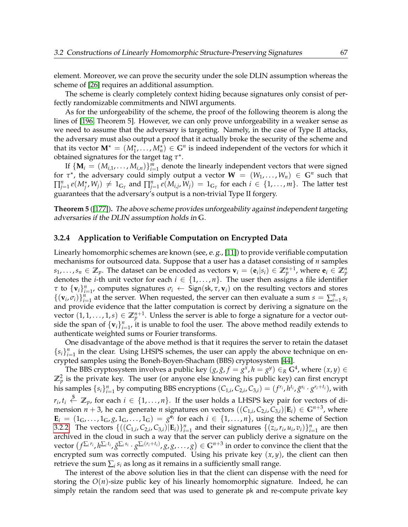element. Moreover, we can prove the security under the sole DLIN assumption whereas the scheme of [\[26\]](#page-87-10) requires an additional assumption.

The scheme is clearly completely context hiding because signatures only consist of perfectly randomizable commitments and NIWI arguments.

As for the unforgeability of the scheme, the proof of the following theorem is along the lines of [\[196,](#page-99-7) Theorem 5]. However, we can only prove unforgeability in a weaker sense as we need to assume that the adversary is targeting. Namely, in the case of Type II attacks, the adversary must also output a proof that it actually broke the security of the scheme and that its vector  $M^* = (M_1^*, \ldots, M_n^*) \in \mathbb{G}^n$  is indeed independent of the vectors for which it obtained signatures for the target tag  $\tau^\star.$ 

If  $\{M_i = (M_{i,1},...,M_{i,n})\}_{i=1}^m$  denote the linearly independent vectors that were signed for  $\tau^*$ , the adversary could simply output a vector  $\mathbf{W} = (W_1, \dots, W_n) \in \mathbb{G}^n$  such that  $\prod_{j=1}^ne(M_j^\star,W_j)\,\neq\,1_{\text{G}_T}$  and  $\prod_{j=1}^ne(M_{i,j},W_j)\,=\,1_{\text{G}_T}$  for each  $i\,\in\,\{1,\ldots,m\}.$  The latter test guarantees that the adversary's output is a non-trivial Type II forgery.

**Theorem 5** ([\[177\]](#page-97-3))**.** The above scheme provides unforgeability against independent targeting adversaries if the DLIN assumption holds in **G**.

### **3.2.4 Application to Verifiable Computation on Encrypted Data**

Linearly homomorphic schemes are known (see, e. g., [\[11\]](#page-86-8)) to provide verifiable computation mechanisms for outsourced data. Suppose that a user has a dataset consisting of *n* samples  $s_1,\ldots,s_n\in\mathbb{Z}_p.$  The dataset can be encoded as vectors  $\mathbf{v}_i=(\mathbf{e}_i|s_i)\in\mathbb{Z}_p^{n+1}$ , where  $\mathbf{e}_i\in\mathbb{Z}_p^n$ denotes the *i*-th unit vector for each  $i \in \{1, ..., n\}$ . The user then assigns a file identifier *τ* to  $\{v_i\}_{i=1}^n$ , computes signatures  $\sigma_i$   $\leftarrow$  Sign(sk,  $\tau$ ,  $v_i$ ) on the resulting vectors and stores  $\{(\mathbf{v}_i, \sigma_i)\}_{i=1}^n$  at the server. When requested, the server can then evaluate a sum  $s = \sum_{i=1}^n s_i$ and provide evidence that the latter computation is correct by deriving a signature on the vector  $(1, 1, \ldots, 1, s) \in \mathbb{Z}_p^{n+1}$ . Unless the server is able to forge a signature for a vector outside the span of  $\{v_i\}_{i=1}^n$ , it is unable to fool the user. The above method readily extends to authenticate weighted sums or Fourier transforms.

One disadvantage of the above method is that it requires the server to retain the dataset  ${s_i}_{i=1}^n$  in the clear. Using LHSPS schemes, the user can apply the above technique on encrypted samples using the Boneh-Boyen-Shacham (BBS) cryptosystem [\[44\]](#page-89-2).

The BBS cryptosystem involves a public key  $(g, \tilde{g}, f = g^x, h = g^y) \in_R \mathbb{G}^4$ , where  $(x, y) \in_R G$  $\mathbb{Z}_p^2$  is the private key. The user (or anyone else knowing his public key) can first encrypt his samples  $\{s_i\}_{i=1}^n$  by computing BBS encryptions  $(C_{1,i},C_{2,i},C_{3,i})=(f^{r_i},h^{t_i},\tilde{g}^{s_i}\cdot g^{r_i+t_i})$ , with  $r_i, t_i \stackrel{\$}{\leftarrow} \mathbb{Z}_p$ , for each  $i \in \{1, \ldots, n\}$ . If the user holds a LHSPS key pair for vectors of dimension  $n + 3$ , he can generate *n* signatures on vectors  $((C_{1,i}, C_{2,i}, C_{3,i}) | E_i) \in \mathbb{G}^{n+3}$ , where  $\mathbf{E}_i = (1_G,\ldots,1_G,g,1_G,\ldots,1_G) = g^{\mathbf{e}_i}$  for each  $i \in \{1,\ldots,n\}$ , using the scheme of Section [3.2.2.](#page-64-0) The vectors  $\{((C_{1,i}, C_{2,i}, C_{3,i}) | \mathbf{E}_i)\}_{i=1}^n$  and their signatures  $\{(z_i, r_i, u_i, v_i)\}_{i=1}^n$  are then archived in the cloud in such a way that the server can publicly derive a signature on the vector  $(f^{\sum_i r_i}, h^{\sum_i t_i}, \tilde{g}^{\sum_i s_i} \cdot g^{\sum_i (r_i+t_i)}, g, g, \ldots, g) \in \mathbb{G}^{n+3}$  in order to convince the client that the encrypted sum was correctly computed. Using his private key  $(x, y)$ , the client can then retrieve the sum  $\sum_i s_i$  as long as it remains in a sufficiently small range.

The interest of the above solution lies in that the client can dispense with the need for storing the  $O(n)$ -size public key of his linearly homomorphic signature. Indeed, he can simply retain the random seed that was used to generate pk and re-compute private key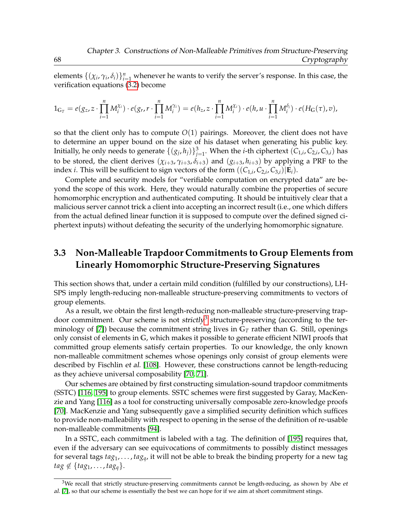elements  $\{(\chi_i, \gamma_i, \delta_i)\}_{i=1}^n$  whenever he wants to verify the server's response. In this case, the verification equations [\(3.2\)](#page-65-1) become

$$
1_{\mathbb{G}_T}=e(g_z,z\cdot\prod_{i=1}^n M_i^{\chi_i})\cdot e(g_r,r\cdot\prod_{i=1}^n M_i^{\gamma_i})=e(h_z,z\cdot\prod_{i=1}^n M_i^{\chi_i})\cdot e(h,u\cdot\prod_{i=1}^n M_i^{\delta_i})\cdot e(H_{\mathbb{G}}(\tau),\tau),
$$

so that the client only has to compute  $O(1)$  pairings. Moreover, the client does not have to determine an upper bound on the size of his dataset when generating his public key. Initially, he only needs to generate  $\{(g_j, h_j)\}_{j=1}^3$ . When the *i*-th ciphertext  $(C_{1,i}, C_{2,i}, C_{3,i})$  has to be stored, the client derives  $(\chi_{i+3}, \gamma_{i+3}, \delta_{i+3})$  and  $(g_{i+3}, h_{i+3})$  by applying a PRF to the index *i*. This will be sufficient to sign vectors of the form  $((C_{1,i}, C_{2,i}, C_{3,i})|\mathbf{E}_i)$ .

Complete and security models for "verifiable computation on encrypted data" are beyond the scope of this work. Here, they would naturally combine the properties of secure homomorphic encryption and authenticated computing. It should be intuitively clear that a malicious server cannot trick a client into accepting an incorrect result (i.e., one which differs from the actual defined linear function it is supposed to compute over the defined signed ciphertext inputs) without defeating the security of the underlying homomorphic signature.

# **3.3 Non-Malleable Trapdoor Commitments to Group Elements from Linearly Homomorphic Structure-Preserving Signatures**

This section shows that, under a certain mild condition (fulfilled by our constructions), LH-SPS imply length-reducing non-malleable structure-preserving commitments to vectors of group elements.

As a result, we obtain the first length-reducing non-malleable structure-preserving trap-door commitment. Our scheme is not strictly<sup>[3](#page-69-0)</sup> structure-preserving (according to the terminology of [\[7\]](#page-86-0)) because the commitment string lives in **G***<sup>T</sup>* rather than **G**. Still, openings only consist of elements in **G**, which makes it possible to generate efficient NIWI proofs that committed group elements satisfy certain properties. To our knowledge, the only known non-malleable commitment schemes whose openings only consist of group elements were described by Fischlin *et al.* [\[108\]](#page-93-4). However, these constructions cannot be length-reducing as they achieve universal composability [\[70,](#page-90-6) [71\]](#page-90-7).

Our schemes are obtained by first constructing simulation-sound trapdoor commitments (SSTC) [\[116,](#page-93-3) [195\]](#page-98-4) to group elements. SSTC schemes were first suggested by Garay, MacKenzie and Yang [\[116\]](#page-93-3) as a tool for constructing universally composable zero-knowledge proofs [\[70\]](#page-90-6). MacKenzie and Yang subsequently gave a simplified security definition which suffices to provide non-malleability with respect to opening in the sense of the definition of re-usable non-malleable commitments [\[94\]](#page-92-4).

In a SSTC, each commitment is labeled with a tag. The definition of [\[195\]](#page-98-4) requires that, even if the adversary can see equivocations of commitments to possibly distinct messages for several tags *tag*1, . . . , *tagq*, it will not be able to break the binding property for a new tag  $tag \notin \{tag_1, \ldots, tag_q\}.$ 

<span id="page-69-0"></span> $3$ We recall that strictly structure-preserving commitments cannot be length-reducing, as shown by Abe et al. [\[7\]](#page-86-0), so that our scheme is essentially the best we can hope for if we aim at short commitment stings.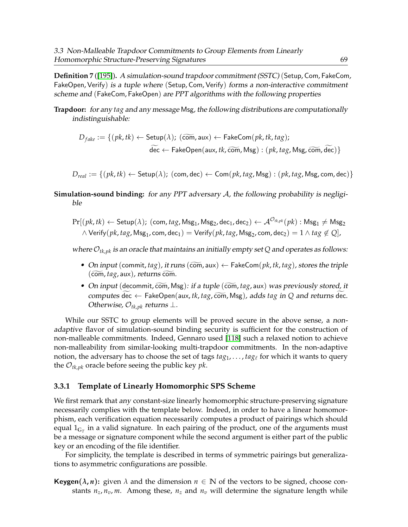**Definition 7** ([\[195\]](#page-98-4))**.** A simulation-sound trapdoor commitment (SSTC)(Setup, Com, FakeCom, FakeOpen, Verify) is a tuple where (Setup, Com, Verify) forms a non-interactive commitment scheme and (FakeCom, FakeOpen) are PPT algorithms with the following properties

**Trapdoor:** for any *tag* and any message Msg, the following distributions are computationally indistinguishable:

$$
D_{fake} := \{ (pk, tk) \leftarrow \text{Setup}(\lambda); (\widetilde{\text{com}}, \text{aux}) \leftarrow \text{FakeCom}(pk, tk, tag);
$$
  

$$
\text{dec} \leftarrow \text{FakeOpen}(\text{aux}, tk, \widetilde{\text{com}}, \text{Msg}) : (pk, tag, \text{Msg}, \widetilde{\text{com}}, \widetilde{\text{dec}}) \}
$$

 $D_{real} := \{(pk, tk) \leftarrow \mathsf{Setup}(\lambda); (\mathsf{com}, \mathsf{dec}) \leftarrow \mathsf{Com}(pk, tag, \mathsf{Msg}) : (pk, tag, \mathsf{Msg}, \mathsf{com}, \mathsf{dec})\}$ 

# **Simulation-sound binding:** for any PPT adversary A, the following probability is negligible

 $\Pr[(\mathit{pk}, \mathit{tk}) \gets \mathsf{Setup}(\lambda); \ (\mathsf{com}, \mathit{tag}, \mathsf{Msg}_1, \mathsf{Msg}_2, \mathsf{dec}_1, \mathsf{dec}_2) \gets \mathcal{A}^{\mathcal{O}_{\mathit{tk},\mathit{pk}}}(\mathit{pk}): \mathsf{Msg}_1 \neq \mathsf{Msg}_2$  $\wedge$  Verify $(\mathit{pk}, \mathit{tag}, \mathsf{Msg}_1, \mathsf{com}, \mathsf{dec}_1) = \mathsf{Verify}(\mathit{pk}, \mathit{tag}, \mathsf{Mag}_2, \mathsf{com}, \mathsf{dec}_2) = 1 \wedge \mathit{tag} \not\in Q],$ 

where O*tk*,*pk* is an oracle that maintains an initially empty set *Q* and operates as follows:

- On input (commit,  $tag$ ), it runs (com, aux)  $\leftarrow$  FakeCom( $pk$ ,  $tk$ ,  $tag$ ), stores the triple (com, tag, aux), returns com.
- On input (decommit, com, Msg): if a tuple (com, *tag*, aux) was previously stored, it computes dec  $\leftarrow$  FakeOpen(aux, *tk*, *tag*, com, Msg), adds *tag* in *Q* and returns dec. Otherwise, O*tk*,*pk* returns ⊥.

While our SSTC to group elements will be proved secure in the above sense, a nonadaptive flavor of simulation-sound binding security is sufficient for the construction of non-malleable commitments. Indeed, Gennaro used [\[118\]](#page-93-6) such a relaxed notion to achieve non-malleability from similar-looking multi-trapdoor commitments. In the non-adaptive notion, the adversary has to choose the set of tags  $tag_1,\ldots,tag_\ell$  for which it wants to query the O*tk*,*pk* oracle before seeing the public key *pk*.

# **3.3.1 Template of Linearly Homomorphic SPS Scheme**

We first remark that any constant-size linearly homomorphic structure-preserving signature necessarily complies with the template below. Indeed, in order to have a linear homomorphism, each verification equation necessarily computes a product of pairings which should equal 1**G***<sup>T</sup>* in a valid signature. In each pairing of the product, one of the arguments must be a message or signature component while the second argument is either part of the public key or an encoding of the file identifier.

For simplicity, the template is described in terms of symmetric pairings but generalizations to asymmetric configurations are possible.

**Keygen(** $\lambda$ **,** *n***)**: given  $\lambda$  and the dimension  $n \in \mathbb{N}$  of the vectors to be signed, choose constants  $n_z$ ,  $n_v$ ,  $m$ . Among these,  $n_z$  and  $n_v$  will determine the signature length while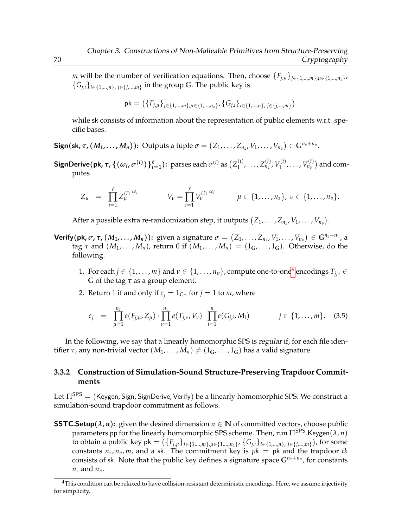*m* will be the number of verification equations. Then, choose  $\{F_{j,\mu}\}_{j\in\{1,\dots,m\},\mu\in\{1,\dots,n_z\}}$  ${G_{j,i}}_{i \in \{1,...,n\}, j \in \{j,...,m\}}$  in the group *G*. The public key is

$$
\mathsf{pk} = (\{F_{j,\mu}\}_{j \in \{1,\dots,m\},\mu \in \{1,\dots,n_z\}}, \{G_{j,i}\}_{i \in \{1,\dots,n\},\ j \in \{j,\dots,m\}})
$$

while sk consists of information about the representation of public elements w.r.t. specific bases.

- $\mathsf{Sign}(\mathsf{sk}, \tau, (M_1, \dots, M_n))$ : Outputs a tuple  $\sigma = (Z_1, \dots, Z_{n_z}, V_1, \dots, V_{n_v}) \in \mathbb{G}^{n_z + n_v}.$
- $\textsf{SignDerive}(\textsf{pk}, \tau, \{(\omega_i, \sigma^{(i)})\}_{i=1}^{\ell})$ : parses each  $\sigma^{(i)}$  as  $(Z_1^{(i)})$  $x_1^{(i)}, \ldots, z_{n_z}^{(i)}$  $\binom{i}{n_z}$ ,  $V_1^{(i)}$  $V_1^{(i)}, \ldots, V_{n_v}^{(i)}$  $\binom{1}{n_v}$  and computes

$$
Z_{\mu} = \prod_{i=1}^{\ell} Z_{\mu}^{(i) \omega_i} \qquad V_{\nu} = \prod_{i=1}^{\ell} V_{\nu}^{(i) \omega_i} \qquad \mu \in \{1, ..., n_z\}, \ \nu \in \{1, ..., n_v\}.
$$

After a possible extra re-randomization step, it outputs  $(Z_1, \ldots, Z_{n_z}, V_1, \ldots, V_{n_v})$ .

- **Verify**  $(\mathsf{pk}, \sigma, \tau, (M_1, \ldots, M_n))$ : given a signature  $\sigma = (Z_1, \ldots, Z_{n_z}, V_1, \ldots, V_{n_v}) \in \mathbb{G}^{n_z + n_v}$ , a tag  $\tau$  and  $(M_1, \ldots, M_n)$ , return 0 if  $(M_1, \ldots, M_n) = (1_G, \ldots, 1_G)$ . Otherwise, do the following.
	- 1. For each  $j \in \{1, \ldots, m\}$  and  $\nu \in \{1, \ldots, n_v\}$ , compute one-to-one<sup>[4](#page-71-0)</sup> encodings  $T_{j,\nu} \in$ **G** of the tag *τ* as a group element.
	- 2. Return 1 if and only if  $c_j = 1_{\mathbb{G}_T}$  for  $j = 1$  to  $m$ , where

$$
c_j = \prod_{\mu=1}^{n_z} e(F_{j,\mu}, Z_{\mu}) \cdot \prod_{\nu=1}^{n_v} e(T_{j,\nu}, V_{\nu}) \cdot \prod_{i=1}^{n} e(G_{j,i}, M_i) \qquad j \in \{1, ..., m\}. \quad (3.5)
$$

In the following, we say that a linearly homomorphic SPS is regular if, for each file identifier  $\tau$ , any non-trivial vector  $(M_1, \ldots, M_n) \neq (1_G, \ldots, 1_G)$  has a valid signature.

# **3.3.2 Construction of Simulation-Sound Structure-Preserving Trapdoor Commitments**

Let  $\Pi^{SPS} =$  (Keygen, Sign, SignDerive, Verify) be a linearly homomorphic SPS. We construct a simulation-sound trapdoor commitment as follows.

**SSTC.Setup**( $\lambda$ ,  $n$ ): given the desired dimension  $n \in \mathbb{N}$  of committed vectors, choose public parameters pp for the linearly homomorphic SPS scheme. Then, run ΠSPS .Keygen(*λ*, *n*) to obtain a public key pk =  $(\{F_{j,\mu}\}_{j\in\{1,...,m\},\mu\in\{1,...,n_z\}}, \{G_{j,i}\}_{i\in\{1,...,n\},\ j\in\{j,...,m\}})$ , for some constants  $n_z$ ,  $n_v$ ,  $m$ , and a sk. The commitment key is  $pk = pk$  and the trapdoor  $tk$ consists of sk. Note that the public key defines a signature space **G***nz*+*n<sup>v</sup>* , for constants  $n_z$  and  $n_v$ .

<span id="page-71-0"></span> $4$ This condition can be relaxed to have collision-resistant deterministic encodings. Here, we assume injectivity for simplicity.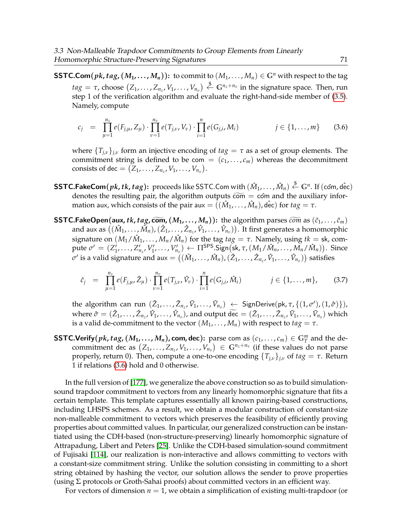**SSTC.Com**( $pk$ ,  $tag$ ,  $(M_1, ..., M_n)$ ): to commit to  $(M_1, ..., M_n) \in \mathbb{G}^n$  with respect to the tag  $\deg = \tau$ , choose  $(Z_1,\ldots,Z_{n_z},V_1,\ldots,V_{n_v}) \stackrel{\$}{\leftarrow} \mathbb{G}^{n_z+n_v}$  in the signature space. Then, run step 1 of the verification algorithm and evaluate the right-hand-side member of [\(3.5\)](#page-71-0). Namely, compute

<span id="page-72-0"></span>
$$
c_j = \prod_{\mu=1}^{n_z} e(F_{j,\mu}, Z_{\mu}) \cdot \prod_{\nu=1}^{n_v} e(T_{j,\nu}, V_{\nu}) \cdot \prod_{i=1}^{n} e(G_{j,i}, M_i) \qquad j \in \{1, ..., m\} \qquad (3.6)
$$

where  ${T_{i,v}}_{i,v}$  form an injective encoding of  $tag = \tau$  as a set of group elements. The commitment string is defined to be com =  $(c_1, \ldots, c_m)$  whereas the decommitment consists of dec =  $(Z_1, ..., Z_{n_z}, V_1, ..., V_{n_v}).$ 

- $\mathsf{SSTC}.\mathsf{FakeCom}(pk,tk,tag) \colon$  proceeds like <code>SSTC.Com</code> with  $(\hat{M}_1,\ldots,\hat{M}_n) \overset{\$}{\leftarrow} \mathbb{G}^n.$  If  $(\hat{\mathsf{com}},\hat{\mathsf{dec}})$ denotes the resulting pair, the algorithm outputs  $\widetilde{\text{com}} = \text{com}$  and the auxiliary information aux, which consists of the pair aux  $=$   $((\hat{M}_1,\ldots,\hat{M}_n),$  de $\hat{\mathsf{e}}$ c) for  $tag=\tau.$
- **SSTC.FakeOpen(aux,** *tk, tag, com,* $(M_1, \ldots, M_n)$ **): the algorithm parses** *com* **as**  $(\tilde{c}_1, \ldots, \tilde{c}_m)$ and aux as  $\big((\hat{M}_1,\ldots,\hat{M}_n),(\hat{Z}_1,\ldots,\hat{Z}_{n_z},\hat{V}_1,\ldots,\hat{V}_{n_v})\big).$  It first generates a homomorphic signature on  $(M_1/\hat{M}_1, \ldots, M_n/\hat{M}_n)$  for the tag  $tag = \tau$ . Namely, using  $tk = sk$ , compute  $\sigma' = (Z'_1, \ldots, Z'_{n_z}, V'_1, \ldots, V'_{n_v}) \leftarrow \Pi^{\text{SPS}}.\text{Sign}(\textsf{sk}, \tau, (M_1/\hat{M}_n, \ldots, M_n/\hat{M}_n)).$  Since  $\sigma'$  is a valid signature and aux  $= \big((\hat{M}_1,\ldots,\hat{M}_n),(\hat{Z}_1,\ldots,\hat{Z}_{n_z},\hat{V}_1,\ldots,\hat{V}_{n_v})\big)$  satisfies

$$
\tilde{c}_j = \prod_{\mu=1}^{n_z} e(F_{j,\mu}, \hat{Z}_{\mu}) \cdot \prod_{\nu=1}^{n_v} e(T_{j,\nu}, \hat{V}_{\nu}) \cdot \prod_{i=1}^{n} e(G_{j,i}, \hat{M}_i) \qquad j \in \{1, ..., m\},
$$
 (3.7)

the algorithm can run  $(\tilde{Z}_1,\ldots,\tilde{Z}_{n_z},\tilde{V}_1,\ldots,\tilde{V}_{n_v}) \leftarrow \textsf{SignDerive}(\textsf{pk},\tau,\{(1,\sigma'),(1,\hat{\sigma})\}),$ where  $\hat{\sigma} = (\hat{Z}_1, \dots, \hat{Z}_{n_z}, \hat{V}_1, \dots, \hat{V}_{n_v})$ , and output  $\widehat{\text{dec}} = (\tilde{Z}_1, \dots, \tilde{Z}_{n_z}, \tilde{V}_1, \dots, \tilde{V}_{n_v})$  which is a valid de-commitment to the vector  $(M_1, \ldots, M_n)$  with respect to  $tag = \tau$ .

**SSTC.Verify**( $pk, tag, (M_1, ..., M_n)$ , com, dec): parse com as  $(c_1, ..., c_m) \in \mathbb{G}_T^m$  and the decommitment dec as  $(Z_1,\ldots,Z_{n_z},V_1,\ldots,V_{n_v}) \in \mathbb{G}^{n_z+n_v}$  (if these values do not parse properly, return 0). Then, compute a one-to-one encoding  $\{T_{j,\nu}\}_{j,\nu}$  of  $tag = \tau$ . Return 1 if relations [\(3.6\)](#page-72-0) hold and 0 otherwise.

In the full version of [\[177\]](#page-97-0), we generalize the above construction so as to build simulationsound trapdoor commitment to vectors from any linearly homomorphic signature that fits a certain template. This template captures essentially all known pairing-based constructions, including LHSPS schemes. As a result, we obtain a modular construction of constant-size non-malleable commitment to vectors which preserves the feasibility of efficiently proving properties about committed values. In particular, our generalized construction can be instantiated using the CDH-based (non-structure-preserving) linearly homomorphic signature of Attrapadung, Libert and Peters [\[25\]](#page-87-0). Unlike the CDH-based simulation-sound commitment of Fujisaki [\[114\]](#page-93-0), our realization is non-interactive and allows committing to vectors with a constant-size commitment string. Unlike the solution consisting in committing to a short string obtained by hashing the vector, our solution allows the sender to prove properties (using  $\Sigma$  protocols or Groth-Sahai proofs) about committed vectors in an efficient way.

For vectors of dimension  $n = 1$ , we obtain a simplification of existing multi-trapdoor (or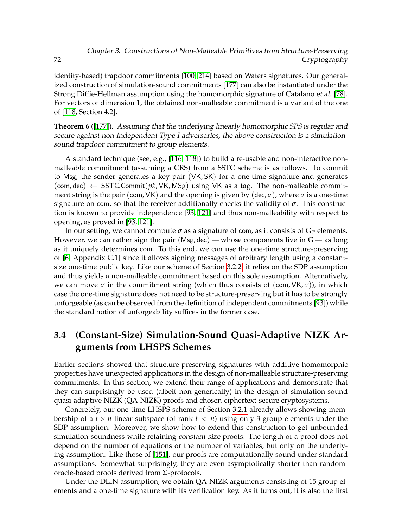identity-based) trapdoor commitments [\[100,](#page-92-0) [214\]](#page-100-0) based on Waters signatures. Our generalized construction of simulation-sound commitments [\[177\]](#page-97-0) can also be instantiated under the Strong Diffie-Hellman assumption using the homomorphic signature of Catalano et al. [\[78\]](#page-91-0). For vectors of dimension 1, the obtained non-malleable commitment is a variant of the one of [\[118,](#page-93-1) Section 4.2].

**Theorem 6** ([\[177\]](#page-97-0))**.** Assuming that the underlying linearly homomorphic SPS is regular and secure against non-independent Type I adversaries, the above construction is a simulationsound trapdoor commitment to group elements.

A standard technique (see, e.g., [\[116,](#page-93-2) [118\]](#page-93-1)) to build a re-usable and non-interactive nonmalleable commitment (assuming a CRS) from a SSTC scheme is as follows. To commit to Msg, the sender generates a key-pair (VK, SK) for a one-time signature and generates  $(\text{com, dec}) \leftarrow \text{SSTC.Commit}(pk, VK, MSg)$  using VK as a tag. The non-malleable commitment string is the pair (com, VK) and the opening is given by (dec,  $\sigma$ ), where  $\sigma$  is a one-time signature on com, so that the receiver additionally checks the validity of *σ*. This construction is known to provide independence [\[93,](#page-92-1) [121\]](#page-94-0) and thus non-malleability with respect to opening, as proved in [\[93,](#page-92-1) [121\]](#page-94-0).

In our setting, we cannot compute  $\sigma$  as a signature of com, as it consists of  $G_T$  elements. However, we can rather sign the pair (Msg, dec) — whose components live in **G** — as long as it uniquely determines com. To this end, we can use the one-time structure-preserving of [\[6,](#page-86-0) Appendix C.1] since it allows signing messages of arbitrary length using a constantsize one-time public key. Like our scheme of Section [3.2.2,](#page-64-0) it relies on the SDP assumption and thus yields a non-malleable commitment based on this sole assumption. Alternatively, we can move  $\sigma$  in the commitment string (which thus consists of (com, VK,  $\sigma$ )), in which case the one-time signature does not need to be structure-preserving but it has to be strongly unforgeable (as can be observed from the definition of independent commitments [\[93\]](#page-92-1)) while the standard notion of unforgeability suffices in the former case.

# <span id="page-73-0"></span>**3.4 (Constant-Size) Simulation-Sound Quasi-Adaptive NIZK Arguments from LHSPS Schemes**

Earlier sections showed that structure-preserving signatures with additive homomorphic properties have unexpected applications in the design of non-malleable structure-preserving commitments. In this section, we extend their range of applications and demonstrate that they can surprisingly be used (albeit non-generically) in the design of simulation-sound quasi-adaptive NIZK (QA-NIZK) proofs and chosen-ciphertext-secure cryptosystems.

Concretely, our one-time LHSPS scheme of Section [3.2.1](#page-63-0) already allows showing membership of a  $t \times n$  linear subspace (of rank  $t < n$ ) using only 3 group elements under the SDP assumption. Moreover, we show how to extend this construction to get unbounded simulation-soundness while retaining constant-size proofs. The length of a proof does not depend on the number of equations or the number of variables, but only on the underlying assumption. Like those of [\[151\]](#page-96-0), our proofs are computationally sound under standard assumptions. Somewhat surprisingly, they are even asymptotically shorter than randomoracle-based proofs derived from Σ-protocols.

Under the DLIN assumption, we obtain QA-NIZK arguments consisting of 15 group elements and a one-time signature with its verification key. As it turns out, it is also the first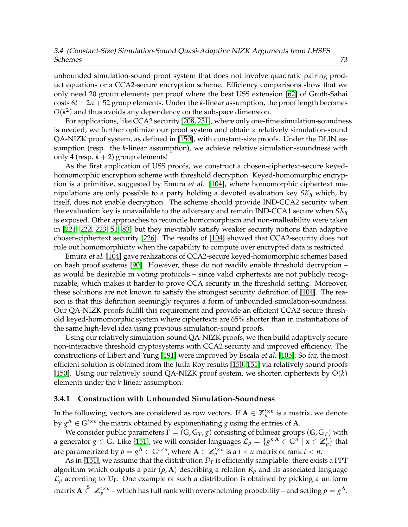unbounded simulation-sound proof system that does not involve quadratic pairing product equations or a CCA2-secure encryption scheme. Efficiency comparisons show that we only need 20 group elements per proof where the best USS extension [\[62\]](#page-90-0) of Groth-Sahai costs 6*t* + 2*n* + 52 group elements. Under the *k*-linear assumption, the proof length becomes  $O(k^2)$  and thus avoids any dependency on the subspace dimension.

For applications, like CCA2 security [\[208,](#page-99-0) [231\]](#page-101-0), where only one-time simulation-soundness is needed, we further optimize our proof system and obtain a relatively simulation-sound QA-NIZK proof system, as defined in [\[150\]](#page-96-1), with constant-size proofs. Under the DLIN assumption (resp. the *k*-linear assumption), we achieve relative simulation-soundness with only 4 (resp.  $k + 2$ ) group elements!

As the first application of USS proofs, we construct a chosen-ciphertext-secure keyedhomomorphic encryption scheme with threshold decryption. Keyed-homomorphic encryption is a primitive, suggested by Emura et al. [\[104\]](#page-92-2), where homomorphic ciphertext manipulations are only possible to a party holding a devoted evaluation key *SK<sup>h</sup>* which, by itself, does not enable decryption. The scheme should provide IND-CCA2 security when the evaluation key is unavailable to the adversary and remain IND-CCA1 secure when *SK<sup>h</sup>* is exposed. Other approaches to reconcile homomorphism and non-malleability were taken in [\[221,](#page-100-1) [222,](#page-100-2) [223,](#page-100-3) [51,](#page-89-0) [83\]](#page-91-1) but they inevitably satisfy weaker security notions than adaptive chosen-ciphertext security [\[226\]](#page-101-1). The results of [\[104\]](#page-92-2) showed that CCA2-security does not rule out homomorphicity when the capability to compute over encrypted data is restricted.

Emura et al. [\[104\]](#page-92-2) gave realizations of CCA2-secure keyed-homomorphic schemes based on hash proof systems [\[90\]](#page-91-2). However, these do not readily enable threshold decryption – as would be desirable in voting protocols – since valid ciphertexts are not publicly recognizable, which makes it harder to prove CCA security in the threshold setting. Moreover, these solutions are not known to satisfy the strongest security definition of [\[104\]](#page-92-2). The reason is that this definition seemingly requires a form of unbounded simulation-soundness. Our QA-NIZK proofs fulfill this requirement and provide an efficient CCA2-secure threshold keyed-homomorphic system where ciphertexts are 65% shorter than in instantiations of the same high-level idea using previous simulation-sound proofs.

Using our relatively simulation-sound QA-NIZK proofs, we then build adaptively secure non-interactive threshold cryptosystems with CCA2 security and improved efficiency. The constructions of Libert and Yung [\[191\]](#page-98-0) were improved by Escala et al. [\[105\]](#page-92-3). So far, the most efficient solution is obtained from the Jutla-Roy results [\[150,](#page-96-1) [151\]](#page-96-0) via relatively sound proofs [\[150\]](#page-96-1). Using our relatively sound QA-NIZK proof system, we shorten ciphertexts by Θ(*k*) elements under the *k*-linear assumption.

## **3.4.1 Construction with Unbounded Simulation-Soundness**

In the following, vectors are considered as row vectors. If  $\mathbf{A} \in \mathbb{Z}_p^{t \times n}$  is a matrix, we denote by  $g^{\mathbf{A}} \in \mathbb{G}^{t \times n}$  the matrix obtained by exponentiating g using the entries of **A**.

We consider public parameters  $\Gamma = (G, G_T, g)$  consisting of bilinear groups  $(G, G_T)$  with a generator  $g \in G$ . Like [\[151\]](#page-96-0), we will consider languages  $\mathcal{L}_\rho = \{g^{\mathbf{x} \cdot \mathbf{A}} \in G^n \mid \mathbf{x} \in \mathbb{Z}_p^t\}$  that are parametrized by  $\rho = g^{\mathbf{A}} \in \mathbb{G}^{t \times n}$ , where  $\mathbf{A} \in \mathbb{Z}_q^{t \times n}$  is a  $t \times n$  matrix of rank  $t < n$ .

As in [\[151\]](#page-96-0), we assume that the distribution  $\mathcal{D}_{\Gamma}$  is efficiently samplable: there exists a PPT algorithm which outputs a pair (*ρ*, **A**) describing a relation *R<sup>ρ</sup>* and its associated language  $\mathcal{L}_{\rho}$  according to  $\mathcal{D}_{\Gamma}$ . One example of such a distribution is obtained by picking a uniform  $\max$   $\mathbf{A} \overset{\$}{\leftarrow} \mathbb{Z}_p^{t \times n}$  – which has full rank with overwhelming probability – and setting  $\rho = g^{\mathbf{A}}.$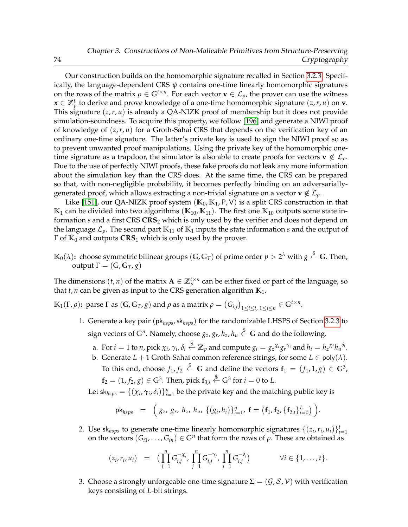Our construction builds on the homomorphic signature recalled in Section [3.2.3.](#page-66-0) Specifically, the language-dependent CRS  $\psi$  contains one-time linearly homomorphic signatures on the rows of the matrix  $\rho \in \mathbb{G}^{t \times n}$ . For each vector  $\mathbf{v} \in \mathcal{L}_{\rho}$ , the prover can use the witness  $\mathbf{x} \in \mathbb{Z}_p^t$  to derive and prove knowledge of a one-time homomorphic signature  $(z, r, u)$  on  $\mathbf{v}$ . This signature (*z*,*r*, *u*) is already a QA-NIZK proof of membership but it does not provide simulation-soundness. To acquire this property, we follow [\[196\]](#page-99-1) and generate a NIWI proof of knowledge of (*z*,*r*, *u*) for a Groth-Sahai CRS that depends on the verification key of an ordinary one-time signature. The latter's private key is used to sign the NIWI proof so as to prevent unwanted proof manipulations. Using the private key of the homomorphic onetime signature as a trapdoor, the simulator is also able to create proofs for vectors  $\mathbf{v} \notin \mathcal{L}_{\rho}$ . Due to the use of perfectly NIWI proofs, these fake proofs do not leak any more information about the simulation key than the CRS does. At the same time, the CRS can be prepared so that, with non-negligible probability, it becomes perfectly binding on an adversariallygenerated proof, which allows extracting a non-trivial signature on a vector  $\mathbf{v} \notin \mathcal{L}_{\rho}$ .

Like [\[151\]](#page-96-0), our QA-NIZK proof system (**K**0, **K**1, P, V) is a split CRS construction in that  $\mathbb{K}_1$  can be divided into two algorithms ( $\mathbb{K}_{10}$ ,  $\mathbb{K}_{11}$ ). The first one  $\mathbb{K}_{10}$  outputs some state information *s* and a first CRS **CRS**<sup>2</sup> which is only used by the verifier and does not depend on the language L*ρ*. The second part **K**<sup>11</sup> of **K**<sup>1</sup> inputs the state information *s* and the output of Γ of **K**<sup>0</sup> and outputs **CRS**<sup>1</sup> which is only used by the prover.

 $\mathbb{K}_0(\lambda)$ : choose symmetric bilinear groups  $(\mathbb{G},\mathbb{G}_T)$  of prime order  $p>2^\lambda$  with  $g\overset{\$}{\leftarrow}\mathbb{G}.$  Then, output  $\Gamma = (G, G_T, g)$ 

The dimensions  $(t, n)$  of the matrix  $A \in \mathbb{Z}_p^{t \times n}$  can be either fixed or part of the language, so that *t*, *n* can be given as input to the CRS generation algorithm **K**1.

 $\mathbb{K}_1(\Gamma, \rho)$ : parse  $\Gamma$  as  $(\mathbb{G}, \mathbb{G}_T, g)$  and  $\rho$  as a matrix  $\rho = (G_{i,j})_{1 \leq i \leq t, 1 \leq j \leq n} \in \mathbb{G}^{t \times n}$ .

- 1. Generate a key pair (pk<sub>hsps</sub>, sk<sub>hsps</sub>) for the randomizable LHSPS of Section [3.2.3](#page-66-0) to sign vectors of  $\mathbb{G}^n$ . Namely, choose  $g_z$ ,  $g_r$ ,  $h_z$ ,  $h_u \overset{\$}{\leftarrow} \mathbb{G}$  and do the following.
	- a. For  $i=1$  to  $n$ , pick  $\chi_i$ ,  $\gamma_i$ ,  $\delta_i \overset{\$}{\leftarrow} \mathbb{Z}_p$  and compute  $g_i = g_z^{\chi_i} g_r^{\gamma_i}$  and  $h_i = h_z^{\chi_i} h_u^{\delta_i}$ .
	- b. Generate  $L + 1$  Groth-Sahai common reference strings, for some  $L \in \text{poly}(\lambda)$ . To this end, choose  $f_1, f_2 \stackrel{\$}{\leftarrow} \mathbb{G}$  and define the vectors  $\mathbf{f}_1 = (f_1, 1, g) \in \mathbb{G}^3$ ,  $f_2 = (1, f_2, g) \in \mathbb{G}^3$ . Then, pick  $f_{3,i} \overset{\$}{\leftarrow} \mathbb{G}^3$  for  $i = 0$  to *L*.

Let sk<sub>*hsps*</sub> = { $(\chi_i, \gamma_i, \delta_i)$ }<sup>*n*</sup><sub>*i*=1</sub></sub> be the private key and the matching public key is

$$
\mathsf{pk}_{hsps} = \left( g_z, g_r, h_z, h_u, \{ (g_i, h_i) \}_{i=1}^n, \mathbf{f} = (\mathbf{f}_1, \mathbf{f}_2, \{ \mathbf{f}_{3,i} \}_{i=0}^L) \right).
$$

2. Use sk<sub>*hsps*</sub> to generate one-time linearly homomorphic signatures  $\{(z_i, r_i, u_i)\}_{i=1}^t$ on the vectors  $(G_{i1},...,G_{in}) \in \mathbb{G}^n$  that form the rows of  $\rho$ . These are obtained as

$$
(z_i,r_i,u_i) = \left(\prod_{j=1}^n G_{i,j}^{-\chi_j}, \prod_{j=1}^n G_{i,j}^{-\gamma_j}, \prod_{j=1}^n G_{i,j}^{-\delta_j}\right) \qquad \forall i \in \{1,\ldots,t\}.
$$

3. Choose a strongly unforgeable one-time signature  $\Sigma = (\mathcal{G}, \mathcal{S}, \mathcal{V})$  with verification keys consisting of *L*-bit strings.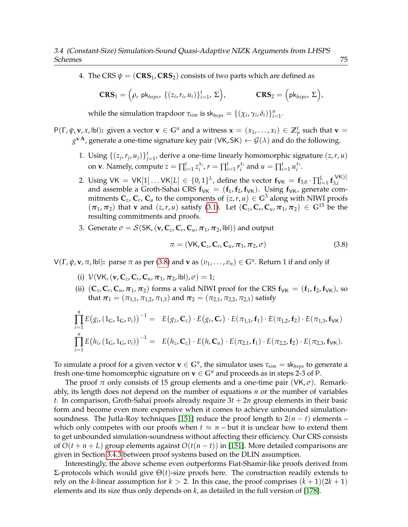4. The CRS  $\psi = (CRS_1, CRS_2)$  consists of two parts which are defined as

$$
CRS_1 = (\rho, \, \mathsf{pk}_{hsps}, \, \{(z_i, r_i, u_i)\}_{i=1}^t, \, \Sigma), \qquad \qquad CRS_2 = (\mathsf{pk}_{hsps}, \, \Sigma),
$$

while the simulation trapdoor  $\tau_{sim}$  is  $sk_{hsps} = \{(\chi_i, \gamma_i, \delta_i)\}_{i=1}^n$ .

- $P(\Gamma, \psi, \mathbf{v}, x, \text{lb})$ : given a vector  $\mathbf{v} \in \mathbb{G}^n$  and a witness  $\mathbf{x} = (x_1, \dots, x_t) \in \mathbb{Z}_p^t$  such that  $\mathbf{v} =$  $g^{\mathbf{x} \cdot \mathbf{A}}$ , generate a one-time signature key pair  $(\mathsf{VK}, \mathsf{SK}) \leftarrow \mathcal{G}(\lambda)$  and do the following.
	- 1. Using  $\{(z_j, r_j, u_j)\}_{j=1}^t$ , derive a one-time linearly homomorphic signature  $(z, r, u)$ on **v**. Namely, compute  $z = \prod_{i=1}^{t} z_i^{x_i}$  $\prod_{i=1}^{x_i} r_i = \prod_{i=1}^t r_i^{x_i}$ *x*<sup>*i*</sup></sup> and  $u = \prod_{i=1}^{t} u_i^{x_i}$  $\frac{x_i}{i}$ .
	- 2. Using VK = VK $[1] \ldots$  VK $[L] \in \{0,1\}^L$ , define the vector  $\mathbf{f}_{\mathsf{VK}} = \mathbf{f}_{3,0} \cdot \prod_{i=1}^L \mathbf{f}_{3,i}^{\mathsf{VK}[i]}$ 3,*i* and assemble a Groth-Sahai CRS  $f_{VK} = (f_1, f_2, f_{VK})$ . Using  $f_{VK}$ , generate commitments  $C_z$ ,  $C_r$ ,  $C_u$  to the components of  $(z, r, u) \in \mathbb{G}^3$  along with NIWI proofs  $(\pi_1, \pi_2)$  that **v** and  $(z, r, u)$  satisfy [\(3.1\)](#page-64-1). Let  $(C_z, C_r, C_u, \pi_1, \pi_2) \in \mathbb{G}^{15}$  be the resulting commitments and proofs.
	- 3. Generate  $\sigma = \mathcal{S}(\mathsf{SK}, (\mathbf{v}, \mathbf{C}_z, \mathbf{C}_r, \mathbf{C}_u, \pi_1, \pi_2, \mathsf{Ibl}))$  and output

<span id="page-76-0"></span>
$$
\pi = (VK, C_z, C_r, C_u, \pi_1, \pi_2, \sigma)
$$
\n(3.8)

 $V(\Gamma, \psi, \mathbf{v}, \pi, \text{lb})$ : parse  $\pi$  as per [\(3.8\)](#page-76-0) and  $\mathbf{v}$  as  $(v_1, \dots, v_n) \in \mathbb{G}^n$ . Return 1 if and only if

- (i)  $V(VK, (\mathbf{v}, \mathbf{C}_z, \mathbf{C}_r, \mathbf{C}_u, \pi_1, \pi_2, \text{lb}), \sigma) = 1;$
- (ii)  $(C_z, C_r, C_u, \pi_1, \pi_2)$  forms a valid NIWI proof for the CRS  $f_{VK} = (f_1, f_2, f_{VK})$ , so that  $\pi_1 = (\pi_{1,1}, \pi_{1,2}, \pi_{1,3})$  and  $\pi_2 = (\pi_{2,1}, \pi_{2,2}, \pi_{2,3})$  satisfy

$$
\prod_{i=1}^{n} E(g_i, (1_G, 1_G, v_i))^{-1} = E(g_z, \mathbf{C}_z) \cdot E(g_r, \mathbf{C}_r) \cdot E(\pi_{1,1}, \mathbf{f}_1) \cdot E(\pi_{1,2}, \mathbf{f}_2) \cdot E(\pi_{1,3}, \mathbf{f}_{\mathsf{VK}})
$$
  

$$
\prod_{i=1}^{n} E(h_i, (1_G, 1_G, v_i))^{-1} = E(h_z, \mathbf{C}_z) \cdot E(h, \mathbf{C}_u) \cdot E(\pi_{2,1}, \mathbf{f}_1) \cdot E(\pi_{2,2}, \mathbf{f}_2) \cdot E(\pi_{2,3}, \mathbf{f}_{\mathsf{VK}}).
$$

To simulate a proof for a given vector  $\mathbf{v} \in \mathbb{G}^n$ , the simulator uses  $\tau_{sim} = \mathsf{sk}_{hsps}$  to generate a fresh one-time homomorphic signature on  $\mathbf{v} \in \mathbb{G}^n$  and proceeds as in steps 2-3 of P.

The proof  $\pi$  only consists of 15 group elements and a one-time pair (VK, $\sigma$ ). Remarkably, its length does not depend on the number of equations *n* or the number of variables *t*. In comparison, Groth-Sahai proofs already require  $3t + 2n$  group elements in their basic form and become even more expensive when it comes to achieve unbounded simulation-soundness. The Jutla-Roy techniques [\[151\]](#page-96-0) reduce the proof length to  $2(n - t)$  elements – which only competes with our proofs when  $t \approx n$  – but it is unclear how to extend them to get unbounded simulation-soundness without affecting their efficiency. Our CRS consists of *O*(*t* + *n* + *L*) group elements against *O*(*t*(*n* − *t*)) in [\[151\]](#page-96-0). More detailed comparisons are given in Section [3.4.3](#page-79-0) between proof systems based on the DLIN assumption.

Interestingly, the above scheme even outperforms Fiat-Shamir-like proofs derived from Σ-protocols which would give Θ(*t*)-size proofs here. The construction readily extends to rely on the *k*-linear assumption for  $k > 2$ . In this case, the proof comprises  $(k + 1)(2k + 1)$ elements and its size thus only depends on *k*, as detailed in the full version of [\[178\]](#page-97-1).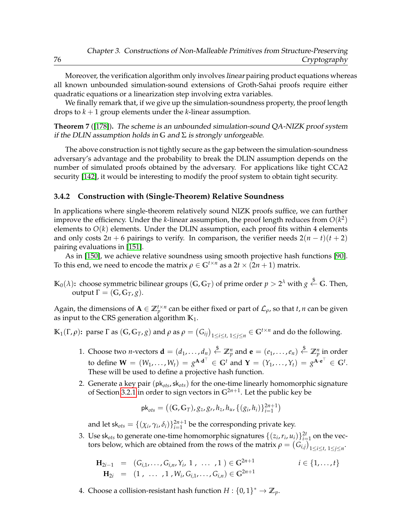Moreover, the verification algorithm only involves linear pairing product equations whereas all known unbounded simulation-sound extensions of Groth-Sahai proofs require either quadratic equations or a linearization step involving extra variables.

We finally remark that, if we give up the simulation-soundness property, the proof length drops to  $k + 1$  group elements under the *k*-linear assumption.

**Theorem 7** ([\[178\]](#page-97-1))**.** The scheme is an unbounded simulation-sound QA-NIZK proof system if the DLIN assumption holds in **G** and Σ is strongly unforgeable.

The above construction is not tightly secure as the gap between the simulation-soundness adversary's advantage and the probability to break the DLIN assumption depends on the number of simulated proofs obtained by the adversary. For applications like tight CCA2 security [\[142\]](#page-95-0), it would be interesting to modify the proof system to obtain tight security.

## <span id="page-77-0"></span>**3.4.2 Construction with (Single-Theorem) Relative Soundness**

In applications where single-theorem relatively sound NIZK proofs suffice, we can further improve the efficiency. Under the *k*-linear assumption, the proof length reduces from  $O(k^2)$ elements to  $O(k)$  elements. Under the DLIN assumption, each proof fits within 4 elements and only costs  $2n + 6$  pairings to verify. In comparison, the verifier needs  $2(n - t)(t + 2)$ pairing evaluations in [\[151\]](#page-96-0).

As in [\[150\]](#page-96-1), we achieve relative soundness using smooth projective hash functions [\[90\]](#page-91-2). To this end, we need to encode the matrix  $\rho \in \mathbb{G}^{t \times n}$  as a 2 $t \times (2n + 1)$  matrix.

 $\mathbb{K}_0(\lambda)$ : choose symmetric bilinear groups  $(\mathbb{G},\mathbb{G}_T)$  of prime order  $p>2^\lambda$  with  $g\overset{\$}{\leftarrow}\mathbb{G}.$  Then, output  $\Gamma = (G, G_T, g)$ .

Again, the dimensions of  $A \in \mathbb{Z}_p^{t \times n}$  can be either fixed or part of  $\mathcal{L}_\rho$ , so that *t*, *n* can be given as input to the CRS generation algorithm **K**1.

**K**<sub>1</sub>(Γ, ρ): parse Γ as (G, G<sub>T</sub>, *g*) and *ρ* as  $ρ = (G_{ij})_{1 \leq i \leq t, 1 \leq j \leq n} \in \mathbb{G}^{t \times n}$  and do the following.

- 1. Choose two *n*-vectors  $\mathbf{d} = (d_1, \ldots, d_n) \stackrel{\$}{\leftarrow} \mathbb{Z}_p^n$  and  $\mathbf{e} = (e_1, \ldots, e_n) \stackrel{\$}{\leftarrow} \mathbb{Z}_p^n$  in order to define  $\mathbf{W} = (W_1, \dots, W_t) = g^{\mathbf{A} \cdot \mathbf{d}^\top} \in \mathbb{G}^t$  and  $\mathbf{Y} = (Y_1, \dots, Y_t) = g^{\mathbf{A} \cdot \mathbf{e}^\top} \in \mathbb{G}^t$ . These will be used to define a projective hash function.
- 2. Generate a key pair (pk<sub>ots</sub>, sk<sub>ots</sub>) for the one-time linearly homomorphic signature of Section [3.2.1](#page-63-0) in order to sign vectors in **G**2*n*+<sup>1</sup> . Let the public key be

$$
\mathsf{pk}_{\text{obs}} = ((\mathbb{G}, \mathbb{G}_{T}), g_{z}, g_{r}, h_{z}, h_{u}, \{(g_{i}, h_{i})\}_{i=1}^{2n+1})
$$

and let sk $_{obs} = \{(\chi_i, \gamma_i, \delta_i)\}_{i=1}^{2n+1}$  $\sum_{i=1}^{2n+1}$  be the corresponding private key.

3. Use sk $_{ots}$  to generate one-time homomorphic signatures  $\{(z_i, r_i, u_i)\}_{i=1}^{2t}$  on the vectors below, which are obtained from the rows of the matrix  $\rho = (G_{i,j})_{1 \leq i \leq t, 1 \leq j \leq n}$ .

$$
\mathbf{H}_{2i-1} = (G_{i,1},...,G_{i,n}, Y_i, 1, ..., 1) \in \mathbb{G}^{2n+1} \qquad i \in \{1,...,t\}
$$
  
\n
$$
\mathbf{H}_{2i} = (1, ..., 1, W_i, G_{i,1},..., G_{i,n}) \in \mathbb{G}^{2n+1}
$$

4. Choose a collision-resistant hash function  $H: \{0,1\}^* \to \mathbb{Z}_p$ .

76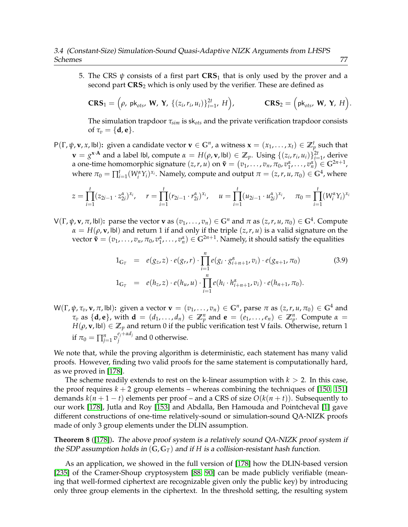5. The CRS  $\psi$  consists of a first part CRS<sub>1</sub> that is only used by the prover and a second part  $CRS<sub>2</sub>$  which is only used by the verifier. These are defined as

$$
CRS_1 = \left(\rho, \ p k_{obs}, W, Y, \{(z_i, r_i, u_i)\}_{i=1}^{2t}, H\right), \qquad CRS_2 = \left(p k_{obs}, W, Y, H\right).
$$

The simulation trapdoor *τsim* is sk*ots* and the private verification trapdoor consists of  $\tau_v = \{\mathbf{d}, \mathbf{e}\}.$ 

 $P(\Gamma, \psi, \mathbf{v}, x, \text{lb})$ : given a candidate vector  $\mathbf{v} \in \mathbb{G}^n$ , a witness  $\mathbf{x} = (x_1, \dots, x_t) \in \mathbb{Z}_p^t$  such that **v** =  $g^{x \cdot A}$  and a label lbl, compute  $\alpha = H(\rho, \mathbf{v}, \text{lb}) \in \mathbb{Z}_p$ . Using  $\{(z_i, r_i, u_i)\}_{i=1}^{2t}$ , derive a one-time homomorphic signature  $(z, r, u)$  on  $\tilde{\mathbf{v}} = (v_1, \dots, v_n, \pi_0, v_1^{\alpha}, \dots, v_n^{\alpha}) \in \mathbb{G}^{2n+1}$ , where  $\pi_0 = \prod_{i=1}^t (W_i^{\alpha} Y_i)^{x_i}$ . Namely, compute and output  $\pi = (z, r, u, \pi_0) \in \mathbb{G}^4$ , where

$$
z = \prod_{i=1}^{t} (z_{2i-1} \cdot z_{2i}^{\alpha})^{x_i}, \quad r = \prod_{i=1}^{t} (r_{2i-1} \cdot r_{2i}^{\alpha})^{x_i}, \quad u = \prod_{i=1}^{t} (u_{2i-1} \cdot u_{2i}^{\alpha})^{x_i}, \quad \pi_0 = \prod_{i=1}^{t} (W_i^{\alpha} Y_i)^{x_i}
$$

V(Γ, *ψ*, **v**, *π*, lbl)**:** parse the vector **v** as (*v*1, . . . , *vn*) ∈ **G***<sup>n</sup>* and *π* as (*z*,*r*, *u*, *π*0) ∈ **G**<sup>4</sup> . Compute  $\alpha = H(\rho, \mathbf{v}, \text{lb})$  and return 1 if and only if the triple  $(z, r, u)$  is a valid signature on the vector  $\tilde{\mathbf{v}} = (v_1, \dots, v_n, \pi_0, v_1^{\alpha}, \dots, v_n^{\alpha}) \in \mathbb{G}^{2n+1}$ . Namely, it should satisfy the equalities

$$
1_{G_T} = e(g_z, z) \cdot e(g_r, r) \cdot \prod_{i=1}^n e(g_i \cdot g_{i+n+1}^{\alpha}, v_i) \cdot e(g_{n+1}, \pi_0)
$$
\n
$$
1_{G_T} = e(h_z, z) \cdot e(h_u, u) \cdot \prod_{i=1}^n e(h_i \cdot h_{i+n+1}^{\alpha}, v_i) \cdot e(h_{n+1}, \pi_0).
$$
\n(3.9)

 ${\sf W}(\Gamma,\psi,\tau_v,{\bf v},\pi,$ lbl): given a vector  ${\bf v}=(v_1,\ldots,v_n)\in{\mathbb G}^n$ , parse  $\pi$  as  $(z,r,u,\pi_0)\in{\mathbb G}^4$  and *τ*<sub>*v*</sub> as {**d**, **e**}, with **d** =  $(d_1, \ldots, d_n) \in \mathbb{Z}_p^n$  and **e** =  $(e_1, \ldots, e_n) \in \mathbb{Z}_p^n$ . Compute  $\alpha$  = *H*(*ρ*, **v**, lbl) ∈ **Z***<sup>p</sup>* and return 0 if the public verification test V fails. Otherwise, return 1 if  $\pi_0 = \prod_{j=1}^n v_j^{e_j + \alpha d_j}$  $j$ <sup>*j* $\left| \text{and } 0 \right|$  otherwise.</sup>

We note that, while the proving algorithm is deterministic, each statement has many valid proofs. However, finding two valid proofs for the same statement is computationally hard, as we proved in [\[178\]](#page-97-1).

The scheme readily extends to rest on the k-linear assumption with  $k > 2$ . In this case, the proof requires  $k + 2$  group elements – whereas combining the techniques of [\[150,](#page-96-1) [151\]](#page-96-0) demands *k*(*n* + 1 − *t*) elements per proof – and a CRS of size *O*(*k*(*n* + *t*)). Subsequently to our work [\[178\]](#page-97-1), Jutla and Roy [\[153\]](#page-96-2) and Abdalla, Ben Hamouda and Pointcheval [\[1\]](#page-86-1) gave different constructions of one-time relatively-sound or simulation-sound QA-NIZK proofs made of only 3 group elements under the DLIN assumption.

**Theorem 8** ([\[178\]](#page-97-1))**.** The above proof system is a relatively sound QA-NIZK proof system if the SDP assumption holds in (**G**, **G***T*) and if *H* is a collision-resistant hash function.

As an application, we showed in the full version of [\[178\]](#page-97-1) how the DLIN-based version [\[235\]](#page-101-2) of the Cramer-Shoup cryptosystem [\[88,](#page-91-3) [90\]](#page-91-2) can be made publicly verifiable (meaning that well-formed ciphertext are recognizable given only the public key) by introducing only three group elements in the ciphertext. In the threshold setting, the resulting system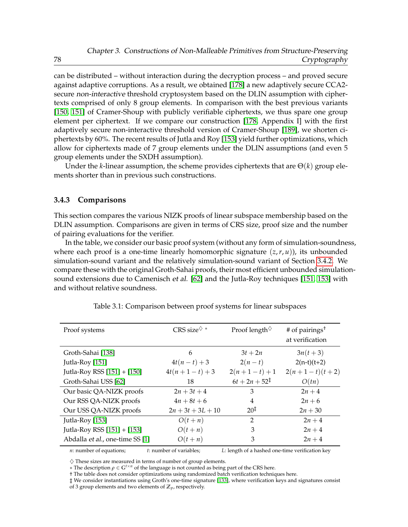can be distributed – without interaction during the decryption process – and proved secure against adaptive corruptions. As a result, we obtained [\[178\]](#page-97-1) a new adaptively secure CCA2 secure non-interactive threshold cryptosystem based on the DLIN assumption with ciphertexts comprised of only 8 group elements. In comparison with the best previous variants [\[150,](#page-96-1) [151\]](#page-96-0) of Cramer-Shoup with publicly verifiable ciphertexts, we thus spare one group element per ciphertext. If we compare our construction [\[178,](#page-97-1) Appendix I] with the first adaptively secure non-interactive threshold version of Cramer-Shoup [\[189\]](#page-98-1), we shorten ciphertexts by 60%. The recent results of Jutla and Roy [\[153\]](#page-96-2) yield further optimizations, which allow for ciphertexts made of 7 group elements under the DLIN assumptions (and even 5 group elements under the SXDH assumption).

Under the *k*-linear assumption, the scheme provides ciphertexts that are Θ(*k*) group elements shorter than in previous such constructions.

## <span id="page-79-0"></span>**3.4.3 Comparisons**

This section compares the various NIZK proofs of linear subspace membership based on the DLIN assumption. Comparisons are given in terms of CRS size, proof size and the number of pairing evaluations for the verifier.

In the table, we consider our basic proof system (without any form of simulation-soundness, where each proof is a one-time linearly homomorphic signature  $(z, r, u)$ , its unbounded simulation-sound variant and the relatively simulation-sound variant of Section [3.4.2.](#page-77-0) We compare these with the original Groth-Sahai proofs, their most efficient unbounded simulationsound extensions due to Camenisch et al. [\[62\]](#page-90-0) and the Jutla-Roy techniques [\[151,](#page-96-0) [153\]](#page-96-2) with and without relative soundness.

| Proof systems                   | CRS size $\diamondsuit$ * | Proof length $\Diamond$   | # of pairings <sup><math>\dagger</math></sup><br>at verification |
|---------------------------------|---------------------------|---------------------------|------------------------------------------------------------------|
| Groth-Sahai [138]               | 6                         | $3t+2n$                   | $3n(t+3)$                                                        |
| Jutla-Roy [151]                 | $4t(n-t)+3$               | $2(n-t)$                  | $2(n-t)(t+2)$                                                    |
| Jutla-Roy RSS [151] + [150]     | $4t(n+1-t)+3$             | $2(n+1-t)+1$              | $2(n+1-t)(t+2)$                                                  |
| Groth-Sahai USS [62]            | 18                        | $6t + 2n + 52^{\ddagger}$ | O(tn)                                                            |
| Our basic QA-NIZK proofs        | $2n + 3t + 4$             | 3                         | $2n+4$                                                           |
| Our RSS QA-NIZK proofs          | $4n + 8t + 6$             | 4                         | $2n + 6$                                                         |
| Our USS QA-NIZK proofs          | $2n+3t+3L+10$             | $20^{\ddagger}$           | $2n + 30$                                                        |
| Jutla-Roy [153]                 | $O(t+n)$                  | 2                         | $2n+4$                                                           |
| Jutla-Roy RSS [151] + [153]     | $O(t+n)$                  | 3                         | $2n+4$                                                           |
| Abdalla et al., one-time SS [1] | $O(t+n)$                  | 3                         | $2n+4$                                                           |

Table 3.1: Comparison between proof systems for linear subspaces

 $\diamondsuit$  These sizes are measured in terms of number of group elements.

∗ The description *ρ* ∈ **G***t*×*<sup>n</sup>* of the language is not counted as being part of the CRS here.

† The table does not consider optimizations using randomized batch verification techniques here.

‡ We consider instantiations using Groth's one-time signature [\[133\]](#page-94-1), where verification keys and signatures consist of 3 group elements and two elements of  $\mathbb{Z}_p$ , respectively.

*n*: number of equations; *t*: number of variables; *L*: length of a hashed one-time verification key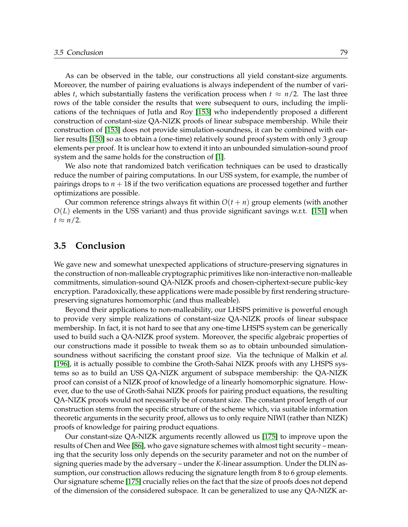As can be observed in the table, our constructions all yield constant-size arguments. Moreover, the number of pairing evaluations is always independent of the number of variables *t*, which substantially fastens the verification process when  $t \approx n/2$ . The last three rows of the table consider the results that were subsequent to ours, including the implications of the techniques of Jutla and Roy [\[153\]](#page-96-2) who independently proposed a different construction of constant-size QA-NIZK proofs of linear subspace membership. While their construction of [\[153\]](#page-96-2) does not provide simulation-soundness, it can be combined with earlier results [\[150\]](#page-96-1) so as to obtain a (one-time) relatively sound proof system with only 3 group elements per proof. It is unclear how to extend it into an unbounded simulation-sound proof system and the same holds for the construction of [\[1\]](#page-86-1).

We also note that randomized batch verification techniques can be used to drastically reduce the number of pairing computations. In our USS system, for example, the number of pairings drops to *n* + 18 if the two verification equations are processed together and further optimizations are possible.

Our common reference strings always fit within  $O(t + n)$  group elements (with another  $O(L)$  elements in the USS variant) and thus provide significant savings w.r.t. [\[151\]](#page-96-0) when  $t \approx n/2$ .

## **3.5 Conclusion**

We gave new and somewhat unexpected applications of structure-preserving signatures in the construction of non-malleable cryptographic primitives like non-interactive non-malleable commitments, simulation-sound QA-NIZK proofs and chosen-ciphertext-secure public-key encryption. Paradoxically, these applications were made possible by first rendering structurepreserving signatures homomorphic (and thus malleable).

Beyond their applications to non-malleability, our LHSPS primitive is powerful enough to provide very simple realizations of constant-size QA-NIZK proofs of linear subspace membership. In fact, it is not hard to see that any one-time LHSPS system can be generically used to build such a QA-NIZK proof system. Moreover, the specific algebraic properties of our constructions made it possible to tweak them so as to obtain unbounded simulationsoundness without sacrificing the constant proof size. Via the technique of Malkin et al. [\[196\]](#page-99-1), it is actually possible to combine the Groth-Sahai NIZK proofs with any LHSPS systems so as to build an USS QA-NIZK argument of subspace membership: the QA-NIZK proof can consist of a NIZK proof of knowledge of a linearly homomorphic signature. However, due to the use of Groth-Sahai NIZK proofs for pairing product equations, the resulting QA-NIZK proofs would not necessarily be of constant size. The constant proof length of our construction stems from the specific structure of the scheme which, via suitable information theoretic arguments in the security proof, allows us to only require NIWI (rather than NIZK) proofs of knowledge for pairing product equations.

Our constant-size QA-NIZK arguments recently allowed us [\[175\]](#page-97-2) to improve upon the results of Chen and Wee [\[86\]](#page-91-4), who gave signature schemes with almost tight security – meaning that the security loss only depends on the security parameter and not on the number of signing queries made by the adversary – under the *K*-linear assumption. Under the DLIN assumption, our construction allows reducing the signature length from 8 to 6 group elements. Our signature scheme [\[175\]](#page-97-2) crucially relies on the fact that the size of proofs does not depend of the dimension of the considered subspace. It can be generalized to use any QA-NIZK ar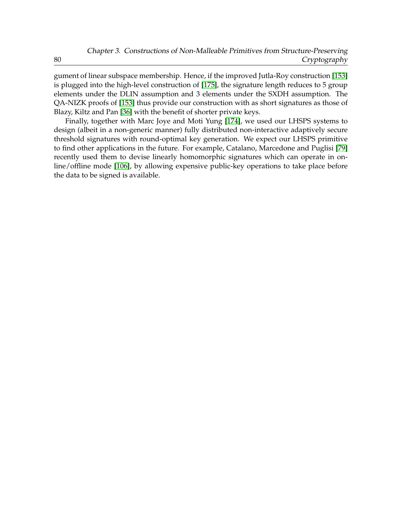gument of linear subspace membership. Hence, if the improved Jutla-Roy construction [\[153\]](#page-96-2) is plugged into the high-level construction of [\[175\]](#page-97-2), the signature length reduces to 5 group elements under the DLIN assumption and 3 elements under the SXDH assumption. The QA-NIZK proofs of [\[153\]](#page-96-2) thus provide our construction with as short signatures as those of Blazy, Kiltz and Pan [\[36\]](#page-88-0) with the benefit of shorter private keys.

Finally, together with Marc Joye and Moti Yung [\[174\]](#page-97-3), we used our LHSPS systems to design (albeit in a non-generic manner) fully distributed non-interactive adaptively secure threshold signatures with round-optimal key generation. We expect our LHSPS primitive to find other applications in the future. For example, Catalano, Marcedone and Puglisi [\[79\]](#page-91-5) recently used them to devise linearly homomorphic signatures which can operate in online/offline mode [\[106\]](#page-93-3), by allowing expensive public-key operations to take place before the data to be signed is available.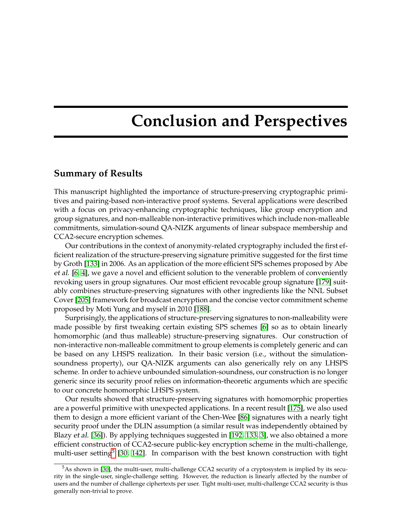# **Conclusion and Perspectives**

# **Summary of Results**

This manuscript highlighted the importance of structure-preserving cryptographic primitives and pairing-based non-interactive proof systems. Several applications were described with a focus on privacy-enhancing cryptographic techniques, like group encryption and group signatures, and non-malleable non-interactive primitives which include non-malleable commitments, simulation-sound QA-NIZK arguments of linear subspace membership and CCA2-secure encryption schemes.

Our contributions in the context of anonymity-related cryptography included the first efficient realization of the structure-preserving signature primitive suggested for the first time by Groth [\[133\]](#page-94-1) in 2006. As an application of the more efficient SPS schemes proposed by Abe et al. [\[6,](#page-86-0) [4\]](#page-86-2), we gave a novel and efficient solution to the venerable problem of conveniently revoking users in group signatures. Our most efficient revocable group signature [\[179\]](#page-98-2) suitably combines structure-preserving signatures with other ingredients like the NNL Subset Cover [\[205\]](#page-99-2) framework for broadcast encryption and the concise vector commitment scheme proposed by Moti Yung and myself in 2010 [\[188\]](#page-98-3).

Surprisingly, the applications of structure-preserving signatures to non-malleability were made possible by first tweaking certain existing SPS schemes [\[6\]](#page-86-0) so as to obtain linearly homomorphic (and thus malleable) structure-preserving signatures. Our construction of non-interactive non-malleable commitment to group elements is completely generic and can be based on any LHSPS realization. In their basic version (i.e., without the simulationsoundness property), our QA-NIZK arguments can also generically rely on any LHSPS scheme. In order to achieve unbounded simulation-soundness, our construction is no longer generic since its security proof relies on information-theoretic arguments which are specific to our concrete homomorphic LHSPS system.

Our results showed that structure-preserving signatures with homomorphic properties are a powerful primitive with unexpected applications. In a recent result [\[175\]](#page-97-2), we also used them to design a more efficient variant of the Chen-Wee [\[86\]](#page-91-4) signatures with a nearly tight security proof under the DLIN assumption (a similar result was independently obtained by Blazy et al. [\[36\]](#page-88-0)). By applying techniques suggested in [\[192,](#page-98-4) [133,](#page-94-1) [3\]](#page-86-3), we also obtained a more efficient construction of CCA2-secure public-key encryption scheme in the multi-challenge, multi-user setting<sup>[5](#page-82-0)</sup> [\[30,](#page-88-1) [142\]](#page-95-0). In comparison with the best known construction with tight

<span id="page-82-0"></span> $5$ As shown in [\[30\]](#page-88-1), the multi-user, multi-challenge CCA2 security of a cryptosystem is implied by its security in the single-user, single-challenge setting. However, the reduction is linearly affected by the number of users and the number of challenge ciphertexts per user. Tight multi-user, multi-challenge CCA2 security is thus generally non-trivial to prove.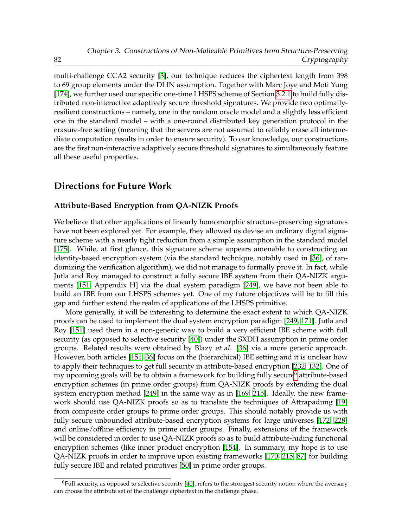multi-challenge CCA2 security [\[3\]](#page-86-3), our technique reduces the ciphertext length from 398 to 69 group elements under the DLIN assumption. Together with Marc Joye and Moti Yung [\[174\]](#page-97-3), we further used our specific one-time LHSPS scheme of Section [3.2.1](#page-63-0) to build fully distributed non-interactive adaptively secure threshold signatures. We provide two optimallyresilient constructions – namely, one in the random oracle model and a slightly less efficient one in the standard model – with a one-round distributed key generation protocol in the erasure-free setting (meaning that the servers are not assumed to reliably erase all intermediate computation results in order to ensure security). To our knowledge, our constructions are the first non-interactive adaptively secure threshold signatures to simultaneously feature all these useful properties.

# **Directions for Future Work**

## **Attribute-Based Encryption from QA-NIZK Proofs**

We believe that other applications of linearly homomorphic structure-preserving signatures have not been explored yet. For example, they allowed us devise an ordinary digital signature scheme with a nearly tight reduction from a simple assumption in the standard model [\[175\]](#page-97-2). While, at first glance, this signature scheme appears amenable to constructing an identity-based encryption system (via the standard technique, notably used in [\[36\]](#page-88-0), of randomizing the verification algorithm), we did not manage to formally prove it. In fact, while Jutla and Roy managed to construct a fully secure IBE system from their QA-NIZK arguments [\[151,](#page-96-0) Appendix H] via the dual system paradigm [\[249\]](#page-102-0), we have not been able to build an IBE from our LHSPS schemes yet. One of my future objectives will be to fill this gap and further extend the realm of applications of the LHSPS primitive.

More generally, it will be interesting to determine the exact extent to which QA-NIZK proofs can be used to implement the dual system encryption paradigm [\[249,](#page-102-0) [171\]](#page-97-4). Jutla and Roy [\[151\]](#page-96-0) used them in a non-generic way to build a very efficient IBE scheme with full security (as opposed to selective security [\[40\]](#page-88-2)) under the SXDH assumption in prime order groups. Related results were obtained by Blazy et al. [\[36\]](#page-88-0) via a more generic approach. However, both articles [\[151,](#page-96-0) [36\]](#page-88-0) focus on the (hierarchical) IBE setting and it is unclear how to apply their techniques to get full security in attribute-based encryption [\[232,](#page-101-3) [132\]](#page-94-2). One of my upcoming goals will be to obtain a framework for building fully secure<sup>[6](#page-83-0)</sup> attribute-based encryption schemes (in prime order groups) from QA-NIZK proofs by extending the dual system encryption method [\[249\]](#page-102-0) in the same way as in [\[169,](#page-97-5) [215\]](#page-100-4). Ideally, the new framework should use QA-NIZK proofs so as to translate the techniques of Attrapadung [\[19\]](#page-87-1) from composite order groups to prime order groups. This should notably provide us with fully secure unbounded attribute-based encryption systems for large universes [\[172,](#page-97-6) [228\]](#page-101-4) and online/offline efficiency in prime order groups. Finally, extensions of the framework will be considered in order to use QA-NIZK proofs so as to build attribute-hiding functional encryption schemes (like inner product encryption [\[154\]](#page-96-3). In summary, my hope is to use QA-NIZK proofs in order to improve upon existing frameworks [\[170,](#page-97-7) [215,](#page-100-4) [87\]](#page-91-6) for building fully secure IBE and related primitives [\[50\]](#page-89-1) in prime order groups.

<span id="page-83-0"></span> $6$ Full security, as opposed to selective security  $[40]$ , refers to the strongest security notion where the aversary can choose the attribute set of the challenge ciphertext in the challenge phase.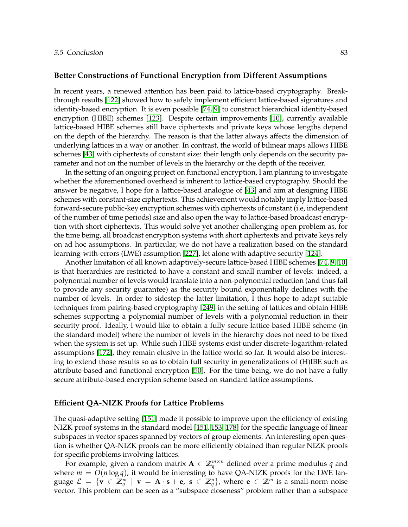### **Better Constructions of Functional Encryption from Different Assumptions**

In recent years, a renewed attention has been paid to lattice-based cryptography. Breakthrough results [\[122\]](#page-94-3) showed how to safely implement efficient lattice-based signatures and identity-based encryption. It is even possible [\[74,](#page-90-1) [9\]](#page-86-4) to construct hierarchical identity-based encryption (HIBE) schemes [\[123\]](#page-94-4). Despite certain improvements [\[10\]](#page-86-5), currently available lattice-based HIBE schemes still have ciphertexts and private keys whose lengths depend on the depth of the hierarchy. The reason is that the latter always affects the dimension of underlying lattices in a way or another. In contrast, the world of bilinear maps allows HIBE schemes [\[43\]](#page-88-3) with ciphertexts of constant size: their length only depends on the security parameter and not on the number of levels in the hierarchy or the depth of the receiver.

In the setting of an ongoing project on functional encryption, I am planning to investigate whether the aforementioned overhead is inherent to lattice-based cryptography. Should the answer be negative, I hope for a lattice-based analogue of [\[43\]](#page-88-3) and aim at designing HIBE schemes with constant-size ciphertexts. This achievement would notably imply lattice-based forward-secure public-key encryption schemes with ciphertexts of constant (i.e, independent of the number of time periods) size and also open the way to lattice-based broadcast encryption with short ciphertexts. This would solve yet another challenging open problem as, for the time being, all broadcast encryption systems with short ciphertexts and private keys rely on ad hoc assumptions. In particular, we do not have a realization based on the standard learning-with-errors (LWE) assumption [\[227\]](#page-101-5), let alone with adaptive security [\[124\]](#page-94-5).

Another limitation of all known adaptively-secure lattice-based HIBE schemes [\[74,](#page-90-1) [9,](#page-86-4) [10\]](#page-86-5) is that hierarchies are restricted to have a constant and small number of levels: indeed, a polynomial number of levels would translate into a non-polynomial reduction (and thus fail to provide any security guarantee) as the security bound exponentially declines with the number of levels. In order to sidestep the latter limitation, I thus hope to adapt suitable techniques from pairing-based cryptography [\[249\]](#page-102-0) in the setting of lattices and obtain HIBE schemes supporting a polynomial number of levels with a polynomial reduction in their security proof. Ideally, I would like to obtain a fully secure lattice-based HIBE scheme (in the standard model) where the number of levels in the hierarchy does not need to be fixed when the system is set up. While such HIBE systems exist under discrete-logarithm-related assumptions [\[172\]](#page-97-6), they remain elusive in the lattice world so far. It would also be interesting to extend those results so as to obtain full security in generalizations of (H)IBE such as attribute-based and functional encryption [\[50\]](#page-89-1). For the time being, we do not have a fully secure attribute-based encryption scheme based on standard lattice assumptions.

### **Efficient QA-NIZK Proofs for Lattice Problems**

The quasi-adaptive setting [\[151\]](#page-96-0) made it possible to improve upon the efficiency of existing NIZK proof systems in the standard model [\[151,](#page-96-0) [153,](#page-96-2) [178\]](#page-97-1) for the specific language of linear subspaces in vector spaces spanned by vectors of group elements. An interesting open question is whether QA-NIZK proofs can be more efficiently obtained than regular NIZK proofs for specific problems involving lattices.

For example, given a random matrix  $A \in \mathbb{Z}_q^{m \times n}$  defined over a prime modulus  $q$  and where  $m = O(n \log q)$ , it would be interesting to have QA-NIZK proofs for the LWE language  $\mathcal{L} = \{ \mathbf{v} \in \mathbb{Z}_q^m \mid \mathbf{v} = \mathbf{A} \cdot \mathbf{s} + \mathbf{e}, \ \mathbf{s} \in \mathbb{Z}_q^n \}$ , where  $\mathbf{e} \in \mathbb{Z}^m$  is a small-norm noise vector. This problem can be seen as a "subspace closeness" problem rather than a subspace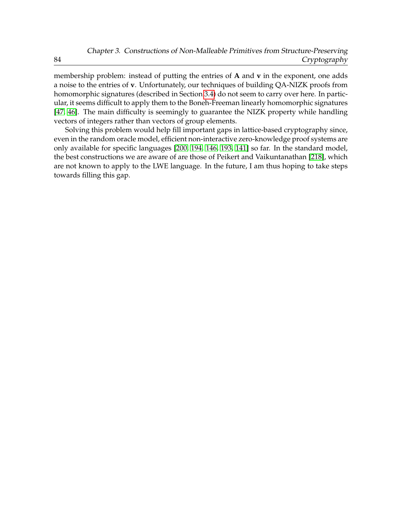membership problem: instead of putting the entries of **A** and **v** in the exponent, one adds a noise to the entries of **v**. Unfortunately, our techniques of building QA-NIZK proofs from homomorphic signatures (described in Section [3.4\)](#page-73-0) do not seem to carry over here. In particular, it seems difficult to apply them to the Boneh-Freeman linearly homomorphic signatures [\[47,](#page-89-2) [46\]](#page-89-3). The main difficulty is seemingly to guarantee the NIZK property while handling vectors of integers rather than vectors of group elements.

Solving this problem would help fill important gaps in lattice-based cryptography since, even in the random oracle model, efficient non-interactive zero-knowledge proof systems are only available for specific languages [\[200,](#page-99-3) [194,](#page-98-5) [146,](#page-95-2) [193,](#page-98-6) [141\]](#page-95-3) so far. In the standard model, the best constructions we are aware of are those of Peikert and Vaikuntanathan [\[218\]](#page-100-5), which are not known to apply to the LWE language. In the future, I am thus hoping to take steps towards filling this gap.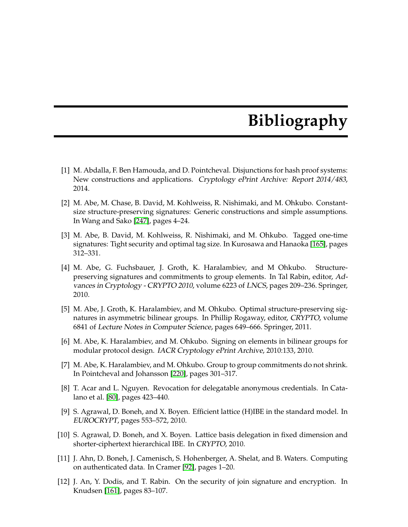# **Bibliography**

- <span id="page-86-1"></span>[1] M. Abdalla, F. Ben Hamouda, and D. Pointcheval. Disjunctions for hash proof systems: New constructions and applications. Cryptology ePrint Archive: Report 2014/483, 2014.
- [2] M. Abe, M. Chase, B. David, M. Kohlweiss, R. Nishimaki, and M. Ohkubo. Constantsize structure-preserving signatures: Generic constructions and simple assumptions. In Wang and Sako [\[247\]](#page-102-1), pages 4–24.
- <span id="page-86-3"></span>[3] M. Abe, B. David, M. Kohlweiss, R. Nishimaki, and M. Ohkubo. Tagged one-time signatures: Tight security and optimal tag size. In Kurosawa and Hanaoka [\[165\]](#page-97-8), pages 312–331.
- <span id="page-86-2"></span>[4] M. Abe, G. Fuchsbauer, J. Groth, K. Haralambiev, and M Ohkubo. Structurepreserving signatures and commitments to group elements. In Tal Rabin, editor, Advances in Cryptology - CRYPTO 2010, volume 6223 of LNCS, pages 209–236. Springer, 2010.
- [5] M. Abe, J. Groth, K. Haralambiev, and M. Ohkubo. Optimal structure-preserving signatures in asymmetric bilinear groups. In Phillip Rogaway, editor, CRYPTO, volume 6841 of Lecture Notes in Computer Science, pages 649–666. Springer, 2011.
- <span id="page-86-0"></span>[6] M. Abe, K. Haralambiev, and M. Ohkubo. Signing on elements in bilinear groups for modular protocol design. IACR Cryptology ePrint Archive, 2010:133, 2010.
- [7] M. Abe, K. Haralambiev, and M. Ohkubo. Group to group commitments do not shrink. In Pointcheval and Johansson [\[220\]](#page-100-6), pages 301–317.
- [8] T. Acar and L. Nguyen. Revocation for delegatable anonymous credentials. In Catalano et al. [\[80\]](#page-91-7), pages 423–440.
- <span id="page-86-4"></span>[9] S. Agrawal, D. Boneh, and X. Boyen. Efficient lattice (H)IBE in the standard model. In EUROCRYPT, pages 553–572, 2010.
- <span id="page-86-5"></span>[10] S. Agrawal, D. Boneh, and X. Boyen. Lattice basis delegation in fixed dimension and shorter-ciphertext hierarchical IBE. In CRYPTO, 2010.
- [11] J. Ahn, D. Boneh, J. Camenisch, S. Hohenberger, A. Shelat, and B. Waters. Computing on authenticated data. In Cramer [\[92\]](#page-92-4), pages 1–20.
- [12] J. An, Y. Dodis, and T. Rabin. On the security of join signature and encryption. In Knudsen [\[161\]](#page-96-4), pages 83–107.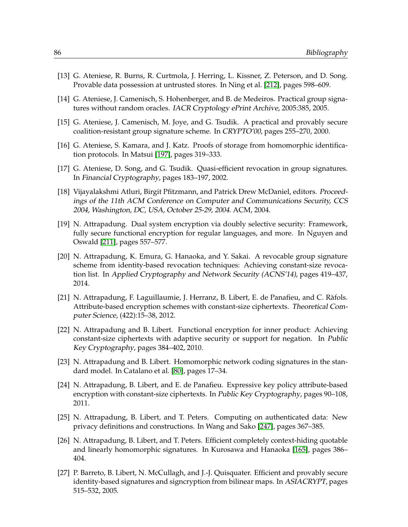- [13] G. Ateniese, R. Burns, R. Curtmola, J. Herring, L. Kissner, Z. Peterson, and D. Song. Provable data possession at untrusted stores. In Ning et al. [\[212\]](#page-100-7), pages 598–609.
- [14] G. Ateniese, J. Camenisch, S. Hohenberger, and B. de Medeiros. Practical group signatures without random oracles. IACR Cryptology ePrint Archive, 2005:385, 2005.
- [15] G. Ateniese, J. Camenisch, M. Joye, and G. Tsudik. A practical and provably secure coalition-resistant group signature scheme. In CRYPTO'00, pages 255–270, 2000.
- [16] G. Ateniese, S. Kamara, and J. Katz. Proofs of storage from homomorphic identification protocols. In Matsui [\[197\]](#page-99-4), pages 319–333.
- [17] G. Ateniese, D. Song, and G. Tsudik. Quasi-efficient revocation in group signatures. In Financial Cryptography, pages 183–197, 2002.
- <span id="page-87-2"></span>[18] Vijayalakshmi Atluri, Birgit Pfitzmann, and Patrick Drew McDaniel, editors. Proceedings of the 11th ACM Conference on Computer and Communications Security, CCS 2004, Washington, DC, USA, October 25-29, 2004. ACM, 2004.
- <span id="page-87-1"></span>[19] N. Attrapadung. Dual system encryption via doubly selective security: Framework, fully secure functional encryption for regular languages, and more. In Nguyen and Oswald [\[211\]](#page-100-8), pages 557–577.
- [20] N. Attrapadung, K. Emura, G. Hanaoka, and Y. Sakai. A revocable group signature scheme from identity-based revocation techniques: Achieving constant-size revocation list. In Applied Cryptography and Network Security (ACNS'14), pages 419–437, 2014.
- [21] N. Attrapadung, F. Laguillaumie, J. Herranz, B. Libert, E. de Panafieu, and C. Ràfols. Attribute-based encryption schemes with constant-size ciphertexts. Theoretical Computer Science, (422):15–38, 2012.
- [22] N. Attrapadung and B. Libert. Functional encryption for inner product: Achieving constant-size ciphertexts with adaptive security or support for negation. In Public Key Cryptography, pages 384–402, 2010.
- [23] N. Attrapadung and B. Libert. Homomorphic network coding signatures in the standard model. In Catalano et al. [\[80\]](#page-91-7), pages 17–34.
- [24] N. Attrapadung, B. Libert, and E. de Panafieu. Expressive key policy attribute-based encryption with constant-size ciphertexts. In Public Key Cryptography, pages 90–108, 2011.
- <span id="page-87-0"></span>[25] N. Attrapadung, B. Libert, and T. Peters. Computing on authenticated data: New privacy definitions and constructions. In Wang and Sako [\[247\]](#page-102-1), pages 367–385.
- [26] N. Attrapadung, B. Libert, and T. Peters. Efficient completely context-hiding quotable and linearly homomorphic signatures. In Kurosawa and Hanaoka [\[165\]](#page-97-8), pages 386– 404.
- [27] P. Barreto, B. Libert, N. McCullagh, and J.-J. Quisquater. Efficient and provably secure identity-based signatures and signcryption from bilinear maps. In ASIACRYPT, pages 515–532, 2005.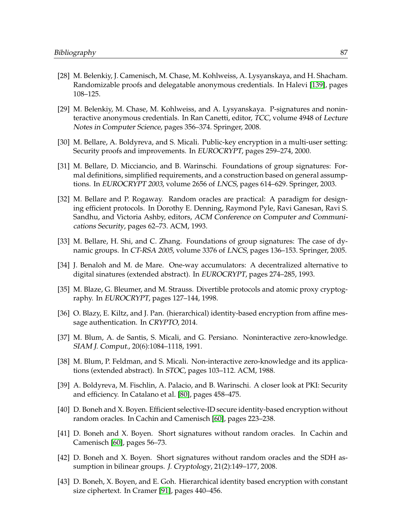- [28] M. Belenkiy, J. Camenisch, M. Chase, M. Kohlweiss, A. Lysyanskaya, and H. Shacham. Randomizable proofs and delegatable anonymous credentials. In Halevi [\[139\]](#page-95-4), pages 108–125.
- [29] M. Belenkiy, M. Chase, M. Kohlweiss, and A. Lysyanskaya. P-signatures and noninteractive anonymous credentials. In Ran Canetti, editor, TCC, volume 4948 of Lecture Notes in Computer Science, pages 356–374. Springer, 2008.
- <span id="page-88-1"></span>[30] M. Bellare, A. Boldyreva, and S. Micali. Public-key encryption in a multi-user setting: Security proofs and improvements. In EUROCRYPT, pages 259–274, 2000.
- [31] M. Bellare, D. Micciancio, and B. Warinschi. Foundations of group signatures: Formal definitions, simplified requirements, and a construction based on general assumptions. In EUROCRYPT 2003, volume 2656 of LNCS, pages 614–629. Springer, 2003.
- [32] M. Bellare and P. Rogaway. Random oracles are practical: A paradigm for designing efficient protocols. In Dorothy E. Denning, Raymond Pyle, Ravi Ganesan, Ravi S. Sandhu, and Victoria Ashby, editors, ACM Conference on Computer and Communications Security, pages 62–73. ACM, 1993.
- [33] M. Bellare, H. Shi, and C. Zhang. Foundations of group signatures: The case of dynamic groups. In CT-RSA 2005, volume 3376 of LNCS, pages 136–153. Springer, 2005.
- [34] J. Benaloh and M. de Mare. One-way accumulators: A decentralized alternative to digital sinatures (extended abstract). In EUROCRYPT, pages 274–285, 1993.
- [35] M. Blaze, G. Bleumer, and M. Strauss. Divertible protocols and atomic proxy cryptography. In EUROCRYPT, pages 127–144, 1998.
- <span id="page-88-0"></span>[36] O. Blazy, E. Kiltz, and J. Pan. (hierarchical) identity-based encryption from affine message authentication. In CRYPTO, 2014.
- [37] M. Blum, A. de Santis, S. Micali, and G. Persiano. Noninteractive zero-knowledge. SIAM J. Comput., 20(6):1084–1118, 1991.
- [38] M. Blum, P. Feldman, and S. Micali. Non-interactive zero-knowledge and its applications (extended abstract). In STOC, pages 103–112. ACM, 1988.
- [39] A. Boldyreva, M. Fischlin, A. Palacio, and B. Warinschi. A closer look at PKI: Security and efficiency. In Catalano et al. [\[80\]](#page-91-7), pages 458–475.
- <span id="page-88-2"></span>[40] D. Boneh and X. Boyen. Efficient selective-ID secure identity-based encryption without random oracles. In Cachin and Camenisch [\[60\]](#page-90-2), pages 223–238.
- [41] D. Boneh and X. Boyen. Short signatures without random oracles. In Cachin and Camenisch [\[60\]](#page-90-2), pages 56–73.
- [42] D. Boneh and X. Boyen. Short signatures without random oracles and the SDH assumption in bilinear groups. J. Cryptology, 21(2):149–177, 2008.
- <span id="page-88-3"></span>[43] D. Boneh, X. Boyen, and E. Goh. Hierarchical identity based encryption with constant size ciphertext. In Cramer [\[91\]](#page-92-5), pages 440–456.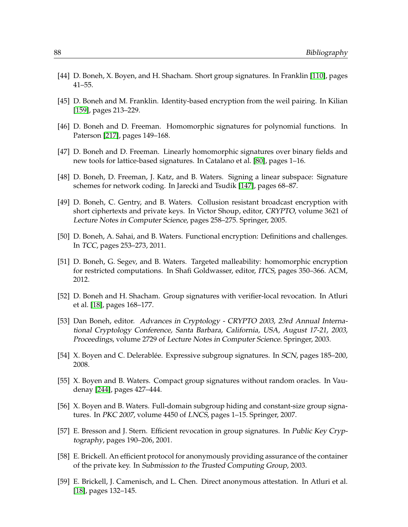- [44] D. Boneh, X. Boyen, and H. Shacham. Short group signatures. In Franklin [\[110\]](#page-93-4), pages 41–55.
- [45] D. Boneh and M. Franklin. Identity-based encryption from the weil pairing. In Kilian [\[159\]](#page-96-5), pages 213–229.
- <span id="page-89-3"></span>[46] D. Boneh and D. Freeman. Homomorphic signatures for polynomial functions. In Paterson [\[217\]](#page-100-9), pages 149–168.
- <span id="page-89-2"></span>[47] D. Boneh and D. Freeman. Linearly homomorphic signatures over binary fields and new tools for lattice-based signatures. In Catalano et al. [\[80\]](#page-91-7), pages 1–16.
- [48] D. Boneh, D. Freeman, J. Katz, and B. Waters. Signing a linear subspace: Signature schemes for network coding. In Jarecki and Tsudik [\[147\]](#page-95-5), pages 68–87.
- [49] D. Boneh, C. Gentry, and B. Waters. Collusion resistant broadcast encryption with short ciphertexts and private keys. In Victor Shoup, editor, CRYPTO, volume 3621 of Lecture Notes in Computer Science, pages 258–275. Springer, 2005.
- <span id="page-89-1"></span>[50] D. Boneh, A. Sahai, and B. Waters. Functional encryption: Definitions and challenges. In TCC, pages 253–273, 2011.
- <span id="page-89-0"></span>[51] D. Boneh, G. Segev, and B. Waters. Targeted malleability: homomorphic encryption for restricted computations. In Shafi Goldwasser, editor, ITCS, pages 350–366. ACM, 2012.
- [52] D. Boneh and H. Shacham. Group signatures with verifier-local revocation. In Atluri et al. [\[18\]](#page-87-2), pages 168–177.
- <span id="page-89-4"></span>[53] Dan Boneh, editor. Advances in Cryptology - CRYPTO 2003, 23rd Annual International Cryptology Conference, Santa Barbara, California, USA, August 17-21, 2003, Proceedings, volume 2729 of Lecture Notes in Computer Science. Springer, 2003.
- [54] X. Boyen and C. Delerablée. Expressive subgroup signatures. In SCN, pages 185–200, 2008.
- [55] X. Boyen and B. Waters. Compact group signatures without random oracles. In Vaudenay [\[244\]](#page-102-2), pages 427–444.
- [56] X. Boyen and B. Waters. Full-domain subgroup hiding and constant-size group signatures. In PKC 2007, volume 4450 of LNCS, pages 1–15. Springer, 2007.
- [57] E. Bresson and J. Stern. Efficient revocation in group signatures. In Public Key Cryptography, pages 190–206, 2001.
- [58] E. Brickell. An efficient protocol for anonymously providing assurance of the container of the private key. In Submission to the Trusted Computing Group, 2003.
- [59] E. Brickell, J. Camenisch, and L. Chen. Direct anonymous attestation. In Atluri et al. [\[18\]](#page-87-2), pages 132–145.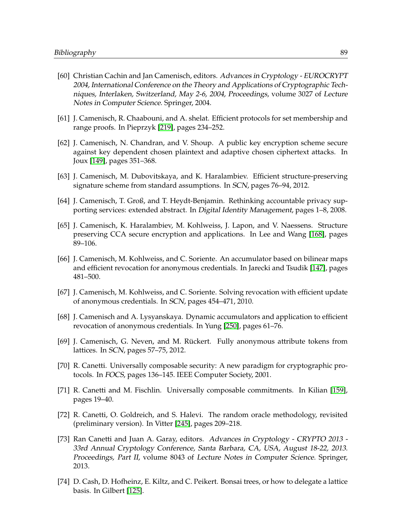- <span id="page-90-2"></span>[60] Christian Cachin and Jan Camenisch, editors. Advances in Cryptology - EUROCRYPT 2004, International Conference on the Theory and Applications of Cryptographic Techniques, Interlaken, Switzerland, May 2-6, 2004, Proceedings, volume 3027 of Lecture Notes in Computer Science. Springer, 2004.
- [61] J. Camenisch, R. Chaabouni, and A. shelat. Efficient protocols for set membership and range proofs. In Pieprzyk [\[219\]](#page-100-10), pages 234–252.
- <span id="page-90-0"></span>[62] J. Camenisch, N. Chandran, and V. Shoup. A public key encryption scheme secure against key dependent chosen plaintext and adaptive chosen ciphertext attacks. In Joux [\[149\]](#page-96-6), pages 351–368.
- [63] J. Camenisch, M. Dubovitskaya, and K. Haralambiev. Efficient structure-preserving signature scheme from standard assumptions. In SCN, pages 76–94, 2012.
- [64] J. Camenisch, T. Groß, and T. Heydt-Benjamin. Rethinking accountable privacy supporting services: extended abstract. In Digital Identity Management, pages 1–8, 2008.
- [65] J. Camenisch, K. Haralambiev, M. Kohlweiss, J. Lapon, and V. Naessens. Structure preserving CCA secure encryption and applications. In Lee and Wang [\[168\]](#page-97-9), pages 89–106.
- [66] J. Camenisch, M. Kohlweiss, and C. Soriente. An accumulator based on bilinear maps and efficient revocation for anonymous credentials. In Jarecki and Tsudik [\[147\]](#page-95-5), pages 481–500.
- [67] J. Camenisch, M. Kohlweiss, and C. Soriente. Solving revocation with efficient update of anonymous credentials. In SCN, pages 454–471, 2010.
- [68] J. Camenisch and A. Lysyanskaya. Dynamic accumulators and application to efficient revocation of anonymous credentials. In Yung [\[250\]](#page-102-3), pages 61–76.
- [69] J. Camenisch, G. Neven, and M. Rückert. Fully anonymous attribute tokens from lattices. In SCN, pages 57–75, 2012.
- [70] R. Canetti. Universally composable security: A new paradigm for cryptographic protocols. In FOCS, pages 136–145. IEEE Computer Society, 2001.
- [71] R. Canetti and M. Fischlin. Universally composable commitments. In Kilian [\[159\]](#page-96-5), pages 19–40.
- [72] R. Canetti, O. Goldreich, and S. Halevi. The random oracle methodology, revisited (preliminary version). In Vitter [\[245\]](#page-102-4), pages 209–218.
- <span id="page-90-3"></span>[73] Ran Canetti and Juan A. Garay, editors. Advances in Cryptology - CRYPTO 2013 - 33rd Annual Cryptology Conference, Santa Barbara, CA, USA, August 18-22, 2013. Proceedings, Part II, volume 8043 of Lecture Notes in Computer Science. Springer, 2013.
- <span id="page-90-1"></span>[74] D. Cash, D. Hofheinz, E. Kiltz, and C. Peikert. Bonsai trees, or how to delegate a lattice basis. In Gilbert [\[125\]](#page-94-6).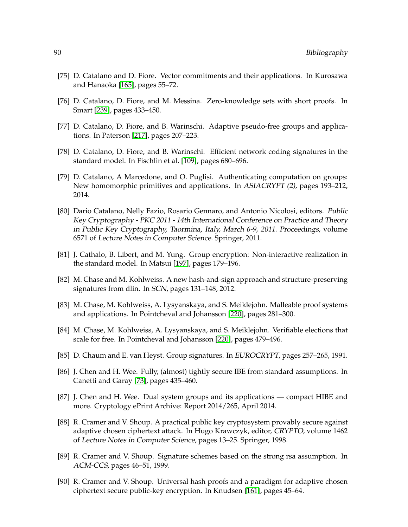- [75] D. Catalano and D. Fiore. Vector commitments and their applications. In Kurosawa and Hanaoka [\[165\]](#page-97-8), pages 55–72.
- [76] D. Catalano, D. Fiore, and M. Messina. Zero-knowledge sets with short proofs. In Smart [\[239\]](#page-102-5), pages 433–450.
- [77] D. Catalano, D. Fiore, and B. Warinschi. Adaptive pseudo-free groups and applications. In Paterson [\[217\]](#page-100-9), pages 207–223.
- <span id="page-91-0"></span>[78] D. Catalano, D. Fiore, and B. Warinschi. Efficient network coding signatures in the standard model. In Fischlin et al. [\[109\]](#page-93-5), pages 680–696.
- <span id="page-91-5"></span>[79] D. Catalano, A Marcedone, and O. Puglisi. Authenticating computation on groups: New homomorphic primitives and applications. In ASIACRYPT (2), pages 193–212, 2014.
- <span id="page-91-7"></span>[80] Dario Catalano, Nelly Fazio, Rosario Gennaro, and Antonio Nicolosi, editors. Public Key Cryptography - PKC 2011 - 14th International Conference on Practice and Theory in Public Key Cryptography, Taormina, Italy, March 6-9, 2011. Proceedings, volume 6571 of Lecture Notes in Computer Science. Springer, 2011.
- [81] J. Cathalo, B. Libert, and M. Yung. Group encryption: Non-interactive realization in the standard model. In Matsui [\[197\]](#page-99-4), pages 179–196.
- [82] M. Chase and M. Kohlweiss. A new hash-and-sign approach and structure-preserving signatures from dlin. In SCN, pages 131–148, 2012.
- <span id="page-91-1"></span>[83] M. Chase, M. Kohlweiss, A. Lysyanskaya, and S. Meiklejohn. Malleable proof systems and applications. In Pointcheval and Johansson [\[220\]](#page-100-6), pages 281–300.
- [84] M. Chase, M. Kohlweiss, A. Lysyanskaya, and S. Meiklejohn. Verifiable elections that scale for free. In Pointcheval and Johansson [\[220\]](#page-100-6), pages 479–496.
- [85] D. Chaum and E. van Heyst. Group signatures. In EUROCRYPT, pages 257–265, 1991.
- <span id="page-91-4"></span>[86] J. Chen and H. Wee. Fully, (almost) tightly secure IBE from standard assumptions. In Canetti and Garay [\[73\]](#page-90-3), pages 435–460.
- <span id="page-91-6"></span>[87] J. Chen and H. Wee. Dual system groups and its applications — compact HIBE and more. Cryptology ePrint Archive: Report 2014/265, April 2014.
- <span id="page-91-3"></span>[88] R. Cramer and V. Shoup. A practical public key cryptosystem provably secure against adaptive chosen ciphertext attack. In Hugo Krawczyk, editor, CRYPTO, volume 1462 of Lecture Notes in Computer Science, pages 13–25. Springer, 1998.
- [89] R. Cramer and V. Shoup. Signature schemes based on the strong rsa assumption. In ACM-CCS, pages 46–51, 1999.
- <span id="page-91-2"></span>[90] R. Cramer and V. Shoup. Universal hash proofs and a paradigm for adaptive chosen ciphertext secure public-key encryption. In Knudsen [\[161\]](#page-96-4), pages 45–64.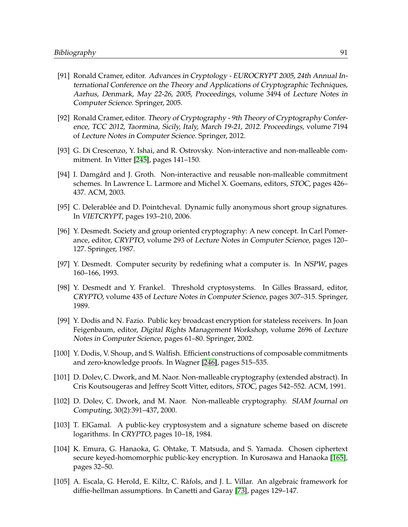- <span id="page-92-5"></span>[91] Ronald Cramer, editor. Advances in Cryptology - EUROCRYPT 2005, 24th Annual International Conference on the Theory and Applications of Cryptographic Techniques, Aarhus, Denmark, May 22-26, 2005, Proceedings, volume 3494 of Lecture Notes in Computer Science. Springer, 2005.
- <span id="page-92-4"></span>[92] Ronald Cramer, editor. Theory of Cryptography - 9th Theory of Cryptography Conference, TCC 2012, Taormina, Sicily, Italy, March 19-21, 2012. Proceedings, volume 7194 of Lecture Notes in Computer Science. Springer, 2012.
- <span id="page-92-1"></span>[93] G. Di Crescenzo, Y. Ishai, and R. Ostrovsky. Non-interactive and non-malleable commitment. In Vitter [\[245\]](#page-102-4), pages 141–150.
- [94] I. Damgård and J. Groth. Non-interactive and reusable non-malleable commitment schemes. In Lawrence L. Larmore and Michel X. Goemans, editors, STOC, pages 426– 437. ACM, 2003.
- [95] C. Delerablée and D. Pointcheval. Dynamic fully anonymous short group signatures. In VIETCRYPT, pages 193–210, 2006.
- [96] Y. Desmedt. Society and group oriented cryptography: A new concept. In Carl Pomerance, editor, CRYPTO, volume 293 of Lecture Notes in Computer Science, pages 120– 127. Springer, 1987.
- [97] Y. Desmedt. Computer security by redefining what a computer is. In NSPW, pages 160–166, 1993.
- [98] Y. Desmedt and Y. Frankel. Threshold cryptosystems. In Gilles Brassard, editor, CRYPTO, volume 435 of Lecture Notes in Computer Science, pages 307–315. Springer, 1989.
- [99] Y. Dodis and N. Fazio. Public key broadcast encryption for stateless receivers. In Joan Feigenbaum, editor, Digital Rights Management Workshop, volume 2696 of Lecture Notes in Computer Science, pages 61–80. Springer, 2002.
- <span id="page-92-0"></span>[100] Y. Dodis, V. Shoup, and S. Walfish. Efficient constructions of composable commitments and zero-knowledge proofs. In Wagner [\[246\]](#page-102-6), pages 515–535.
- [101] D. Dolev, C. Dwork, and M. Naor. Non-malleable cryptography (extended abstract). In Cris Koutsougeras and Jeffrey Scott Vitter, editors, STOC, pages 542–552. ACM, 1991.
- [102] D. Dolev, C. Dwork, and M. Naor. Non-malleable cryptography. SIAM Journal on Computing, 30(2):391–437, 2000.
- [103] T. ElGamal. A public-key cryptosystem and a signature scheme based on discrete logarithms. In CRYPTO, pages 10–18, 1984.
- <span id="page-92-2"></span>[104] K. Emura, G. Hanaoka, G. Ohtake, T. Matsuda, and S. Yamada. Chosen ciphertext secure keyed-homomorphic public-key encryption. In Kurosawa and Hanaoka [\[165\]](#page-97-8), pages 32–50.
- <span id="page-92-3"></span>[105] A. Escala, G. Herold, E. Kiltz, C. Ràfols, and J. L. Villar. An algebraic framework for diffie-hellman assumptions. In Canetti and Garay [\[73\]](#page-90-3), pages 129–147.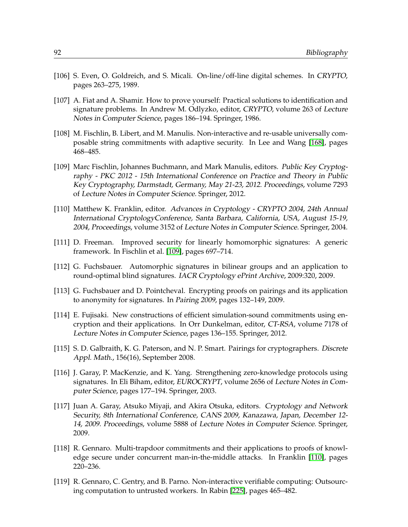- <span id="page-93-3"></span>[106] S. Even, O. Goldreich, and S. Micali. On-line/off-line digital schemes. In CRYPTO, pages 263–275, 1989.
- [107] A. Fiat and A. Shamir. How to prove yourself: Practical solutions to identification and signature problems. In Andrew M. Odlyzko, editor, CRYPTO, volume 263 of Lecture Notes in Computer Science, pages 186–194. Springer, 1986.
- [108] M. Fischlin, B. Libert, and M. Manulis. Non-interactive and re-usable universally composable string commitments with adaptive security. In Lee and Wang [\[168\]](#page-97-9), pages 468–485.
- <span id="page-93-5"></span>[109] Marc Fischlin, Johannes Buchmann, and Mark Manulis, editors. Public Key Cryptography - PKC 2012 - 15th International Conference on Practice and Theory in Public Key Cryptography, Darmstadt, Germany, May 21-23, 2012. Proceedings, volume 7293 of Lecture Notes in Computer Science. Springer, 2012.
- <span id="page-93-4"></span>[110] Matthew K. Franklin, editor. Advances in Cryptology - CRYPTO 2004, 24th Annual International CryptologyConference, Santa Barbara, California, USA, August 15-19, 2004, Proceedings, volume 3152 of Lecture Notes in Computer Science. Springer, 2004.
- [111] D. Freeman. Improved security for linearly homomorphic signatures: A generic framework. In Fischlin et al. [\[109\]](#page-93-5), pages 697–714.
- [112] G. Fuchsbauer. Automorphic signatures in bilinear groups and an application to round-optimal blind signatures. IACR Cryptology ePrint Archive, 2009:320, 2009.
- [113] G. Fuchsbauer and D. Pointcheval. Encrypting proofs on pairings and its application to anonymity for signatures. In Pairing 2009, pages 132–149, 2009.
- <span id="page-93-0"></span>[114] E. Fujisaki. New constructions of efficient simulation-sound commitments using encryption and their applications. In Orr Dunkelman, editor, CT-RSA, volume 7178 of Lecture Notes in Computer Science, pages 136–155. Springer, 2012.
- [115] S. D. Galbraith, K. G. Paterson, and N. P. Smart. Pairings for cryptographers. Discrete Appl. Math., 156(16), September 2008.
- <span id="page-93-2"></span>[116] J. Garay, P. MacKenzie, and K. Yang. Strengthening zero-knowledge protocols using signatures. In Eli Biham, editor, EUROCRYPT, volume 2656 of Lecture Notes in Computer Science, pages 177–194. Springer, 2003.
- <span id="page-93-6"></span>[117] Juan A. Garay, Atsuko Miyaji, and Akira Otsuka, editors. Cryptology and Network Security, 8th International Conference, CANS 2009, Kanazawa, Japan, December 12- 14, 2009. Proceedings, volume 5888 of Lecture Notes in Computer Science. Springer, 2009.
- <span id="page-93-1"></span>[118] R. Gennaro. Multi-trapdoor commitments and their applications to proofs of knowledge secure under concurrent man-in-the-middle attacks. In Franklin [\[110\]](#page-93-4), pages 220–236.
- [119] R. Gennaro, C. Gentry, and B. Parno. Non-interactive verifiable computing: Outsourcing computation to untrusted workers. In Rabin [\[225\]](#page-101-6), pages 465–482.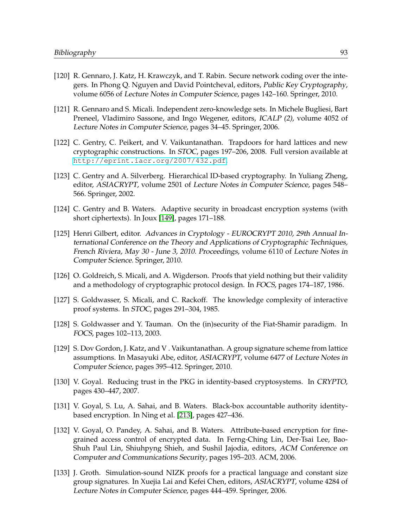- [120] R. Gennaro, J. Katz, H. Krawczyk, and T. Rabin. Secure network coding over the integers. In Phong Q. Nguyen and David Pointcheval, editors, Public Key Cryptography, volume 6056 of Lecture Notes in Computer Science, pages 142–160. Springer, 2010.
- <span id="page-94-0"></span>[121] R. Gennaro and S. Micali. Independent zero-knowledge sets. In Michele Bugliesi, Bart Preneel, Vladimiro Sassone, and Ingo Wegener, editors, ICALP (2), volume 4052 of Lecture Notes in Computer Science, pages 34–45. Springer, 2006.
- <span id="page-94-3"></span>[122] C. Gentry, C. Peikert, and V. Vaikuntanathan. Trapdoors for hard lattices and new cryptographic constructions. In STOC, pages 197–206, 2008. Full version available at <http://eprint.iacr.org/2007/432.pdf>.
- <span id="page-94-4"></span>[123] C. Gentry and A. Silverberg. Hierarchical ID-based cryptography. In Yuliang Zheng, editor, ASIACRYPT, volume 2501 of Lecture Notes in Computer Science, pages 548– 566. Springer, 2002.
- <span id="page-94-5"></span>[124] C. Gentry and B. Waters. Adaptive security in broadcast encryption systems (with short ciphertexts). In Joux [\[149\]](#page-96-6), pages 171–188.
- <span id="page-94-6"></span>[125] Henri Gilbert, editor. Advances in Cryptology - EUROCRYPT 2010, 29th Annual International Conference on the Theory and Applications of Cryptographic Techniques, French Riviera, May 30 - June 3, 2010. Proceedings, volume 6110 of Lecture Notes in Computer Science. Springer, 2010.
- [126] O. Goldreich, S. Micali, and A. Wigderson. Proofs that yield nothing but their validity and a methodology of cryptographic protocol design. In FOCS, pages 174–187, 1986.
- [127] S. Goldwasser, S. Micali, and C. Rackoff. The knowledge complexity of interactive proof systems. In STOC, pages 291–304, 1985.
- [128] S. Goldwasser and Y. Tauman. On the (in)security of the Fiat-Shamir paradigm. In FOCS, pages 102–113, 2003.
- [129] S. Dov Gordon, J. Katz, and V . Vaikuntanathan. A group signature scheme from lattice assumptions. In Masayuki Abe, editor, ASIACRYPT, volume 6477 of Lecture Notes in Computer Science, pages 395–412. Springer, 2010.
- [130] V. Goyal. Reducing trust in the PKG in identity-based cryptosystems. In CRYPTO, pages 430–447, 2007.
- [131] V. Goyal, S. Lu, A. Sahai, and B. Waters. Black-box accountable authority identitybased encryption. In Ning et al. [\[213\]](#page-100-11), pages 427–436.
- <span id="page-94-2"></span>[132] V. Goyal, O. Pandey, A. Sahai, and B. Waters. Attribute-based encryption for finegrained access control of encrypted data. In Ferng-Ching Lin, Der-Tsai Lee, Bao-Shuh Paul Lin, Shiuhpyng Shieh, and Sushil Jajodia, editors, ACM Conference on Computer and Communications Security, pages 195–203. ACM, 2006.
- <span id="page-94-1"></span>[133] J. Groth. Simulation-sound NIZK proofs for a practical language and constant size group signatures. In Xuejia Lai and Kefei Chen, editors, ASIACRYPT, volume 4284 of Lecture Notes in Computer Science, pages 444–459. Springer, 2006.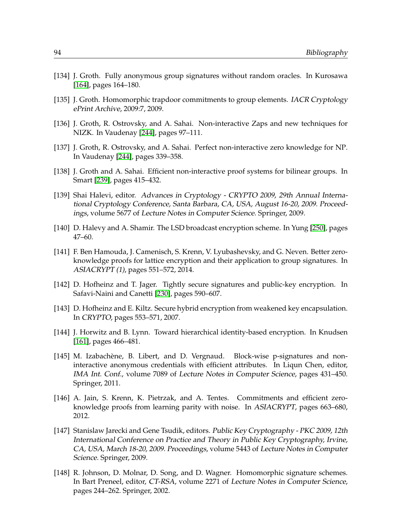- [134] J. Groth. Fully anonymous group signatures without random oracles. In Kurosawa [\[164\]](#page-97-10), pages 164–180.
- [135] J. Groth. Homomorphic trapdoor commitments to group elements. IACR Cryptology ePrint Archive, 2009:7, 2009.
- [136] J. Groth, R. Ostrovsky, and A. Sahai. Non-interactive Zaps and new techniques for NIZK. In Vaudenay [\[244\]](#page-102-2), pages 97–111.
- [137] J. Groth, R. Ostrovsky, and A. Sahai. Perfect non-interactive zero knowledge for NP. In Vaudenay [\[244\]](#page-102-2), pages 339–358.
- <span id="page-95-1"></span>[138] J. Groth and A. Sahai. Efficient non-interactive proof systems for bilinear groups. In Smart [\[239\]](#page-102-5), pages 415–432.
- <span id="page-95-4"></span>[139] Shai Halevi, editor. Advances in Cryptology - CRYPTO 2009, 29th Annual International Cryptology Conference, Santa Barbara, CA, USA, August 16-20, 2009. Proceedings, volume 5677 of Lecture Notes in Computer Science. Springer, 2009.
- [140] D. Halevy and A. Shamir. The LSD broadcast encryption scheme. In Yung [\[250\]](#page-102-3), pages 47–60.
- <span id="page-95-3"></span>[141] F. Ben Hamouda, J. Camenisch, S. Krenn, V. Lyubashevsky, and G. Neven. Better zeroknowledge proofs for lattice encryption and their application to group signatures. In ASIACRYPT (1), pages 551–572, 2014.
- <span id="page-95-0"></span>[142] D. Hofheinz and T. Jager. Tightly secure signatures and public-key encryption. In Safavi-Naini and Canetti [\[230\]](#page-101-7), pages 590–607.
- [143] D. Hofheinz and E. Kiltz. Secure hybrid encryption from weakened key encapsulation. In CRYPTO, pages 553–571, 2007.
- [144] J. Horwitz and B. Lynn. Toward hierarchical identity-based encryption. In Knudsen [\[161\]](#page-96-4), pages 466–481.
- [145] M. Izabachène, B. Libert, and D. Vergnaud. Block-wise p-signatures and noninteractive anonymous credentials with efficient attributes. In Liqun Chen, editor, IMA Int. Conf., volume 7089 of Lecture Notes in Computer Science, pages 431–450. Springer, 2011.
- <span id="page-95-2"></span>[146] A. Jain, S. Krenn, K. Pietrzak, and A. Tentes. Commitments and efficient zeroknowledge proofs from learning parity with noise. In ASIACRYPT, pages 663–680, 2012.
- <span id="page-95-5"></span>[147] Stanislaw Jarecki and Gene Tsudik, editors. Public Key Cryptography - PKC 2009, 12th International Conference on Practice and Theory in Public Key Cryptography, Irvine, CA, USA, March 18-20, 2009. Proceedings, volume 5443 of Lecture Notes in Computer Science. Springer, 2009.
- [148] R. Johnson, D. Molnar, D. Song, and D. Wagner. Homomorphic signature schemes. In Bart Preneel, editor, CT-RSA, volume 2271 of Lecture Notes in Computer Science, pages 244–262. Springer, 2002.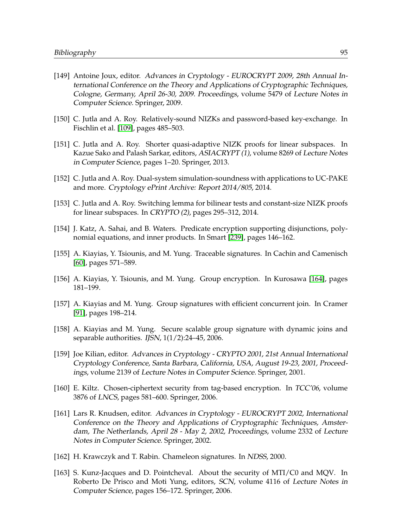- <span id="page-96-6"></span>[149] Antoine Joux, editor. Advances in Cryptology - EUROCRYPT 2009, 28th Annual International Conference on the Theory and Applications of Cryptographic Techniques, Cologne, Germany, April 26-30, 2009. Proceedings, volume 5479 of Lecture Notes in Computer Science. Springer, 2009.
- <span id="page-96-1"></span>[150] C. Jutla and A. Roy. Relatively-sound NIZKs and password-based key-exchange. In Fischlin et al. [\[109\]](#page-93-5), pages 485–503.
- <span id="page-96-0"></span>[151] C. Jutla and A. Roy. Shorter quasi-adaptive NIZK proofs for linear subspaces. In Kazue Sako and Palash Sarkar, editors, ASIACRYPT (1), volume 8269 of Lecture Notes in Computer Science, pages 1–20. Springer, 2013.
- [152] C. Jutla and A. Roy. Dual-system simulation-soundness with applications to UC-PAKE and more. Cryptology ePrint Archive: Report 2014/805, 2014.
- <span id="page-96-2"></span>[153] C. Jutla and A. Roy. Switching lemma for bilinear tests and constant-size NIZK proofs for linear subspaces. In CRYPTO (2), pages 295–312, 2014.
- <span id="page-96-3"></span>[154] J. Katz, A. Sahai, and B. Waters. Predicate encryption supporting disjunctions, polynomial equations, and inner products. In Smart [\[239\]](#page-102-5), pages 146–162.
- [155] A. Kiayias, Y. Tsiounis, and M. Yung. Traceable signatures. In Cachin and Camenisch [\[60\]](#page-90-2), pages 571–589.
- [156] A. Kiayias, Y. Tsiounis, and M. Yung. Group encryption. In Kurosawa [\[164\]](#page-97-10), pages 181–199.
- [157] A. Kiayias and M. Yung. Group signatures with efficient concurrent join. In Cramer [\[91\]](#page-92-5), pages 198–214.
- [158] A. Kiayias and M. Yung. Secure scalable group signature with dynamic joins and separable authorities. IJSN, 1(1/2):24–45, 2006.
- <span id="page-96-5"></span>[159] Joe Kilian, editor. Advances in Cryptology - CRYPTO 2001, 21st Annual International Cryptology Conference, Santa Barbara, California, USA, August 19-23, 2001, Proceedings, volume 2139 of Lecture Notes in Computer Science. Springer, 2001.
- [160] E. Kiltz. Chosen-ciphertext security from tag-based encryption. In *TCC'06*, volume 3876 of LNCS, pages 581–600. Springer, 2006.
- <span id="page-96-4"></span>[161] Lars R. Knudsen, editor. Advances in Cryptology - EUROCRYPT 2002, International Conference on the Theory and Applications of Cryptographic Techniques, Amsterdam, The Netherlands, April 28 - May 2, 2002, Proceedings, volume 2332 of Lecture Notes in Computer Science. Springer, 2002.
- [162] H. Krawczyk and T. Rabin. Chameleon signatures. In NDSS, 2000.
- [163] S. Kunz-Jacques and D. Pointcheval. About the security of MTI/C0 and MQV. In Roberto De Prisco and Moti Yung, editors, SCN, volume 4116 of Lecture Notes in Computer Science, pages 156–172. Springer, 2006.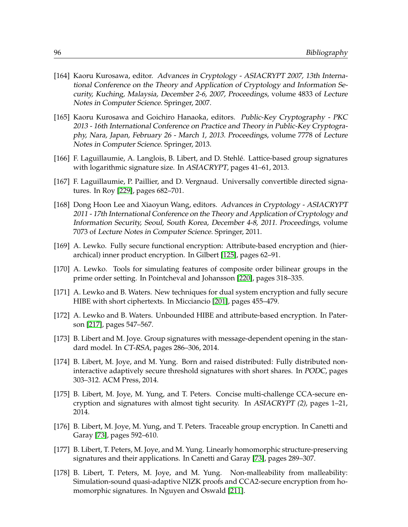- <span id="page-97-10"></span>[164] Kaoru Kurosawa, editor. Advances in Cryptology - ASIACRYPT 2007, 13th International Conference on the Theory and Application of Cryptology and Information Security, Kuching, Malaysia, December 2-6, 2007, Proceedings, volume 4833 of Lecture Notes in Computer Science. Springer, 2007.
- <span id="page-97-8"></span>[165] Kaoru Kurosawa and Goichiro Hanaoka, editors. Public-Key Cryptography - PKC 2013 - 16th International Conference on Practice and Theory in Public-Key Cryptography, Nara, Japan, February 26 - March 1, 2013. Proceedings, volume 7778 of Lecture Notes in Computer Science. Springer, 2013.
- [166] F. Laguillaumie, A. Langlois, B. Libert, and D. Stehlé. Lattice-based group signatures with logarithmic signature size. In ASIACRYPT, pages 41-61, 2013.
- [167] F. Laguillaumie, P. Paillier, and D. Vergnaud. Universally convertible directed signatures. In Roy [\[229\]](#page-101-8), pages 682–701.
- <span id="page-97-9"></span>[168] Dong Hoon Lee and Xiaoyun Wang, editors. Advances in Cryptology - ASIACRYPT 2011 - 17th International Conference on the Theory and Application of Cryptology and Information Security, Seoul, South Korea, December 4-8, 2011. Proceedings, volume 7073 of Lecture Notes in Computer Science. Springer, 2011.
- <span id="page-97-5"></span>[169] A. Lewko. Fully secure functional encryption: Attribute-based encryption and (hierarchical) inner product encryption. In Gilbert [\[125\]](#page-94-6), pages 62–91.
- <span id="page-97-7"></span>[170] A. Lewko. Tools for simulating features of composite order bilinear groups in the prime order setting. In Pointcheval and Johansson [\[220\]](#page-100-6), pages 318–335.
- <span id="page-97-4"></span>[171] A. Lewko and B. Waters. New techniques for dual system encryption and fully secure HIBE with short ciphertexts. In Micciancio [\[201\]](#page-99-5), pages 455–479.
- <span id="page-97-6"></span>[172] A. Lewko and B. Waters. Unbounded HIBE and attribute-based encryption. In Paterson [\[217\]](#page-100-9), pages 547–567.
- [173] B. Libert and M. Joye. Group signatures with message-dependent opening in the standard model. In CT-RSA, pages 286–306, 2014.
- <span id="page-97-3"></span>[174] B. Libert, M. Joye, and M. Yung. Born and raised distributed: Fully distributed noninteractive adaptively secure threshold signatures with short shares. In PODC, pages 303–312. ACM Press, 2014.
- <span id="page-97-2"></span>[175] B. Libert, M. Joye, M. Yung, and T. Peters. Concise multi-challenge CCA-secure encryption and signatures with almost tight security. In ASIACRYPT (2), pages 1–21, 2014.
- [176] B. Libert, M. Joye, M. Yung, and T. Peters. Traceable group encryption. In Canetti and Garay [\[73\]](#page-90-3), pages 592–610.
- <span id="page-97-0"></span>[177] B. Libert, T. Peters, M. Joye, and M. Yung. Linearly homomorphic structure-preserving signatures and their applications. In Canetti and Garay [\[73\]](#page-90-3), pages 289–307.
- <span id="page-97-1"></span>[178] B. Libert, T. Peters, M. Joye, and M. Yung. Non-malleability from malleability: Simulation-sound quasi-adaptive NIZK proofs and CCA2-secure encryption from homomorphic signatures. In Nguyen and Oswald [\[211\]](#page-100-8).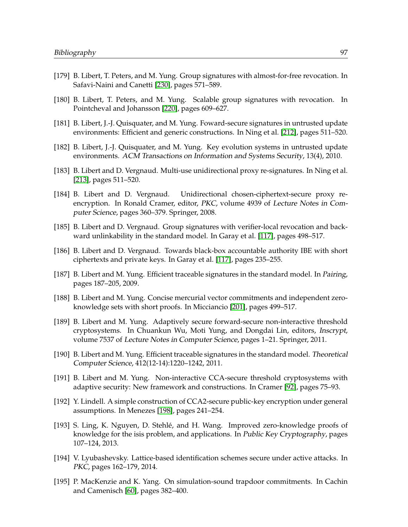- <span id="page-98-2"></span>[179] B. Libert, T. Peters, and M. Yung. Group signatures with almost-for-free revocation. In Safavi-Naini and Canetti [\[230\]](#page-101-7), pages 571–589.
- [180] B. Libert, T. Peters, and M. Yung. Scalable group signatures with revocation. In Pointcheval and Johansson [\[220\]](#page-100-6), pages 609–627.
- [181] B. Libert, J.-J. Quisquater, and M. Yung. Foward-secure signatures in untrusted update environments: Efficient and generic constructions. In Ning et al. [\[212\]](#page-100-7), pages 511–520.
- [182] B. Libert, J.-J. Quisquater, and M. Yung. Key evolution systems in untrusted update environments. ACM Transactions on Information and Systems Security, 13(4), 2010.
- [183] B. Libert and D. Vergnaud. Multi-use unidirectional proxy re-signatures. In Ning et al. [\[213\]](#page-100-11), pages 511–520.
- [184] B. Libert and D. Vergnaud. Unidirectional chosen-ciphertext-secure proxy reencryption. In Ronald Cramer, editor, PKC, volume 4939 of Lecture Notes in Computer Science, pages 360–379. Springer, 2008.
- [185] B. Libert and D. Vergnaud. Group signatures with verifier-local revocation and backward unlinkability in the standard model. In Garay et al. [\[117\]](#page-93-6), pages 498–517.
- [186] B. Libert and D. Vergnaud. Towards black-box accountable authority IBE with short ciphertexts and private keys. In Garay et al. [\[117\]](#page-93-6), pages 235–255.
- [187] B. Libert and M. Yung. Efficient traceable signatures in the standard model. In Pairing, pages 187–205, 2009.
- <span id="page-98-3"></span>[188] B. Libert and M. Yung. Concise mercurial vector commitments and independent zeroknowledge sets with short proofs. In Micciancio [\[201\]](#page-99-5), pages 499–517.
- <span id="page-98-1"></span>[189] B. Libert and M. Yung. Adaptively secure forward-secure non-interactive threshold cryptosystems. In Chuankun Wu, Moti Yung, and Dongdai Lin, editors, Inscrypt, volume 7537 of Lecture Notes in Computer Science, pages 1–21. Springer, 2011.
- [190] B. Libert and M. Yung. Efficient traceable signatures in the standard model. Theoretical Computer Science, 412(12-14):1220–1242, 2011.
- <span id="page-98-0"></span>[191] B. Libert and M. Yung. Non-interactive CCA-secure threshold cryptosystems with adaptive security: New framework and constructions. In Cramer [\[92\]](#page-92-4), pages 75–93.
- <span id="page-98-4"></span>[192] Y. Lindell. A simple construction of CCA2-secure public-key encryption under general assumptions. In Menezes [\[198\]](#page-99-6), pages 241–254.
- <span id="page-98-6"></span>[193] S. Ling, K. Nguyen, D. Stehlé, and H. Wang. Improved zero-knowledge proofs of knowledge for the isis problem, and applications. In Public Key Cryptography, pages 107–124, 2013.
- <span id="page-98-5"></span>[194] V. Lyubashevsky. Lattice-based identification schemes secure under active attacks. In PKC, pages 162–179, 2014.
- [195] P. MacKenzie and K. Yang. On simulation-sound trapdoor commitments. In Cachin and Camenisch [\[60\]](#page-90-2), pages 382–400.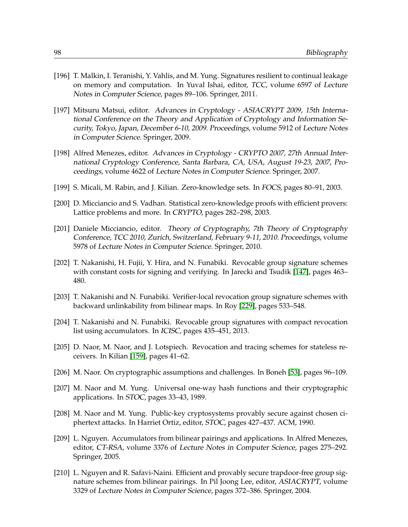- <span id="page-99-1"></span>[196] T. Malkin, I. Teranishi, Y. Vahlis, and M. Yung. Signatures resilient to continual leakage on memory and computation. In Yuval Ishai, editor, TCC, volume 6597 of Lecture Notes in Computer Science, pages 89–106. Springer, 2011.
- <span id="page-99-4"></span>[197] Mitsuru Matsui, editor. Advances in Cryptology - ASIACRYPT 2009, 15th International Conference on the Theory and Application of Cryptology and Information Security, Tokyo, Japan, December 6-10, 2009. Proceedings, volume 5912 of Lecture Notes in Computer Science. Springer, 2009.
- <span id="page-99-6"></span>[198] Alfred Menezes, editor. Advances in Cryptology - CRYPTO 2007, 27th Annual International Cryptology Conference, Santa Barbara, CA, USA, August 19-23, 2007, Proceedings, volume 4622 of Lecture Notes in Computer Science. Springer, 2007.
- [199] S. Micali, M. Rabin, and J. Kilian. Zero-knowledge sets. In FOCS, pages 80–91, 2003.
- <span id="page-99-3"></span>[200] D. Micciancio and S. Vadhan. Statistical zero-knowledge proofs with efficient provers: Lattice problems and more. In CRYPTO, pages 282–298, 2003.
- <span id="page-99-5"></span>[201] Daniele Micciancio, editor. Theory of Cryptography, 7th Theory of Cryptography Conference, TCC 2010, Zurich, Switzerland, February 9-11, 2010. Proceedings, volume 5978 of Lecture Notes in Computer Science. Springer, 2010.
- [202] T. Nakanishi, H. Fujii, Y. Hira, and N. Funabiki. Revocable group signature schemes with constant costs for signing and verifying. In Jarecki and Tsudik [\[147\]](#page-95-5), pages 463– 480.
- [203] T. Nakanishi and N. Funabiki. Verifier-local revocation group signature schemes with backward unlinkability from bilinear maps. In Roy [\[229\]](#page-101-8), pages 533–548.
- [204] T. Nakanishi and N. Funabiki. Revocable group signatures with compact revocation list using accumulators. In ICISC, pages 435–451, 2013.
- <span id="page-99-2"></span>[205] D. Naor, M. Naor, and J. Lotspiech. Revocation and tracing schemes for stateless receivers. In Kilian [\[159\]](#page-96-5), pages 41–62.
- [206] M. Naor. On cryptographic assumptions and challenges. In Boneh [\[53\]](#page-89-4), pages 96–109.
- [207] M. Naor and M. Yung. Universal one-way hash functions and their cryptographic applications. In STOC, pages 33–43, 1989.
- <span id="page-99-0"></span>[208] M. Naor and M. Yung. Public-key cryptosystems provably secure against chosen ciphertext attacks. In Harriet Ortiz, editor, STOC, pages 427–437. ACM, 1990.
- [209] L. Nguyen. Accumulators from bilinear pairings and applications. In Alfred Menezes, editor, CT-RSA, volume 3376 of Lecture Notes in Computer Science, pages 275–292. Springer, 2005.
- [210] L. Nguyen and R. Safavi-Naini. Efficient and provably secure trapdoor-free group signature schemes from bilinear pairings. In Pil Joong Lee, editor, ASIACRYPT, volume 3329 of Lecture Notes in Computer Science, pages 372–386. Springer, 2004.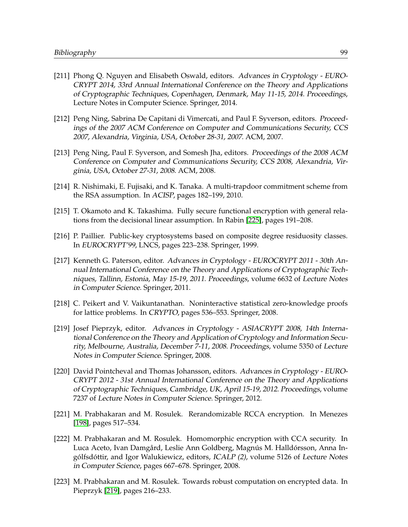- <span id="page-100-8"></span>[211] Phong Q. Nguyen and Elisabeth Oswald, editors. Advances in Cryptology - EURO-CRYPT 2014, 33rd Annual International Conference on the Theory and Applications of Cryptographic Techniques, Copenhagen, Denmark, May 11-15, 2014. Proceedings, Lecture Notes in Computer Science. Springer, 2014.
- <span id="page-100-7"></span>[212] Peng Ning, Sabrina De Capitani di Vimercati, and Paul F. Syverson, editors. Proceedings of the 2007 ACM Conference on Computer and Communications Security, CCS 2007, Alexandria, Virginia, USA, October 28-31, 2007. ACM, 2007.
- <span id="page-100-11"></span>[213] Peng Ning, Paul F. Syverson, and Somesh Jha, editors. Proceedings of the 2008 ACM Conference on Computer and Communications Security, CCS 2008, Alexandria, Virginia, USA, October 27-31, 2008. ACM, 2008.
- <span id="page-100-0"></span>[214] R. Nishimaki, E. Fujisaki, and K. Tanaka. A multi-trapdoor commitment scheme from the RSA assumption. In ACISP, pages 182–199, 2010.
- <span id="page-100-4"></span>[215] T. Okamoto and K. Takashima. Fully secure functional encryption with general relations from the decisional linear assumption. In Rabin [\[225\]](#page-101-6), pages 191–208.
- [216] P. Paillier. Public-key cryptosystems based on composite degree residuosity classes. In EUROCRYPT'99, LNCS, pages 223–238. Springer, 1999.
- <span id="page-100-9"></span>[217] Kenneth G. Paterson, editor. Advances in Cryptology - EUROCRYPT 2011 - 30th Annual International Conference on the Theory and Applications of Cryptographic Techniques, Tallinn, Estonia, May 15-19, 2011. Proceedings, volume 6632 of Lecture Notes in Computer Science. Springer, 2011.
- <span id="page-100-5"></span>[218] C. Peikert and V. Vaikuntanathan. Noninteractive statistical zero-knowledge proofs for lattice problems. In CRYPTO, pages 536–553. Springer, 2008.
- <span id="page-100-10"></span>[219] Josef Pieprzyk, editor. Advances in Cryptology - ASIACRYPT 2008, 14th International Conference on the Theory and Application of Cryptology and Information Security, Melbourne, Australia, December 7-11, 2008. Proceedings, volume 5350 of Lecture Notes in Computer Science. Springer, 2008.
- <span id="page-100-6"></span>[220] David Pointcheval and Thomas Johansson, editors. Advances in Cryptology - EURO-CRYPT 2012 - 31st Annual International Conference on the Theory and Applications of Cryptographic Techniques, Cambridge, UK, April 15-19, 2012. Proceedings, volume 7237 of Lecture Notes in Computer Science. Springer, 2012.
- <span id="page-100-1"></span>[221] M. Prabhakaran and M. Rosulek. Rerandomizable RCCA encryption. In Menezes [\[198\]](#page-99-6), pages 517–534.
- <span id="page-100-2"></span>[222] M. Prabhakaran and M. Rosulek. Homomorphic encryption with CCA security. In Luca Aceto, Ivan Damgård, Leslie Ann Goldberg, Magnús M. Halldórsson, Anna Ingólfsdóttir, and Igor Walukiewicz, editors, ICALP (2), volume 5126 of Lecture Notes in Computer Science, pages 667–678. Springer, 2008.
- <span id="page-100-3"></span>[223] M. Prabhakaran and M. Rosulek. Towards robust computation on encrypted data. In Pieprzyk [\[219\]](#page-100-10), pages 216–233.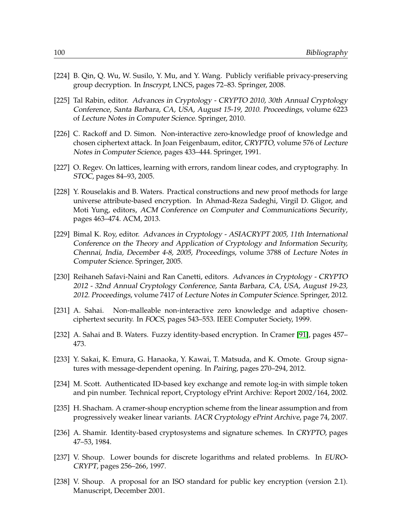- [224] B. Qin, Q. Wu, W. Susilo, Y. Mu, and Y. Wang. Publicly verifiable privacy-preserving group decryption. In Inscrypt, LNCS, pages 72–83. Springer, 2008.
- <span id="page-101-6"></span>[225] Tal Rabin, editor. Advances in Cryptology - CRYPTO 2010, 30th Annual Cryptology Conference, Santa Barbara, CA, USA, August 15-19, 2010. Proceedings, volume 6223 of Lecture Notes in Computer Science. Springer, 2010.
- <span id="page-101-1"></span>[226] C. Rackoff and D. Simon. Non-interactive zero-knowledge proof of knowledge and chosen ciphertext attack. In Joan Feigenbaum, editor, CRYPTO, volume 576 of Lecture Notes in Computer Science, pages 433–444. Springer, 1991.
- <span id="page-101-5"></span>[227] O. Regev. On lattices, learning with errors, random linear codes, and cryptography. In STOC, pages 84–93, 2005.
- <span id="page-101-4"></span>[228] Y. Rouselakis and B. Waters. Practical constructions and new proof methods for large universe attribute-based encryption. In Ahmad-Reza Sadeghi, Virgil D. Gligor, and Moti Yung, editors, ACM Conference on Computer and Communications Security, pages 463–474. ACM, 2013.
- <span id="page-101-8"></span>[229] Bimal K. Roy, editor. Advances in Cryptology - ASIACRYPT 2005, 11th International Conference on the Theory and Application of Cryptology and Information Security, Chennai, India, December 4-8, 2005, Proceedings, volume 3788 of Lecture Notes in Computer Science. Springer, 2005.
- <span id="page-101-7"></span>[230] Reihaneh Safavi-Naini and Ran Canetti, editors. Advances in Cryptology - CRYPTO 2012 - 32nd Annual Cryptology Conference, Santa Barbara, CA, USA, August 19-23, 2012. Proceedings, volume 7417 of Lecture Notes in Computer Science. Springer, 2012.
- <span id="page-101-0"></span>[231] A. Sahai. Non-malleable non-interactive zero knowledge and adaptive chosenciphertext security. In FOCS, pages 543–553. IEEE Computer Society, 1999.
- <span id="page-101-3"></span>[232] A. Sahai and B. Waters. Fuzzy identity-based encryption. In Cramer [\[91\]](#page-92-5), pages 457– 473.
- [233] Y. Sakai, K. Emura, G. Hanaoka, Y. Kawai, T. Matsuda, and K. Omote. Group signatures with message-dependent opening. In Pairing, pages 270–294, 2012.
- [234] M. Scott. Authenticated ID-based key exchange and remote log-in with simple token and pin number. Technical report, Cryptology ePrint Archive: Report 2002/164, 2002.
- <span id="page-101-2"></span>[235] H. Shacham. A cramer-shoup encryption scheme from the linear assumption and from progressively weaker linear variants. IACR Cryptology ePrint Archive, page 74, 2007.
- [236] A. Shamir. Identity-based cryptosystems and signature schemes. In CRYPTO, pages 47–53, 1984.
- [237] V. Shoup. Lower bounds for discrete logarithms and related problems. In EURO-CRYPT, pages 256–266, 1997.
- [238] V. Shoup. A proposal for an ISO standard for public key encryption (version 2.1). Manuscript, December 2001.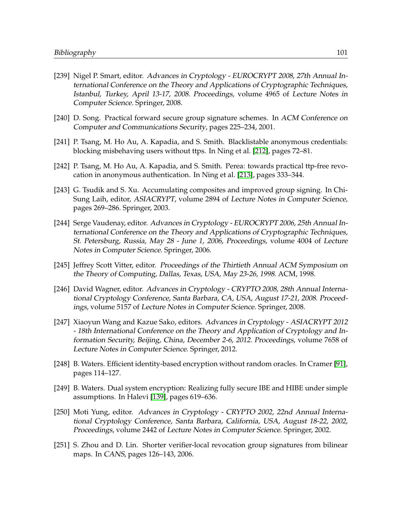- <span id="page-102-5"></span>[239] Nigel P. Smart, editor. Advances in Cryptology - EUROCRYPT 2008, 27th Annual International Conference on the Theory and Applications of Cryptographic Techniques, Istanbul, Turkey, April 13-17, 2008. Proceedings, volume 4965 of Lecture Notes in Computer Science. Springer, 2008.
- [240] D. Song. Practical forward secure group signature schemes. In ACM Conference on Computer and Communications Security, pages 225–234, 2001.
- [241] P. Tsang, M. Ho Au, A. Kapadia, and S. Smith. Blacklistable anonymous credentials: blocking misbehaving users without ttps. In Ning et al. [\[212\]](#page-100-7), pages 72–81.
- [242] P. Tsang, M. Ho Au, A. Kapadia, and S. Smith. Perea: towards practical ttp-free revocation in anonymous authentication. In Ning et al. [\[213\]](#page-100-11), pages 333–344.
- [243] G. Tsudik and S. Xu. Accumulating composites and improved group signing. In Chi-Sung Laih, editor, ASIACRYPT, volume 2894 of Lecture Notes in Computer Science, pages 269–286. Springer, 2003.
- <span id="page-102-2"></span>[244] Serge Vaudenay, editor. Advances in Cryptology - EUROCRYPT 2006, 25th Annual International Conference on the Theory and Applications of Cryptographic Techniques, St. Petersburg, Russia, May 28 - June 1, 2006, Proceedings, volume 4004 of Lecture Notes in Computer Science. Springer, 2006.
- <span id="page-102-4"></span>[245] Jeffrey Scott Vitter, editor. Proceedings of the Thirtieth Annual ACM Symposium on the Theory of Computing, Dallas, Texas, USA, May 23-26, 1998. ACM, 1998.
- <span id="page-102-6"></span>[246] David Wagner, editor. Advances in Cryptology - CRYPTO 2008, 28th Annual International Cryptology Conference, Santa Barbara, CA, USA, August 17-21, 2008. Proceedings, volume 5157 of Lecture Notes in Computer Science. Springer, 2008.
- <span id="page-102-1"></span>[247] Xiaoyun Wang and Kazue Sako, editors. Advances in Cryptology - ASIACRYPT 2012 - 18th International Conference on the Theory and Application of Cryptology and Information Security, Beijing, China, December 2-6, 2012. Proceedings, volume 7658 of Lecture Notes in Computer Science. Springer, 2012.
- [248] B. Waters. Efficient identity-based encryption without random oracles. In Cramer [\[91\]](#page-92-5), pages 114–127.
- <span id="page-102-0"></span>[249] B. Waters. Dual system encryption: Realizing fully secure IBE and HIBE under simple assumptions. In Halevi [\[139\]](#page-95-4), pages 619–636.
- <span id="page-102-3"></span>[250] Moti Yung, editor. Advances in Cryptology - CRYPTO 2002, 22nd Annual International Cryptology Conference, Santa Barbara, California, USA, August 18-22, 2002, Proceedings, volume 2442 of Lecture Notes in Computer Science. Springer, 2002.
- [251] S. Zhou and D. Lin. Shorter verifier-local revocation group signatures from bilinear maps. In CANS, pages 126–143, 2006.